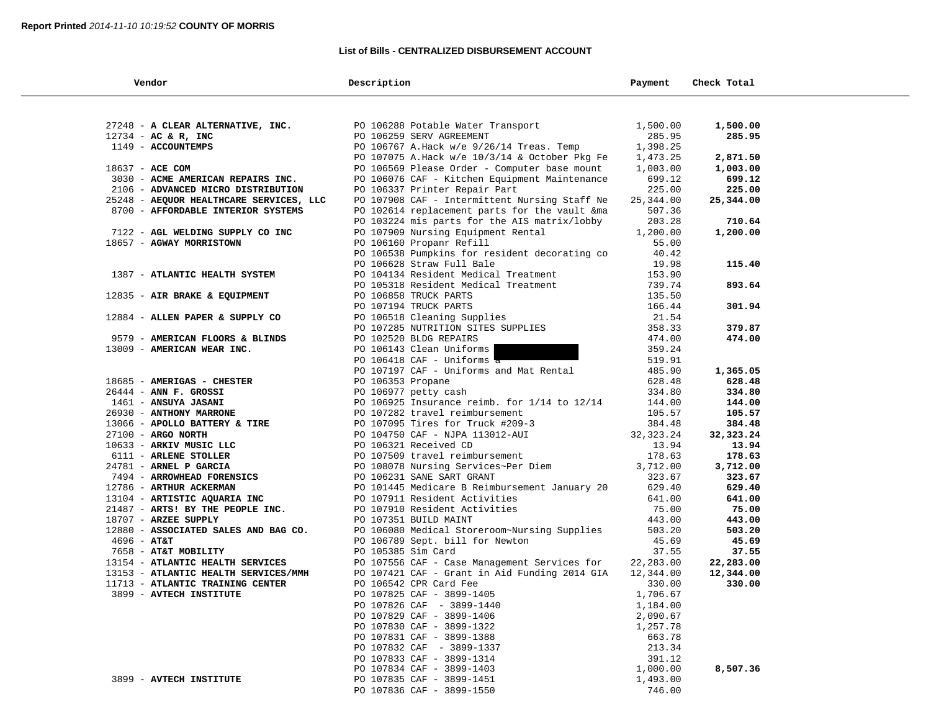$\sim$ 

## **List of Bills - CENTRALIZED DISBURSEMENT ACCOUNT**

| Vendor                                          | Description                                                           | Payment            | Check Total        |
|-------------------------------------------------|-----------------------------------------------------------------------|--------------------|--------------------|
|                                                 |                                                                       |                    |                    |
| 27248 - A CLEAR ALTERNATIVE, INC.               | PO 106288 Potable Water Transport                                     | 1,500.00           | 1,500.00           |
| $12734$ - AC & R, INC                           | PO 106259 SERV AGREEMENT                                              | 285.95             | 285.95             |
| 1149 - ACCOUNTEMPS                              | PO 106767 A.Hack w/e 9/26/14 Treas. Temp                              | 1,398.25           |                    |
|                                                 | PO 107075 A.Hack w/e 10/3/14 & October Pkg Fe                         | 1,473.25           | 2,871.50           |
| 18637 - ACE COM                                 | PO 106569 Please Order - Computer base mount                          | 1,003.00           | 1,003.00           |
| 3030 - ACME AMERICAN REPAIRS INC.               | PO 106076 CAF - Kitchen Equipment Maintenance                         | 699.12             | 699.12             |
| 2106 - ADVANCED MICRO DISTRIBUTION              | PO 106337 Printer Repair Part                                         | 225.00             | 225.00             |
| 25248 - AEQUOR HEALTHCARE SERVICES, LLC         | PO 107908 CAF - Intermittent Nursing Staff Ne                         | 25,344.00          | 25,344.00          |
| 8700 - AFFORDABLE INTERIOR SYSTEMS              | PO 102614 replacement parts for the vault & ma                        | 507.36             |                    |
|                                                 | PO 103224 mis parts for the AIS matrix/lobby                          | 203.28             | 710.64             |
| 7122 - AGL WELDING SUPPLY CO INC                | PO 107909 Nursing Equipment Rental                                    | 1,200.00           | 1,200.00           |
| 18657 - AGWAY MORRISTOWN                        | PO 106160 Propanr Refill                                              | 55.00              |                    |
|                                                 | PO 106538 Pumpkins for resident decorating co                         | 40.42              |                    |
|                                                 | PO 106628 Straw Full Bale                                             | 19.98              | 115.40             |
| 1387 - ATLANTIC HEALTH SYSTEM                   | PO 104134 Resident Medical Treatment                                  | 153.90             |                    |
|                                                 | PO 105318 Resident Medical Treatment                                  | 739.74             | 893.64             |
| 12835 - AIR BRAKE & EQUIPMENT                   | PO 106858 TRUCK PARTS                                                 | 135.50             |                    |
|                                                 | PO 107194 TRUCK PARTS                                                 | 166.44             | 301.94             |
| 12884 - ALLEN PAPER & SUPPLY CO                 | PO 106518 Cleaning Supplies                                           | 21.54              |                    |
|                                                 | PO 107285 NUTRITION SITES SUPPLIES                                    | 358.33             | 379.87             |
| 9579 - AMERICAN FLOORS & BLINDS                 | PO 102520 BLDG REPAIRS                                                | 474.00             | 474.00             |
| 13009 - AMERICAN WEAR INC.                      | PO 106143 Clean Uniforms                                              | 359.24             |                    |
|                                                 | PO 106418 $CAF$ - Uniforms $\frac{1}{4}$                              | 519.91             |                    |
|                                                 | PO 107197 CAF - Uniforms and Mat Rental                               | 485.90             | 1,365.05           |
| 18685 - AMERIGAS - CHESTER                      | PO 106353 Propane                                                     | 628.48             | 628.48             |
| $26444$ - ANN F. GROSSI                         | PO 106977 petty cash                                                  | 334.80             | 334.80             |
| 1461 - ANSUYA JASANI                            | PO 106925 Insurance reimb. for $1/14$ to $12/14$                      | 144.00             | 144.00             |
| 26930 - ANTHONY MARRONE                         | PO 107282 travel reimbursement                                        | 105.57             | 105.57             |
| 13066 - APOLLO BATTERY & TIRE                   | PO 107095 Tires for Truck #209-3                                      | 384.48             | 384.48             |
| 27100 - ARGO NORTH                              | PO 104750 CAF - NJPA 113012-AUI                                       | 32, 323. 24        | 32,323.24          |
| 10633 - ARKIV MUSIC LLC                         | PO 106321 Received CD                                                 | 13.94              | 13.94              |
| 6111 - ARLENE STOLLER<br>24781 - ARNEL P GARCIA | PO 107509 travel reimbursement<br>PO 108078 Nursing Services~Per Diem | 178.63<br>3,712.00 | 178.63             |
| 7494 - ARROWHEAD FORENSICS                      | PO 106231 SANE SART GRANT                                             | 323.67             | 3,712.00<br>323.67 |
| 12786 - ARTHUR ACKERMAN                         | PO 101445 Medicare B Reimbursement January 20                         | 629.40             | 629.40             |
| 13104 - ARTISTIC AQUARIA INC                    | PO 107911 Resident Activities                                         | 641.00             | 641.00             |
| 21487 - ARTS! BY THE PEOPLE INC.                | PO 107910 Resident Activities                                         | 75.00              | 75.00              |
| 18707 - ARZEE SUPPLY                            | PO 107351 BUILD MAINT                                                 | 443.00             | 443.00             |
| 12880 - ASSOCIATED SALES AND BAG CO.            | PO 106080 Medical Storeroom~Nursing Supplies                          | 503.20             | 503.20             |
| $4696 - AT&T$                                   | PO 106789 Sept. bill for Newton                                       | 45.69              | 45.69              |
| 7658 - AT&T MOBILITY                            | PO 105385 Sim Card                                                    | 37.55              | 37.55              |
| 13154 - ATLANTIC HEALTH SERVICES                | PO 107556 CAF - Case Management Services for                          | 22,283.00          | 22,283.00          |
| 13153 - ATLANTIC HEALTH SERVICES/MMH            | PO 107421 CAF - Grant in Aid Funding 2014 GIA                         | 12,344.00          | 12,344.00          |
| 11713 - ATLANTIC TRAINING CENTER                | PO 106542 CPR Card Fee                                                | 330.00             | 330.00             |
| 3899 - AVTECH INSTITUTE                         | PO 107825 CAF - 3899-1405                                             | 1,706.67           |                    |
|                                                 | PO 107826 CAF - 3899-1440                                             | 1,184.00           |                    |
|                                                 | PO 107829 CAF - 3899-1406                                             | 2,090.67           |                    |
|                                                 | PO 107830 CAF - 3899-1322                                             | 1,257.78           |                    |
|                                                 | PO 107831 CAF - 3899-1388                                             | 663.78             |                    |
|                                                 | PO 107832 CAF - 3899-1337                                             | 213.34             |                    |
|                                                 | PO 107833 CAF - 3899-1314                                             | 391.12             |                    |
|                                                 | PO 107834 CAF - 3899-1403                                             | 1,000.00           | 8,507.36           |
| 3899 - AVTECH INSTITUTE                         | PO 107835 CAF - 3899-1451                                             | 1,493.00           |                    |
|                                                 | PO 107836 CAF - 3899-1550                                             | 746.00             |                    |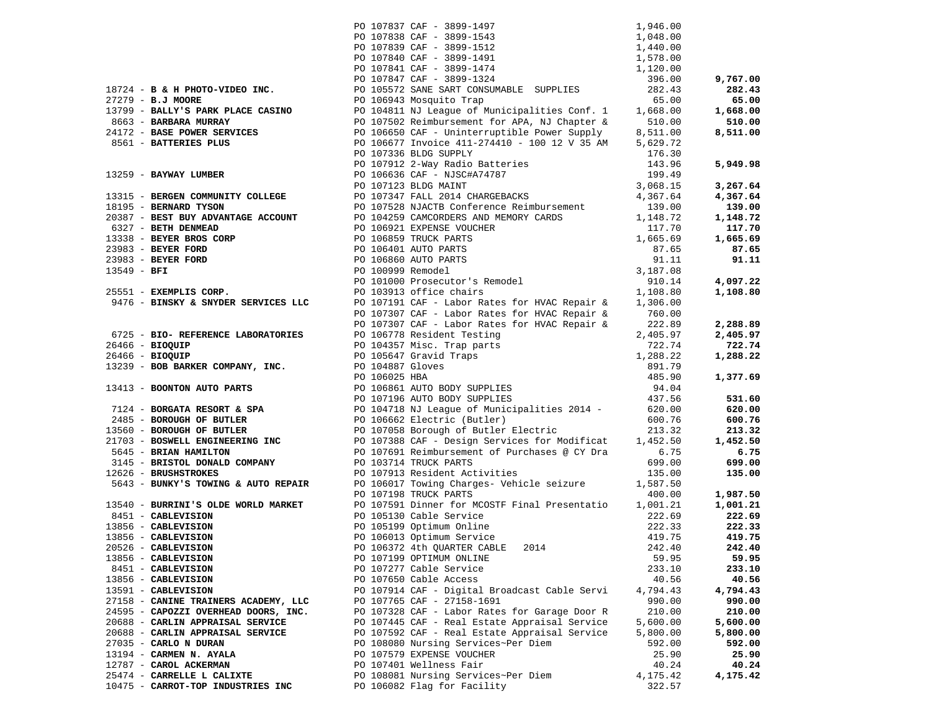|                            |                                      |                      | PO 107837 CAF - 3899-1497                                                                              | 1,946.00 |          |
|----------------------------|--------------------------------------|----------------------|--------------------------------------------------------------------------------------------------------|----------|----------|
|                            |                                      |                      | PO 107838 CAF - 3899-1543                                                                              | 1,048.00 |          |
|                            |                                      |                      | PO 107839 CAF - 3899-1512                                                                              | 1,440.00 |          |
|                            |                                      |                      | PO 107840 CAF - 3899-1491                                                                              | 1,578.00 |          |
|                            |                                      |                      | PO 107841 CAF - 3899-1474                                                                              | 1,120.00 |          |
|                            |                                      |                      | PO 107847 CAF - 3899-1324                                                                              | 396.00   | 9,767.00 |
|                            | 18724 - B & H PHOTO-VIDEO INC.       |                      | PO 105572 SANE SART CONSUMABLE SUPPLIES                                                                | 282.43   | 282.43   |
| 27279 - B.J MOORE          |                                      |                      | PO 106943 Mosquito Trap                                                                                | 65.00    | 65.00    |
|                            |                                      |                      |                                                                                                        |          |          |
|                            | 13799 - BALLY'S PARK PLACE CASINO    |                      | PO 104811 NJ League of Municipalities Conf. 1                                                          | 1,668.00 | 1,668.00 |
| 8663 - BARBARA MURRAY      |                                      |                      | PO 107502 Reimbursement for APA, NJ Chapter &                                                          | 510.00   | 510.00   |
|                            | 24172 - BASE POWER SERVICES          |                      | PO 106650 CAF - Uninterruptible Power Supply                                                           | 8,511.00 | 8,511.00 |
| 8561 - BATTERIES PLUS      |                                      |                      | PO 106677 Invoice 411-274410 - 100 12 V 35 AM                                                          | 5,629.72 |          |
|                            |                                      |                      | PO 107336 BLDG SUPPLY                                                                                  | 176.30   |          |
|                            |                                      |                      | PO 107912 2-Way Radio Batteries                                                                        | 143.96   | 5,949.98 |
| 13259 - BAYWAY LUMBER      |                                      |                      | PO 106636 CAF - NJSC#A74787                                                                            | 199.49   |          |
|                            |                                      |                      | PO 107123 BLDG MAINT                                                                                   | 3,068.15 | 3,267.64 |
|                            | 13315 - BERGEN COMMUNITY COLLEGE     |                      | PO 107347 FALL 2014 CHARGEBACKS                                                                        | 4,367.64 | 4,367.64 |
| 18195 - BERNARD TYSON      |                                      |                      | PO 107528 NJACTB Conference Reimbursement                                                              | 139.00   | 139.00   |
|                            | 20387 - BEST BUY ADVANTAGE ACCOUNT   |                      | PO 104259 CAMCORDERS AND MEMORY CARDS                                                                  | 1,148.72 | 1,148.72 |
|                            |                                      |                      |                                                                                                        |          |          |
| 6327 - BETH DENMEAD        |                                      |                      | PO 106921 EXPENSE VOUCHER                                                                              | 117.70   | 117.70   |
| 13338 - BEYER BROS CORP    |                                      |                      | PO 106859 TRUCK PARTS                                                                                  | 1,665.69 | 1,665.69 |
| 23983 - BEYER FORD         |                                      |                      | PO 106401 AUTO PARTS                                                                                   | 87.65    | 87.65    |
| 23983 - BEYER FORD         |                                      | PO 106860 AUTO PARTS |                                                                                                        | 91.11    | 91.11    |
| 13549 - BFI                |                                      | PO 100999 Remodel    |                                                                                                        | 3,187.08 |          |
|                            |                                      |                      | PO 101000 Prosecutor's Remodel                                                                         | 910.14   | 4,097.22 |
| 25551 - EXEMPLIS CORP.     |                                      |                      | PO 103913 office chairs                                                                                | 1,108.80 | 1,108.80 |
|                            | 9476 - BINSKY & SNYDER SERVICES LLC  |                      | PO 107191 CAF - Labor Rates for HVAC Repair &                                                          | 1,306.00 |          |
|                            |                                      |                      | PO 107307 CAF - Labor Rates for HVAC Repair &                                                          | 760.00   |          |
|                            |                                      |                      | PO 107307 CAF - Labor Rates for HVAC Repair &                                                          | 222.89   | 2,288.89 |
|                            | 6725 - BIO- REFERENCE LABORATORIES   |                      | PO 106778 Resident Testing                                                                             | 2,405.97 | 2,405.97 |
| 26466 - BIOQUIP            |                                      |                      |                                                                                                        | 722.74   | 722.74   |
| 26466 - BIOQUIP            |                                      |                      |                                                                                                        | 1,288.22 | 1,288.22 |
|                            |                                      | PO 104887 Gloves     | PO 106778 Resident Testing<br>PO 104357 Misc. Trap parts<br>PO 105647 Gravid Traps<br>PO 104887 Gloves |          |          |
|                            | 13239 - BOB BARKER COMPANY, INC.     |                      |                                                                                                        | 891.79   |          |
|                            |                                      | PO 106025 HBA        | PO 106861 AUTO BODY SUPPLIES<br>PO 106861 AUTO BODY SUPPLIES                                           | 485.90   | 1,377.69 |
| 13413 - BOONTON AUTO PARTS |                                      |                      |                                                                                                        | 94.04    |          |
|                            |                                      |                      | PO 107196 AUTO BODY SUPPLIES                                                                           | 437.56   | 531.60   |
|                            | 7124 - BORGATA RESORT & SPA          |                      | PO 104718 NJ League of Municipalities 2014 -                                                           | 620.00   | 620.00   |
| 2485 - BOROUGH OF BUTLER   |                                      |                      | PO 106662 Electric (Butler)<br>PO 107058 Borough of Butler Electric                                    | 600.76   | 600.76   |
| 13560 - BOROUGH OF BUTLER  |                                      |                      |                                                                                                        | 213.32   | 213.32   |
|                            | 21703 - BOSWELL ENGINEERING INC      |                      |                                                                                                        | 1,452.50 | 1,452.50 |
| 5645 - BRIAN HAMILTON      |                                      |                      | PO 107388 CAF - Design Services for Modificat<br>PO 107691 Reimbursement of Purchases @ CY Dra         | 6.75     | 6.75     |
|                            | 3145 - BRISTOL DONALD COMPANY        |                      | PO 103714 TRUCK PARTS                                                                                  | 699.00   | 699.00   |
| 12626 - BRUSHSTROKES       |                                      |                      | PO 107913 Resident Activities                                                                          | 135.00   | 135.00   |
|                            | 5643 - BUNKY'S TOWING & AUTO REPAIR  |                      | PO 106017 Towing Charges- Vehicle seizure                                                              | 1,587.50 |          |
|                            |                                      |                      | PO 107198 TRUCK PARTS                                                                                  | 400.00   | 1,987.50 |
|                            | 13540 - BURRINI'S OLDE WORLD MARKET  |                      | PO 107591 Dinner for MCOSTF Final Presentatio                                                          | 1,001.21 | 1,001.21 |
|                            |                                      |                      |                                                                                                        |          | 222.69   |
| 8451 - CABLEVISION         |                                      |                      | PO 105130 Cable Service                                                                                | 222.69   |          |
| 13856 - CABLEVISION        |                                      |                      | PO 105199 Optimum Online                                                                               | 222.33   | 222.33   |
| 13856 - CABLEVISION        |                                      |                      | PO 106013 Optimum Service                                                                              | 419.75   | 419.75   |
| 20526 - CABLEVISION        |                                      |                      | PO 106372 4th QUARTER CABLE<br>2014                                                                    | 242.40   | 242.40   |
| 13856 - CABLEVISION        |                                      |                      | PO 107199 OPTIMUM ONLINE                                                                               | 59.95    | 59.95    |
| 8451 - CABLEVISION         |                                      |                      | PO 107277 Cable Service                                                                                | 233.10   | 233.10   |
| 13856 - CABLEVISION        |                                      |                      | PO 107650 Cable Access                                                                                 | 40.56    | 40.56    |
| 13591 - CABLEVISION        |                                      |                      | PO 107914 CAF - Digital Broadcast Cable Servi                                                          | 4,794.43 | 4,794.43 |
|                            | 27158 - CANINE TRAINERS ACADEMY, LLC |                      | PO 107765 CAF - 27158-1691                                                                             | 990.00   | 990.00   |
|                            | 24595 - CAPOZZI OVERHEAD DOORS, INC. |                      | PO 107328 CAF - Labor Rates for Garage Door R                                                          | 210.00   | 210.00   |
|                            | 20688 - CARLIN APPRAISAL SERVICE     |                      | PO 107445 CAF - Real Estate Appraisal Service                                                          | 5,600.00 | 5,600.00 |
|                            | 20688 - CARLIN APPRAISAL SERVICE     |                      | PO 107592 CAF - Real Estate Appraisal Service                                                          | 5,800.00 | 5,800.00 |
| 27035 - CARLO N DURAN      |                                      |                      | PO 108080 Nursing Services~Per Diem                                                                    |          |          |
|                            |                                      |                      |                                                                                                        | 592.00   | 592.00   |
| 13194 - CARMEN N. AYALA    |                                      |                      | PO 107579 EXPENSE VOUCHER                                                                              | 25.90    | 25.90    |
| 12787 - CAROL ACKERMAN     |                                      |                      | PO 107401 Wellness Fair                                                                                | 40.24    | 40.24    |
| 25474 - CARRELLE L CALIXTE |                                      |                      | PO 108081 Nursing Services~Per Diem                                                                    | 4,175.42 | 4,175.42 |
|                            | 10475 - CARROT-TOP INDUSTRIES INC    |                      | PO 106082 Flag for Facility                                                                            | 322.57   |          |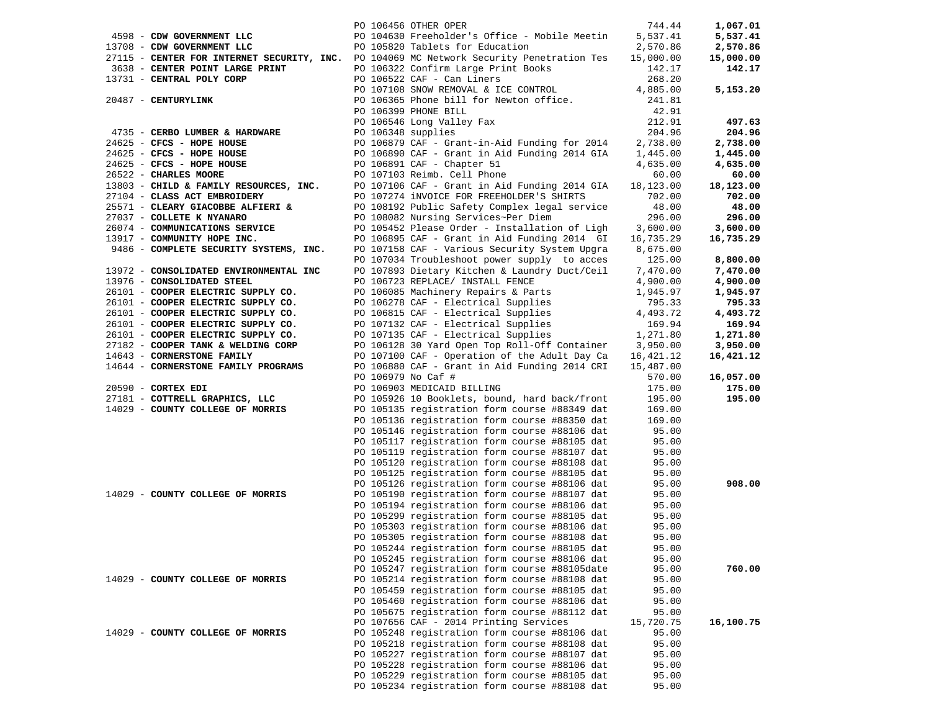|                                        |                    | PO 106456 OTHER OPER                                                                     | 744.44    | 1,067.01  |
|----------------------------------------|--------------------|------------------------------------------------------------------------------------------|-----------|-----------|
| 4598 - CDW GOVERNMENT LLC              |                    | PO 104630 Freeholder's Office - Mobile Meetin                                            | 5,537.41  | 5,537.41  |
| 13708 - CDW GOVERNMENT LLC             |                    | PO 105820 Tablets for Education                                                          | 2,570.86  | 2,570.86  |
|                                        |                    | 27115 - CENTER FOR INTERNET SECURITY, INC. PO 104069 MC Network Security Penetration Tes | 15,000.00 | 15,000.00 |
| 3638 - CENTER POINT LARGE PRINT        |                    | PO 106322 Confirm Large Print Books                                                      | 142.17    | 142.17    |
|                                        |                    |                                                                                          |           |           |
| 13731 - CENTRAL POLY CORP              |                    | PO 106522 CAF - Can Liners                                                               | 268.20    |           |
|                                        |                    | PO 107108 SNOW REMOVAL & ICE CONTROL                                                     | 4,885.00  | 5,153.20  |
| 20487 - CENTURYLINK                    |                    | PO 106365 Phone bill for Newton office.                                                  | 241.81    |           |
|                                        |                    | PO 106399 PHONE BILL                                                                     | 42.91     |           |
|                                        |                    | PO 106546 Long Valley Fax                                                                | 212.91    | 497.63    |
| 4735 - CERBO LUMBER & HARDWARE         | PO 106348 supplies |                                                                                          | 204.96    | 204.96    |
| $24625$ - CFCS - HOPE HOUSE            |                    | PO 106879 CAF - Grant-in-Aid Funding for 2014                                            | 2,738.00  | 2,738.00  |
| 24625 - CFCS - HOPE HOUSE              |                    | PO 106890 CAF - Grant in Aid Funding 2014 GIA                                            | 1,445.00  | 1,445.00  |
| 24625 - CFCS - HOPE HOUSE              |                    | PO 106891 CAF - Chapter 51                                                               | 4,635.00  | 4,635.00  |
|                                        |                    |                                                                                          |           |           |
| 26522 - CHARLES MOORE                  |                    | PO 107103 Reimb. Cell Phone                                                              | 60.00     | 60.00     |
| 13803 - CHILD & FAMILY RESOURCES, INC. |                    | PO 107106 CAF - Grant in Aid Funding 2014 GIA                                            | 18,123.00 | 18,123.00 |
| 27104 - CLASS ACT EMBROIDERY           |                    | PO 107274 INVOICE FOR FREEHOLDER'S SHIRTS                                                | 702.00    | 702.00    |
| 25571 - CLEARY GIACOBBE ALFIERI &      |                    | PO 108192 Public Safety Complex legal service                                            | 48.00     | 48.00     |
| 27037 - COLLETE K NYANARO              |                    | PO 108082 Nursing Services~Per Diem                                                      | 296.00    | 296.00    |
| 26074 - COMMUNICATIONS SERVICE         |                    | PO 105452 Please Order - Installation of Ligh                                            | 3,600.00  | 3,600.00  |
| 13917 - COMMUNITY HOPE INC.            |                    | PO 106895 CAF - Grant in Aid Funding 2014 GI                                             | 16,735.29 | 16,735.29 |
| 9486 - COMPLETE SECURITY SYSTEMS, INC. |                    | PO 107158 CAF - Various Security System Upgra                                            | 8,675.00  |           |
|                                        |                    | PO 107034 Troubleshoot power supply to acces                                             | 125.00    | 8,800.00  |
| 13972 - CONSOLIDATED ENVIRONMENTAL INC |                    |                                                                                          |           |           |
|                                        |                    | PO 107893 Dietary Kitchen & Laundry Duct/Ceil                                            | 7,470.00  | 7,470.00  |
| 13976 - CONSOLIDATED STEEL             |                    | PO 106723 REPLACE/ INSTALL FENCE                                                         | 4,900.00  | 4,900.00  |
| 26101 - COOPER ELECTRIC SUPPLY CO.     |                    | PO 106085 Machinery Repairs & Parts                                                      | 1,945.97  | 1,945.97  |
| 26101 - COOPER ELECTRIC SUPPLY CO.     |                    | PO 106278 CAF - Electrical Supplies                                                      | 795.33    | 795.33    |
| 26101 - COOPER ELECTRIC SUPPLY CO.     |                    | PO 106815 CAF - Electrical Supplies                                                      | 4,493.72  | 4,493.72  |
| 26101 - COOPER ELECTRIC SUPPLY CO.     |                    | PO 107132 CAF - Electrical Supplies                                                      | 169.94    | 169.94    |
| 26101 - COOPER ELECTRIC SUPPLY CO.     |                    | PO 107135 CAF - Electrical Supplies                                                      | 1,271.80  | 1,271.80  |
| 27182 - COOPER TANK & WELDING CORP     |                    | PO 106128 30 Yard Open Top Roll-Off Container                                            | 3,950.00  | 3,950.00  |
| 14643 - CORNERSTONE FAMILY             |                    | PO 107100 CAF - Operation of the Adult Day Ca                                            | 16,421.12 | 16,421.12 |
| 14644 - CORNERSTONE FAMILY PROGRAMS    |                    | PO 106880 CAF - Grant in Aid Funding 2014 CRI                                            | 15,487.00 |           |
|                                        |                    |                                                                                          |           | 16,057.00 |
|                                        | PO 106979 No Caf # |                                                                                          | 570.00    |           |
| $20590$ - CORTEX EDI                   |                    | PO 106903 MEDICAID BILLING                                                               | 175.00    | 175.00    |
| 27181 - COTTRELL GRAPHICS, LLC         |                    | PO 105926 10 Booklets, bound, hard back/front                                            | 195.00    | 195.00    |
| 14029 - COUNTY COLLEGE OF MORRIS       |                    | PO 105135 registration form course #88349 dat                                            | 169.00    |           |
|                                        |                    | PO 105136 registration form course #88350 dat                                            | 169.00    |           |
|                                        |                    | PO 105146 registration form course #88106 dat                                            | 95.00     |           |
|                                        |                    | PO 105117 registration form course #88105 dat                                            | 95.00     |           |
|                                        |                    | PO 105119 registration form course #88107 dat                                            | 95.00     |           |
|                                        |                    | PO 105120 registration form course #88108 dat                                            | 95.00     |           |
|                                        |                    | PO 105125 registration form course #88105 dat                                            | 95.00     |           |
|                                        |                    | PO 105126 registration form course #88106 dat                                            | 95.00     | 908.00    |
| 14029 - COUNTY COLLEGE OF MORRIS       |                    | PO 105190 registration form course #88107 dat                                            | 95.00     |           |
|                                        |                    |                                                                                          |           |           |
|                                        |                    | PO 105194 registration form course #88106 dat                                            | 95.00     |           |
|                                        |                    | PO 105299 registration form course #88105 dat                                            | 95.00     |           |
|                                        |                    | PO 105303 registration form course #88106 dat                                            | 95.00     |           |
|                                        |                    | PO 105305 registration form course #88108 dat                                            | 95.00     |           |
|                                        |                    | PO 105244 registration form course #88105 dat                                            | 95.00     |           |
|                                        |                    | PO 105245 registration form course #88106 dat                                            | 95.00     |           |
|                                        |                    | PO 105247 registration form course #88105date                                            | 95.00     | 760.00    |
| 14029 - COUNTY COLLEGE OF MORRIS       |                    | PO 105214 registration form course #88108 dat                                            | 95.00     |           |
|                                        |                    | PO 105459 registration form course #88105 dat                                            | 95.00     |           |
|                                        |                    | PO 105460 registration form course #88106 dat                                            | 95.00     |           |
|                                        |                    | PO 105675 registration form course #88112 dat                                            |           |           |
|                                        |                    |                                                                                          | 95.00     |           |
|                                        |                    | PO 107656 CAF - 2014 Printing Services                                                   | 15,720.75 | 16,100.75 |
| 14029 - COUNTY COLLEGE OF MORRIS       |                    | PO 105248 registration form course #88106 dat                                            | 95.00     |           |
|                                        |                    | PO 105218 registration form course #88108 dat                                            | 95.00     |           |
|                                        |                    | PO 105227 registration form course #88107 dat                                            | 95.00     |           |
|                                        |                    | PO 105228 registration form course #88106 dat                                            | 95.00     |           |
|                                        |                    | PO 105229 registration form course #88105 dat                                            | 95.00     |           |
|                                        |                    | PO 105234 registration form course #88108 dat                                            | 95.00     |           |
|                                        |                    |                                                                                          |           |           |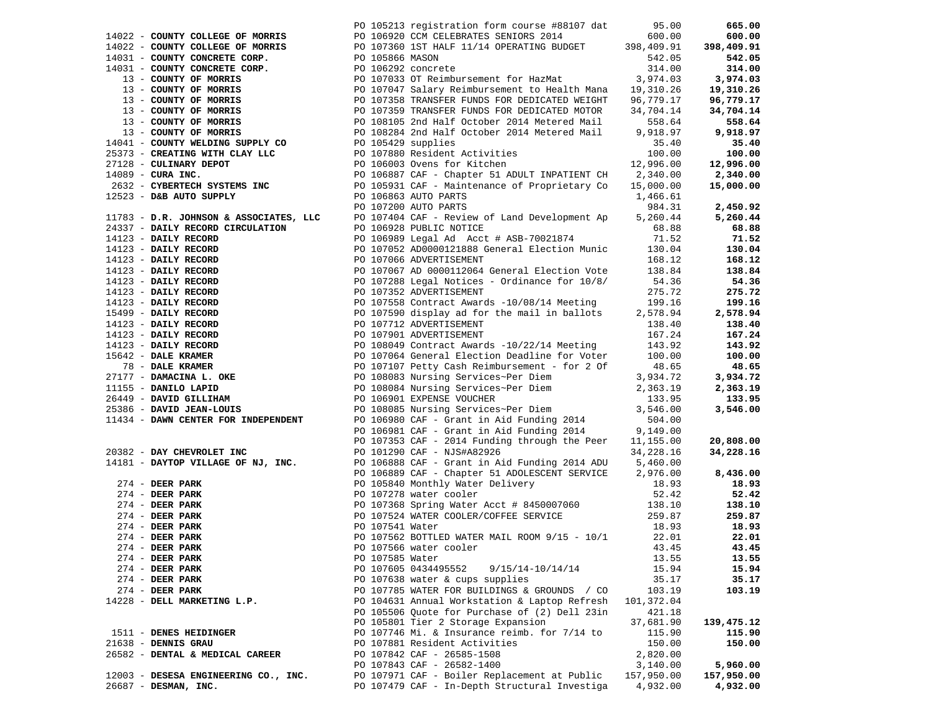|                                             |                 | PO 105213 registration form course #88107 dat 95.00<br>1932 - COMPT CHARACTER (C 1932) - EN C 1932) - EN C 1932) - EN C 1932) - EN C 1942 - EN C 1942 - EN C 1942 - EN C 1942 - EN C 1942 - EN C 1942 - EN C 1942 - EN C 1942 - EN C 1942 - EN C 1942 - EN C 1942 - EN C 1942 - EN C |            |            |
|---------------------------------------------|-----------------|--------------------------------------------------------------------------------------------------------------------------------------------------------------------------------------------------------------------------------------------------------------------------------------|------------|------------|
|                                             |                 |                                                                                                                                                                                                                                                                                      |            |            |
|                                             |                 |                                                                                                                                                                                                                                                                                      |            |            |
|                                             |                 |                                                                                                                                                                                                                                                                                      |            |            |
|                                             |                 |                                                                                                                                                                                                                                                                                      |            |            |
|                                             |                 |                                                                                                                                                                                                                                                                                      |            |            |
|                                             |                 |                                                                                                                                                                                                                                                                                      |            |            |
|                                             |                 |                                                                                                                                                                                                                                                                                      |            |            |
|                                             |                 |                                                                                                                                                                                                                                                                                      |            |            |
|                                             |                 |                                                                                                                                                                                                                                                                                      |            |            |
|                                             |                 |                                                                                                                                                                                                                                                                                      |            |            |
|                                             |                 |                                                                                                                                                                                                                                                                                      |            |            |
|                                             |                 |                                                                                                                                                                                                                                                                                      |            |            |
|                                             |                 |                                                                                                                                                                                                                                                                                      |            |            |
|                                             |                 |                                                                                                                                                                                                                                                                                      |            |            |
|                                             |                 |                                                                                                                                                                                                                                                                                      |            |            |
|                                             |                 |                                                                                                                                                                                                                                                                                      |            |            |
|                                             |                 |                                                                                                                                                                                                                                                                                      |            |            |
|                                             |                 |                                                                                                                                                                                                                                                                                      |            |            |
|                                             |                 |                                                                                                                                                                                                                                                                                      |            |            |
|                                             |                 |                                                                                                                                                                                                                                                                                      |            |            |
|                                             |                 |                                                                                                                                                                                                                                                                                      |            |            |
|                                             |                 |                                                                                                                                                                                                                                                                                      |            |            |
|                                             |                 |                                                                                                                                                                                                                                                                                      |            |            |
|                                             |                 |                                                                                                                                                                                                                                                                                      |            |            |
|                                             |                 |                                                                                                                                                                                                                                                                                      |            |            |
|                                             |                 |                                                                                                                                                                                                                                                                                      |            |            |
|                                             |                 |                                                                                                                                                                                                                                                                                      |            |            |
|                                             |                 |                                                                                                                                                                                                                                                                                      |            |            |
|                                             |                 |                                                                                                                                                                                                                                                                                      |            |            |
|                                             |                 |                                                                                                                                                                                                                                                                                      |            |            |
|                                             |                 |                                                                                                                                                                                                                                                                                      |            |            |
|                                             |                 |                                                                                                                                                                                                                                                                                      |            |            |
|                                             |                 |                                                                                                                                                                                                                                                                                      |            |            |
|                                             |                 |                                                                                                                                                                                                                                                                                      |            |            |
|                                             |                 |                                                                                                                                                                                                                                                                                      |            |            |
|                                             |                 |                                                                                                                                                                                                                                                                                      |            |            |
|                                             |                 |                                                                                                                                                                                                                                                                                      |            |            |
|                                             |                 |                                                                                                                                                                                                                                                                                      |            |            |
|                                             |                 |                                                                                                                                                                                                                                                                                      |            |            |
|                                             |                 |                                                                                                                                                                                                                                                                                      |            |            |
|                                             |                 |                                                                                                                                                                                                                                                                                      |            |            |
|                                             |                 |                                                                                                                                                                                                                                                                                      |            |            |
|                                             |                 |                                                                                                                                                                                                                                                                                      |            |            |
|                                             |                 |                                                                                                                                                                                                                                                                                      |            |            |
|                                             |                 |                                                                                                                                                                                                                                                                                      |            |            |
|                                             |                 |                                                                                                                                                                                                                                                                                      |            |            |
|                                             |                 |                                                                                                                                                                                                                                                                                      |            |            |
|                                             |                 |                                                                                                                                                                                                                                                                                      |            |            |
| $274$ - DEER PARK<br>PO 107566 water cooler |                 |                                                                                                                                                                                                                                                                                      | 43.45      | 43.45      |
| $274$ - DEER PARK                           | PO 107585 Water |                                                                                                                                                                                                                                                                                      | 13.55      | 13.55      |
| $274$ - DEER PARK                           |                 | PO 107605 0434495552<br>9/15/14-10/14/14                                                                                                                                                                                                                                             | 15.94      | 15.94      |
| $274$ - DEER PARK                           |                 | PO 107638 water & cups supplies                                                                                                                                                                                                                                                      | 35.17      | 35.17      |
| $274$ - DEER PARK                           |                 | PO 107785 WATER FOR BUILDINGS & GROUNDS / CO                                                                                                                                                                                                                                         | 103.19     | 103.19     |
| 14228 - DELL MARKETING L.P.                 |                 | PO 104631 Annual Workstation & Laptop Refresh                                                                                                                                                                                                                                        | 101,372.04 |            |
|                                             |                 |                                                                                                                                                                                                                                                                                      |            |            |
|                                             |                 | PO 105506 Quote for Purchase of (2) Dell 23in                                                                                                                                                                                                                                        | 421.18     |            |
|                                             |                 | PO 105801 Tier 2 Storage Expansion                                                                                                                                                                                                                                                   | 37,681.90  | 139,475.12 |
| 1511 - DENES HEIDINGER                      |                 | PO 107746 Mi. & Insurance reimb. for 7/14 to                                                                                                                                                                                                                                         | 115.90     | 115.90     |
| 21638 - DENNIS GRAU                         |                 | PO 107881 Resident Activities                                                                                                                                                                                                                                                        | 150.00     | 150.00     |
| 26582 - DENTAL & MEDICAL CAREER             |                 | PO 107842 CAF - 26585-1508                                                                                                                                                                                                                                                           | 2,820.00   |            |
|                                             |                 | PO 107843 CAF - 26582-1400                                                                                                                                                                                                                                                           | 3,140.00   | 5,960.00   |
| 12003 - DESESA ENGINEERING CO., INC.        |                 | PO 107971 CAF - Boiler Replacement at Public                                                                                                                                                                                                                                         | 157,950.00 | 157,950.00 |
| 26687 - DESMAN, INC.                        |                 | PO 107479 CAF - In-Depth Structural Investiga                                                                                                                                                                                                                                        | 4,932.00   | 4,932.00   |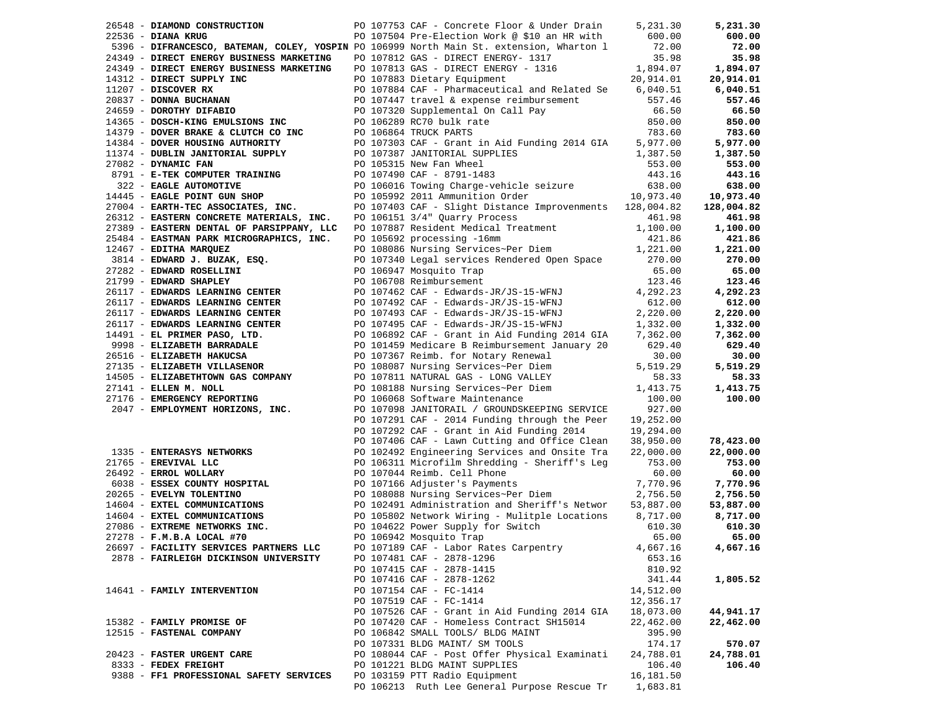| 26548 - DIAMOND CONSTRUCTION                                                                                                                                                                                                                   |  | PO 107753 CAF - Concrete Floor & Under Drain                                                                                                                                                                                                                                                                                                                                                                                                | 5,231.30            | 5,231.30   |
|------------------------------------------------------------------------------------------------------------------------------------------------------------------------------------------------------------------------------------------------|--|---------------------------------------------------------------------------------------------------------------------------------------------------------------------------------------------------------------------------------------------------------------------------------------------------------------------------------------------------------------------------------------------------------------------------------------------|---------------------|------------|
| 22536 - DIANA KRUG                                                                                                                                                                                                                             |  | PO 107504 Pre-Election Work @ \$10 an HR with                                                                                                                                                                                                                                                                                                                                                                                               | 600.00              | 600.00     |
|                                                                                                                                                                                                                                                |  | 5396 - DIFRANCESCO, BATEMAN, COLEY, YOSPIN PO 106999 North Main St. extension, Wharton 1                                                                                                                                                                                                                                                                                                                                                    | 72.00               | 72.00      |
| 24349 - DIRECT ENERGY BUSINESS MARKETING                                                                                                                                                                                                       |  | PO 107812 GAS - DIRECT ENERGY- 1317                                                                                                                                                                                                                                                                                                                                                                                                         | 35.98               | 35.98      |
| 24349 - DIRECT ENERGY BUSINESS MARKETING                                                                                                                                                                                                       |  | PO 107813 GAS - DIRECT ENERGY - 1316 1,894.07<br>$[1312-DIREC1 $\underbrace{\hspace{1.3cm}20837}_{20837} -\textbf{DONRA BUCERANDN} {\textbf{D} \atop \hspace{1.3cm}20837} + \textbf{DONRA BUCERANDN} {\textbf{D} \atop \hspace{1.3cm}20837} -\textbf{DONRA BUCERANDN} {\textbf{D} \atop \hspace{1.3cm}20837} -\textbf{DONRA BUCERANDN} {\textbf{D} \atop \hspace{1.3cm}20837} -\textbf{DONRA BUCERANDN} {\textbf{D} \atop \hspace{1.3cm}20$ |                     | 1,894.07   |
|                                                                                                                                                                                                                                                |  |                                                                                                                                                                                                                                                                                                                                                                                                                                             |                     | 20,914.01  |
|                                                                                                                                                                                                                                                |  |                                                                                                                                                                                                                                                                                                                                                                                                                                             |                     | 6,040.51   |
|                                                                                                                                                                                                                                                |  |                                                                                                                                                                                                                                                                                                                                                                                                                                             |                     | 557.46     |
|                                                                                                                                                                                                                                                |  |                                                                                                                                                                                                                                                                                                                                                                                                                                             |                     | 66.50      |
|                                                                                                                                                                                                                                                |  |                                                                                                                                                                                                                                                                                                                                                                                                                                             |                     | 850.00     |
|                                                                                                                                                                                                                                                |  |                                                                                                                                                                                                                                                                                                                                                                                                                                             |                     | 783.60     |
|                                                                                                                                                                                                                                                |  |                                                                                                                                                                                                                                                                                                                                                                                                                                             |                     | 5,977.00   |
|                                                                                                                                                                                                                                                |  |                                                                                                                                                                                                                                                                                                                                                                                                                                             |                     | 1,387.50   |
|                                                                                                                                                                                                                                                |  |                                                                                                                                                                                                                                                                                                                                                                                                                                             |                     | 553.00     |
|                                                                                                                                                                                                                                                |  |                                                                                                                                                                                                                                                                                                                                                                                                                                             |                     | 443.16     |
|                                                                                                                                                                                                                                                |  |                                                                                                                                                                                                                                                                                                                                                                                                                                             |                     | 638.00     |
|                                                                                                                                                                                                                                                |  |                                                                                                                                                                                                                                                                                                                                                                                                                                             |                     | 10,973.40  |
|                                                                                                                                                                                                                                                |  |                                                                                                                                                                                                                                                                                                                                                                                                                                             |                     | 128,004.82 |
|                                                                                                                                                                                                                                                |  |                                                                                                                                                                                                                                                                                                                                                                                                                                             |                     | 461.98     |
|                                                                                                                                                                                                                                                |  |                                                                                                                                                                                                                                                                                                                                                                                                                                             |                     | 1,100.00   |
| 25484 - EASTMAN PARK MICROGRAPHICS, INC.                                                                                                                                                                                                       |  | PO 105692 processing -16mm                                                                                                                                                                                                                                                                                                                                                                                                                  | 421.86              | 421.86     |
| 12467 - EDITHA MARQUEZ                                                                                                                                                                                                                         |  | PO 108086 Nursing Services~Per Diem 1,221.00                                                                                                                                                                                                                                                                                                                                                                                                |                     | 1,221.00   |
| 3814 - EDWARD J. BUZAK, ESQ.                                                                                                                                                                                                                   |  | PO 107340 Legal services Rendered Open Space                                                                                                                                                                                                                                                                                                                                                                                                | 270.00              | 270.00     |
|                                                                                                                                                                                                                                                |  | PO 106947 Mosquito Trap                                                                                                                                                                                                                                                                                                                                                                                                                     | 65.00               | 65.00      |
| $3814$ - EDWARD J. BUZAR, $\frac{1}{27282}$ - EDWARD ROSELLINI<br>21799 - EDWARD SHAPLEY<br>26117 - EDWARDS LEARNING CENTER<br>26117 - EDWARDS LEARNING CENTER<br>26117 - EDWARDS LEARNING CENTER<br>20107492 CAF - Edwards-JR/JS-15-WFNJ      |  |                                                                                                                                                                                                                                                                                                                                                                                                                                             | 123.46              | 123.46     |
|                                                                                                                                                                                                                                                |  | PO 107462 CAF - Edwards-JR/JS-15-WFNJ                                                                                                                                                                                                                                                                                                                                                                                                       | 4,292.23            | 4,292.23   |
|                                                                                                                                                                                                                                                |  |                                                                                                                                                                                                                                                                                                                                                                                                                                             | 612.00              | 612.00     |
|                                                                                                                                                                                                                                                |  | PO 107493 CAF - Edwards-JR/JS-15-WFNJ                                                                                                                                                                                                                                                                                                                                                                                                       | 2,220.00            | 2,220.00   |
|                                                                                                                                                                                                                                                |  |                                                                                                                                                                                                                                                                                                                                                                                                                                             | 1,332.00            | 1,332.00   |
| 26117 - EUNARDS LEARNING CENTER<br>26117 - EUNARDS LEARNING CENTER<br>26117 - EUNARDS LEARNING CENTER<br>26117 - EUNARDS LEARNING CENTER<br>26117 - EUNARDS LEARNING CENTER<br>26117 - EUNARDS LEARNING CENTER<br>26117 - EUNARDS LEARNING     |  | PO 106892 CAF - Grant in Aid Funding 2014 GIA                                                                                                                                                                                                                                                                                                                                                                                               | 7,362.00            | 7,362.00   |
|                                                                                                                                                                                                                                                |  | PO 101459 Medicare B Reimbursement January 20                                                                                                                                                                                                                                                                                                                                                                                               | 629.40              | 629.40     |
|                                                                                                                                                                                                                                                |  |                                                                                                                                                                                                                                                                                                                                                                                                                                             | 30.00               | 30.00      |
|                                                                                                                                                                                                                                                |  |                                                                                                                                                                                                                                                                                                                                                                                                                                             | 5,519.29            | 5,519.29   |
| 14505 - ELIZABETHTOWN GAS COMPANY                                                                                                                                                                                                              |  | PO 107811 NATURAL GAS - LONG VALLEY                                                                                                                                                                                                                                                                                                                                                                                                         | 58.33               | 58.33      |
| 27141 - ELLEN M. NOLL                                                                                                                                                                                                                          |  |                                                                                                                                                                                                                                                                                                                                                                                                                                             |                     | 1,413.75   |
| 27176 - EMERGENCY REPORTING                                                                                                                                                                                                                    |  | PO 108188 Nursing Services~Per Diem 1,413.75<br>PO 106068 Software Maintenance 100.00<br>PO 106068 Software Maintenance                                                                                                                                                                                                                                                                                                                     | 100.00              | 100.00     |
| 2047 - EMPLOYMENT HORIZONS, INC.                                                                                                                                                                                                               |  | PO 107098 JANITORAIL / GROUNDSKEEPING SERVICE                                                                                                                                                                                                                                                                                                                                                                                               | 927.00              |            |
|                                                                                                                                                                                                                                                |  | PO 107291 CAF - 2014 Funding through the Peer                                                                                                                                                                                                                                                                                                                                                                                               | 19,252.00           |            |
|                                                                                                                                                                                                                                                |  | PO 107292 CAF - Grant in Aid Funding 2014                                                                                                                                                                                                                                                                                                                                                                                                   | 19,294.00           |            |
|                                                                                                                                                                                                                                                |  | PO 107406 CAF - Lawn Cutting and Office Clean                                                                                                                                                                                                                                                                                                                                                                                               | 38,950.00           | 78,423.00  |
|                                                                                                                                                                                                                                                |  | PO 102492 Engineering Services and Onsite Tra                                                                                                                                                                                                                                                                                                                                                                                               | 22,000.00           | 22,000.00  |
| 1335 - ENTERASYS NETWORKS<br>21765 - EREVIVAL LLC                                                                                                                                                                                              |  | PO 106311 Microfilm Shredding - Sheriff's Leg                                                                                                                                                                                                                                                                                                                                                                                               | 753.00              | 753.00     |
|                                                                                                                                                                                                                                                |  | PO 107044 Reimb. Cell Phone                                                                                                                                                                                                                                                                                                                                                                                                                 | 60.00               | 60.00      |
|                                                                                                                                                                                                                                                |  | PO 107166 Adjuster's Payments                                                                                                                                                                                                                                                                                                                                                                                                               | 7,770.96            | 7,770.96   |
| 1335 - ENTERASYS NETWORKS<br>21765 - EREVIVAL LLC<br>26492 - ERROL WOLLARY<br>6038 - ESSEX COUNTY HOSPITAL<br>20265 - EVELYN TOLENTINO<br>14604 - EXTEL COMMUNICATIONS<br>14604 - EXTEL COMMUNICATIONS<br>27086 - EXTREME NETWORKS INC.<br>270 |  | PO 108088 Nursing Services~Per Diem                                                                                                                                                                                                                                                                                                                                                                                                         | 2,756.50            | 2,756.50   |
|                                                                                                                                                                                                                                                |  | PO 102491 Administration and Sheriff's Networ                                                                                                                                                                                                                                                                                                                                                                                               | 53,887.00           | 53,887.00  |
|                                                                                                                                                                                                                                                |  | PO 105802 Network Wiring - Mulitple Locations                                                                                                                                                                                                                                                                                                                                                                                               | 8,717.00            | 8,717.00   |
|                                                                                                                                                                                                                                                |  | PO 104622 Power Supply for Switch                                                                                                                                                                                                                                                                                                                                                                                                           | 610.30              | 610.30     |
| 27278 - F.M.B.A LOCAL #70                                                                                                                                                                                                                      |  | PO 106942 Mosquito Trap                                                                                                                                                                                                                                                                                                                                                                                                                     | 65.00               | 65.00      |
| 26697 - FACILITY SERVICES PARTNERS LLC                                                                                                                                                                                                         |  | PO 107189 CAF - Labor Rates Carpentry                                                                                                                                                                                                                                                                                                                                                                                                       | 4,667.16            | 4,667.16   |
| 2878 - FAIRLEIGH DICKINSON UNIVERSITY                                                                                                                                                                                                          |  | PO 107481 CAF - 2878-1296                                                                                                                                                                                                                                                                                                                                                                                                                   | 653.16              |            |
|                                                                                                                                                                                                                                                |  | PO 107415 CAF - 2878-1415                                                                                                                                                                                                                                                                                                                                                                                                                   | 810.92              |            |
|                                                                                                                                                                                                                                                |  | PO 107416 CAF - 2878-1262                                                                                                                                                                                                                                                                                                                                                                                                                   | 341.44              | 1,805.52   |
| 14641 - FAMILY INTERVENTION                                                                                                                                                                                                                    |  | PO 107154 CAF - FC-1414                                                                                                                                                                                                                                                                                                                                                                                                                     | 14,512.00           |            |
|                                                                                                                                                                                                                                                |  | PO 107519 CAF - FC-1414                                                                                                                                                                                                                                                                                                                                                                                                                     | 12,356.17           |            |
|                                                                                                                                                                                                                                                |  | PO 107526 CAF - Grant in Aid Funding 2014 GIA                                                                                                                                                                                                                                                                                                                                                                                               | 18,073.00           | 44,941.17  |
| 15382 - FAMILY PROMISE OF                                                                                                                                                                                                                      |  | PO 107420 CAF - Homeless Contract SH15014                                                                                                                                                                                                                                                                                                                                                                                                   | 22,462.00           | 22,462.00  |
| 12515 - FASTENAL COMPANY                                                                                                                                                                                                                       |  | PO 106842 SMALL TOOLS/ BLDG MAINT                                                                                                                                                                                                                                                                                                                                                                                                           | 395.90              |            |
|                                                                                                                                                                                                                                                |  | PO 107331 BLDG MAINT/ SM TOOLS                                                                                                                                                                                                                                                                                                                                                                                                              | 174.17              | 570.07     |
| 20423 - FASTER URGENT CARE                                                                                                                                                                                                                     |  |                                                                                                                                                                                                                                                                                                                                                                                                                                             |                     | 24,788.01  |
| 8333 - FEDEX FREIGHT                                                                                                                                                                                                                           |  | PO 108044 CAF - Post Offer Physical Examinati<br>PO 101221 BLDG MAINT SUPPLIES                                                                                                                                                                                                                                                                                                                                                              | 24,788.01<br>106.40 | 106.40     |
| 9388 - FF1 PROFESSIONAL SAFETY SERVICES                                                                                                                                                                                                        |  | PO 103159 PTT Radio Equipment                                                                                                                                                                                                                                                                                                                                                                                                               | 16,181.50           |            |
|                                                                                                                                                                                                                                                |  | PO 106213 Ruth Lee General Purpose Rescue Tr                                                                                                                                                                                                                                                                                                                                                                                                |                     |            |
|                                                                                                                                                                                                                                                |  |                                                                                                                                                                                                                                                                                                                                                                                                                                             | 1,683.81            |            |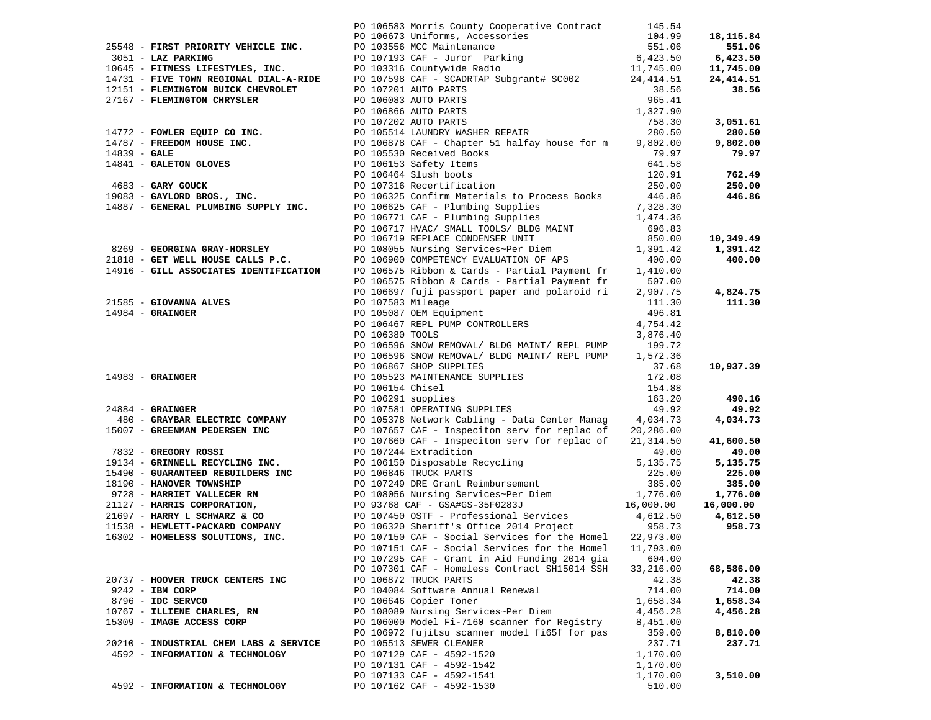|                                                                                    |                   | PO 106583 Morris County Cooperative Contract 145.54             |           |           |
|------------------------------------------------------------------------------------|-------------------|-----------------------------------------------------------------|-----------|-----------|
|                                                                                    |                   |                                                                 |           |           |
|                                                                                    |                   |                                                                 |           |           |
|                                                                                    |                   |                                                                 |           |           |
|                                                                                    |                   |                                                                 |           |           |
|                                                                                    |                   |                                                                 |           |           |
|                                                                                    |                   |                                                                 |           |           |
|                                                                                    |                   |                                                                 |           |           |
|                                                                                    |                   |                                                                 |           |           |
|                                                                                    |                   |                                                                 |           |           |
|                                                                                    |                   |                                                                 |           |           |
|                                                                                    |                   |                                                                 |           |           |
|                                                                                    |                   |                                                                 |           |           |
|                                                                                    |                   |                                                                 |           |           |
|                                                                                    |                   |                                                                 |           |           |
|                                                                                    |                   |                                                                 |           |           |
|                                                                                    |                   |                                                                 |           |           |
|                                                                                    |                   |                                                                 |           |           |
|                                                                                    |                   |                                                                 |           |           |
|                                                                                    |                   |                                                                 |           |           |
|                                                                                    |                   |                                                                 |           |           |
|                                                                                    |                   |                                                                 |           |           |
|                                                                                    |                   |                                                                 |           |           |
|                                                                                    |                   |                                                                 |           |           |
|                                                                                    |                   | PO 106575 Ribbon & Cards - Partial Payment fr 507.00            |           |           |
|                                                                                    |                   | PO 106697 fuji passport paper and polaroid ri 2,907.75 4,824.75 |           |           |
|                                                                                    | PO 107583 Mileage |                                                                 | 111.30    | 111.30    |
|                                                                                    |                   | PO 105087 OEM Equipment                                         | 496.81    |           |
|                                                                                    |                   | PO 106467 REPL PUMP CONTROLLERS                                 | 4,754.42  |           |
|                                                                                    | PO 106380 TOOLS   |                                                                 | 3,876.40  |           |
|                                                                                    |                   | PO 106596 SNOW REMOVAL/ BLDG MAINT/ REPL PUMP 199.72            |           |           |
|                                                                                    |                   | PO 106596 SNOW REMOVAL/ BLDG MAINT/ REPL PUMP 1,572.36          |           |           |
| 21585 - GIOVANNA ALVES<br>14984 - GRAINGER<br>14983 - GRAINGER<br>24884 - GRAINGER |                   |                                                                 |           | 10,937.39 |
|                                                                                    |                   |                                                                 |           |           |
|                                                                                    |                   |                                                                 |           | 490.16    |
|                                                                                    |                   |                                                                 |           | 49.92     |
|                                                                                    |                   |                                                                 |           | 4,034.73  |
|                                                                                    |                   |                                                                 |           |           |
|                                                                                    |                   |                                                                 |           | 41,600.50 |
|                                                                                    |                   |                                                                 |           | 49.00     |
|                                                                                    |                   |                                                                 |           | 5,135.75  |
|                                                                                    |                   |                                                                 |           | 225.00    |
|                                                                                    |                   |                                                                 |           | 385.00    |
|                                                                                    |                   |                                                                 |           | 1,776.00  |
|                                                                                    |                   |                                                                 |           | 16,000.00 |
|                                                                                    |                   |                                                                 |           | 4,612.50  |
|                                                                                    |                   |                                                                 |           | 958.73    |
|                                                                                    |                   |                                                                 |           |           |
|                                                                                    |                   | PO 107151 CAF - Social Services for the Homel                   | 11,793.00 |           |
|                                                                                    |                   | PO 107295 CAF - Grant in Aid Funding 2014 gia                   | 604.00    |           |
|                                                                                    |                   | PO 107301 CAF - Homeless Contract SH15014 SSH                   | 33,216.00 | 68,586.00 |
| 20737 - HOOVER TRUCK CENTERS INC                                                   |                   | PO 106872 TRUCK PARTS                                           | 42.38     | 42.38     |
| $9242$ - IBM CORP                                                                  |                   | PO 104084 Software Annual Renewal                               | 714.00    | 714.00    |
| 8796 - IDC SERVCO                                                                  |                   | PO 106646 Copier Toner                                          | 1,658.34  | 1,658.34  |
| 10767 - ILLIENE CHARLES, RN                                                        |                   | PO 108089 Nursing Services~Per Diem                             | 4,456.28  | 4,456.28  |
| 15309 - IMAGE ACCESS CORP                                                          |                   | PO 106000 Model Fi-7160 scanner for Registry                    | 8,451.00  |           |
|                                                                                    |                   | PO 106972 fujitsu scanner model fi65f for pas                   | 359.00    | 8,810.00  |
| 20210 - INDUSTRIAL CHEM LABS & SERVICE                                             |                   | PO 105513 SEWER CLEANER                                         | 237.71    | 237.71    |
| 4592 - INFORMATION & TECHNOLOGY                                                    |                   | PO 107129 CAF - 4592-1520                                       | 1,170.00  |           |
|                                                                                    |                   | PO 107131 CAF - 4592-1542                                       | 1,170.00  |           |
|                                                                                    |                   | PO 107133 CAF - 4592-1541                                       | 1,170.00  | 3,510.00  |
| 4592 - INFORMATION & TECHNOLOGY                                                    |                   | PO 107162 CAF - 4592-1530                                       | 510.00    |           |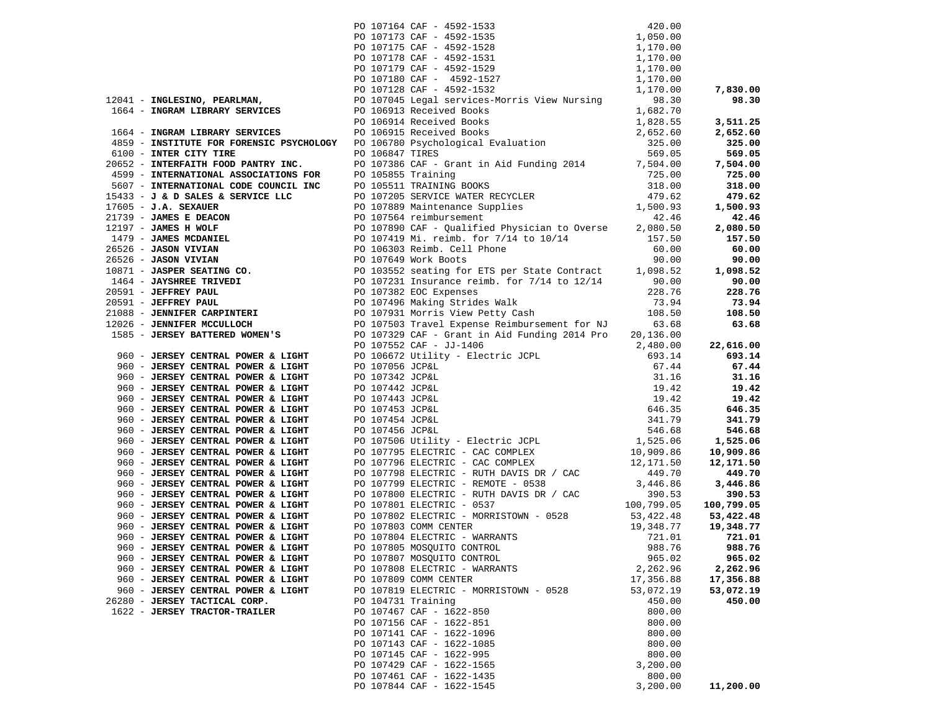| $[12041 - \text{RUGLEING}, \text{ PERBAM} \text{NUMR} \text{D} \text{O} \text{107175 CRF} - 4592-1528 \text{J}, 050.000 \text{F}, 0000 \text{F}, 0017175 CRF - 4592-1528 \text{J}, 050.000 \text{F}, 0017178 CRF - 4592-1528 \text{J}, 170.000 \text{J}, 0000 \text{J}, 0000 \text{J}, 0000 \text{J}, 0000 \text{J}, 0000 \text{J}, 0$ |                    |                                                                                                                                                                                                                                                                                                                                                                     |           |           |
|----------------------------------------------------------------------------------------------------------------------------------------------------------------------------------------------------------------------------------------------------------------------------------------------------------------------------------------|--------------------|---------------------------------------------------------------------------------------------------------------------------------------------------------------------------------------------------------------------------------------------------------------------------------------------------------------------------------------------------------------------|-----------|-----------|
|                                                                                                                                                                                                                                                                                                                                        |                    |                                                                                                                                                                                                                                                                                                                                                                     |           |           |
|                                                                                                                                                                                                                                                                                                                                        |                    |                                                                                                                                                                                                                                                                                                                                                                     |           |           |
|                                                                                                                                                                                                                                                                                                                                        |                    |                                                                                                                                                                                                                                                                                                                                                                     |           |           |
|                                                                                                                                                                                                                                                                                                                                        |                    |                                                                                                                                                                                                                                                                                                                                                                     |           |           |
|                                                                                                                                                                                                                                                                                                                                        |                    |                                                                                                                                                                                                                                                                                                                                                                     |           |           |
|                                                                                                                                                                                                                                                                                                                                        |                    |                                                                                                                                                                                                                                                                                                                                                                     |           | 7,830.00  |
|                                                                                                                                                                                                                                                                                                                                        |                    |                                                                                                                                                                                                                                                                                                                                                                     |           | 98.30     |
|                                                                                                                                                                                                                                                                                                                                        |                    |                                                                                                                                                                                                                                                                                                                                                                     |           |           |
|                                                                                                                                                                                                                                                                                                                                        |                    |                                                                                                                                                                                                                                                                                                                                                                     |           | 3,511.25  |
|                                                                                                                                                                                                                                                                                                                                        |                    |                                                                                                                                                                                                                                                                                                                                                                     |           | 2,652.60  |
|                                                                                                                                                                                                                                                                                                                                        |                    |                                                                                                                                                                                                                                                                                                                                                                     |           | 325.00    |
|                                                                                                                                                                                                                                                                                                                                        |                    |                                                                                                                                                                                                                                                                                                                                                                     |           | 569.05    |
|                                                                                                                                                                                                                                                                                                                                        |                    |                                                                                                                                                                                                                                                                                                                                                                     |           | 7,504.00  |
|                                                                                                                                                                                                                                                                                                                                        |                    |                                                                                                                                                                                                                                                                                                                                                                     |           | 725.00    |
|                                                                                                                                                                                                                                                                                                                                        |                    |                                                                                                                                                                                                                                                                                                                                                                     |           | 318.00    |
|                                                                                                                                                                                                                                                                                                                                        |                    |                                                                                                                                                                                                                                                                                                                                                                     |           | 479.62    |
|                                                                                                                                                                                                                                                                                                                                        |                    |                                                                                                                                                                                                                                                                                                                                                                     |           | 1,500.93  |
|                                                                                                                                                                                                                                                                                                                                        |                    |                                                                                                                                                                                                                                                                                                                                                                     |           | 42.46     |
|                                                                                                                                                                                                                                                                                                                                        |                    |                                                                                                                                                                                                                                                                                                                                                                     |           | 2,080.50  |
|                                                                                                                                                                                                                                                                                                                                        |                    |                                                                                                                                                                                                                                                                                                                                                                     |           | 157.50    |
|                                                                                                                                                                                                                                                                                                                                        |                    |                                                                                                                                                                                                                                                                                                                                                                     |           | 60.00     |
|                                                                                                                                                                                                                                                                                                                                        |                    |                                                                                                                                                                                                                                                                                                                                                                     |           | 90.00     |
|                                                                                                                                                                                                                                                                                                                                        |                    |                                                                                                                                                                                                                                                                                                                                                                     |           | 1,098.52  |
|                                                                                                                                                                                                                                                                                                                                        |                    |                                                                                                                                                                                                                                                                                                                                                                     |           | 90.00     |
|                                                                                                                                                                                                                                                                                                                                        |                    |                                                                                                                                                                                                                                                                                                                                                                     |           | 228.76    |
|                                                                                                                                                                                                                                                                                                                                        |                    |                                                                                                                                                                                                                                                                                                                                                                     |           | 73.94     |
|                                                                                                                                                                                                                                                                                                                                        |                    |                                                                                                                                                                                                                                                                                                                                                                     |           | 108.50    |
|                                                                                                                                                                                                                                                                                                                                        |                    |                                                                                                                                                                                                                                                                                                                                                                     |           | 63.68     |
|                                                                                                                                                                                                                                                                                                                                        |                    |                                                                                                                                                                                                                                                                                                                                                                     |           |           |
|                                                                                                                                                                                                                                                                                                                                        |                    | $\begin{tabular}{l c c c} \multicolumn{1}{c}{\textbf{P0 107329 CAP - Grant in Aid Funding 2014 Pro & 20,136.00} & 22,616.00 \\ \multicolumn{1}{c}{\textbf{P0 10755 CCPF - JJ-1406}} & 2,480.00 & 22,616.00 \\ \multicolumn{1}{c}{\textbf{P0 10795 GCPAL}} & 693.14 & 693.14 \\ \multicolumn{1}{c}{\textbf{P0 10734 GCPEL}} & 67.44 & 67.44 \\ \multicolumn{1}{c}{\$ |           |           |
| 960 - JERSEY CENTRAL POWER & LIGHT                                                                                                                                                                                                                                                                                                     |                    |                                                                                                                                                                                                                                                                                                                                                                     |           |           |
| 960 - JERSEY CENTRAL POWER & LIGHT                                                                                                                                                                                                                                                                                                     |                    |                                                                                                                                                                                                                                                                                                                                                                     |           |           |
| 960 - JERSEY CENTRAL POWER & LIGHT                                                                                                                                                                                                                                                                                                     |                    |                                                                                                                                                                                                                                                                                                                                                                     |           |           |
| 960 - JERSEY CENTRAL POWER & LIGHT                                                                                                                                                                                                                                                                                                     |                    |                                                                                                                                                                                                                                                                                                                                                                     |           |           |
| 960 - JERSEY CENTRAL POWER & LIGHT                                                                                                                                                                                                                                                                                                     |                    |                                                                                                                                                                                                                                                                                                                                                                     |           |           |
| 960 - JERSEY CENTRAL POWER & LIGHT                                                                                                                                                                                                                                                                                                     |                    |                                                                                                                                                                                                                                                                                                                                                                     |           |           |
| 960 - JERSEY CENTRAL POWER & LIGHT                                                                                                                                                                                                                                                                                                     |                    |                                                                                                                                                                                                                                                                                                                                                                     |           |           |
| 960 - JERSEY CENTRAL POWER & LIGHT                                                                                                                                                                                                                                                                                                     |                    |                                                                                                                                                                                                                                                                                                                                                                     |           |           |
| 960 - JERSEY CENTRAL POWER & LIGHT                                                                                                                                                                                                                                                                                                     |                    |                                                                                                                                                                                                                                                                                                                                                                     |           |           |
| 960 - JERSEY CENTRAL POWER & LIGHT                                                                                                                                                                                                                                                                                                     |                    |                                                                                                                                                                                                                                                                                                                                                                     |           |           |
| 960 - JERSEY CENTRAL POWER & LIGHT                                                                                                                                                                                                                                                                                                     |                    |                                                                                                                                                                                                                                                                                                                                                                     |           |           |
| 960 - JERSEY CENTRAL POWER & LIGHT                                                                                                                                                                                                                                                                                                     |                    |                                                                                                                                                                                                                                                                                                                                                                     |           |           |
| 960 - JERSEY CENTRAL POWER & LIGHT                                                                                                                                                                                                                                                                                                     |                    |                                                                                                                                                                                                                                                                                                                                                                     |           |           |
| 960 - JERSEY CENTRAL POWER & LIGHT                                                                                                                                                                                                                                                                                                     |                    |                                                                                                                                                                                                                                                                                                                                                                     |           |           |
| 960 - JERSEY CENTRAL POWER & LIGHT                                                                                                                                                                                                                                                                                                     |                    |                                                                                                                                                                                                                                                                                                                                                                     |           |           |
| 960 - <b>JERSEY CENTRAL POWER &amp; LIGHT</b><br>960 - <b>JERSEY CENTRAL POWER &amp; LIGHT</b><br>960 - <b>JERSEY CENTRAL POWER &amp; LIGHT</b><br>960 - <b>JERSEY CENTRAL POWER &amp; LIGHT</b><br>960 - JERSEY CENTRAL POWER & LIGHT<br>960 - JERSEY CENTRAL POWER & LIGHT                                                           |                    |                                                                                                                                                                                                                                                                                                                                                                     |           | 53,422.48 |
|                                                                                                                                                                                                                                                                                                                                        |                    |                                                                                                                                                                                                                                                                                                                                                                     | 19,348.77 | 19,348.77 |
|                                                                                                                                                                                                                                                                                                                                        |                    |                                                                                                                                                                                                                                                                                                                                                                     |           | 721.01    |
| 960 - JERSEY CENTRAL POWER & LIGHT                                                                                                                                                                                                                                                                                                     |                    | PO 107805 MOSQUITO CONTROL                                                                                                                                                                                                                                                                                                                                          | 988.76    | 988.76    |
| 960 - JERSEY CENTRAL POWER & LIGHT                                                                                                                                                                                                                                                                                                     |                    | PO 107807 MOSQUITO CONTROL                                                                                                                                                                                                                                                                                                                                          | 965.02    | 965.02    |
| 960 - JERSEY CENTRAL POWER & LIGHT                                                                                                                                                                                                                                                                                                     |                    | PO 107808 ELECTRIC - WARRANTS                                                                                                                                                                                                                                                                                                                                       | 2,262.96  | 2,262.96  |
| 960 - JERSEY CENTRAL POWER & LIGHT                                                                                                                                                                                                                                                                                                     |                    | PO 107809 COMM CENTER                                                                                                                                                                                                                                                                                                                                               | 17,356.88 | 17,356.88 |
| 960 - JERSEY CENTRAL POWER & LIGHT                                                                                                                                                                                                                                                                                                     |                    | PO 107819 ELECTRIC - MORRISTOWN - 0528                                                                                                                                                                                                                                                                                                                              | 53,072.19 | 53,072.19 |
| 26280 - JERSEY TACTICAL CORP.                                                                                                                                                                                                                                                                                                          | PO 104731 Training |                                                                                                                                                                                                                                                                                                                                                                     | 450.00    | 450.00    |
| 1622 - JERSEY TRACTOR-TRAILER                                                                                                                                                                                                                                                                                                          |                    | PO 107467 CAF - 1622-850                                                                                                                                                                                                                                                                                                                                            | 800.00    |           |
|                                                                                                                                                                                                                                                                                                                                        |                    | PO 107156 CAF - 1622-851                                                                                                                                                                                                                                                                                                                                            | 800.00    |           |
|                                                                                                                                                                                                                                                                                                                                        |                    | PO 107141 CAF - 1622-1096                                                                                                                                                                                                                                                                                                                                           | 800.00    |           |
|                                                                                                                                                                                                                                                                                                                                        |                    | PO 107143 CAF - 1622-1085                                                                                                                                                                                                                                                                                                                                           | 800.00    |           |
|                                                                                                                                                                                                                                                                                                                                        |                    | PO 107145 CAF - 1622-995                                                                                                                                                                                                                                                                                                                                            | 800.00    |           |
|                                                                                                                                                                                                                                                                                                                                        |                    | PO 107429 CAF - 1622-1565                                                                                                                                                                                                                                                                                                                                           | 3,200.00  |           |
|                                                                                                                                                                                                                                                                                                                                        |                    | PO 107461 CAF - 1622-1435                                                                                                                                                                                                                                                                                                                                           | 800.00    |           |
|                                                                                                                                                                                                                                                                                                                                        |                    | PO 107844 CAF - 1622-1545                                                                                                                                                                                                                                                                                                                                           | 3,200.00  | 11,200.00 |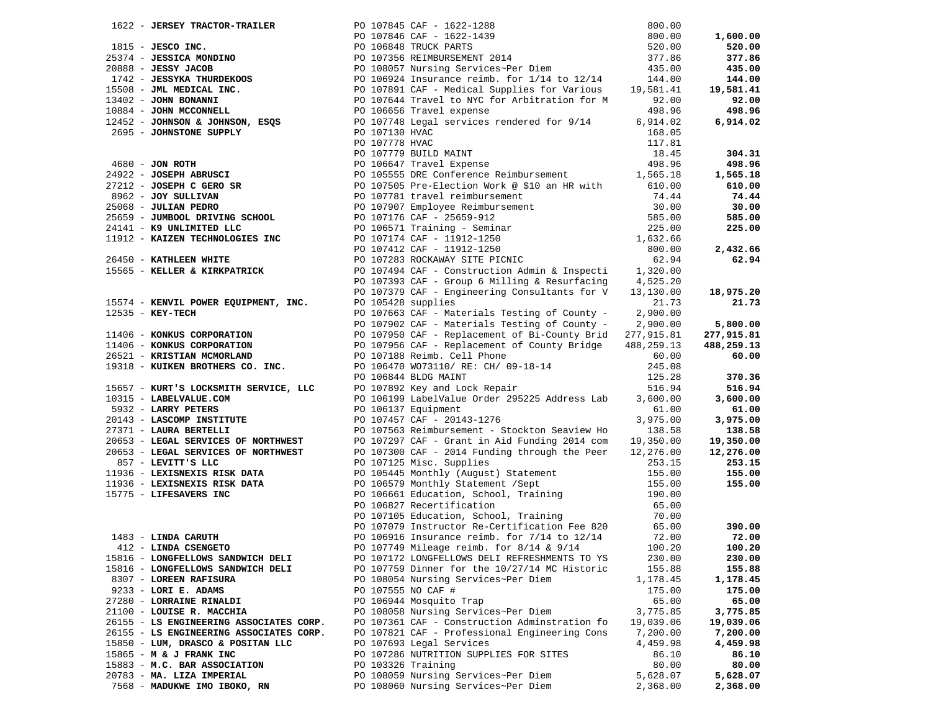|                                                 |                    | 1622 - JERSEY TRACTOR-TRAILER<br>252 - JERSEO INC.<br>25374 - JESCO INC.<br>25374 - JESCO INC.<br>260.000<br>260.000<br>2638 - JESCO INCORES INDUSER PROPERTING PROPERT 2014<br>260.000<br>2698 - JESSIVA THURDEROOS<br>2698 - JOHN BONANNI PO 1  |           | 1,600.00   |
|-------------------------------------------------|--------------------|---------------------------------------------------------------------------------------------------------------------------------------------------------------------------------------------------------------------------------------------------|-----------|------------|
|                                                 |                    |                                                                                                                                                                                                                                                   |           | 520.00     |
|                                                 |                    |                                                                                                                                                                                                                                                   |           | 377.86     |
|                                                 |                    |                                                                                                                                                                                                                                                   |           | 435.00     |
|                                                 |                    |                                                                                                                                                                                                                                                   |           |            |
|                                                 |                    |                                                                                                                                                                                                                                                   |           | 144.00     |
|                                                 |                    |                                                                                                                                                                                                                                                   |           | 19,581.41  |
|                                                 |                    |                                                                                                                                                                                                                                                   |           | 92.00      |
|                                                 |                    |                                                                                                                                                                                                                                                   |           | 498.96     |
|                                                 |                    |                                                                                                                                                                                                                                                   |           | 6,914.02   |
|                                                 |                    |                                                                                                                                                                                                                                                   |           |            |
|                                                 |                    |                                                                                                                                                                                                                                                   |           |            |
|                                                 |                    |                                                                                                                                                                                                                                                   |           | 304.31     |
|                                                 |                    |                                                                                                                                                                                                                                                   |           | 498.96     |
|                                                 |                    |                                                                                                                                                                                                                                                   |           |            |
|                                                 |                    |                                                                                                                                                                                                                                                   |           | 1,565.18   |
|                                                 |                    |                                                                                                                                                                                                                                                   |           | 610.00     |
|                                                 |                    |                                                                                                                                                                                                                                                   |           | 74.44      |
|                                                 |                    |                                                                                                                                                                                                                                                   |           | 30.00      |
|                                                 |                    |                                                                                                                                                                                                                                                   |           | 585.00     |
|                                                 |                    |                                                                                                                                                                                                                                                   |           | 225.00     |
|                                                 |                    |                                                                                                                                                                                                                                                   |           |            |
|                                                 |                    |                                                                                                                                                                                                                                                   |           | 2,432.66   |
|                                                 |                    |                                                                                                                                                                                                                                                   |           | 62.94      |
|                                                 |                    | 2695 - JOHNSTONE SUPPLY<br>2690 - JON ROTH<br>2690 - JON ROTH<br>2791 EULD MAINT<br>2791 EULD MAINT<br>27912 - JOSEPH AGRUSCI<br>27912 - JOSEPH C GERO SR<br>27912 - JOSEPH C GERO SR<br>27912 - JOSEPH C GERO SR<br>27912 - JOSEPH C GERO SR<br> |           |            |
|                                                 |                    |                                                                                                                                                                                                                                                   |           |            |
|                                                 |                    |                                                                                                                                                                                                                                                   |           |            |
|                                                 |                    |                                                                                                                                                                                                                                                   |           | 18,975.20  |
|                                                 |                    |                                                                                                                                                                                                                                                   |           | 21.73      |
|                                                 |                    |                                                                                                                                                                                                                                                   |           |            |
|                                                 |                    |                                                                                                                                                                                                                                                   |           | 5,800.00   |
|                                                 |                    |                                                                                                                                                                                                                                                   |           | 277,915.81 |
|                                                 |                    |                                                                                                                                                                                                                                                   |           | 488,259.13 |
|                                                 |                    |                                                                                                                                                                                                                                                   |           | 60.00      |
|                                                 |                    |                                                                                                                                                                                                                                                   |           |            |
|                                                 |                    | 15574 - KENVIL POWER EQUIPMENT, INC.<br>17379 CAF - Engineering comments of County - 2,900.00<br>17406 - KONKUS CORPORATION<br>1790 DO 107902 CAF - Materials Testing of County - 2,900.00<br>1790 PO 107902 CAF - Materials Testing              |           | 370.36     |
|                                                 |                    |                                                                                                                                                                                                                                                   |           |            |
|                                                 |                    |                                                                                                                                                                                                                                                   |           | 516.94     |
|                                                 |                    |                                                                                                                                                                                                                                                   |           | 3,600.00   |
|                                                 |                    |                                                                                                                                                                                                                                                   |           | 61.00      |
|                                                 |                    | 19910 MAINT 19910 MAINT 19910 MAINT 19910 MAINT 19910 MAINT 19910 MAINT 19910 MAINT 19910 MAINT 19910 MAINT 19910 MAINT 19910 MAINT 19910 MAINT 19910 MAINT 19910 MAINT 19910 MAINT 19910 MAINT 19910 MAINT 19910 MAINT 19910                     |           | 3,975.00   |
|                                                 |                    |                                                                                                                                                                                                                                                   |           | 138.58     |
|                                                 |                    |                                                                                                                                                                                                                                                   |           | 19,350.00  |
|                                                 |                    |                                                                                                                                                                                                                                                   |           | 12,276.00  |
|                                                 |                    |                                                                                                                                                                                                                                                   |           | 253.15     |
|                                                 |                    |                                                                                                                                                                                                                                                   |           | 155.00     |
|                                                 |                    |                                                                                                                                                                                                                                                   |           | 155.00     |
|                                                 |                    |                                                                                                                                                                                                                                                   |           |            |
|                                                 |                    | 10315 - LAREY PETRS<br>10332 - LAREY PETRS<br>20143 - LAREY PETRS<br>20143 - LAREY PETRS<br>20143 - LAREY PETRS<br>20143 - LAREY PETRS<br>20143 - LAREY PETRS<br>201653 - LEGAL SERVICES OF NORTHWEST<br>2017975 - LEGAL SERVICES OF NORTHWES     |           |            |
|                                                 |                    |                                                                                                                                                                                                                                                   |           |            |
| $1483$ - LINDA CARUTH<br>$412$ - LINDA CSENGETO |                    |                                                                                                                                                                                                                                                   |           |            |
|                                                 |                    |                                                                                                                                                                                                                                                   |           | 390.00     |
|                                                 |                    |                                                                                                                                                                                                                                                   | 72.00     | 72.00      |
|                                                 |                    | PO 107749 Mileage reimb. for 8/14 & 9/14                                                                                                                                                                                                          | 100.20    | 100.20     |
| 15816 - LONGFELLOWS SANDWICH DELI               |                    | PO 107172 LONGFELLOWS DELI REFRESHMENTS TO YS                                                                                                                                                                                                     | 230.00    | 230.00     |
| 15816 - LONGFELLOWS SANDWICH DELI               |                    | PO 107759 Dinner for the 10/27/14 MC Historic                                                                                                                                                                                                     | 155.88    | 155.88     |
| 8307 - LOREEN RAFISURA                          |                    | PO 108054 Nursing Services~Per Diem                                                                                                                                                                                                               | 1,178.45  | 1,178.45   |
| 9233 - LORI E. ADAMS                            | PO 107555 NO CAF # |                                                                                                                                                                                                                                                   | 175.00    | 175.00     |
| 27280 - LORRAINE RINALDI                        |                    | PO 106944 Mosquito Trap                                                                                                                                                                                                                           | 65.00     | 65.00      |
| 21100 - LOUISE R. MACCHIA                       |                    | PO 108058 Nursing Services~Per Diem                                                                                                                                                                                                               | 3,775.85  | 3,775.85   |
| 26155 - LS ENGINEERING ASSOCIATES CORP.         |                    | PO 107361 CAF - Construction Adminstration fo                                                                                                                                                                                                     | 19,039.06 | 19,039.06  |
|                                                 |                    |                                                                                                                                                                                                                                                   |           |            |
| 26155 - LS ENGINEERING ASSOCIATES CORP.         |                    | PO 107821 CAF - Professional Engineering Cons                                                                                                                                                                                                     | 7,200.00  | 7,200.00   |
| 15850 - LUM, DRASCO & POSITAN LLC               |                    | PO 107693 Legal Services                                                                                                                                                                                                                          | 4,459.98  | 4,459.98   |
| 15865 - M & J FRANK INC                         |                    | PO 107286 NUTRITION SUPPLIES FOR SITES                                                                                                                                                                                                            | 86.10     | 86.10      |
| 15883 - M.C. BAR ASSOCIATION                    | PO 103326 Training |                                                                                                                                                                                                                                                   | 80.00     | 80.00      |
| 20783 - MA. LIZA IMPERIAL                       |                    | PO 108059 Nursing Services~Per Diem                                                                                                                                                                                                               | 5,628.07  | 5,628.07   |
| 7568 - MADUKWE IMO IBOKO, RN                    |                    | PO 108060 Nursing Services~Per Diem                                                                                                                                                                                                               | 2,368.00  | 2,368.00   |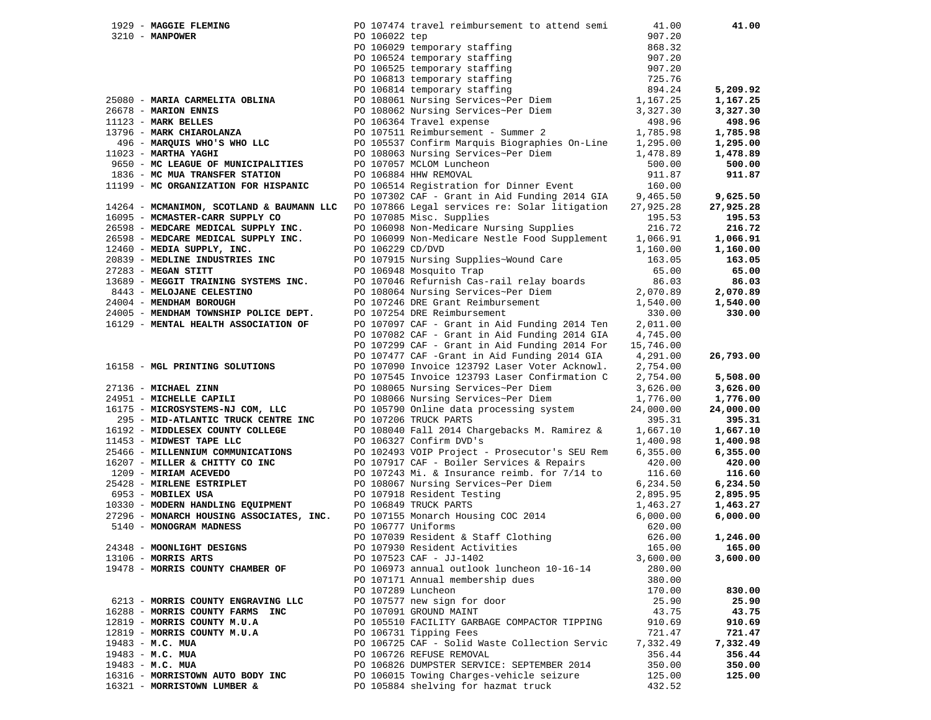| 1929 - MAGGIE FLEMING                                             |                  | PO 107474 travel reimbursement to attend semi                                                                                                                                                                                              | 41.00     | 41.00     |
|-------------------------------------------------------------------|------------------|--------------------------------------------------------------------------------------------------------------------------------------------------------------------------------------------------------------------------------------------|-----------|-----------|
| $3210 - MANPOWER$                                                 | PO 106022 tep    |                                                                                                                                                                                                                                            | 907.20    |           |
|                                                                   |                  |                                                                                                                                                                                                                                            | 868.32    |           |
|                                                                   |                  |                                                                                                                                                                                                                                            | 907.20    |           |
|                                                                   |                  |                                                                                                                                                                                                                                            | 907.20    |           |
|                                                                   |                  |                                                                                                                                                                                                                                            | 725.76    |           |
|                                                                   |                  |                                                                                                                                                                                                                                            | 894.24    | 5,209.92  |
| 25080 - MARIA CARMELITA OBLINA                                    |                  |                                                                                                                                                                                                                                            | 1,167.25  | 1,167.25  |
| 26678 - MARION ENNIS                                              |                  | 10 106029 temporary staffing<br>PO 106029 temporary staffing<br>PO 106525 temporary staffing<br>PO 106813 temporary staffing<br>PO 106814 temporary staffing<br>PO 108061 Nursing Services~Per Diem<br>PO 108062 Nursing Services~Per Diem | 3,327.30  | 3,327.30  |
| $13796 - \text{MARK CHIAROLANZA}$ $496 - \text{MARK CHIAROLANZA}$ |                  | PO 106364 Travel expense                                                                                                                                                                                                                   | 498.96    | 498.96    |
|                                                                   |                  | PO 107511 Reimbursement - Summer 2                                                                                                                                                                                                         | 1,785.98  | 1,785.98  |
| 496 - MARQUIS WHO'S WHO LLC                                       |                  | PO 105537 Confirm Marquis Biographies On-Line                                                                                                                                                                                              | 1,295.00  | 1,295.00  |
| $11023$ - MARTHA YAGHI                                            |                  | PO 108063 Nursing Services~Per Diem                                                                                                                                                                                                        | 1,478.89  | 1,478.89  |
| 9650 - MC LEAGUE OF MUNICIPALITIES                                |                  | PO 107057 MCLOM Luncheon                                                                                                                                                                                                                   | 500.00    | 500.00    |
| 1836 - MC MUA TRANSFER STATION                                    |                  | PO 106884 HHW REMOVAL                                                                                                                                                                                                                      | 911.87    | 911.87    |
| 11199 - MC ORGANIZATION FOR HISPANIC                              |                  | PO 106514 Registration for Dinner Event                                                                                                                                                                                                    | 160.00    |           |
|                                                                   |                  | PO $107302$ CAF - Grant in Aid Funding 2014 GIA 9,465.50                                                                                                                                                                                   |           | 9,625.50  |
| 14264 - MCMANIMON, SCOTLAND & BAUMANN LLC                         |                  | PO 107866 Legal services re: Solar litigation                                                                                                                                                                                              | 27,925.28 | 27,925.28 |
| 16095 - MCMASTER-CARR SUPPLY CO                                   |                  | PO 107085 Misc. Supplies                                                                                                                                                                                                                   | 195.53    | 195.53    |
| 26598 - MEDCARE MEDICAL SUPPLY INC.                               |                  | PO 106098 Non-Medicare Nursing Supplies                                                                                                                                                                                                    | 216.72    | 216.72    |
| 26598 - MEDCARE MEDICAL SUPPLY INC.                               |                  | PO 106099 Non-Medicare Nestle Food Supplement                                                                                                                                                                                              | 1,066.91  | 1,066.91  |
| 12460 - MEDIA SUPPLY, INC.                                        | PO 106229 CD/DVD |                                                                                                                                                                                                                                            | 1,160.00  | 1,160.00  |
| 20839 - MEDLINE INDUSTRIES INC                                    |                  | PO 107915 Nursing Supplies~Wound Care                                                                                                                                                                                                      | 163.05    | 163.05    |
| 27283 - MEGAN STITT                                               |                  | PO 106948 Mosquito Trap                                                                                                                                                                                                                    | 65.00     | 65.00     |
| 13689 - MEGGIT TRAINING SYSTEMS INC.                              |                  | PO 107046 Refurnish Cas-rail relay boards                                                                                                                                                                                                  | 86.03     | 86.03     |
| 8443 - MELOJANE CELESTINO                                         |                  | PO 108064 Nursing Services~Per Diem                                                                                                                                                                                                        | 2,070.89  | 2,070.89  |
| 24004 - MENDHAM BOROUGH                                           |                  | PO 107246 DRE Grant Reimbursement                                                                                                                                                                                                          | 1,540.00  | 1,540.00  |
| 24005 - MENDHAM TOWNSHIP POLICE DEPT.                             |                  | PO 107254 DRE Reimbursement                                                                                                                                                                                                                | 330.00    | 330.00    |
| 16129 - MENTAL HEALTH ASSOCIATION OF                              |                  | PO 107097 CAF - Grant in Aid Funding 2014 Ten                                                                                                                                                                                              | 2,011.00  |           |
|                                                                   |                  | PO 107082 CAF - Grant in Aid Funding 2014 GIA                                                                                                                                                                                              | 4,745.00  |           |
|                                                                   |                  | PO 107299 CAF - Grant in Aid Funding 2014 For                                                                                                                                                                                              | 15,746.00 |           |
|                                                                   |                  | PO 107477 CAF -Grant in Aid Funding 2014 GIA                                                                                                                                                                                               | 4,291.00  | 26,793.00 |
| 16158 - MGL PRINTING SOLUTIONS                                    |                  | PO 107090 Invoice 123792 Laser Voter Acknowl.                                                                                                                                                                                              | 2,754.00  |           |
|                                                                   |                  | PO 107545 Invoice 123793 Laser Confirmation C                                                                                                                                                                                              | 2,754.00  | 5,508.00  |
| 27136 - MICHAEL ZINN                                              |                  | PO 108065 Nursing Services~Per Diem                                                                                                                                                                                                        | 3,626.00  | 3,626.00  |
| 24951 - MICHELLE CAPILI                                           |                  | PO 108066 Nursing Services~Per Diem                                                                                                                                                                                                        | 1,776.00  | 1,776.00  |
| 16175 - MICROSYSTEMS-NJ COM, LLC                                  |                  | PO 105790 Online data processing system                                                                                                                                                                                                    | 24,000.00 | 24,000.00 |
| 295 - MID-ATLANTIC TRUCK CENTRE INC                               |                  | PO 107206 TRUCK PARTS                                                                                                                                                                                                                      | 395.31    | 395.31    |
| 16192 - MIDDLESEX COUNTY COLLEGE                                  |                  | PO 108040 Fall 2014 Chargebacks M. Ramirez &                                                                                                                                                                                               | 1,667.10  | 1,667.10  |
| 11453 - MIDWEST TAPE LLC                                          |                  | PO 106327 Confirm DVD's                                                                                                                                                                                                                    | 1,400.98  | 1,400.98  |
| 25466 - MILLENNIUM COMMUNICATIONS                                 |                  | PO 102493 VOIP Project - Prosecutor's SEU Rem                                                                                                                                                                                              | 6,355.00  | 6,355.00  |
| 16207 - MILLER & CHITTY CO INC                                    |                  | PO 107917 CAF - Boiler Services & Repairs                                                                                                                                                                                                  | 420.00    | 420.00    |
| 1209 - MIRIAM ACEVEDO                                             |                  | PO 107243 Mi. & Insurance reimb. for 7/14 to                                                                                                                                                                                               | 116.60    | 116.60    |
| 25428 - MIRLENE ESTRIPLET                                         |                  | PO 108067 Nursing Services~Per Diem                                                                                                                                                                                                        | 6,234.50  | 6,234.50  |
| 6953 - MOBILEX USA                                                |                  | PO 107918 Resident Testing                                                                                                                                                                                                                 | 2,895.95  | 2,895.95  |
| 10330 - MODERN HANDLING EQUIPMENT                                 |                  | PO 106849 TRUCK PARTS                                                                                                                                                                                                                      | 1,463.27  | 1,463.27  |
| 27296 - MONARCH HOUSING ASSOCIATES, INC.                          |                  | PO 107155 Monarch Housing COC 2014                                                                                                                                                                                                         | 6,000.00  | 6,000.00  |
| 5140 - MONOGRAM MADNESS                                           |                  | PO 106777 Uniforms                                                                                                                                                                                                                         | 620.00    |           |
|                                                                   |                  | PO 107039 Resident & Staff Clothing<br>PO 107030 Bosident Activities                                                                                                                                                                       | 626.00    | 1,246.00  |
| 24348 - MOONLIGHT DESIGNS                                         |                  | PO 107930 Resident Activities                                                                                                                                                                                                              | 165.00    | 165.00    |
| $13106$ - MORRIS ARTS                                             |                  | PO 107523 CAF - JJ-1402                                                                                                                                                                                                                    | 3,600.00  | 3,600.00  |
| 19478 - MORRIS COUNTY CHAMBER OF                                  |                  | PO 106973 annual outlook luncheon 10-16-14                                                                                                                                                                                                 | 280.00    |           |
|                                                                   |                  | PO 107171 Annual membership dues                                                                                                                                                                                                           | 380.00    |           |
|                                                                   |                  | PO 107289 Luncheon                                                                                                                                                                                                                         | 170.00    | 830.00    |
| 6213 - MORRIS COUNTY ENGRAVING LLC                                |                  | PO 107577 new sign for door                                                                                                                                                                                                                | 25.90     | 25.90     |
| 16288 - MORRIS COUNTY FARMS INC                                   |                  | PO 107091 GROUND MAINT                                                                                                                                                                                                                     | 43.75     | 43.75     |
| 12819 - MORRIS COUNTY M.U.A                                       |                  | PO 105510 FACILITY GARBAGE COMPACTOR TIPPING                                                                                                                                                                                               | 910.69    | 910.69    |
| 12819 - MORRIS COUNTY M.U.A                                       |                  | PO 106731 Tipping Fees                                                                                                                                                                                                                     | 721.47    | 721.47    |
| 19483 - M.C. MUA                                                  |                  | PO 106725 CAF - Solid Waste Collection Servic                                                                                                                                                                                              | 7,332.49  | 7,332.49  |
| $19483 - M.C. MUA$                                                |                  | PO 106726 REFUSE REMOVAL                                                                                                                                                                                                                   | 356.44    | 356.44    |
| 19483 - M.C. MUA                                                  |                  | PO 106826 DUMPSTER SERVICE: SEPTEMBER 2014                                                                                                                                                                                                 | 350.00    | 350.00    |
| 16316 - MORRISTOWN AUTO BODY INC                                  |                  | PO 106015 Towing Charges-vehicle seizure                                                                                                                                                                                                   | 125.00    | 125.00    |
| 16321 - MORRISTOWN LUMBER &                                       |                  | PO 105884 shelving for hazmat truck                                                                                                                                                                                                        | 432.52    |           |
|                                                                   |                  |                                                                                                                                                                                                                                            |           |           |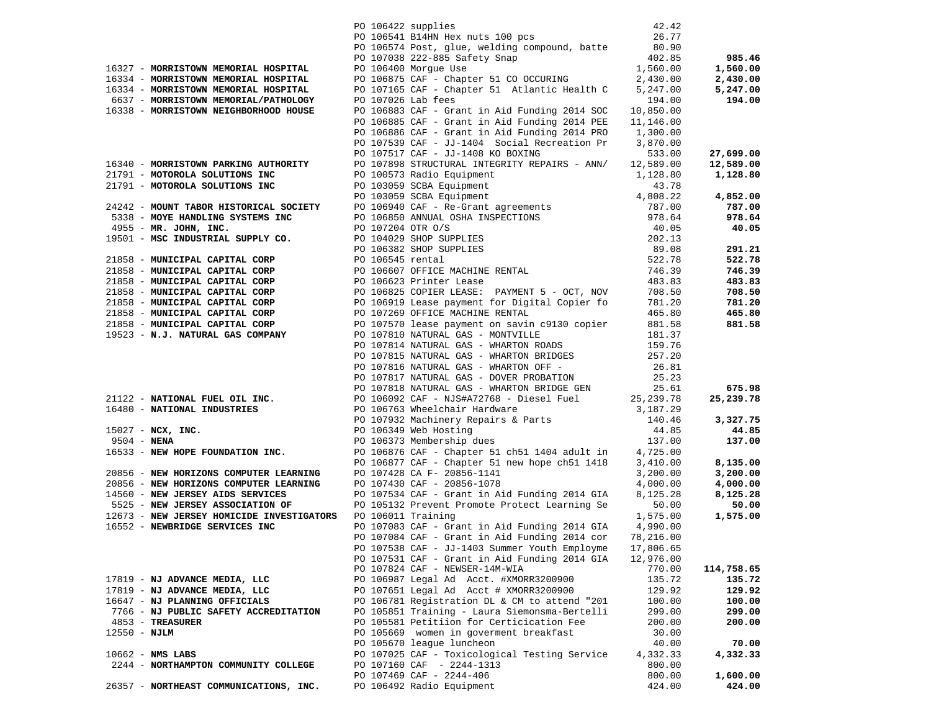|                                                                                                                                                                                                                                               | PO 106422 supplies |                                                                                                          | 42.42     |            |
|-----------------------------------------------------------------------------------------------------------------------------------------------------------------------------------------------------------------------------------------------|--------------------|----------------------------------------------------------------------------------------------------------|-----------|------------|
|                                                                                                                                                                                                                                               |                    | PO 106541 B14HN Hex nuts 100 pcs                                                                         | 26.77     |            |
|                                                                                                                                                                                                                                               |                    | PO 106574 Post, glue, welding compound, batte 80.90                                                      |           |            |
|                                                                                                                                                                                                                                               |                    |                                                                                                          | 402.85    | 985.46     |
| 16327 - MORRISTOWN MEMORIAL HOSPITAL                                                                                                                                                                                                          |                    | PO 107038 222-885 Safety Snap<br>PO 106400 Morgue Use                                                    | 1,560.00  | 1,560.00   |
| 16334 - MORRISTOWN MEMORIAL HOSPITAL                                                                                                                                                                                                          |                    | PO 106875 CAF - Chapter 51 CO OCCURING                                                                   | 2,430.00  | 2,430.00   |
| 16334 - MORRISTOWN MEMORIAL HOSPITAL                                                                                                                                                                                                          |                    | PO 107165 CAF - Chapter 51 Atlantic Health C                                                             | 5,247.00  | 5,247.00   |
| 6637 - MORRISTOWN MEMORIAL/PATHOLOGY                                                                                                                                                                                                          | PO 107026 Lab fees |                                                                                                          | 194.00    | 194.00     |
| 16338 - MORRISTOWN NEIGHBORHOOD HOUSE                                                                                                                                                                                                         |                    | PO 106883 CAF - Grant in Aid Funding 2014 SOC                                                            | 10,850.00 |            |
|                                                                                                                                                                                                                                               |                    | PO 106885 CAF - Grant in Aid Funding 2014 PEE                                                            | 11,146.00 |            |
|                                                                                                                                                                                                                                               |                    | PO 106886 CAF - Grant in Aid Funding 2014 PRO 1,300.00                                                   |           |            |
|                                                                                                                                                                                                                                               |                    | PO 107539 CAF - JJ-1404 Social Recreation Pr                                                             | 3,870.00  |            |
|                                                                                                                                                                                                                                               |                    | PO 107517 CAF - JJ-1408 KO BOXING                                                                        | 533.00    | 27,699.00  |
| 16340 - MORRISTOWN PARKING AUTHORITY                                                                                                                                                                                                          |                    | PO 107898 STRUCTURAL INTEGRITY REPAIRS - ANN/                                                            | 12,589.00 | 12,589.00  |
| 21791 - MOTOROLA SOLUTIONS INC                                                                                                                                                                                                                |                    | PO 100573 Radio Equipment                                                                                | 1,128.80  | 1,128.80   |
|                                                                                                                                                                                                                                               |                    |                                                                                                          |           |            |
|                                                                                                                                                                                                                                               |                    |                                                                                                          |           | 4,852.00   |
|                                                                                                                                                                                                                                               |                    |                                                                                                          |           | 787.00     |
|                                                                                                                                                                                                                                               |                    |                                                                                                          |           | 978.64     |
| 21791 - MOTOROLA SOLUTIONS INC<br>21791 - MOTOROLA SOLUTIONS INC<br>21791 - MOTOROLA SOLUTIONS INC<br>21791 - MOTOROLA SOLUTIONS INC<br>222422 - MOUNT TABOR HISTORICAL SOCIETY<br>238 - MOVE HANDLING SYSTEMS INC<br>277.00<br>277.00<br>277 |                    |                                                                                                          |           | 40.05      |
|                                                                                                                                                                                                                                               |                    |                                                                                                          |           |            |
|                                                                                                                                                                                                                                               |                    |                                                                                                          |           |            |
|                                                                                                                                                                                                                                               |                    |                                                                                                          |           | 291.21     |
|                                                                                                                                                                                                                                               |                    |                                                                                                          |           | 522.78     |
|                                                                                                                                                                                                                                               |                    |                                                                                                          |           | 746.39     |
|                                                                                                                                                                                                                                               |                    | PO 106623 Printer Lease<br>PO 106825 COPIER LEASE: PAYMENT 5 - OCT, NOV<br>Compare for Digital Copier fo |           | 483.83     |
|                                                                                                                                                                                                                                               |                    |                                                                                                          | 708.50    | 708.50     |
| 21858 - MUNICIPAL CAPITAL CORP<br>21858 - MUNICIPAL CAPITAL CORP<br>21858 - MUNICIPAL CAPITAL CORP<br>21858 - MUNICIPAL CAPITAL CORP<br>21858 - MUNICIPAL CAPITAL CORP<br>21858 - MUNICIPAL CAPITAL CORP<br>20106919 Lease payment            |                    |                                                                                                          | 781.20    | 781.20     |
| 21858 - MUNICIPAL CAPITAL CORP                                                                                                                                                                                                                |                    | PO 107269 OFFICE MACHINE RENTAL                                                                          | 465.80    | 465.80     |
| 21858 - MUNICIPAL CAPITAL CORP                                                                                                                                                                                                                |                    | PO 107570 lease payment on savin c9130 copier                                                            | 881.58    | 881.58     |
| 19523 - N.J. NATURAL GAS COMPANY                                                                                                                                                                                                              |                    | PO 107810 NATURAL GAS - MONTVILLE                                                                        | 181.37    |            |
|                                                                                                                                                                                                                                               |                    | PO 107814 NATURAL GAS - WHARTON ROADS                                                                    | 159.76    |            |
|                                                                                                                                                                                                                                               |                    | PO 107815 NATURAL GAS - WHARTON BRIDGES<br>PO 107816 NATURAL GAS - WHARTON OFF -                         | 257.20    |            |
|                                                                                                                                                                                                                                               |                    |                                                                                                          | 26.81     |            |
|                                                                                                                                                                                                                                               |                    | PO 107817 NATURAL GAS - DOVER PROBATION<br>PO 107818 NATURAL GAS - WHARTON BRIDGE GEN                    | 25.23     |            |
|                                                                                                                                                                                                                                               |                    |                                                                                                          | 25.61     | 675.98     |
| 21122 - NATIONAL FUEL OIL INC.<br>16480 - NATIONAL INDUSTRIES PO 106763 Wheelchair Hardware 3,187.29                                                                                                                                          |                    |                                                                                                          |           | 25,239.78  |
|                                                                                                                                                                                                                                               |                    |                                                                                                          |           |            |
|                                                                                                                                                                                                                                               |                    | PO 107932 Machinery Repairs & Parts<br>PO 106349 Web Hosting<br>PO 106373 Membership dues                | 140.46    | 3,327.75   |
| 15027 - NCX, INC.                                                                                                                                                                                                                             |                    |                                                                                                          | 44.85     | 44.85      |
| $9504 - NENA$                                                                                                                                                                                                                                 |                    | PO 106373 Membership dues                                                                                | 137.00    | 137.00     |
| 16533 - NEW HOPE FOUNDATION INC.                                                                                                                                                                                                              |                    | PO 106876 CAF - Chapter 51 ch51 1404 adult in                                                            | 4,725.00  |            |
|                                                                                                                                                                                                                                               |                    | PO 106877 CAF - Chapter 51 new hope ch51 1418                                                            | 3,410.00  | 8,135.00   |
| 20856 - NEW HORIZONS COMPUTER LEARNING                                                                                                                                                                                                        |                    | PO 107428 CA F- 20856-1141                                                                               | 3,200.00  | 3,200.00   |
| 20856 - NEW HORIZONS COMPUTER LEARNING                                                                                                                                                                                                        |                    | PO 107430 CAF - 20856-1078                                                                               | 4,000.00  | 4,000.00   |
| 14560 - NEW JERSEY AIDS SERVICES                                                                                                                                                                                                              |                    | PO 107534 CAF - Grant in Aid Funding 2014 GIA                                                            | 8,125.28  | 8,125.28   |
| 5525 - NEW JERSEY ASSOCIATION OF                                                                                                                                                                                                              |                    | PO 105132 Prevent Promote Protect Learning Se                                                            | 50.00     | 50.00      |
| 12673 - NEW JERSEY HOMICIDE INVESTIGATORS PO 106011 Training                                                                                                                                                                                  |                    |                                                                                                          | 1,575.00  | 1,575.00   |
| 16552 - NEWBRIDGE SERVICES INC                                                                                                                                                                                                                |                    | PO 107083 CAF - Grant in Aid Funding 2014 GIA 4,990.00                                                   |           |            |
|                                                                                                                                                                                                                                               |                    | PO 107084 CAF - Grant in Aid Funding 2014 cor                                                            | 78,216.00 |            |
|                                                                                                                                                                                                                                               |                    | PO 107538 CAF - JJ-1403 Summer Youth Employme                                                            | 17,806.65 |            |
|                                                                                                                                                                                                                                               |                    | PO 107531 CAF - Grant in Aid Funding 2014 GIA                                                            | 12,976.00 |            |
|                                                                                                                                                                                                                                               |                    | PO 107824 CAF - NEWSER-14M-WIA                                                                           | 770.00    | 114,758.65 |
| 17819 - NJ ADVANCE MEDIA, LLC                                                                                                                                                                                                                 |                    | PO 106987 Legal Ad Acct. #XMORR3200900                                                                   | 135.72    | 135.72     |
| 17819 - NJ ADVANCE MEDIA, LLC                                                                                                                                                                                                                 |                    | PO 107651 Legal Ad Acct # XMORR3200900                                                                   | 129.92    | 129.92     |
| 16647 - NJ PLANNING OFFICIALS                                                                                                                                                                                                                 |                    | PO 106781 Registration DL & CM to attend "201                                                            | 100.00    | 100.00     |
| 7766 - NJ PUBLIC SAFETY ACCREDITATION                                                                                                                                                                                                         |                    | PO 105851 Training - Laura Siemonsma-Bertelli                                                            | 299.00    | 299.00     |
| 4853 - TREASURER                                                                                                                                                                                                                              |                    | PO 105581 Petitiion for Certicication Fee                                                                | 200.00    | 200.00     |
| 12550 - NJLM                                                                                                                                                                                                                                  |                    | PO 105669 women in goverment breakfast                                                                   | 30.00     |            |
|                                                                                                                                                                                                                                               |                    | PO 105670 league luncheon                                                                                | 40.00     | 70.00      |
| $10662$ - NMS LABS                                                                                                                                                                                                                            |                    | PO 107025 CAF - Toxicological Testing Service                                                            | 4,332.33  | 4,332.33   |
| 2244 - NORTHAMPTON COMMUNITY COLLEGE                                                                                                                                                                                                          |                    | PO 107160 CAF - 2244-1313                                                                                | 800.00    |            |
|                                                                                                                                                                                                                                               |                    | PO 107469 CAF - 2244-406                                                                                 | 800.00    | 1,600.00   |
|                                                                                                                                                                                                                                               |                    | PO 106492 Radio Equipment                                                                                |           |            |
| 26357 - NORTHEAST COMMUNICATIONS, INC.                                                                                                                                                                                                        |                    |                                                                                                          | 424.00    | 424.00     |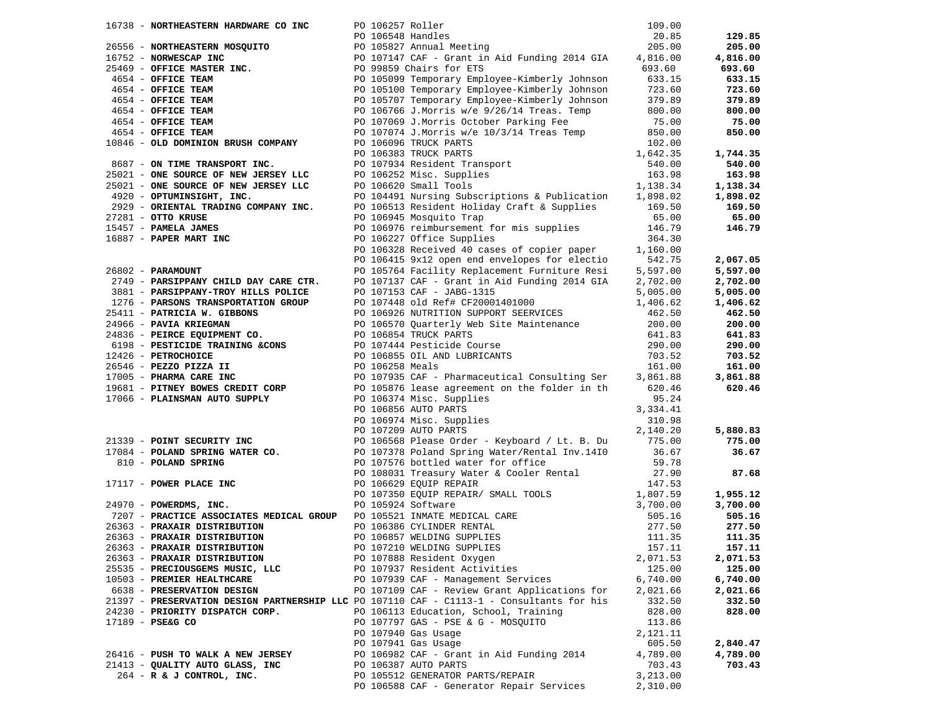|                                                                                           |  |                                                                                                                                                                                                                                                         |          | 129.85   |
|-------------------------------------------------------------------------------------------|--|---------------------------------------------------------------------------------------------------------------------------------------------------------------------------------------------------------------------------------------------------------|----------|----------|
|                                                                                           |  |                                                                                                                                                                                                                                                         |          | 205.00   |
|                                                                                           |  |                                                                                                                                                                                                                                                         |          | 4,816.00 |
|                                                                                           |  |                                                                                                                                                                                                                                                         |          | 693.60   |
|                                                                                           |  |                                                                                                                                                                                                                                                         |          | 633.15   |
|                                                                                           |  |                                                                                                                                                                                                                                                         |          |          |
|                                                                                           |  |                                                                                                                                                                                                                                                         |          | 723.60   |
|                                                                                           |  |                                                                                                                                                                                                                                                         |          | 379.89   |
|                                                                                           |  |                                                                                                                                                                                                                                                         |          | 800.00   |
|                                                                                           |  |                                                                                                                                                                                                                                                         |          | 75.00    |
|                                                                                           |  |                                                                                                                                                                                                                                                         |          | 850.00   |
|                                                                                           |  |                                                                                                                                                                                                                                                         |          |          |
|                                                                                           |  | 10846 - OLD DOMINION BRUSH COMPANY<br>10846 - OLD DOMINION BRUSH COMPANY<br>25021 - ONE SOURCE OF NEW JERSEY LLC<br>25021 - ONE SOURCE OF NEW JERSEY LLC<br>2929 - ORIENTAL TRADING COMPANY INC.<br>2929 - ORIENTAL TRADING COMPANY INC.                |          | 1,744.35 |
|                                                                                           |  |                                                                                                                                                                                                                                                         |          | 540.00   |
|                                                                                           |  |                                                                                                                                                                                                                                                         |          | 163.98   |
|                                                                                           |  |                                                                                                                                                                                                                                                         |          | 1,138.34 |
|                                                                                           |  |                                                                                                                                                                                                                                                         |          | 1,898.02 |
|                                                                                           |  |                                                                                                                                                                                                                                                         |          | 169.50   |
|                                                                                           |  |                                                                                                                                                                                                                                                         |          | 65.00    |
|                                                                                           |  | PO 106945 Mosquito Trap                                                                                                                                                                                                                                 | 65.00    |          |
|                                                                                           |  | PO 106976 reimbursement for mis supplies 146.79                                                                                                                                                                                                         |          | 146.79   |
|                                                                                           |  | PO 106227 Office Supplies                                                                                                                                                                                                                               | 364.30   |          |
| -- CIIO KRUSE<br>15457 - PAMELA JAMES<br>16887 - PAPER MART INC                           |  | PO 106328 Received 40 cases of copier paper<br>PO 106415 9x12 open end envelopes for electio                                                                                                                                                            | 1,160.00 |          |
|                                                                                           |  |                                                                                                                                                                                                                                                         | 542.75   | 2,067.05 |
| 26802 - PARAMOUNT                                                                         |  | PO 105764 Facility Replacement Furniture Resi 5,597.00<br>PO 107137 CAF - Grant in Aid Funding 2014 GIA 2,702.00                                                                                                                                        |          | 5,597.00 |
| 2749 - PARSIPPANY CHILD DAY CARE CTR.                                                     |  |                                                                                                                                                                                                                                                         |          | 2,702.00 |
|                                                                                           |  |                                                                                                                                                                                                                                                         |          | 5,005.00 |
|                                                                                           |  |                                                                                                                                                                                                                                                         |          | 1,406.62 |
|                                                                                           |  |                                                                                                                                                                                                                                                         |          | 462.50   |
|                                                                                           |  |                                                                                                                                                                                                                                                         |          | 200.00   |
|                                                                                           |  |                                                                                                                                                                                                                                                         |          | 641.83   |
|                                                                                           |  |                                                                                                                                                                                                                                                         |          | 290.00   |
|                                                                                           |  |                                                                                                                                                                                                                                                         |          | 703.52   |
|                                                                                           |  |                                                                                                                                                                                                                                                         |          | 161.00   |
|                                                                                           |  |                                                                                                                                                                                                                                                         |          | 3,861.88 |
|                                                                                           |  |                                                                                                                                                                                                                                                         |          | 620.46   |
|                                                                                           |  | 2749 <b>- PARSIPPANY CHILD DAY CARE CTR.</b> PO 107137 CAF - Grant in Aid Funding 2014 GIA 2, 102.00<br>1876 <b>- PARSIPPANY TROY BILLS POLICE</b><br>2961 <b>- PARSION TRANSPORTATION GROUP</b><br>2966 <b>- PAVIA KRIEGMAN</b> PO 107448 old Ref# CF2 |          |          |
|                                                                                           |  |                                                                                                                                                                                                                                                         |          |          |
|                                                                                           |  |                                                                                                                                                                                                                                                         |          |          |
|                                                                                           |  |                                                                                                                                                                                                                                                         |          | 5,880.83 |
|                                                                                           |  | 90 106856 AUTO PARTS 3,334.41<br>PO 106974 Misc. Supplies<br>PO 107209 AUTO PARTS 2110.20<br>PO 107209 AUTO PARTS 2110.20<br>PO 107378 Doless Please Order - Keyboard / Lt. B. Du<br>810 - <b>POLAND SPRING WATER CO.</b><br>810 - <b>POLAND SPRI</b>   |          | 775.00   |
|                                                                                           |  |                                                                                                                                                                                                                                                         |          | 36.67    |
|                                                                                           |  |                                                                                                                                                                                                                                                         |          |          |
|                                                                                           |  |                                                                                                                                                                                                                                                         |          |          |
|                                                                                           |  |                                                                                                                                                                                                                                                         |          | 87.68    |
|                                                                                           |  |                                                                                                                                                                                                                                                         |          |          |
|                                                                                           |  |                                                                                                                                                                                                                                                         |          | 1,955.12 |
|                                                                                           |  |                                                                                                                                                                                                                                                         |          | 3,700.00 |
|                                                                                           |  |                                                                                                                                                                                                                                                         |          | 505.16   |
|                                                                                           |  |                                                                                                                                                                                                                                                         |          | 277.50   |
|                                                                                           |  |                                                                                                                                                                                                                                                         |          | 111.35   |
|                                                                                           |  |                                                                                                                                                                                                                                                         |          | 157.11   |
| 26363 - PRAXAIR DISTRIBUTION                                                              |  | PO 107888 Resident Oxygen                                                                                                                                                                                                                               | 2,071.53 | 2,071.53 |
| 25535 - PRECIOUSGEMS MUSIC, LLC                                                           |  | PO 107937 Resident Activities                                                                                                                                                                                                                           | 125.00   | 125.00   |
| 10503 - PREMIER HEALTHCARE                                                                |  | PO 107939 CAF - Management Services                                                                                                                                                                                                                     | 6,740.00 | 6,740.00 |
| 6638 - PRESERVATION DESIGN                                                                |  | PO 107109 CAF - Review Grant Applications for                                                                                                                                                                                                           | 2,021.66 | 2,021.66 |
| 21397 - PRESERVATION DESIGN PARTNERSHIP LLC PO 107110 CAF - C1113-1 - Consultants for his |  |                                                                                                                                                                                                                                                         | 332.50   | 332.50   |
| 24230 - PRIORITY DISPATCH CORP.                                                           |  | PO 106113 Education, School, Training                                                                                                                                                                                                                   | 828.00   | 828.00   |
| 17189 - PSE&G CO                                                                          |  | PO 107797 GAS - PSE & G - MOSQUITO                                                                                                                                                                                                                      | 113.86   |          |
|                                                                                           |  | PO 107940 Gas Usage                                                                                                                                                                                                                                     | 2,121.11 |          |
|                                                                                           |  | PO 107941 Gas Usage                                                                                                                                                                                                                                     | 605.50   | 2,840.47 |
| 26416 - PUSH TO WALK A NEW JERSEY                                                         |  | PO 106982 CAF - Grant in Aid Funding 2014                                                                                                                                                                                                               | 4,789.00 | 4,789.00 |
| 21413 - QUALITY AUTO GLASS, INC                                                           |  | PO 106387 AUTO PARTS                                                                                                                                                                                                                                    | 703.43   | 703.43   |
| 264 - R & J CONTROL, INC.                                                                 |  | PO 105512 GENERATOR PARTS/REPAIR                                                                                                                                                                                                                        | 3,213.00 |          |
|                                                                                           |  | PO 106588 CAF - Generator Repair Services                                                                                                                                                                                                               | 2,310.00 |          |
|                                                                                           |  |                                                                                                                                                                                                                                                         |          |          |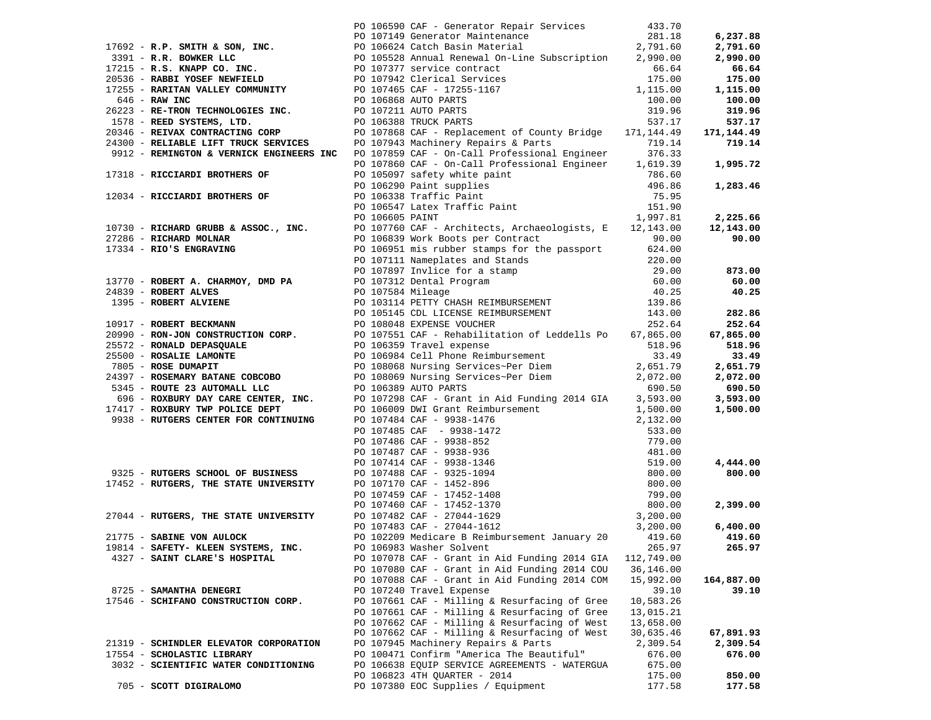|                                                                    | 1792 R.P. SCITRE (2003) IN THE CONSUMER CONTRACT CONTRACT CONTRACT (2003) 1993 - 1893.<br>1793 R.P. Science (2003) 1793 Contract Contract Contract Contract Contract Contract Contract Contract Contract Contract Contract Cont |            |            |
|--------------------------------------------------------------------|---------------------------------------------------------------------------------------------------------------------------------------------------------------------------------------------------------------------------------|------------|------------|
|                                                                    |                                                                                                                                                                                                                                 |            |            |
|                                                                    |                                                                                                                                                                                                                                 |            |            |
|                                                                    |                                                                                                                                                                                                                                 |            |            |
|                                                                    |                                                                                                                                                                                                                                 |            |            |
|                                                                    |                                                                                                                                                                                                                                 |            |            |
|                                                                    |                                                                                                                                                                                                                                 |            |            |
|                                                                    |                                                                                                                                                                                                                                 |            |            |
|                                                                    |                                                                                                                                                                                                                                 |            |            |
|                                                                    |                                                                                                                                                                                                                                 |            |            |
|                                                                    |                                                                                                                                                                                                                                 |            |            |
|                                                                    |                                                                                                                                                                                                                                 |            |            |
|                                                                    |                                                                                                                                                                                                                                 |            |            |
|                                                                    |                                                                                                                                                                                                                                 |            |            |
|                                                                    |                                                                                                                                                                                                                                 |            |            |
|                                                                    |                                                                                                                                                                                                                                 |            |            |
|                                                                    |                                                                                                                                                                                                                                 |            |            |
|                                                                    |                                                                                                                                                                                                                                 |            |            |
|                                                                    |                                                                                                                                                                                                                                 |            |            |
|                                                                    |                                                                                                                                                                                                                                 |            |            |
|                                                                    |                                                                                                                                                                                                                                 |            |            |
|                                                                    |                                                                                                                                                                                                                                 |            |            |
|                                                                    |                                                                                                                                                                                                                                 |            |            |
|                                                                    |                                                                                                                                                                                                                                 |            |            |
|                                                                    |                                                                                                                                                                                                                                 |            |            |
|                                                                    |                                                                                                                                                                                                                                 |            |            |
|                                                                    |                                                                                                                                                                                                                                 |            |            |
|                                                                    |                                                                                                                                                                                                                                 |            |            |
|                                                                    |                                                                                                                                                                                                                                 |            |            |
|                                                                    |                                                                                                                                                                                                                                 |            |            |
|                                                                    |                                                                                                                                                                                                                                 |            |            |
|                                                                    |                                                                                                                                                                                                                                 |            |            |
|                                                                    |                                                                                                                                                                                                                                 |            |            |
|                                                                    |                                                                                                                                                                                                                                 |            |            |
|                                                                    |                                                                                                                                                                                                                                 |            |            |
|                                                                    |                                                                                                                                                                                                                                 |            |            |
|                                                                    |                                                                                                                                                                                                                                 |            |            |
|                                                                    |                                                                                                                                                                                                                                 |            |            |
|                                                                    |                                                                                                                                                                                                                                 |            |            |
|                                                                    |                                                                                                                                                                                                                                 |            |            |
|                                                                    |                                                                                                                                                                                                                                 |            |            |
|                                                                    |                                                                                                                                                                                                                                 |            |            |
|                                                                    |                                                                                                                                                                                                                                 |            |            |
|                                                                    |                                                                                                                                                                                                                                 |            |            |
|                                                                    |                                                                                                                                                                                                                                 |            |            |
|                                                                    |                                                                                                                                                                                                                                 |            |            |
|                                                                    |                                                                                                                                                                                                                                 |            |            |
|                                                                    | PO 102209 Medicare B Reimbursement January 20 419.60                                                                                                                                                                            |            | 419.60     |
| $21775 -$ SABINE VON AULOCK<br>19814 - SAFETY- KLEEN SYSTEMS, INC. | PO 106983 Washer Solvent                                                                                                                                                                                                        | 265.97     | 265.97     |
| 4327 - SAINT CLARE'S HOSPITAL                                      | PO 107078 CAF - Grant in Aid Funding 2014 GIA                                                                                                                                                                                   | 112,749.00 |            |
|                                                                    | PO 107080 CAF - Grant in Aid Funding 2014 COU                                                                                                                                                                                   | 36,146.00  |            |
|                                                                    | PO 107088 CAF - Grant in Aid Funding 2014 COM                                                                                                                                                                                   | 15,992.00  | 164,887.00 |
| 8725 - SAMANTHA DENEGRI                                            | PO 107240 Travel Expense                                                                                                                                                                                                        | 39.10      | 39.10      |
| 17546 - SCHIFANO CONSTRUCTION CORP.                                | PO 107661 CAF - Milling & Resurfacing of Gree                                                                                                                                                                                   | 10,583.26  |            |
|                                                                    | PO 107661 CAF - Milling & Resurfacing of Gree                                                                                                                                                                                   | 13,015.21  |            |
|                                                                    | PO 107662 CAF - Milling & Resurfacing of West                                                                                                                                                                                   | 13,658.00  |            |
|                                                                    | PO 107662 CAF - Milling & Resurfacing of West                                                                                                                                                                                   | 30,635.46  | 67,891.93  |
| 21319 - SCHINDLER ELEVATOR CORPORATION                             | PO 107945 Machinery Repairs & Parts                                                                                                                                                                                             | 2,309.54   | 2,309.54   |
| 17554 - SCHOLASTIC LIBRARY                                         | PO 100471 Confirm "America The Beautiful"                                                                                                                                                                                       | 676.00     | 676.00     |
| 3032 - SCIENTIFIC WATER CONDITIONING                               | PO 106638 EQUIP SERVICE AGREEMENTS - WATERGUA                                                                                                                                                                                   | 675.00     |            |
|                                                                    | PO 106823 4TH OUARTER - 2014                                                                                                                                                                                                    | 175.00     | 850.00     |
| 705 - SCOTT DIGIRALOMO                                             | PO 107380 EOC Supplies / Equipment                                                                                                                                                                                              | 177.58     | 177.58     |
|                                                                    |                                                                                                                                                                                                                                 |            |            |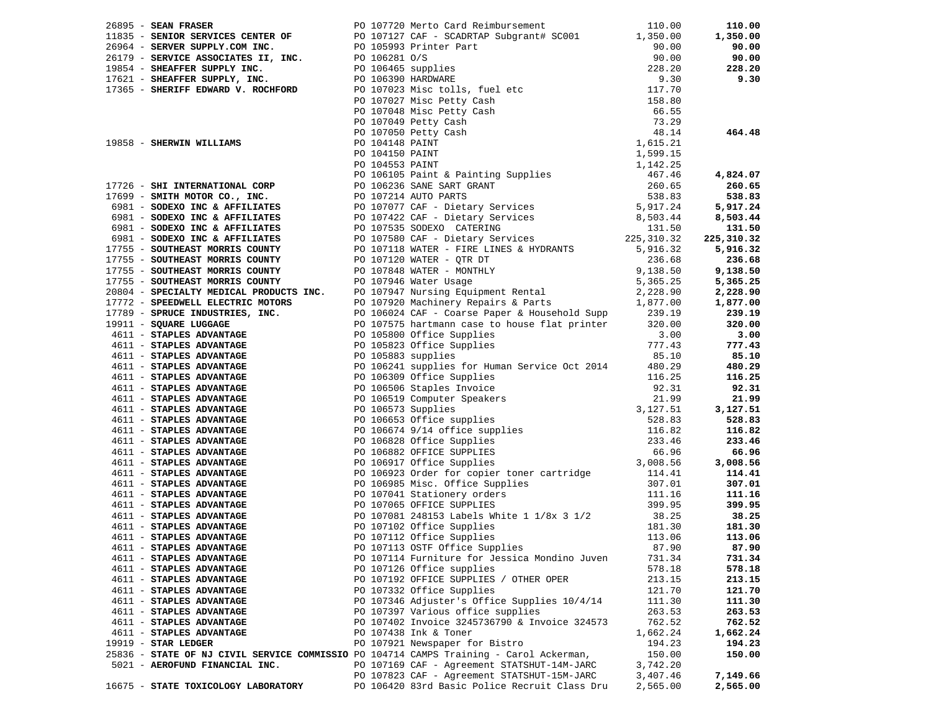| 4611 - STAPLES ADVANTAGE                                                               |  | PO 107114 Furniture for Jessica Mondino Juven | 731.34   | 731.34   |
|----------------------------------------------------------------------------------------|--|-----------------------------------------------|----------|----------|
| 4611 - STAPLES ADVANTAGE                                                               |  | PO 107126 Office supplies                     | 578.18   | 578.18   |
| 4611 - STAPLES ADVANTAGE                                                               |  | PO 107192 OFFICE SUPPLIES / OTHER OPER        | 213.15   | 213.15   |
| 4611 - STAPLES ADVANTAGE                                                               |  | PO 107332 Office Supplies                     | 121.70   | 121.70   |
| 4611 - STAPLES ADVANTAGE                                                               |  | PO 107346 Adjuster's Office Supplies 10/4/14  | 111.30   | 111.30   |
| 4611 - STAPLES ADVANTAGE                                                               |  | PO 107397 Various office supplies             | 263.53   | 263.53   |
| 4611 - STAPLES ADVANTAGE                                                               |  | PO 107402 Invoice 3245736790 & Invoice 324573 | 762.52   | 762.52   |
| 4611 - STAPLES ADVANTAGE                                                               |  | PO 107438 Ink & Toner                         | 1,662.24 | 1,662.24 |
| 19919 - STAR LEDGER                                                                    |  | PO 107921 Newspaper for Bistro                | 194.23   | 194.23   |
| 25836 - STATE OF NJ CIVIL SERVICE COMMISSIO PO 104714 CAMPS Training - Carol Ackerman, |  |                                               | 150.00   | 150.00   |
| 5021 - AEROFUND FINANCIAL INC.                                                         |  | PO 107169 CAF - Agreement STATSHUT-14M-JARC   | 3,742.20 |          |
|                                                                                        |  | PO 107823 CAF - Agreement STATSHUT-15M-JARC   | 3,407.46 | 7,149.66 |
| 16675 - STATE TOXICOLOGY LABORATORY                                                    |  | PO 106420 83rd Basic Police Recruit Class Dru | 2,565.00 | 2,565.00 |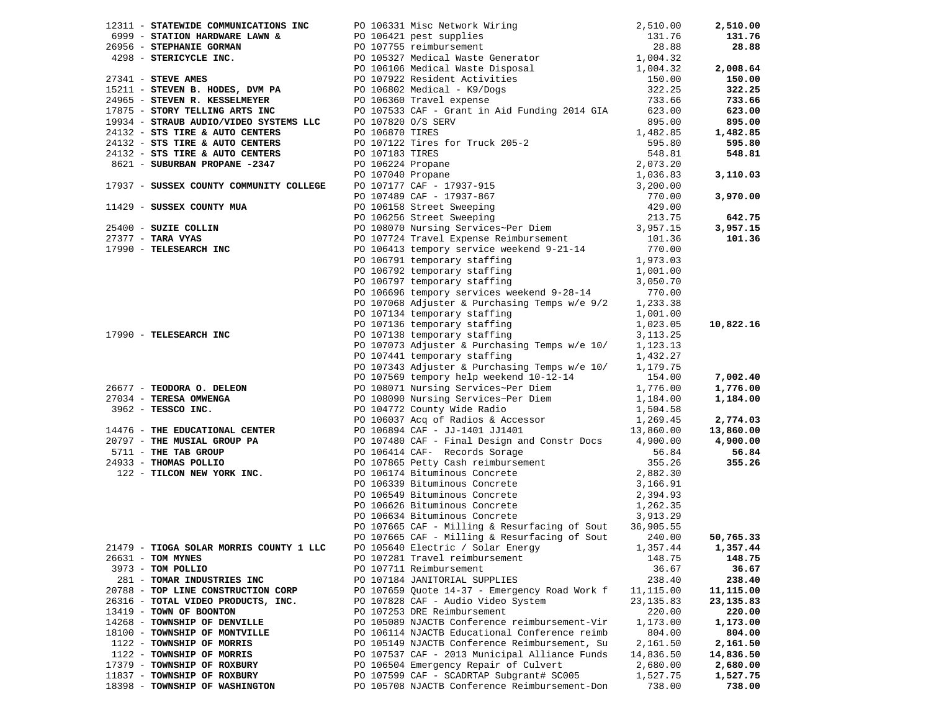|                                                                     | 12311 - <b>STATEWIDE COMMUNICATIONS INC</b><br>6995 - <b>STATION HARDWARE LAWN &amp;</b><br><b>FO</b> 106331 Misc Network Wiring<br>2,510.00<br>27546 - <b>STEPHANIE GORMAN</b><br><b>FO</b> 107755 reimbursement<br><b>FO</b> 107755 reimbursement<br><b>FO</b> 107755 reimbursem |                        | 2,510.00  |
|---------------------------------------------------------------------|------------------------------------------------------------------------------------------------------------------------------------------------------------------------------------------------------------------------------------------------------------------------------------|------------------------|-----------|
|                                                                     |                                                                                                                                                                                                                                                                                    |                        | 131.76    |
|                                                                     |                                                                                                                                                                                                                                                                                    |                        | 28.88     |
|                                                                     |                                                                                                                                                                                                                                                                                    |                        |           |
|                                                                     |                                                                                                                                                                                                                                                                                    |                        | 2,008.64  |
|                                                                     |                                                                                                                                                                                                                                                                                    |                        | 150.00    |
|                                                                     |                                                                                                                                                                                                                                                                                    |                        | 322.25    |
|                                                                     |                                                                                                                                                                                                                                                                                    |                        | 733.66    |
|                                                                     |                                                                                                                                                                                                                                                                                    |                        | 623.00    |
|                                                                     |                                                                                                                                                                                                                                                                                    |                        | 895.00    |
|                                                                     |                                                                                                                                                                                                                                                                                    |                        | 1,482.85  |
|                                                                     |                                                                                                                                                                                                                                                                                    |                        | 595.80    |
|                                                                     |                                                                                                                                                                                                                                                                                    |                        | 548.81    |
|                                                                     |                                                                                                                                                                                                                                                                                    |                        |           |
|                                                                     |                                                                                                                                                                                                                                                                                    |                        | 3,110.03  |
|                                                                     |                                                                                                                                                                                                                                                                                    |                        |           |
|                                                                     |                                                                                                                                                                                                                                                                                    |                        | 3,970.00  |
|                                                                     |                                                                                                                                                                                                                                                                                    |                        |           |
|                                                                     | 24132 - STS TIRE & AUTO CENTERS<br>8621 - SUBURBAN PROPANE -2347<br>2,073.20<br>2,073.20<br>2,073.20<br>2,073.20<br>2,073.20<br>2,073.20<br>2,073.20<br>2,073.20<br>2,073.20<br>2,073.20<br>2,073.20<br>2,073.20<br>2,073.20<br>2,073.20<br>2,073.20<br>20106158                   |                        | 642.75    |
|                                                                     |                                                                                                                                                                                                                                                                                    |                        | 3,957.15  |
| 25400 - SUZIE COLLIN<br>27377 - TARA VYAS<br>17990 - TELESEARCH INC | PO 107724 Travel Expense Reimbursement                                                                                                                                                                                                                                             | 101.36                 | 101.36    |
|                                                                     | PO 106413 tempory service weekend 9-21-14                                                                                                                                                                                                                                          | 770.00                 |           |
|                                                                     | PO 106791 temporary staffing                                                                                                                                                                                                                                                       | 1,973.03               |           |
|                                                                     |                                                                                                                                                                                                                                                                                    | 1,001.00               |           |
|                                                                     | PO 106792 temporary staffing<br>PO 106797 temporary staffing                                                                                                                                                                                                                       | 3,050.70               |           |
|                                                                     | PO 106696 tempory services weekend 9-28-14 770.00                                                                                                                                                                                                                                  |                        |           |
|                                                                     |                                                                                                                                                                                                                                                                                    |                        |           |
|                                                                     | PO 107068 Adjuster & Purchasing Temps w/e 9/2                                                                                                                                                                                                                                      | 1,233.38               |           |
|                                                                     | PO 107134 temporary staffing                                                                                                                                                                                                                                                       | 1,001.00               | 10,822.16 |
| 17990 - TELESEARCH INC                                              | PO 107136 temporary staffing<br>PO 107138 temporary staffing                                                                                                                                                                                                                       | 1,023.05               |           |
|                                                                     | PO 107073 Adjuster & Purchasing Temps w/e 10/                                                                                                                                                                                                                                      | 3, 113. 25<br>1,123.13 |           |
|                                                                     | PO 107441 temporary staffing                                                                                                                                                                                                                                                       | 1,432.27               |           |
|                                                                     | PO 107343 Adjuster & Purchasing Temps w/e 10/                                                                                                                                                                                                                                      | 1,179.75               |           |
|                                                                     | PO 107569 tempory help weekend 10-12-14                                                                                                                                                                                                                                            | 154.00                 | 7,002.40  |
| 26677 - TEODORA O. DELEON                                           |                                                                                                                                                                                                                                                                                    | 1,776.00               | 1,776.00  |
| 27034 - TERESA OMWENGA                                              | PO 108071 Nursing Services~Per Diem<br>PO 108090 Nursing Services~Per Diem                                                                                                                                                                                                         | 1,184.00               | 1,184.00  |
|                                                                     | PO 104772 County Wide Radio                                                                                                                                                                                                                                                        | 1,504.58               |           |
| $3962 - TESSCO INC.$                                                | PO 106037 Acq of Radios & Accessor 1,269.45                                                                                                                                                                                                                                        |                        | 2,774.03  |
| 14476 - THE EDUCATIONAL CENTER                                      | PO 106894 CAF - JJ-1401 JJ1401                                                                                                                                                                                                                                                     | 13,860.00              | 13,860.00 |
| 20797 - THE MUSIAL GROUP PA                                         | PO 107480 CAF - Final Design and Constr Docs 4,900.00                                                                                                                                                                                                                              |                        | 4,900.00  |
| 5711 - THE TAB GROUP                                                |                                                                                                                                                                                                                                                                                    | 56.84                  | 56.84     |
| 24933 - THOMAS POLLIO                                               | PO 106414 CAF- Records Sorage<br>PO 107865 Petty Cash reimbursement                                                                                                                                                                                                                | 355.26                 | 355.26    |
| 122 - TILCON NEW YORK INC.                                          |                                                                                                                                                                                                                                                                                    |                        |           |
|                                                                     | PO 106174 Bituminous Concrete<br>PO 106339 Bituminous Concrete                                                                                                                                                                                                                     | 2,882.30<br>3,166.91   |           |
|                                                                     |                                                                                                                                                                                                                                                                                    |                        |           |
|                                                                     | PO 106549 Bituminous Concrete<br>PO 106626 Bituminous Concrete<br>PO 106634 Bituminous Concrete                                                                                                                                                                                    | 2,394.93<br>1,262.35   |           |
|                                                                     |                                                                                                                                                                                                                                                                                    | 3,913.29               |           |
|                                                                     | PO 107665 CAF - Milling & Resurfacing of Sout 36,905.55                                                                                                                                                                                                                            |                        |           |
|                                                                     | PO 107665 CAF - Milling & Resurfacing of Sout                                                                                                                                                                                                                                      | 240.00                 | 50,765.33 |
| 21479 - TIOGA SOLAR MORRIS COUNTY 1 LLC                             | PO 105640 Electric / Solar Energy 1,357.44 1,357.44                                                                                                                                                                                                                                |                        |           |
| 26631 - TOM MYNES                                                   | PO 107281 Travel reimbursement                                                                                                                                                                                                                                                     | 148.75                 | 148.75    |
| 3973 - TOM POLLIO                                                   | PO 107711 Reimbursement                                                                                                                                                                                                                                                            | 36.67                  | 36.67     |
| 281 - TOMAR INDUSTRIES INC                                          | PO 107184 JANITORIAL SUPPLIES                                                                                                                                                                                                                                                      | 238.40                 | 238.40    |
| 20788 - TOP LINE CONSTRUCTION CORP                                  | PO 107659 Quote 14-37 - Emergency Road Work f                                                                                                                                                                                                                                      | 11,115.00              | 11,115.00 |
| 26316 - TOTAL VIDEO PRODUCTS, INC.                                  | PO 107828 CAF - Audio Video System                                                                                                                                                                                                                                                 | 23,135.83              | 23,135.83 |
| 13419 - TOWN OF BOONTON                                             | PO 107253 DRE Reimbursement                                                                                                                                                                                                                                                        | 220.00                 | 220.00    |
| 14268 - TOWNSHIP OF DENVILLE                                        | PO 105089 NJACTB Conference reimbursement-Vir                                                                                                                                                                                                                                      | 1,173.00               | 1,173.00  |
| 18100 - TOWNSHIP OF MONTVILLE                                       | PO 106114 NJACTB Educational Conference reimb                                                                                                                                                                                                                                      | 804.00                 | 804.00    |
| 1122 - TOWNSHIP OF MORRIS                                           | PO 105149 NJACTB Conference Reimbursement, Su                                                                                                                                                                                                                                      | 2,161.50               | 2,161.50  |
| 1122 - TOWNSHIP OF MORRIS                                           | PO 107537 CAF - 2013 Municipal Alliance Funds                                                                                                                                                                                                                                      | 14,836.50              | 14,836.50 |
| 17379 - TOWNSHIP OF ROXBURY                                         | PO 106504 Emergency Repair of Culvert                                                                                                                                                                                                                                              | 2,680.00               | 2,680.00  |
| 11837 - TOWNSHIP OF ROXBURY                                         | PO 107599 CAF - SCADRTAP Subgrant# SC005                                                                                                                                                                                                                                           | 1,527.75               | 1,527.75  |
| 18398 - TOWNSHIP OF WASHINGTON                                      | PO 105708 NJACTB Conference Reimbursement-Don                                                                                                                                                                                                                                      | 738.00                 | 738.00    |
|                                                                     |                                                                                                                                                                                                                                                                                    |                        |           |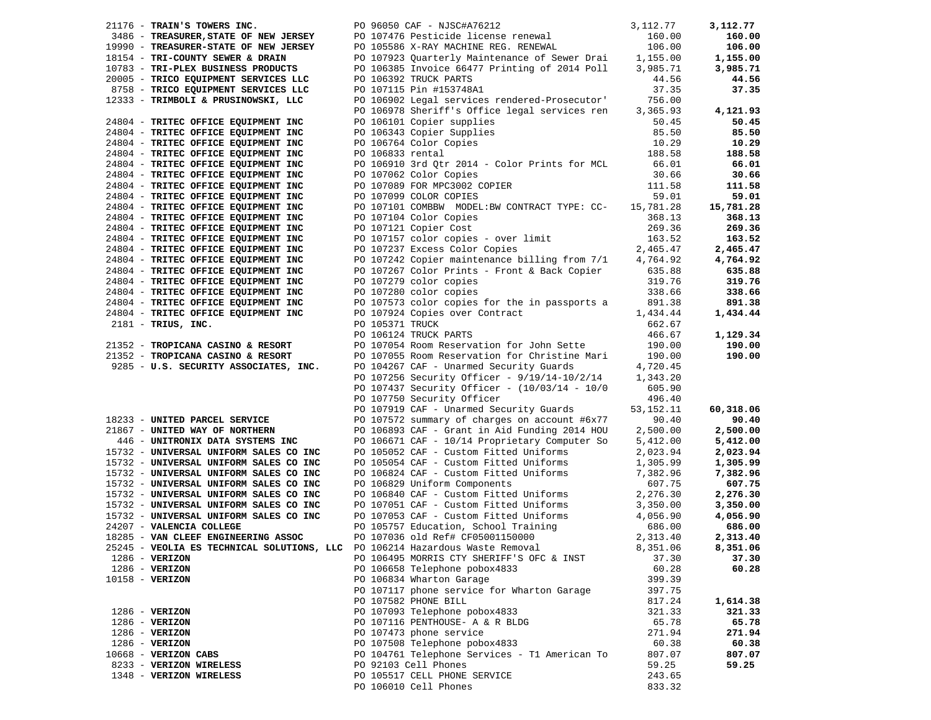| 21176 - TRAIN'S TOWERS INC.                                                  | PO 96050 CAF - NJSC#A76212                                                  | 3,112.77  | 3,112.77  |
|------------------------------------------------------------------------------|-----------------------------------------------------------------------------|-----------|-----------|
| 3486 - TREASURER, STATE OF NEW JERSEY                                        | PO 107476 Pesticide license renewal<br>PO 105586 X-RAY MACHINE REG. RENEWAL | 160.00    | 160.00    |
| 19990 - TREASURER-STATE OF NEW JERSEY                                        |                                                                             | 106.00    | 106.00    |
| 18154 - TRI-COUNTY SEWER & DRAIN                                             | PO 107923 Quarterly Maintenance of Sewer Drai 1,155.00                      |           | 1,155.00  |
| 10783 - TRI-PLEX BUSINESS PRODUCTS                                           | PO 106385 Invoice 66477 Printing of 2014 Poll                               | 3,985.71  | 3,985.71  |
| 20005 - TRICO EQUIPMENT SERVICES LLC                                         | PO 106392 TRUCK PARTS                                                       | 44.56     | 44.56     |
| 8758 - TRICO EQUIPMENT SERVICES LLC                                          | PO 107115 Pin #153748A1                                                     | 37.35     | 37.35     |
| 12333 - TRIMBOLI & PRUSINOWSKI, LLC                                          | PO 106902 Legal services rendered-Prosecutor'                               | 756.00    |           |
|                                                                              | PO 106978 Sheriff's Office legal services ren                               | 3,365.93  | 4,121.93  |
| 24804 - TRITEC OFFICE EQUIPMENT INC                                          | PO 106101 Copier supplies                                                   | 50.45     | 50.45     |
| 24804 - TRITEC OFFICE EQUIPMENT INC                                          | PO 106343 Copier Supplies                                                   | 85.50     | 85.50     |
| 24804 - TRITEC OFFICE EQUIPMENT INC                                          | PO 106764 Color Copies                                                      | 10.29     | 10.29     |
| 24804 - TRITEC OFFICE EQUIPMENT INC                                          | PO 106833 rental                                                            | 188.58    | 188.58    |
| 24804 - TRITEC OFFICE EQUIPMENT INC                                          | PO 106910 3rd Qtr 2014 - Color Prints for MCL                               | 66.01     | 66.01     |
| 24804 - TRITEC OFFICE EQUIPMENT INC                                          | PO 107062 Color Copies                                                      | 30.66     | 30.66     |
| 24804 - TRITEC OFFICE EQUIPMENT INC                                          | PO 107089 FOR MPC3002 COPIER                                                | 111.58    | 111.58    |
| 24804 - TRITEC OFFICE EQUIPMENT INC                                          | PO 107099 COLOR COPIES                                                      | 59.01     | 59.01     |
| 24804 - TRITEC OFFICE EQUIPMENT INC                                          | PO 107101 COMBBW MODEL: BW CONTRACT TYPE: CC-                               | 15,781.28 | 15,781.28 |
| 24804 - TRITEC OFFICE EQUIPMENT INC                                          | PO 107104 Color Copies                                                      | 368.13    | 368.13    |
| 24804 - TRITEC OFFICE EQUIPMENT INC                                          | PO 107121 Copier Cost                                                       | 269.36    | 269.36    |
| 24804 - TRITEC OFFICE EQUIPMENT INC                                          | PO 107157 color copies - over limit                                         | 163.52    | 163.52    |
| 24804 - TRITEC OFFICE EQUIPMENT INC                                          | PO 107237 Excess Color Copies                                               | 2,465.47  | 2,465.47  |
| 24804 - TRITEC OFFICE EQUIPMENT INC                                          | PO 107242 Copier maintenance billing from 7/1                               | 4,764.92  | 4,764.92  |
| 24804 - TRITEC OFFICE EQUIPMENT INC                                          | PO 107267 Color Prints - Front & Back Copier                                | 635.88    | 635.88    |
| 24804 - TRITEC OFFICE EQUIPMENT INC                                          | PO 107279 color copies                                                      | 319.76    | 319.76    |
| 24804 - TRITEC OFFICE EQUIPMENT INC                                          | PO 107280 color copies                                                      | 338.66    | 338.66    |
| 24804 - TRITEC OFFICE EQUIPMENT INC                                          | PO 107573 color copies for the in passports a                               | 891.38    | 891.38    |
| 24804 - TRITEC OFFICE EQUIPMENT INC                                          | PO 107924 Copies over Contract                                              | 1,434.44  | 1,434.44  |
| $2181$ - TRIUS, INC.                                                         | PO 105371 TRUCK                                                             | 662.67    |           |
|                                                                              | PO 106124 TRUCK PARTS                                                       | 466.67    | 1,129.34  |
| 21352 - TROPICANA CASINO & RESORT                                            | PO 107054 Room Reservation for John Sette                                   | 190.00    | 190.00    |
| 21352 - TROPICANA CASINO & RESORT                                            | PO 107055 Room Reservation for Christine Mari                               | 190.00    | 190.00    |
| 9285 - U.S. SECURITY ASSOCIATES, INC.                                        | PO 104267 CAF - Unarmed Security Guards                                     | 4,720.45  |           |
|                                                                              | PO 107256 Security Officer - 9/19/14-10/2/14                                | 1,343.20  |           |
|                                                                              | PO 107437 Security Officer - $(10/03/14 - 10/0)$                            | 605.90    |           |
|                                                                              | PO 107750 Security Officer                                                  | 496.40    |           |
|                                                                              | PO 107919 CAF - Unarmed Security Guards                                     | 53,152.11 | 60,318.06 |
| 18233 - UNITED PARCEL SERVICE                                                | PO 107572 summary of charges on account #6x77                               | 90.40     | 90.40     |
| 21867 - UNITED WAY OF NORTHERN                                               | PO 106893 CAF - Grant in Aid Funding 2014 HOU                               | 2,500.00  | 2,500.00  |
| 446 - UNITRONIX DATA SYSTEMS INC                                             | PO 106671 CAF - 10/14 Proprietary Computer So                               | 5,412.00  | 5,412.00  |
| 15732 - UNIVERSAL UNIFORM SALES CO INC                                       | PO 105052 CAF - Custom Fitted Uniforms                                      | 2,023.94  | 2,023.94  |
| 15732 - UNIVERSAL UNIFORM SALES CO INC                                       | PO 105054 CAF - Custom Fitted Uniforms                                      | 1,305.99  | 1,305.99  |
| 15732 - UNIVERSAL UNIFORM SALES CO INC                                       | PO 106824 CAF - Custom Fitted Uniforms                                      | 7,382.96  | 7,382.96  |
| 15732 - UNIVERSAL UNIFORM SALES CO INC                                       | PO 106829 Uniform Components                                                | 607.75    | 607.75    |
| 15732 - UNIVERSAL UNIFORM SALES CO INC                                       | PO 106840 CAF - Custom Fitted Uniforms                                      | 2,276.30  | 2,276.30  |
| 15732 - UNIVERSAL UNIFORM SALES CO INC                                       | PO 107051 CAF - Custom Fitted Uniforms                                      | 3,350.00  | 3,350.00  |
| 15732 - UNIVERSAL UNIFORM SALES CO INC                                       | PO 107053 CAF - Custom Fitted Uniforms                                      | 4,056.90  | 4,056.90  |
| 24207 - VALENCIA COLLEGE                                                     | PO 105757 Education, School Training                                        | 686.00    | 686.00    |
| 18285 - VAN CLEEF ENGINEERING ASSOC                                          | PO 107036 old Ref# CF05001150000                                            | 2,313.40  | 2,313.40  |
| 25245 - VEOLIA ES TECHNICAL SOLUTIONS, LLC PO 106214 Hazardous Waste Removal |                                                                             | 8,351.06  | 8,351.06  |
| $1286 - VERIZON$                                                             | PO 106495 MORRIS CTY SHERIFF'S OFC & INST                                   | 37.30     | 37.30     |
| $1286$ - VERIZON                                                             | PO 106658 Telephone pobox4833                                               | 60.28     | 60.28     |
| 10158 - VERIZON                                                              | PO 106834 Wharton Garage                                                    | 399.39    |           |
|                                                                              | PO 107117 phone service for Wharton Garage                                  | 397.75    |           |
|                                                                              | PO 107582 PHONE BILL                                                        | 817.24    | 1,614.38  |
| $1286$ - VERIZON                                                             | PO 107093 Telephone pobox4833                                               | 321.33    | 321.33    |
| $1286 - VERIZON$                                                             | PO 107116 PENTHOUSE- A & R BLDG                                             | 65.78     | 65.78     |
| $1286$ - VERIZON                                                             | PO 107473 phone service                                                     | 271.94    | 271.94    |
| $1286$ - VERIZON                                                             | PO 107508 Telephone pobox4833                                               | 60.38     | 60.38     |
| $10668$ - VERIZON CABS                                                       | PO 104761 Telephone Services - T1 American To                               | 807.07    | 807.07    |
| 8233 - VERIZON WIRELESS                                                      | PO 92103 Cell Phones                                                        | 59.25     | 59.25     |
| 1348 - VERIZON WIRELESS                                                      | PO 105517 CELL PHONE SERVICE                                                | 243.65    |           |
|                                                                              | PO 106010 Cell Phones                                                       | 833.32    |           |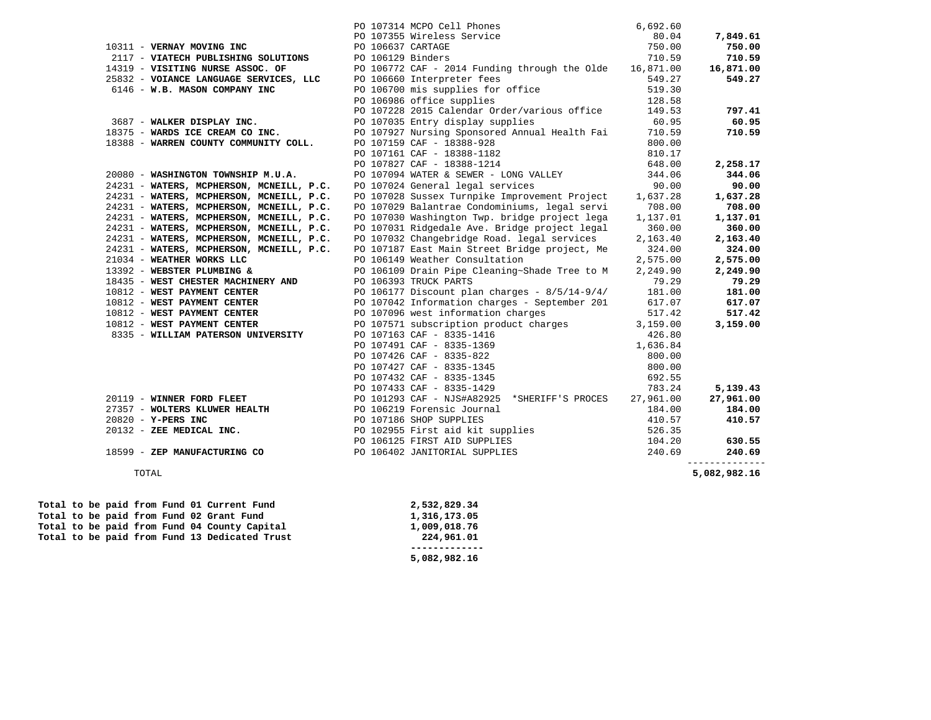|                                                                                                                                                                                                                                                     |                   |                                                                                                                                                               | 6,692.60           |                                       |
|-----------------------------------------------------------------------------------------------------------------------------------------------------------------------------------------------------------------------------------------------------|-------------------|---------------------------------------------------------------------------------------------------------------------------------------------------------------|--------------------|---------------------------------------|
|                                                                                                                                                                                                                                                     |                   | PO 107314 MCPO Cell Phones<br>PO 107355 Wireless Service                                                                                                      | 80.04              | 7,849.61                              |
| 10311 - VERNAY MOVING INC                                                                                                                                                                                                                           | PO 106637 CARTAGE |                                                                                                                                                               | 750.00             | 750.00                                |
|                                                                                                                                                                                                                                                     |                   |                                                                                                                                                               |                    | 710.59                                |
|                                                                                                                                                                                                                                                     |                   |                                                                                                                                                               |                    | 16,871.00                             |
|                                                                                                                                                                                                                                                     |                   |                                                                                                                                                               |                    | 549.27                                |
| 2117 - <b>VIATECH PUBLISHING SOLUTIONS</b> PO 106129 Binders and Funding through the Olde 16,871.00<br>14319 - <b>VISITING NURSE ASSOC. OF</b> PO 106772 CAF - 2014 Funding through the Olde 16,871.00<br>25832 - <b>VOIANCE LANGUAGE SERVICES,</b> |                   |                                                                                                                                                               |                    |                                       |
|                                                                                                                                                                                                                                                     |                   | PO 106986 office supplies                                                                                                                                     | 128.58             |                                       |
|                                                                                                                                                                                                                                                     |                   | PO 107228 2015 Calendar Order/various office                                                                                                                  | 149.53             | 797.41                                |
| 3687 - WALKER DISPLAY INC.                                                                                                                                                                                                                          |                   | PO 107035 Entry display supplies                                                                                                                              | 60.95              | 60.95                                 |
| 18375 - WARDS ICE CREAM CO INC. PO 107927 Nursing Sponsored Annual Health Fai                                                                                                                                                                       |                   |                                                                                                                                                               | 710.59             | 710.59                                |
| 18388 - WARREN COUNTY COMMUNITY COLL.                                                                                                                                                                                                               |                   | PO 107159 CAF - 18388-928                                                                                                                                     | 800.00             |                                       |
|                                                                                                                                                                                                                                                     |                   | PO 107161 CAF - 18388-1182                                                                                                                                    | 810.17             |                                       |
|                                                                                                                                                                                                                                                     |                   | PO 107827 CAF - 18388-1214                                                                                                                                    | 648.00             | 2,258.17                              |
| 20080 - WASHINGTON TOWNSHIP M.U.A.                                                                                                                                                                                                                  |                   | PO 107094 WATER & SEWER - LONG VALLEY                                                                                                                         | 344.06             | 344.06                                |
| 24231 - WATERS, MCPHERSON, MCNEILL, P.C.                                                                                                                                                                                                            |                   | PO 107024 General legal services                                                                                                                              | 90.00              | 90.00                                 |
| 24231 - WATERS, MCPHERSON, MCNEILL, P.C.                                                                                                                                                                                                            |                   | PO 107028 Sussex Turnpike Improvement Project                                                                                                                 | 1,637.28           | 1,637.28                              |
| 24231 - WATERS, MCPHERSON, MCNEILL, P.C.                                                                                                                                                                                                            |                   | PO 107029 Balantrae Condominiums, legal servi                                                                                                                 | 708.00             | 708.00                                |
| 24231 - WATERS, MCPHERSON, MCNEILL, P.C.                                                                                                                                                                                                            |                   | PO 107030 Washington Twp. bridge project lega                                                                                                                 | 1,137.01           | 1,137.01                              |
| 24231 - WATERS, MCPHERSON, MCNEILL, P.C.                                                                                                                                                                                                            |                   | PO 107031 Ridgedale Ave. Bridge project legal                                                                                                                 | 360.00             | 360.00                                |
| 24231 - WATERS, MCPHERSON, MCNEILL, P.C.                                                                                                                                                                                                            |                   | PO 107032 Changebridge Road. legal services                                                                                                                   | 2,163.40           | 2,163.40                              |
| 24231 - WATERS, MCPHERSON, MCNEILL, P.C. PO 107187 East Main Street Bridge project, Me                                                                                                                                                              |                   |                                                                                                                                                               | 324.00             | 324.00                                |
| 21034 - WEATHER WORKS LLC                                                                                                                                                                                                                           |                   | PO 106149 Weather Consultation                                                                                                                                | 2,575.00           | 2,575.00                              |
| 13392 - WEBSTER PLUMBING &                                                                                                                                                                                                                          |                   | PO 106109 Drain Pipe Cleaning~Shade Tree to M                                                                                                                 | 2,249.90           | 2,249.90                              |
| 18435 - WEST CHESTER MACHINERY AND                                                                                                                                                                                                                  |                   | PO 106393 TRUCK PARTS<br>PO 106177 Discount plan charges - 8/5/14-9/4/<br>PO 107042 Information charges - September 201<br>PO 107096 west information charges | 79.29              | 79.29                                 |
| 10812 - WEST PAYMENT CENTER<br>10812 - WEST PAYMENT CENTER                                                                                                                                                                                          |                   |                                                                                                                                                               | 181.00             | 181.00                                |
|                                                                                                                                                                                                                                                     |                   |                                                                                                                                                               | 617.07             | 617.07                                |
| 10812 - WEST PAYMENT CENTER<br>10812 - WEST PAYMENT CENTER                                                                                                                                                                                          |                   |                                                                                                                                                               | 517.42             | 517.42<br>3,159.00                    |
| 8335 - WILLIAM PATERSON UNIVERSITY                                                                                                                                                                                                                  |                   | PO 107571 subscription product charges                                                                                                                        | 3,159.00<br>426.80 |                                       |
|                                                                                                                                                                                                                                                     |                   | PO 107163 CAF - 8335-1416<br>PO 107491 CAF - 8335-1369                                                                                                        | 1,636.84           |                                       |
|                                                                                                                                                                                                                                                     |                   |                                                                                                                                                               | 800.00             |                                       |
|                                                                                                                                                                                                                                                     |                   | PO 107426 CAF - 8335-822<br>PO 107427 CAF - 8335-1345<br>PO 107432 CAF - 8335-1345<br>PO 107433 CAF - 8335-1429                                               | 800.00             |                                       |
|                                                                                                                                                                                                                                                     |                   |                                                                                                                                                               | 692.55             |                                       |
|                                                                                                                                                                                                                                                     |                   | PO 107433 CAF - 8335-1429                                                                                                                                     | 783.24             | 5,139.43                              |
| 20119 - WINNER FORD FLEET<br>20119 - WINNER FORD FLEET PO 101293 CAF - NJS#A82925 *SHERIFF'S PROCES 27,961.00                                                                                                                                       |                   |                                                                                                                                                               |                    | 27,961.00                             |
|                                                                                                                                                                                                                                                     |                   |                                                                                                                                                               | 184.00             | 184.00                                |
|                                                                                                                                                                                                                                                     |                   |                                                                                                                                                               | 410.57             | 410.57                                |
|                                                                                                                                                                                                                                                     |                   |                                                                                                                                                               | 526.35             |                                       |
|                                                                                                                                                                                                                                                     |                   |                                                                                                                                                               | 104.20             | 630.55                                |
| 20820 - WOLTERS KLUWER HEALTH<br>20820 - Y-PERS INC<br>20820 - Y-PERS INC<br>20132 - ZEE MEDICAL INC.<br>20132 - ZEE MEDICAL INC.<br>20132 - ZEE MEDICAL INC.<br>2016219 Forensic Journal<br>20102955 First aid kit supplies<br>20106402 JANIT      |                   |                                                                                                                                                               | 240.69             | 240.69                                |
| TOTAL                                                                                                                                                                                                                                               |                   |                                                                                                                                                               |                    | <u>______________</u><br>5,082,982.16 |
| Total to be paid from Fund 01 Current Fund                                                                                                                                                                                                          |                   | 2,532,829.34                                                                                                                                                  |                    |                                       |
| Total to be paid from Fund 02 Grant Fund                                                                                                                                                                                                            |                   | 1,316,173.05                                                                                                                                                  |                    |                                       |

 **------------- 5,082,982.16**

Total to be paid from Fund 02 Grant Fund 1,316,173.05<br>Total to be paid from Fund 04 County Capital 1,009,018.76

Total to be paid from Fund 04 County Capital Total to be paid from Fund 13 Dedicated Trust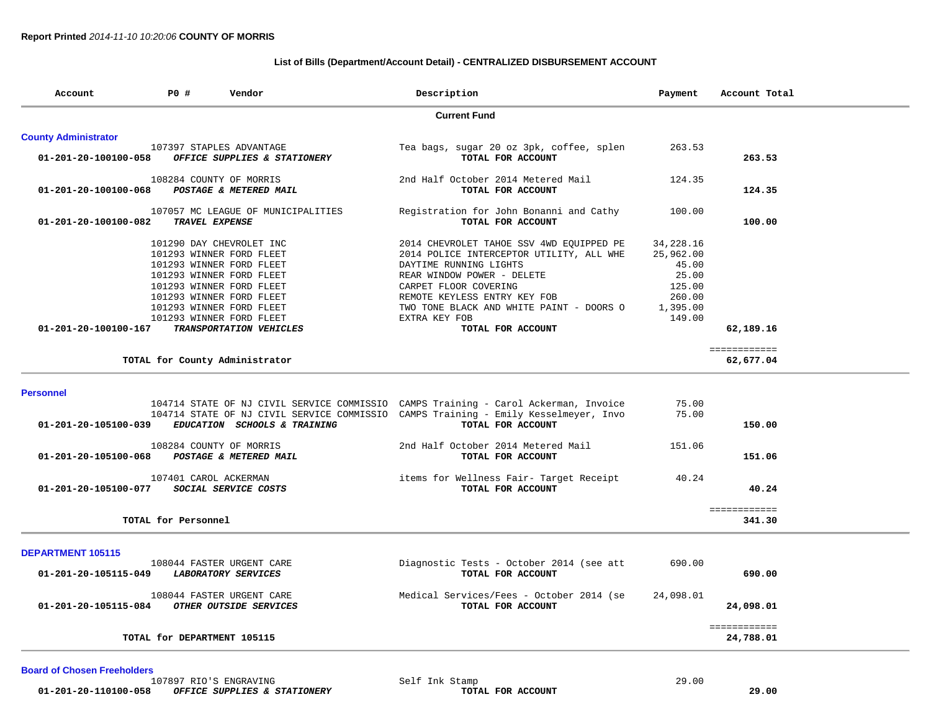# **List of Bills (Department/Account Detail) - CENTRALIZED DISBURSEMENT ACCOUNT**

| Account                        | PO#                         | Vendor                                                                                                                                                                                                                                                  | Description                                                                                                                                                                                                                                                                             | Payment                                                                            | Account Total             |
|--------------------------------|-----------------------------|---------------------------------------------------------------------------------------------------------------------------------------------------------------------------------------------------------------------------------------------------------|-----------------------------------------------------------------------------------------------------------------------------------------------------------------------------------------------------------------------------------------------------------------------------------------|------------------------------------------------------------------------------------|---------------------------|
|                                |                             |                                                                                                                                                                                                                                                         | <b>Current Fund</b>                                                                                                                                                                                                                                                                     |                                                                                    |                           |
| <b>County Administrator</b>    |                             |                                                                                                                                                                                                                                                         |                                                                                                                                                                                                                                                                                         |                                                                                    |                           |
| 01-201-20-100100-058           |                             | 107397 STAPLES ADVANTAGE<br>OFFICE SUPPLIES & STATIONERY                                                                                                                                                                                                | Tea bags, sugar 20 oz 3pk, coffee, splen<br>TOTAL FOR ACCOUNT                                                                                                                                                                                                                           | 263.53                                                                             | 263.53                    |
| 01-201-20-100100-068           | 108284 COUNTY OF MORRIS     | POSTAGE & METERED MAIL                                                                                                                                                                                                                                  | 2nd Half October 2014 Metered Mail<br>TOTAL FOR ACCOUNT                                                                                                                                                                                                                                 | 124.35                                                                             | 124.35                    |
| $01 - 201 - 20 - 100100 - 082$ | TRAVEL EXPENSE              | 107057 MC LEAGUE OF MUNICIPALITIES                                                                                                                                                                                                                      | Registration for John Bonanni and Cathy<br>TOTAL FOR ACCOUNT                                                                                                                                                                                                                            | 100.00                                                                             | 100.00                    |
| 01-201-20-100100-167           |                             | 101290 DAY CHEVROLET INC<br>101293 WINNER FORD FLEET<br>101293 WINNER FORD FLEET<br>101293 WINNER FORD FLEET<br>101293 WINNER FORD FLEET<br>101293 WINNER FORD FLEET<br>101293 WINNER FORD FLEET<br>101293 WINNER FORD FLEET<br>TRANSPORTATION VEHICLES | 2014 CHEVROLET TAHOE SSV 4WD EQUIPPED PE<br>2014 POLICE INTERCEPTOR UTILITY, ALL WHE<br>DAYTIME RUNNING LIGHTS<br>REAR WINDOW POWER - DELETE<br>CARPET FLOOR COVERING<br>REMOTE KEYLESS ENTRY KEY FOB<br>TWO TONE BLACK AND WHITE PAINT - DOORS O<br>EXTRA KEY FOB<br>TOTAL FOR ACCOUNT | 34,228.16<br>25,962.00<br>45.00<br>25.00<br>125.00<br>260.00<br>1,395.00<br>149.00 | 62,189.16                 |
|                                |                             | TOTAL for County Administrator                                                                                                                                                                                                                          |                                                                                                                                                                                                                                                                                         |                                                                                    | ============<br>62,677.04 |
| <b>Personnel</b>               |                             |                                                                                                                                                                                                                                                         |                                                                                                                                                                                                                                                                                         |                                                                                    |                           |
| 01-201-20-105100-039           |                             | EDUCATION SCHOOLS & TRAINING                                                                                                                                                                                                                            | 104714 STATE OF NJ CIVIL SERVICE COMMISSIO CAMPS Training - Carol Ackerman, Invoice<br>104714 STATE OF NJ CIVIL SERVICE COMMISSIO CAMPS Training - Emily Kesselmeyer, Invo<br>TOTAL FOR ACCOUNT                                                                                         | 75.00<br>75.00                                                                     | 150.00                    |
| 01-201-20-105100-068           | 108284 COUNTY OF MORRIS     | POSTAGE & METERED MAIL                                                                                                                                                                                                                                  | 2nd Half October 2014 Metered Mail<br>TOTAL FOR ACCOUNT                                                                                                                                                                                                                                 | 151.06                                                                             | 151.06                    |
| 01-201-20-105100-077           | 107401 CAROL ACKERMAN       | SOCIAL SERVICE COSTS                                                                                                                                                                                                                                    | items for Wellness Fair- Target Receipt<br>TOTAL FOR ACCOUNT                                                                                                                                                                                                                            | 40.24                                                                              | 40.24                     |
|                                | TOTAL for Personnel         |                                                                                                                                                                                                                                                         |                                                                                                                                                                                                                                                                                         |                                                                                    | ============<br>341.30    |
| <b>DEPARTMENT 105115</b>       |                             |                                                                                                                                                                                                                                                         |                                                                                                                                                                                                                                                                                         |                                                                                    |                           |
| 01-201-20-105115-049           |                             | 108044 FASTER URGENT CARE<br>LABORATORY SERVICES                                                                                                                                                                                                        | Diagnostic Tests - October 2014 (see att<br>TOTAL FOR ACCOUNT                                                                                                                                                                                                                           | 690.00                                                                             | 690.00                    |
| 01-201-20-105115-084           |                             | 108044 FASTER URGENT CARE<br>OTHER OUTSIDE SERVICES                                                                                                                                                                                                     | Medical Services/Fees - October 2014 (se<br>TOTAL FOR ACCOUNT                                                                                                                                                                                                                           | 24,098.01                                                                          | 24,098.01                 |
|                                | TOTAL for DEPARTMENT 105115 |                                                                                                                                                                                                                                                         |                                                                                                                                                                                                                                                                                         |                                                                                    | ============<br>24,788.01 |

## **Board of Chosen Freeholders**

|                           | 07897<br>ENGRAVING<br>RIO'S. | .nk<br>Selt<br>and the contract of the contract of the contract of the contract of the contract of the contract of the contract of | . ററ<br>ററ |
|---------------------------|------------------------------|------------------------------------------------------------------------------------------------------------------------------------|------------|
| 1-201-20-110100-058<br>01 | OFFICE SUPPLIES & STATIONERY | ACCOUNT<br><b>FOR</b><br>тотат.                                                                                                    |            |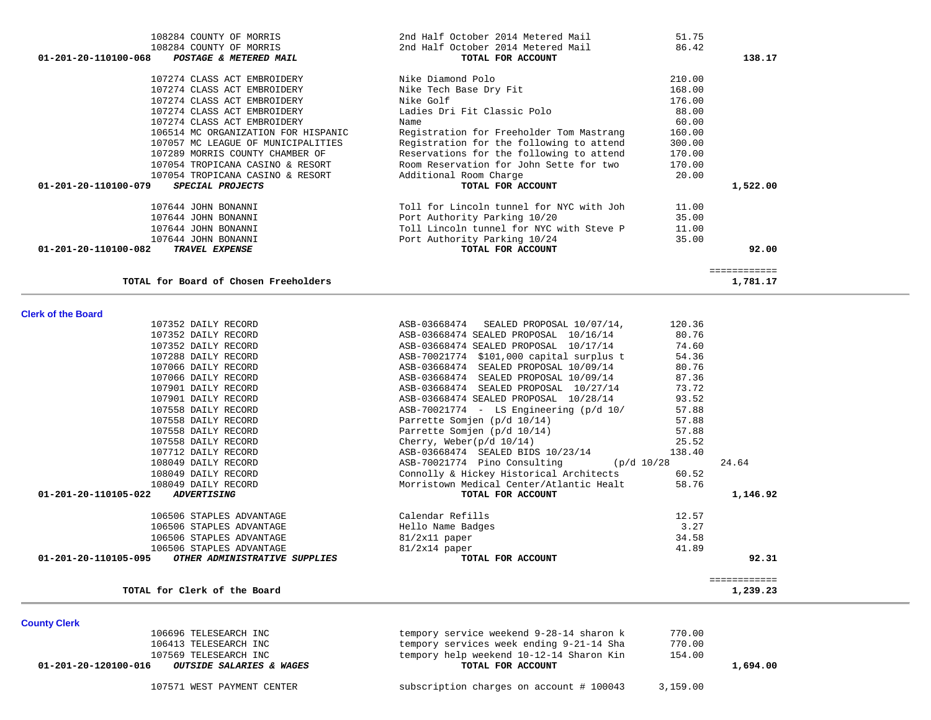| 01-201-20-120100-016<br><i>OUTSIDE SALARIES &amp; WAGES</i> | TOTAL FOR ACCOUNT                        | 1,694.00 |
|-------------------------------------------------------------|------------------------------------------|----------|
| 107569 TELESEARCH INC                                       | tempory help weekend 10-12-14 Sharon Kin | 154.00   |
| 106413 TELESEARCH INC                                       | tempory services week ending 9-21-14 Sha | 770.00   |
| 106696 TELESEARCH INC                                       | tempory service weekend 9-28-14 sharon k | 770.00   |

**County Clerk** 

| TOTAL for Clerk of the<br>Board | 1,239.23 |
|---------------------------------|----------|
|                                 |          |

|                      | 107352 DAILY RECORD           | ASB-03668474 SEALED PROPOSAL 10/16/14       | 80.76        |
|----------------------|-------------------------------|---------------------------------------------|--------------|
|                      | 107352 DAILY RECORD           | ASB-03668474 SEALED PROPOSAL 10/17/14       | 74.60        |
|                      | 107288 DAILY RECORD           | ASB-70021774 \$101,000 capital surplus t    | 54.36        |
|                      | 107066 DAILY RECORD           | ASB-03668474 SEALED PROPOSAL 10/09/14       | 80.76        |
|                      | 107066 DAILY RECORD           | ASB-03668474 SEALED PROPOSAL 10/09/14       | 87.36        |
|                      | 107901 DAILY RECORD           | ASB-03668474 SEALED PROPOSAL 10/27/14       | 73.72        |
|                      | 107901 DAILY RECORD           | ASB-03668474 SEALED PROPOSAL 10/28/14       | 93.52        |
|                      | 107558 DAILY RECORD           | $ASB-70021774 - LS$ Engineering $(p/d 10/$  | 57.88        |
|                      | 107558 DAILY RECORD           | Parrette Somjen (p/d 10/14)                 | 57.88        |
|                      | 107558 DAILY RECORD           | Parrette Somjen (p/d 10/14)                 | 57.88        |
|                      | 107558 DAILY RECORD           | Cherry, Weber( $p/d$ 10/14)                 | 25.52        |
|                      | 107712 DAILY RECORD           | ASB-03668474 SEALED BIDS 10/23/14           | 138.40       |
|                      | 108049 DAILY RECORD           | $ASB-70021774$ Pino Consulting (p/d $10/28$ | 24.64        |
|                      | 108049 DAILY RECORD           | Connolly & Hickey Historical Architects     | 60.52        |
|                      | 108049 DAILY RECORD           | Morristown Medical Center/Atlantic Healt    | 58.76        |
| 01-201-20-110105-022 | <i><b>ADVERTISING</b></i>     | TOTAL FOR ACCOUNT                           | 1,146.92     |
|                      | 106506 STAPLES ADVANTAGE      | Calendar Refills                            | 12.57        |
|                      | 106506 STAPLES ADVANTAGE      | Hello Name Badges                           | 3.27         |
|                      | 106506 STAPLES ADVANTAGE      | 81/2x11 paper                               | 34.58        |
|                      | 106506 STAPLES ADVANTAGE      | $81/2x14$ paper                             | 41.89        |
| 01-201-20-110105-095 | OTHER ADMINISTRATIVE SUPPLIES | TOTAL FOR ACCOUNT                           | 92.31        |
|                      |                               |                                             |              |
|                      |                               |                                             | ============ |

107352 DAILY RECORD ASB-03668474 SEALED PROPOSAL 10/07/14, 120.36

## **Clerk of the Board**

 $\sim$ 

| 86.42<br>108284 COUNTY OF MORRIS<br>2nd Half October 2014 Metered Mail<br>01-201-20-110100-068<br>POSTAGE & METERED MAIL<br>TOTAL FOR ACCOUNT<br>138.17<br>107274 CLASS ACT EMBROIDERY<br>Nike Diamond Polo<br>210.00<br>168.00<br>107274 CLASS ACT EMBROIDERY<br>Nike Tech Base Dry Fit<br>176.00<br>107274 CLASS ACT EMBROIDERY<br>Nike Golf<br>Ladies Dri Fit Classic Polo<br>88.00<br>107274 CLASS ACT EMBROIDERY<br>60.00<br>107274 CLASS ACT EMBROIDERY<br>Name<br>160.00<br>106514 MC ORGANIZATION FOR HISPANIC<br>Registration for Freeholder Tom Mastrang<br>Registration for the following to attend<br>107057 MC LEAGUE OF MUNICIPALITIES<br>300.00 |  |
|----------------------------------------------------------------------------------------------------------------------------------------------------------------------------------------------------------------------------------------------------------------------------------------------------------------------------------------------------------------------------------------------------------------------------------------------------------------------------------------------------------------------------------------------------------------------------------------------------------------------------------------------------------------|--|
|                                                                                                                                                                                                                                                                                                                                                                                                                                                                                                                                                                                                                                                                |  |
|                                                                                                                                                                                                                                                                                                                                                                                                                                                                                                                                                                                                                                                                |  |
|                                                                                                                                                                                                                                                                                                                                                                                                                                                                                                                                                                                                                                                                |  |
|                                                                                                                                                                                                                                                                                                                                                                                                                                                                                                                                                                                                                                                                |  |
|                                                                                                                                                                                                                                                                                                                                                                                                                                                                                                                                                                                                                                                                |  |
|                                                                                                                                                                                                                                                                                                                                                                                                                                                                                                                                                                                                                                                                |  |
|                                                                                                                                                                                                                                                                                                                                                                                                                                                                                                                                                                                                                                                                |  |
|                                                                                                                                                                                                                                                                                                                                                                                                                                                                                                                                                                                                                                                                |  |
|                                                                                                                                                                                                                                                                                                                                                                                                                                                                                                                                                                                                                                                                |  |
| 107289 MORRIS COUNTY CHAMBER OF<br>Reservations for the following to attend<br>170.00                                                                                                                                                                                                                                                                                                                                                                                                                                                                                                                                                                          |  |
| Room Reservation for John Sette for two<br>170.00<br>107054 TROPICANA CASINO & RESORT                                                                                                                                                                                                                                                                                                                                                                                                                                                                                                                                                                          |  |
| 20.00<br>107054 TROPICANA CASINO & RESORT<br>Additional Room Charge                                                                                                                                                                                                                                                                                                                                                                                                                                                                                                                                                                                            |  |
| 01-201-20-110100-079<br>1,522.00<br>SPECIAL PROJECTS<br>TOTAL FOR ACCOUNT                                                                                                                                                                                                                                                                                                                                                                                                                                                                                                                                                                                      |  |
| Toll for Lincoln tunnel for NYC with Joh<br>107644 JOHN BONANNI<br>11.00                                                                                                                                                                                                                                                                                                                                                                                                                                                                                                                                                                                       |  |
| 35.00<br>107644 JOHN BONANNI<br>Port Authority Parking 10/20                                                                                                                                                                                                                                                                                                                                                                                                                                                                                                                                                                                                   |  |
| 107644 JOHN BONANNI<br>Toll Lincoln tunnel for NYC with Steve P<br>11.00                                                                                                                                                                                                                                                                                                                                                                                                                                                                                                                                                                                       |  |
| Port Authority Parking 10/24<br>35.00<br>107644 JOHN BONANNI                                                                                                                                                                                                                                                                                                                                                                                                                                                                                                                                                                                                   |  |
| 01-201-20-110100-082<br>TRAVEL EXPENSE<br>TOTAL FOR ACCOUNT<br>92.00                                                                                                                                                                                                                                                                                                                                                                                                                                                                                                                                                                                           |  |
|                                                                                                                                                                                                                                                                                                                                                                                                                                                                                                                                                                                                                                                                |  |
| ============                                                                                                                                                                                                                                                                                                                                                                                                                                                                                                                                                                                                                                                   |  |
| TOTAL for Board of Chosen Freeholders<br>1,781.17                                                                                                                                                                                                                                                                                                                                                                                                                                                                                                                                                                                                              |  |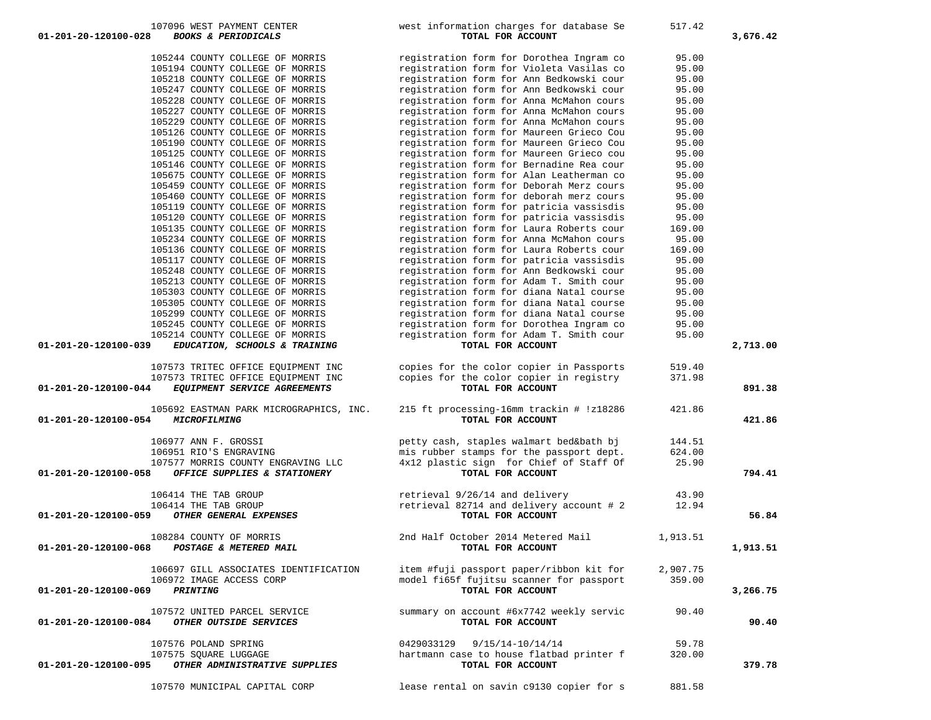| 01-201-20-120100-028<br><b>BOOKS &amp; PERIODICALS</b> | TOTAL FOR ACCOUNT                        |          | 3,676.42 |
|--------------------------------------------------------|------------------------------------------|----------|----------|
| 105244 COUNTY COLLEGE OF MORRIS                        | registration form for Dorothea Ingram co | 95.00    |          |
| 105194 COUNTY COLLEGE OF MORRIS                        | registration form for Violeta Vasilas co | 95.00    |          |
| 105218 COUNTY COLLEGE OF MORRIS                        | registration form for Ann Bedkowski cour | 95.00    |          |
| 105247 COUNTY COLLEGE OF MORRIS                        | registration form for Ann Bedkowski cour | 95.00    |          |
| 105228 COUNTY COLLEGE OF MORRIS                        | registration form for Anna McMahon cours | 95.00    |          |
| 105227 COUNTY COLLEGE OF MORRIS                        | registration form for Anna McMahon cours | 95.00    |          |
| 105229 COUNTY COLLEGE OF MORRIS                        | registration form for Anna McMahon cours | 95.00    |          |
| 105126 COUNTY COLLEGE OF MORRIS                        | registration form for Maureen Grieco Cou | 95.00    |          |
| 105190 COUNTY COLLEGE OF MORRIS                        | registration form for Maureen Grieco Cou | 95.00    |          |
| 105125 COUNTY COLLEGE OF MORRIS                        | registration form for Maureen Grieco cou | 95.00    |          |
| 105146 COUNTY COLLEGE OF MORRIS                        | registration form for Bernadine Rea cour | 95.00    |          |
| 105675 COUNTY COLLEGE OF MORRIS                        | registration form for Alan Leatherman co | 95.00    |          |
| 105459 COUNTY COLLEGE OF MORRIS                        | registration form for Deborah Merz cours | 95.00    |          |
| 105460 COUNTY COLLEGE OF MORRIS                        | registration form for deborah merz cours | 95.00    |          |
| 105119 COUNTY COLLEGE OF MORRIS                        | registration form for patricia vassisdis | 95.00    |          |
| 105120 COUNTY COLLEGE OF MORRIS                        | registration form for patricia vassisdis | 95.00    |          |
| 105135 COUNTY COLLEGE OF MORRIS                        | registration form for Laura Roberts cour | 169.00   |          |
| 105234 COUNTY COLLEGE OF MORRIS                        | registration form for Anna McMahon cours | 95.00    |          |
| 105136 COUNTY COLLEGE OF MORRIS                        | registration form for Laura Roberts cour | 169.00   |          |
| 105117 COUNTY COLLEGE OF MORRIS                        | registration form for patricia vassisdis | 95.00    |          |
| 105248 COUNTY COLLEGE OF MORRIS                        | registration form for Ann Bedkowski cour | 95.00    |          |
| 105213 COUNTY COLLEGE OF MORRIS                        | registration form for Adam T. Smith cour | 95.00    |          |
| 105303 COUNTY COLLEGE OF MORRIS                        | registration form for diana Natal course | 95.00    |          |
| 105305 COUNTY COLLEGE OF MORRIS                        | registration form for diana Natal course | 95.00    |          |
| 105299 COUNTY COLLEGE OF MORRIS                        | registration form for diana Natal course | 95.00    |          |
| 105245 COUNTY COLLEGE OF MORRIS                        | registration form for Dorothea Ingram co | 95.00    |          |
| 105214 COUNTY COLLEGE OF MORRIS                        | registration form for Adam T. Smith cour | 95.00    |          |
| 01-201-20-120100-039<br>EDUCATION, SCHOOLS & TRAINING  | TOTAL FOR ACCOUNT                        |          | 2,713.00 |
|                                                        |                                          |          |          |
| 107573 TRITEC OFFICE EQUIPMENT INC                     | copies for the color copier in Passports | 519.40   |          |
| 107573 TRITEC OFFICE EQUIPMENT INC                     | copies for the color copier in registry  | 371.98   |          |
| EQUIPMENT SERVICE AGREEMENTS<br>01-201-20-120100-044   | TOTAL FOR ACCOUNT                        |          | 891.38   |
| 105692 EASTMAN PARK MICROGRAPHICS, INC.                | 215 ft processing-16mm trackin # !z18286 | 421.86   |          |
| 01-201-20-120100-054<br>MICROFILMING                   | TOTAL FOR ACCOUNT                        |          | 421.86   |
|                                                        |                                          |          |          |
| 106977 ANN F. GROSSI                                   | petty cash, staples walmart bed&bath bj  | 144.51   |          |
| 106951 RIO'S ENGRAVING                                 | mis rubber stamps for the passport dept. | 624.00   |          |
| 107577 MORRIS COUNTY ENGRAVING LLC                     | 4x12 plastic sign for Chief of Staff Of  | 25.90    |          |
| 01-201-20-120100-058<br>OFFICE SUPPLIES & STATIONERY   | TOTAL FOR ACCOUNT                        |          | 794.41   |
|                                                        |                                          |          |          |
| 106414 THE TAB GROUP                                   | retrieval 9/26/14 and delivery           | 43.90    |          |
| 106414 THE TAB GROUP                                   | retrieval 82714 and delivery account # 2 | 12.94    |          |
| 01-201-20-120100-059<br>OTHER GENERAL EXPENSES         | TOTAL FOR ACCOUNT                        |          | 56.84    |
| 108284 COUNTY OF MORRIS                                | 2nd Half October 2014 Metered Mail       |          |          |
| 01-201-20-120100-068<br>POSTAGE & METERED MAIL         | TOTAL FOR ACCOUNT                        | 1,913.51 | 1,913.51 |
|                                                        |                                          |          |          |
| 106697 GILL ASSOCIATES IDENTIFICATION                  | item #fuji passport paper/ribbon kit for | 2,907.75 |          |
| 106972 IMAGE ACCESS CORP                               | model fi65f fujitsu scanner for passport | 359.00   |          |
| 01-201-20-120100-069<br>PRINTING                       | TOTAL FOR ACCOUNT                        |          | 3,266.75 |
|                                                        |                                          |          |          |
| 107572 UNITED PARCEL SERVICE                           | summary on account #6x7742 weekly servic | 90.40    |          |
| 01-201-20-120100-084<br>OTHER OUTSIDE SERVICES         | TOTAL FOR ACCOUNT                        |          | 90.40    |
|                                                        |                                          |          |          |
| 107576 POLAND SPRING                                   | 0429033129<br>9/15/14-10/14/14           | 59.78    |          |
| 107575 SOUARE LUGGAGE                                  | hartmann case to house flatbad printer f | 320.00   |          |
| OTHER ADMINISTRATIVE SUPPLIES<br>01-201-20-120100-095  | TOTAL FOR ACCOUNT                        |          | 379.78   |
|                                                        |                                          |          |          |

107570 MUNICIPAL CAPITAL CORP lease rental on savin c9130 copier for s 881.58

107096 WEST PAYMENT CENTER west information charges for database Se 517.42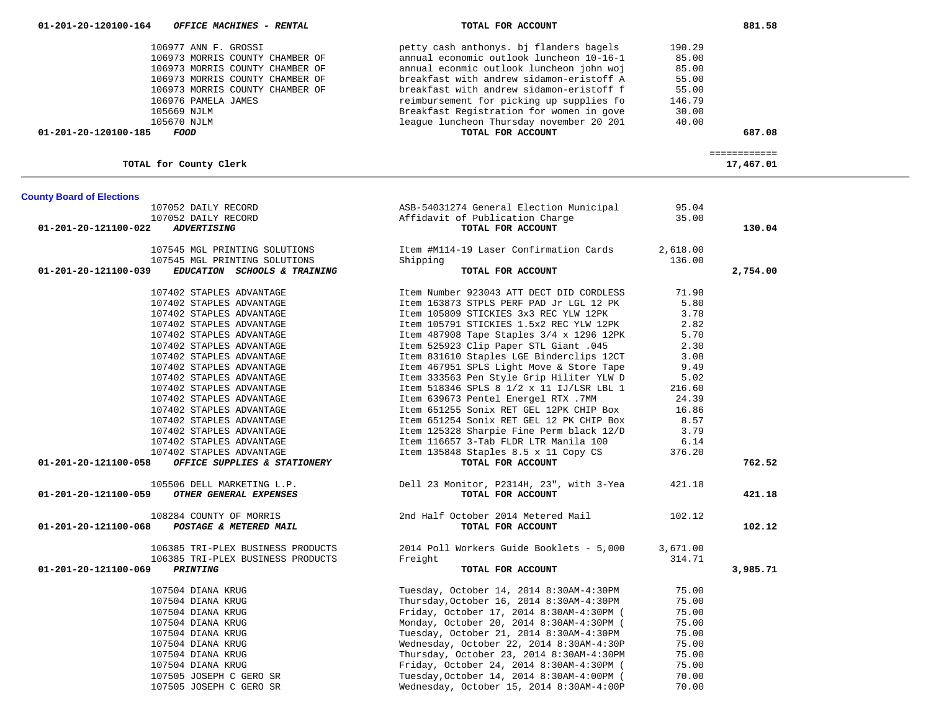| 01-201-20-120100-164             | OFFICE MACHINES - RENTAL          | TOTAL FOR ACCOUNT                                 |          | 881.58       |  |
|----------------------------------|-----------------------------------|---------------------------------------------------|----------|--------------|--|
|                                  |                                   |                                                   |          |              |  |
|                                  | 106977 ANN F. GROSSI              | petty cash anthonys. bj flanders bagels           | 190.29   |              |  |
|                                  | 106973 MORRIS COUNTY CHAMBER OF   | annual economic outlook luncheon 10-16-1          | 85.00    |              |  |
|                                  | 106973 MORRIS COUNTY CHAMBER OF   | annual econmic outlook luncheon john woj          | 85.00    |              |  |
|                                  | 106973 MORRIS COUNTY CHAMBER OF   | breakfast with andrew sidamon-eristoff A          | 55.00    |              |  |
|                                  | 106973 MORRIS COUNTY CHAMBER OF   | breakfast with andrew sidamon-eristoff f          | 55.00    |              |  |
|                                  | 106976 PAMELA JAMES               | reimbursement for picking up supplies fo          | 146.79   |              |  |
|                                  | 105669 NJLM                       | Breakfast Registration for women in gove          | 30.00    |              |  |
|                                  | 105670 NJLM                       | league luncheon Thursday november 20 201          | 40.00    |              |  |
| 01-201-20-120100-185             | FOOD                              | TOTAL FOR ACCOUNT                                 |          | 687.08       |  |
|                                  |                                   |                                                   |          |              |  |
|                                  |                                   |                                                   |          | ============ |  |
|                                  | TOTAL for County Clerk            |                                                   |          | 17,467.01    |  |
| <b>County Board of Elections</b> |                                   |                                                   |          |              |  |
|                                  | 107052 DAILY RECORD               | ASB-54031274 General Election Municipal           | 95.04    |              |  |
|                                  | 107052 DAILY RECORD               | Affidavit of Publication Charge                   | 35.00    |              |  |
| 01-201-20-121100-022             | <b>ADVERTISING</b>                | TOTAL FOR ACCOUNT                                 |          | 130.04       |  |
|                                  |                                   |                                                   |          |              |  |
|                                  | 107545 MGL PRINTING SOLUTIONS     | Item #M114-19 Laser Confirmation Cards            | 2,618.00 |              |  |
|                                  | 107545 MGL PRINTING SOLUTIONS     | Shipping                                          | 136.00   |              |  |
| 01-201-20-121100-039             | EDUCATION SCHOOLS & TRAINING      | TOTAL FOR ACCOUNT                                 |          | 2,754.00     |  |
|                                  |                                   |                                                   |          |              |  |
|                                  | 107402 STAPLES ADVANTAGE          | Item Number 923043 ATT DECT DID CORDLESS          | 71.98    |              |  |
|                                  | 107402 STAPLES ADVANTAGE          | Item 163873 STPLS PERF PAD Jr LGL 12 PK           | 5.80     |              |  |
|                                  | 107402 STAPLES ADVANTAGE          | Item 105809 STICKIES 3x3 REC YLW 12PK             | 3.78     |              |  |
|                                  | 107402 STAPLES ADVANTAGE          | Item 105791 STICKIES 1.5x2 REC YLW 12PK           | 2.82     |              |  |
|                                  | 107402 STAPLES ADVANTAGE          | Item 487908 Tape Staples 3/4 x 1296 12PK          | 5.70     |              |  |
|                                  | 107402 STAPLES ADVANTAGE          | 145. Item 525923 Clip Paper STL Giant             | 2.30     |              |  |
|                                  | 107402 STAPLES ADVANTAGE          | Item 831610 Staples LGE Binderclips 12CT          | 3.08     |              |  |
|                                  |                                   | Item 467951 SPLS Light Move & Store Tape          |          |              |  |
|                                  | 107402 STAPLES ADVANTAGE          |                                                   | 9.49     |              |  |
|                                  | 107402 STAPLES ADVANTAGE          | Item 333563 Pen Style Grip Hiliter YLW D          | 5.02     |              |  |
|                                  | 107402 STAPLES ADVANTAGE          | Item 518346 SPLS 8 1/2 x 11 IJ/LSR LBL 1          | 216.60   |              |  |
|                                  | 107402 STAPLES ADVANTAGE          | Item 639673 Pentel Energel RTX .7MM               | 24.39    |              |  |
|                                  | 107402 STAPLES ADVANTAGE          | Item 651255 Sonix RET GEL 12PK CHIP Box           | 16.86    |              |  |
|                                  | 107402 STAPLES ADVANTAGE          | Item 651254 Sonix RET GEL 12 PK CHIP Box          | 8.57     |              |  |
|                                  | 107402 STAPLES ADVANTAGE          | Item 125328 Sharpie Fine Perm black 12/D          | 3.79     |              |  |
|                                  | 107402 STAPLES ADVANTAGE          | Item 116657 3-Tab FLDR LTR Manila 100             | 6.14     |              |  |
|                                  | 107402 STAPLES ADVANTAGE          | Item 135848 Staples 8.5 x 11 Copy CS              | 376.20   |              |  |
| 01-201-20-121100-058             | OFFICE SUPPLIES & STATIONERY      | TOTAL FOR ACCOUNT                                 |          | 762.52       |  |
|                                  |                                   |                                                   |          |              |  |
| 01-201-20-121100-059             | 105506 DELL MARKETING L.P.        | Dell 23 Monitor, P2314H, 23", with 3-Yea          | 421.18   |              |  |
|                                  | OTHER GENERAL EXPENSES            | TOTAL FOR ACCOUNT                                 |          | 421.18       |  |
|                                  | 108284 COUNTY OF MORRIS           | 2nd Half October 2014 Metered Mail                | 102.12   |              |  |
| 01-201-20-121100-068             | POSTAGE & METERED MAIL            | TOTAL FOR ACCOUNT                                 |          | 102.12       |  |
|                                  |                                   |                                                   |          |              |  |
|                                  | 106385 TRI-PLEX BUSINESS PRODUCTS | 2014 Poll Workers Guide Booklets - 5,000 3,671.00 |          |              |  |
|                                  | 106385 TRI-PLEX BUSINESS PRODUCTS | Freight                                           | 314.71   |              |  |
| 01-201-20-121100-069             | <i><b>PRINTING</b></i>            | TOTAL FOR ACCOUNT                                 |          | 3,985.71     |  |
|                                  | 107504 DIANA KRUG                 | Tuesday, October 14, 2014 8:30AM-4:30PM           | 75.00    |              |  |
|                                  | 107504 DIANA KRUG                 | Thursday, October 16, 2014 8:30AM-4:30PM          | 75.00    |              |  |
|                                  |                                   |                                                   |          |              |  |
|                                  | 107504 DIANA KRUG                 | Friday, October 17, 2014 8:30AM-4:30PM (          | 75.00    |              |  |
|                                  | 107504 DIANA KRUG                 | Monday, October 20, 2014 8:30AM-4:30PM (          | 75.00    |              |  |
|                                  | 107504 DIANA KRUG                 | Tuesday, October 21, 2014 8:30AM-4:30PM           | 75.00    |              |  |
|                                  | 107504 DIANA KRUG                 | Wednesday, October 22, 2014 8:30AM-4:30P          | 75.00    |              |  |
|                                  | 107504 DIANA KRUG                 | Thursday, October 23, 2014 8:30AM-4:30PM          | 75.00    |              |  |
|                                  | 107504 DIANA KRUG                 | Friday, October 24, 2014 8:30AM-4:30PM (          | 75.00    |              |  |
|                                  | 107505 JOSEPH C GERO SR           | Tuesday, October 14, 2014 8:30AM-4:00PM (         | 70.00    |              |  |
|                                  | 107505 JOSEPH C GERO SR           | Wednesday, October 15, 2014 8:30AM-4:00P          | 70.00    |              |  |

 $\overline{\phantom{a}}$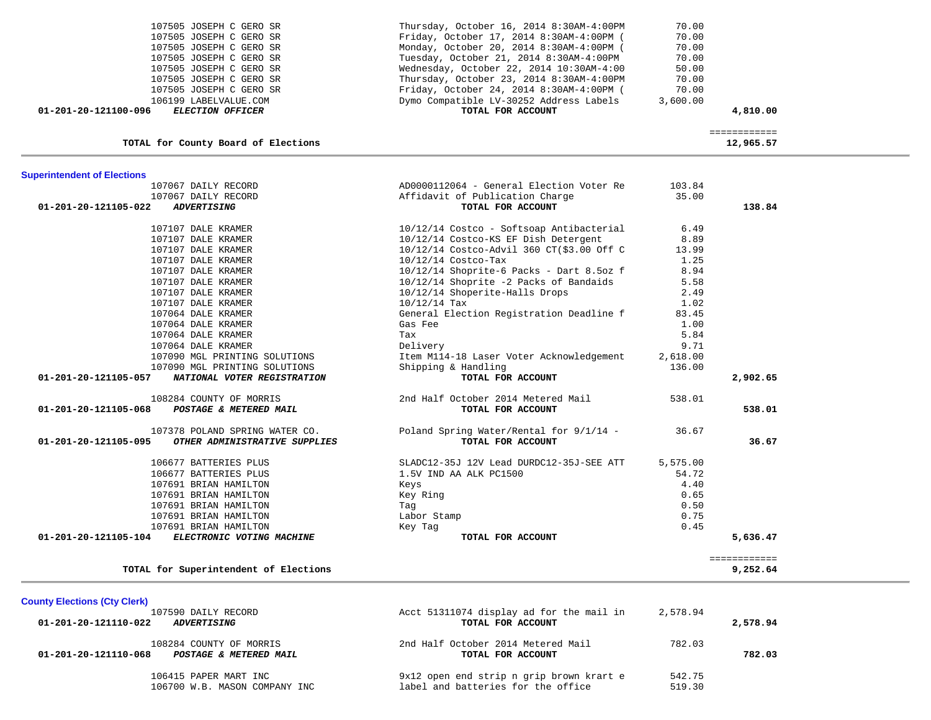| <b>County Elections (Cty Clerk)</b>                                       |                                                                                |                  |          |
|---------------------------------------------------------------------------|--------------------------------------------------------------------------------|------------------|----------|
| 107590 DAILY RECORD<br>01-201-20-121110-022<br><i><b>ADVERTISING</b></i>  | Acct 51311074 display ad for the mail in<br>TOTAL FOR ACCOUNT                  | 2,578.94         | 2,578.94 |
| 108284 COUNTY OF MORRIS<br>01-201-20-121110-068<br>POSTAGE & METERED MAIL | 2nd Half October 2014 Metered Mail<br>TOTAL FOR ACCOUNT                        | 782.03           | 782.03   |
| 106415 PAPER MART INC<br>106700 W.B. MASON COMPANY INC                    | 9x12 open end strip n grip brown krart e<br>label and batteries for the office | 542.75<br>519.30 |          |

107691 BRIAN HAMILTON Tag 0.50 107691 BRIAN HAMILTON Labor Stamp 0.75

**TOTAL for Superintendent of Elections 9,252.64**

 **01-201-20-121105-104** *ELECTRONIC VOTING MACHINE* **TOTAL FOR ACCOUNT 5,636.47**

============

# 107691 BRIAN HAMILTON Keys 4.40 107691 BRIAN HAMILTON Key Ring 0.65

107691 BRIAN HAMILTON **ELECTRONIC VOTING MACHINE** 

| <b>Superintendent of Elections</b>                    |                                            |          |          |
|-------------------------------------------------------|--------------------------------------------|----------|----------|
| 107067 DAILY RECORD                                   | AD0000112064 - General Election Voter Re   | 103.84   |          |
| 107067 DAILY RECORD                                   | Affidavit of Publication Charge            | 35.00    |          |
| 01-201-20-121105-022<br><b>ADVERTISING</b>            | TOTAL FOR ACCOUNT                          |          | 138.84   |
| 107107 DALE KRAMER                                    | 10/12/14 Costco - Softsoap Antibacterial   | 6.49     |          |
| 107107 DALE KRAMER                                    | 10/12/14 Costco-KS EF Dish Detergent       | 8.89     |          |
| 107107 DALE KRAMER                                    | 10/12/14 Costco-Advil 360 CT(\$3.00 Off C  | 13.99    |          |
| 107107 DALE KRAMER                                    | $10/12/14$ Costco-Tax                      | 1.25     |          |
| 107107 DALE KRAMER                                    | $10/12/14$ Shoprite-6 Packs - Dart 8.5oz f | 8.94     |          |
| 107107 DALE KRAMER                                    | 10/12/14 Shoprite -2 Packs of Bandaids     | 5.58     |          |
| 107107 DALE KRAMER                                    | 10/12/14 Shoperite-Halls Drops             | 2.49     |          |
| 107107 DALE KRAMER                                    | $10/12/14$ Tax                             | 1.02     |          |
| 107064 DALE KRAMER                                    | General Election Registration Deadline f   | 83.45    |          |
| 107064 DALE KRAMER                                    | Gas Fee                                    | 1.00     |          |
| 107064 DALE KRAMER                                    | Tax                                        | 5.84     |          |
| 107064 DALE KRAMER                                    | Delivery                                   | 9.71     |          |
| 107090 MGL PRINTING SOLUTIONS                         | Item M114-18 Laser Voter Acknowledgement   | 2,618.00 |          |
| 107090 MGL PRINTING SOLUTIONS                         | Shipping & Handling                        | 136.00   |          |
| 01-201-20-121105-057<br>NATIONAL VOTER REGISTRATION   | TOTAL FOR ACCOUNT                          |          | 2,902.65 |
| 108284 COUNTY OF MORRIS                               | 2nd Half October 2014 Metered Mail         | 538.01   |          |
| 01-201-20-121105-068<br>POSTAGE & METERED MAIL        | TOTAL FOR ACCOUNT                          |          | 538.01   |
| 107378 POLAND SPRING WATER CO.                        | Poland Spring Water/Rental for 9/1/14 -    | 36.67    |          |
| 01-201-20-121105-095<br>OTHER ADMINISTRATIVE SUPPLIES | TOTAL FOR ACCOUNT                          |          | 36.67    |
| 106677 BATTERIES PLUS                                 | SLADC12-35J 12V Lead DURDC12-35J-SEE ATT   | 5,575.00 |          |
| 106677 BATTERIES PLUS                                 | 1.5V IND AA ALK PC1500                     | 54.72    |          |
|                                                       |                                            |          |          |

| 107505 JOSEPH C GERO SR                                                  | Thursday, October 16, 2014 8:30AM-4:00PM                     | 70.00                |  |
|--------------------------------------------------------------------------|--------------------------------------------------------------|----------------------|--|
| 107505 JOSEPH C GERO SR                                                  | Friday, October 17, 2014 8:30AM-4:00PM (                     | 70.00                |  |
| 107505 JOSEPH C GERO SR                                                  | Monday, October 20, 2014 8:30AM-4:00PM (                     | 70.00                |  |
| 107505 JOSEPH C GERO SR                                                  | Tuesday, October 21, 2014 8:30AM-4:00PM                      | 70.00                |  |
| 107505 JOSEPH C GERO SR                                                  | Wednesday, October 22, 2014 10:30AM-4:00                     | 50.00                |  |
| 107505 JOSEPH C GERO SR                                                  | Thursday, October 23, 2014 8:30AM-4:00PM                     | 70.00                |  |
| 107505 JOSEPH C GERO SR                                                  | Friday, October 24, 2014 8:30AM-4:00PM (                     | 70.00                |  |
| 106199 LABELVALUE.COM<br>01-201-20-121100-096<br><b>ELECTION OFFICER</b> | Dymo Compatible LV-30252 Address Labels<br>TOTAL FOR ACCOUNT | 3,600.00<br>4,810.00 |  |
| TOTAL for County Board of Elections                                      |                                                              | 12,965.57            |  |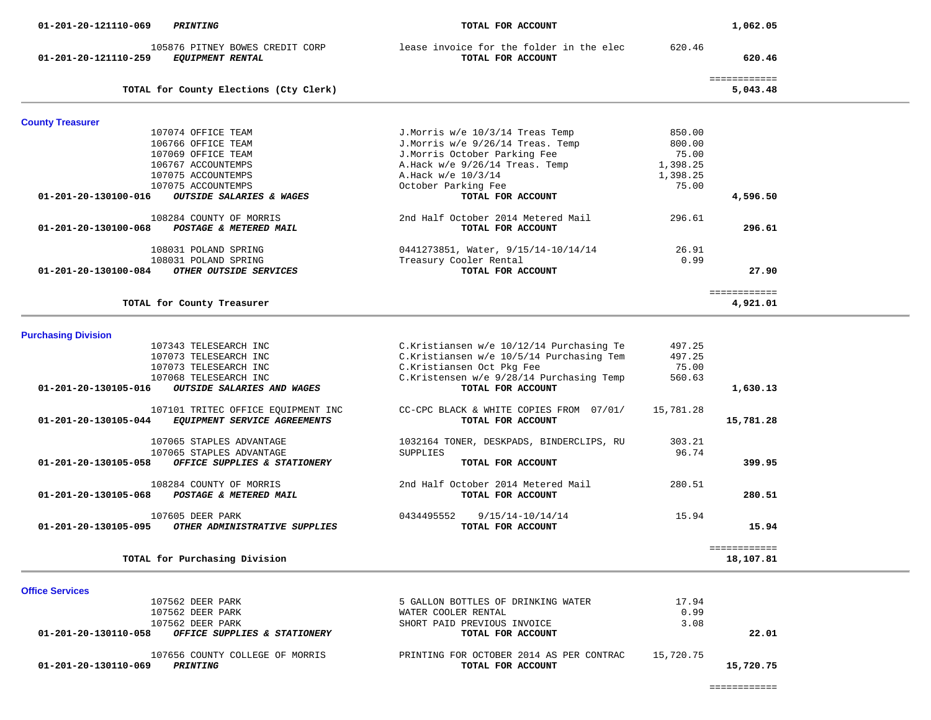============

| 01-201-20-130110-069<br>PRINTING                                | TOTAL FOR ACCOUNT                        |           | 15,720.75 |
|-----------------------------------------------------------------|------------------------------------------|-----------|-----------|
| 107656 COUNTY COLLEGE OF MORRIS                                 | PRINTING FOR OCTOBER 2014 AS PER CONTRAC | 15,720.75 |           |
| 01-201-20-130110-058<br><i>OFFICE SUPPLIES &amp; STATIONERY</i> | TOTAL FOR ACCOUNT                        |           | 22.01     |
| 107562 DEER PARK                                                | SHORT PAID PREVIOUS INVOICE              | 3.08      |           |
| 107562 DEER PARK                                                | WATER COOLER RENTAL                      | 0.99      |           |
| 107562 DEER PARK                                                | 5 GALLON BOTTLES OF DRINKING WATER       | 17.94     |           |

| 01-201-20-130105-068<br>POSTAGE & METERED MAIL                            | TOTAL FOR ACCOUNT                                   | 280.51         |
|---------------------------------------------------------------------------|-----------------------------------------------------|----------------|
| 107605 DEER PARK<br>01-201-20-130105-095<br>OTHER ADMINISTRATIVE SUPPLIES | 0434495552<br>9/15/14-10/14/14<br>TOTAL FOR ACCOUNT | 15.94<br>15.94 |
| TOTAL for Purchasing Division                                             |                                                     | 18,107.81      |

| TOTAL for County Treasurer                                                                 |                                                                 |                             | 4,921.01  |
|--------------------------------------------------------------------------------------------|-----------------------------------------------------------------|-----------------------------|-----------|
| <b>Purchasing Division</b>                                                                 |                                                                 |                             |           |
| 107343 TELESEARCH INC                                                                      | C.Kristiansen w/e 10/12/14 Purchasing Te                        | 497.25                      |           |
| 107073 TELESEARCH INC                                                                      | C.Kristiansen w/e 10/5/14 Purchasing Tem                        | 497.25                      |           |
| 107073 TELESEARCH INC                                                                      | C.Kristiansen Oct Pkg Fee                                       | 75.00                       |           |
| 107068 TELESEARCH INC                                                                      | C.Kristensen w/e 9/28/14 Purchasing Temp                        | 560.63                      |           |
| 01-201-20-130105-016<br><b>OUTSIDE SALARIES AND WAGES</b>                                  | TOTAL FOR ACCOUNT                                               |                             | 1,630.13  |
| 107101 TRITEC OFFICE EQUIPMENT INC<br>01-201-20-130105-044<br>EQUIPMENT SERVICE AGREEMENTS | CC-CPC BLACK & WHITE COPIES FROM<br>07/01/<br>TOTAL FOR ACCOUNT | 15,781.28                   | 15,781.28 |
| 107065 STAPLES ADVANTAGE                                                                   | 1032164 TONER, DESKPADS, BINDERCLIPS, RU                        | 303.21                      |           |
| 107065 STAPLES ADVANTAGE                                                                   | SUPPLIES                                                        | 96.74                       |           |
| 01-201-20-130105-058<br>OFFICE SUPPLIES & STATIONERY                                       | TOTAL FOR ACCOUNT                                               |                             | 399.95    |
| 108284 COUNTY OF MORRIS                                                                    | 2nd Half October 2014 Metered Mail                              | 280.51                      |           |
| 01-201-20-130105-068<br>POSTAGE & METERED MAIL                                             | TOTAL FOR ACCOUNT                                               |                             | 280.51    |
|                                                                                            |                                                                 | $\sim$ $\sim$ $\sim$ $\sim$ |           |

| TOTAL for County Elections (Cty Clerk)                      |                                     |          | ============<br>5,043.48 |
|-------------------------------------------------------------|-------------------------------------|----------|--------------------------|
|                                                             |                                     |          |                          |
| <b>County Treasurer</b>                                     |                                     |          |                          |
| 107074 OFFICE TEAM                                          | J.Morris w/e 10/3/14 Treas Temp     | 850.00   |                          |
| 106766 OFFICE TEAM                                          | J. Morris $w/e$ 9/26/14 Treas. Temp | 800.00   |                          |
| 107069 OFFICE TEAM                                          | J.Morris October Parking Fee        | 75.00    |                          |
| 106767 ACCOUNTEMPS                                          | A. Hack $w/e$ 9/26/14 Treas. Temp   | 1,398.25 |                          |
| 107075 ACCOUNTEMPS                                          | A. Hack $w/e$ 10/3/14               | 1,398.25 |                          |
| 107075 ACCOUNTEMPS                                          | October Parking Fee                 | 75.00    |                          |
| 01-201-20-130100-016<br><b>OUTSIDE SALARIES &amp; WAGES</b> | TOTAL FOR ACCOUNT                   |          | 4,596.50                 |
| 108284 COUNTY OF MORRIS                                     | 2nd Half October 2014 Metered Mail  | 296.61   |                          |
| 01-201-20-130100-068<br>POSTAGE & METERED MAIL              | TOTAL FOR ACCOUNT                   |          | 296.61                   |
| 108031 POLAND SPRING                                        | 0441273851, Water, 9/15/14-10/14/14 | 26.91    |                          |
| 108031 POLAND SPRING                                        | Treasury Cooler Rental              | 0.99     |                          |
| $01 - 201 - 20 - 130100 - 084$<br>OTHER OUTSIDE SERVICES    | TOTAL FOR ACCOUNT                   |          | 27.90                    |
|                                                             |                                     |          |                          |
|                                                             |                                     |          | .                        |

105876 PITNEY BOWES CREDIT CORP lease invoice for the folder in the elec 620.46<br>59 EQUIPMENT RENTAL TOTAL FOR ACCOUNT  **01-201-20-121110-259** *EQUIPMENT RENTAL* **TOTAL FOR ACCOUNT 620.46**

 **01-201-20-121110-069** *PRINTING* **TOTAL FOR ACCOUNT 1,062.05**

**Office Services** 

-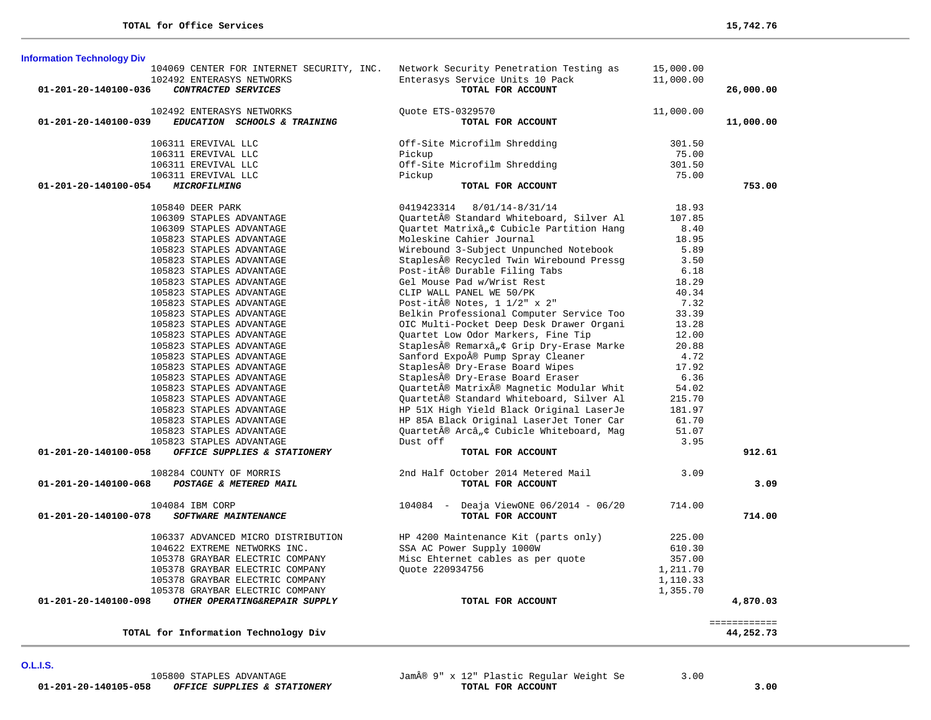| 104069 CENTER FOR INTERNET SECURITY, INC.             | Network Security Penetration Testing as   | 15,000.00 |              |
|-------------------------------------------------------|-------------------------------------------|-----------|--------------|
| 102492 ENTERASYS NETWORKS                             | Enterasys Service Units 10 Pack           | 11,000.00 |              |
| 01-201-20-140100-036<br>CONTRACTED SERVICES           | TOTAL FOR ACCOUNT                         |           | 26,000.00    |
| 102492 ENTERASYS NETWORKS                             | Ouote ETS-0329570                         | 11,000.00 |              |
| EDUCATION SCHOOLS & TRAINING<br>01-201-20-140100-039  | TOTAL FOR ACCOUNT                         |           | 11,000.00    |
|                                                       |                                           |           |              |
| 106311 EREVIVAL LLC                                   | Off-Site Microfilm Shredding              | 301.50    |              |
| 106311 EREVIVAL LLC                                   | Pickup                                    | 75.00     |              |
| 106311 EREVIVAL LLC                                   | Off-Site Microfilm Shredding              | 301.50    |              |
| 106311 EREVIVAL LLC                                   | Pickup                                    | 75.00     |              |
| 01-201-20-140100-054<br>MICROFILMING                  | TOTAL FOR ACCOUNT                         |           | 753.00       |
| 105840 DEER PARK                                      | 0419423314 8/01/14-8/31/14                | 18.93     |              |
| 106309 STAPLES ADVANTAGE                              | Quartet® Standard Whiteboard, Silver Al   | 107.85    |              |
| 106309 STAPLES ADVANTAGE                              | Quartet Matrixâ, ¢ Cubicle Partition Hang | 8.40      |              |
| 105823 STAPLES ADVANTAGE                              | Moleskine Cahier Journal                  | 18.95     |              |
| 105823 STAPLES ADVANTAGE                              | Wirebound 3-Subject Unpunched Notebook    | 5.89      |              |
| 105823 STAPLES ADVANTAGE                              | Staples® Recycled Twin Wirebound Pressg   | 3.50      |              |
| 105823 STAPLES ADVANTAGE                              | Post-it® Durable Filing Tabs              | 6.18      |              |
| 105823 STAPLES ADVANTAGE                              | Gel Mouse Pad w/Wrist Rest                | 18.29     |              |
| 105823 STAPLES ADVANTAGE                              | CLIP WALL PANEL WE 50/PK                  | 40.34     |              |
| 105823 STAPLES ADVANTAGE                              | Post-it $\hat{A}$ ® Notes, 1 1/2" x 2"    | 7.32      |              |
| 105823 STAPLES ADVANTAGE                              | Belkin Professional Computer Service Too  | 33.39     |              |
| 105823 STAPLES ADVANTAGE                              | OIC Multi-Pocket Deep Desk Drawer Organi  | 13.28     |              |
| 105823 STAPLES ADVANTAGE                              | Quartet Low Odor Markers, Fine Tip        | 12.00     |              |
| 105823 STAPLES ADVANTAGE                              | Staples® Remarx™ Grip Dry-Erase Marke     | 20.88     |              |
| 105823 STAPLES ADVANTAGE                              | Sanford Expo® Pump Spray Cleaner          | 4.72      |              |
| 105823 STAPLES ADVANTAGE                              | Staples® Dry-Erase Board Wipes            | 17.92     |              |
| 105823 STAPLES ADVANTAGE                              | Staples® Dry-Erase Board Eraser           | 6.36      |              |
| 105823 STAPLES ADVANTAGE                              | Quartet® Matrix® Magnetic Modular Whit    | 54.02     |              |
| 105823 STAPLES ADVANTAGE                              | Quartet® Standard Whiteboard, Silver Al   | 215.70    |              |
| 105823 STAPLES ADVANTAGE                              | HP 51X High Yield Black Original LaserJe  | 181.97    |              |
| 105823 STAPLES ADVANTAGE                              | HP 85A Black Original LaserJet Toner Car  | 61.70     |              |
| 105823 STAPLES ADVANTAGE                              | Ouartet® Arc™ Cubicle Whiteboard, Mag     | 51.07     |              |
| 105823 STAPLES ADVANTAGE                              | Dust off                                  | 3.95      |              |
| OFFICE SUPPLIES & STATIONERY<br>01-201-20-140100-058  | TOTAL FOR ACCOUNT                         |           | 912.61       |
| 108284 COUNTY OF MORRIS                               | 2nd Half October 2014 Metered Mail        | 3.09      |              |
| POSTAGE & METERED MAIL<br>01-201-20-140100-068        | TOTAL FOR ACCOUNT                         |           | 3.09         |
|                                                       |                                           |           |              |
| 104084 IBM CORP                                       | 104084 - Deaja ViewONE 06/2014 - 06/20    | 714.00    |              |
| 01-201-20-140100-078<br>SOFTWARE MAINTENANCE          | TOTAL FOR ACCOUNT                         |           | 714.00       |
| 106337 ADVANCED MICRO DISTRIBUTION                    | HP 4200 Maintenance Kit (parts only)      | 225.00    |              |
| 104622 EXTREME NETWORKS INC.                          | SSA AC Power Supply 1000W                 | 610.30    |              |
| 105378 GRAYBAR ELECTRIC COMPANY                       | Misc Ehternet cables as per quote         | 357.00    |              |
| 105378 GRAYBAR ELECTRIC COMPANY                       | Quote 220934756                           | 1,211.70  |              |
| 105378 GRAYBAR ELECTRIC COMPANY                       |                                           | 1,110.33  |              |
| 105378 GRAYBAR ELECTRIC COMPANY                       |                                           | 1,355.70  |              |
| OTHER OPERATING&REPAIR SUPPLY<br>01-201-20-140100-098 | TOTAL FOR ACCOUNT                         |           | 4,870.03     |
|                                                       |                                           |           | ============ |
| TOTAL for Information Technology Div                  |                                           |           | 44,252.73    |
|                                                       |                                           |           |              |

**O.L.I.S.** 

**Information Technology Div**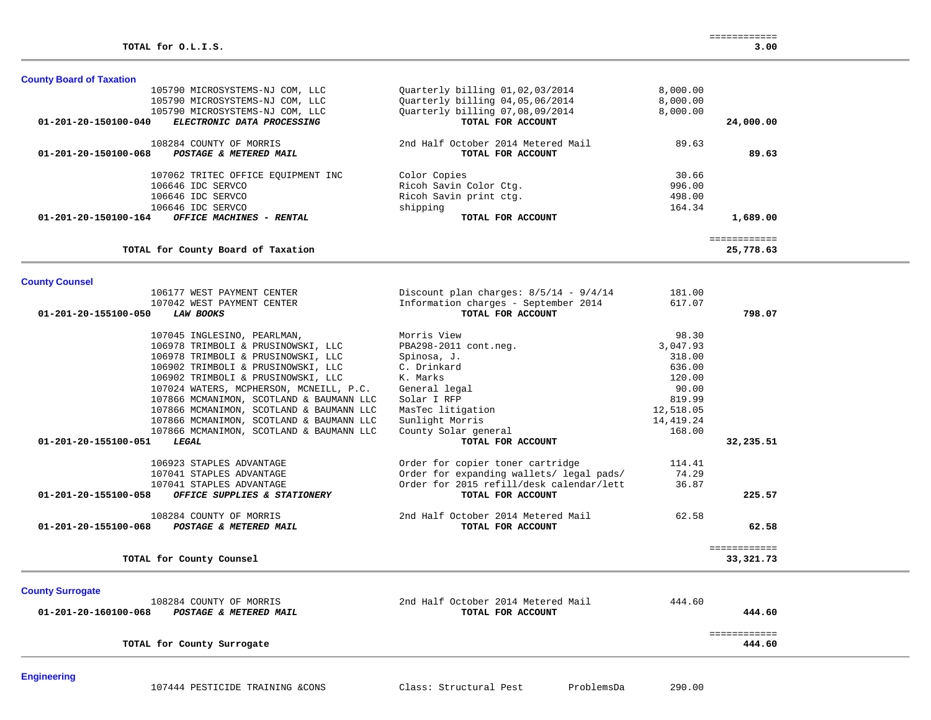| 106646 IDC SERVCO<br>106646 IDC SERVCO                                | Ricoh Savin Color Ctg.<br>Ricoh Savin print ctg. | 996.00<br>498.00 |                           |  |
|-----------------------------------------------------------------------|--------------------------------------------------|------------------|---------------------------|--|
| 106646 IDC SERVCO<br>OFFICE MACHINES - RENTAL<br>01-201-20-150100-164 | shipping<br>TOTAL FOR ACCOUNT                    | 164.34           | 1,689.00                  |  |
| TOTAL for County Board of Taxation                                    |                                                  |                  | ============<br>25,778.63 |  |
|                                                                       |                                                  |                  |                           |  |
| <b>County Counsel</b>                                                 |                                                  |                  |                           |  |
| 106177 WEST PAYMENT CENTER                                            | Discount plan charges: $8/5/14 - 9/4/14$         | 181.00           |                           |  |
| 107042 WEST PAYMENT CENTER                                            | Information charges - September 2014             | 617.07           |                           |  |
| 01-201-20-155100-050<br><b>LAW BOOKS</b>                              | TOTAL FOR ACCOUNT                                |                  | 798.07                    |  |
| 107045 INGLESINO, PEARLMAN,                                           | Morris View                                      | 98.30            |                           |  |
| 106978 TRIMBOLI & PRUSINOWSKI, LLC                                    | PBA298-2011 cont.neg.                            | 3,047.93         |                           |  |
| 106978 TRIMBOLI & PRUSINOWSKI, LLC                                    | Spinosa, J.                                      | 318.00           |                           |  |
| 106902 TRIMBOLI & PRUSINOWSKI, LLC                                    | C. Drinkard                                      | 636.00           |                           |  |
| 106902 TRIMBOLI & PRUSINOWSKI, LLC                                    | K. Marks                                         | 120.00           |                           |  |
| 107024 WATERS, MCPHERSON, MCNEILL, P.C.                               | General legal                                    | 90.00            |                           |  |
| 107866 MCMANIMON, SCOTLAND & BAUMANN LLC                              | Solar I RFP                                      | 819.99           |                           |  |
| 107866 MCMANIMON, SCOTLAND & BAUMANN LLC                              | MasTec litigation                                | 12,518.05        |                           |  |
| 107866 MCMANIMON, SCOTLAND & BAUMANN LLC                              | Sunlight Morris                                  | 14,419.24        |                           |  |
| 107866 MCMANIMON, SCOTLAND & BAUMANN LLC                              | County Solar general                             | 168.00           |                           |  |
| 01-201-20-155100-051<br>LEGAL                                         | TOTAL FOR ACCOUNT                                |                  | 32,235.51                 |  |
| 106923 STAPLES ADVANTAGE                                              | Order for copier toner cartridge                 | 114.41           |                           |  |
| 107041 STAPLES ADVANTAGE                                              | Order for expanding wallets/ legal pads/         | 74.29            |                           |  |
| 107041 STAPLES ADVANTAGE                                              | Order for 2015 refill/desk calendar/lett         | 36.87            |                           |  |
| 01-201-20-155100-058<br>OFFICE SUPPLIES & STATIONERY                  | TOTAL FOR ACCOUNT                                |                  | 225.57                    |  |
| 108284 COUNTY OF MORRIS                                               | 2nd Half October 2014 Metered Mail               | 62.58            |                           |  |
| POSTAGE & METERED MAIL<br>01-201-20-155100-068                        | TOTAL FOR ACCOUNT                                |                  | 62.58                     |  |
|                                                                       |                                                  |                  | ============              |  |
| TOTAL for County Counsel                                              |                                                  |                  | 33,321.73                 |  |
|                                                                       |                                                  |                  |                           |  |
| <b>County Surrogate</b>                                               |                                                  |                  |                           |  |
| 108284 COUNTY OF MORRIS                                               | 2nd Half October 2014 Metered Mail               | 444.60           | 444.60                    |  |
| 01-201-20-160100-068<br>POSTAGE & METERED MAIL                        | TOTAL FOR ACCOUNT                                |                  |                           |  |
| TOTAL for County Surrogate                                            |                                                  |                  | ============<br>444.60    |  |

105790 MICROSYSTEMS-NJ COM, LLC Quarterly billing 01,02,03/2014 8,000.00

 108284 COUNTY OF MORRIS 2nd Half October 2014 Metered Mail 89.63  **01-201-20-150100-068** *POSTAGE & METERED MAIL* **TOTAL FOR ACCOUNT 89.63**

107062 TRITEC OFFICE EQUIPMENT INC Color Copies 30.66

 **01-201-20-150100-040** *ELECTRONIC DATA PROCESSING* **TOTAL FOR ACCOUNT 24,000.00**

0arterly billing 04,05,06/2014 8,000.00<br>
015.000.00 marterly billing 07,08,09/2014 8,000.00

105790 MICROSYSTEMS-NJ COM, LLC  $01-201-20-150100-040$  BLECTRONIC DATA PROCESSING TOTAL FOR ACCOUNT

**County Board of Taxation**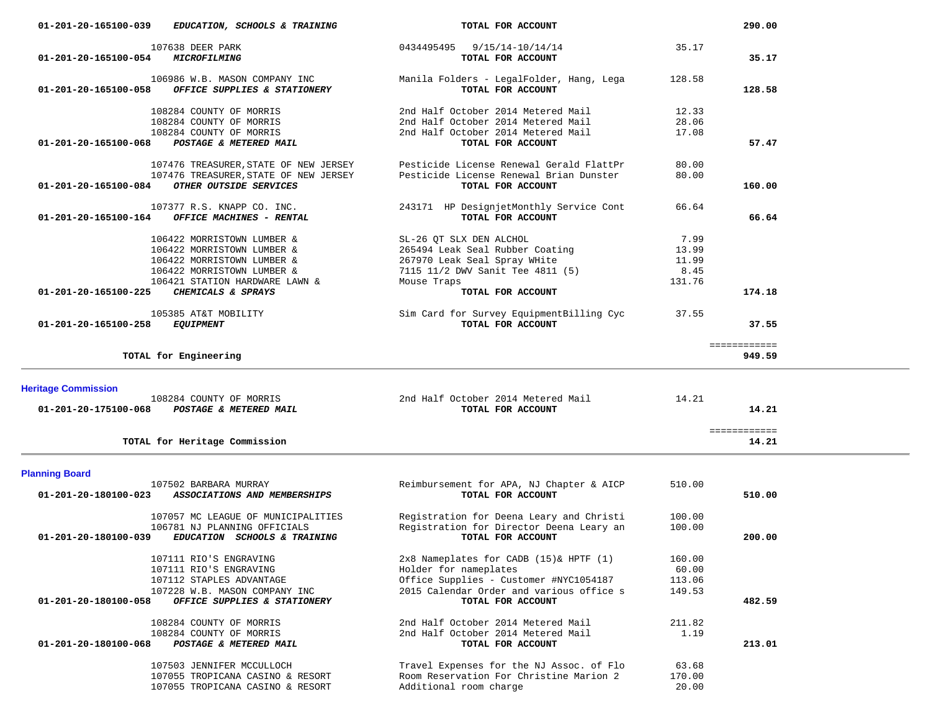| 107638 DEER PARK<br>01-201-20-165100-054<br>MICROFILMING                                                                                                                                             | 0434495495 9/15/14-10/14/14<br>TOTAL FOR ACCOUNT                                                                                                                           | 35.17<br>35.17                                     |  |
|------------------------------------------------------------------------------------------------------------------------------------------------------------------------------------------------------|----------------------------------------------------------------------------------------------------------------------------------------------------------------------------|----------------------------------------------------|--|
| 106986 W.B. MASON COMPANY INC<br>01-201-20-165100-058<br>OFFICE SUPPLIES & STATIONERY                                                                                                                | Manila Folders - LegalFolder, Hang, Lega<br>TOTAL FOR ACCOUNT                                                                                                              | 128.58<br>128.58                                   |  |
| 108284 COUNTY OF MORRIS<br>108284 COUNTY OF MORRIS<br>108284 COUNTY OF MORRIS<br>01-201-20-165100-068<br>POSTAGE & METERED MAIL                                                                      | 2nd Half October 2014 Metered Mail<br>2nd Half October 2014 Metered Mail<br>2nd Half October 2014 Metered Mail<br>TOTAL FOR ACCOUNT                                        | 12.33<br>28.06<br>17.08<br>57.47                   |  |
| 107476 TREASURER, STATE OF NEW JERSEY<br>107476 TREASURER, STATE OF NEW JERSEY<br>01-201-20-165100-084<br>OTHER OUTSIDE SERVICES                                                                     | Pesticide License Renewal Gerald FlattPr<br>Pesticide License Renewal Brian Dunster<br>TOTAL FOR ACCOUNT                                                                   | 80.00<br>80.00<br>160.00                           |  |
| 107377 R.S. KNAPP CO. INC.<br>01-201-20-165100-164<br>OFFICE MACHINES - RENTAL                                                                                                                       | 243171 HP DesignjetMonthly Service Cont<br>TOTAL FOR ACCOUNT                                                                                                               | 66.64<br>66.64                                     |  |
| 106422 MORRISTOWN LUMBER &<br>106422 MORRISTOWN LUMBER &<br>106422 MORRISTOWN LUMBER &<br>106422 MORRISTOWN LUMBER &<br>106421 STATION HARDWARE LAWN &<br>CHEMICALS & SPRAYS<br>01-201-20-165100-225 | SL-26 QT SLX DEN ALCHOL<br>265494 Leak Seal Rubber Coating<br>267970 Leak Seal Spray WHite<br>7115 11/2 DWV Sanit Tee 4811 (5)<br>Mouse Traps<br>TOTAL FOR ACCOUNT         | 7.99<br>13.99<br>11.99<br>8.45<br>131.76<br>174.18 |  |
| 105385 AT&T MOBILITY<br>01-201-20-165100-258<br><b>EQUIPMENT</b>                                                                                                                                     | Sim Card for Survey EquipmentBilling Cyc<br>TOTAL FOR ACCOUNT                                                                                                              | 37.55<br>37.55                                     |  |
| TOTAL for Engineering                                                                                                                                                                                |                                                                                                                                                                            | ============<br>949.59                             |  |
|                                                                                                                                                                                                      |                                                                                                                                                                            |                                                    |  |
| <b>Heritage Commission</b><br>108284 COUNTY OF MORRIS<br>01-201-20-175100-068<br><b>POSTAGE &amp; METERED MAIL</b>                                                                                   | 2nd Half October 2014 Metered Mail<br>TOTAL FOR ACCOUNT                                                                                                                    | 14.21<br>14.21                                     |  |
| TOTAL for Heritage Commission                                                                                                                                                                        |                                                                                                                                                                            | ============<br>14.21                              |  |
| <b>Planning Board</b><br>107502 BARBARA MURRAY<br>$01 - 201 - 20 - 180100 - 023$<br>ASSOCIATIONS AND MEMBERSHIPS                                                                                     | Reimbursement for APA, NJ Chapter & AICP<br>TOTAL FOR ACCOUNT                                                                                                              | 510.00<br>510.00                                   |  |
| 107057 MC LEAGUE OF MUNICIPALITIES<br>106781 NJ PLANNING OFFICIALS<br>01-201-20-180100-039<br>EDUCATION SCHOOLS & TRAINING                                                                           | Registration for Deena Leary and Christi<br>Registration for Director Deena Leary an<br>TOTAL FOR ACCOUNT                                                                  | 100.00<br>100.00<br>200.00                         |  |
| 107111 RIO'S ENGRAVING<br>107111 RIO'S ENGRAVING<br>107112 STAPLES ADVANTAGE<br>107228 W.B. MASON COMPANY INC<br>01-201-20-180100-058<br>OFFICE SUPPLIES & STATIONERY                                | 2x8 Nameplates for CADB (15)& HPTF (1)<br>Holder for nameplates<br>Office Supplies - Customer #NYC1054187<br>2015 Calendar Order and various office s<br>TOTAL FOR ACCOUNT | 160.00<br>60.00<br>113.06<br>149.53<br>482.59      |  |
| 108284 COUNTY OF MORRIS<br>108284 COUNTY OF MORRIS<br>01-201-20-180100-068<br>POSTAGE & METERED MAIL                                                                                                 | 2nd Half October 2014 Metered Mail<br>2nd Half October 2014 Metered Mail<br>TOTAL FOR ACCOUNT                                                                              | 211.82<br>1.19<br>213.01                           |  |

 **01-201-20-165100-039** *EDUCATION, SCHOOLS & TRAINING* **TOTAL FOR ACCOUNT 290.00**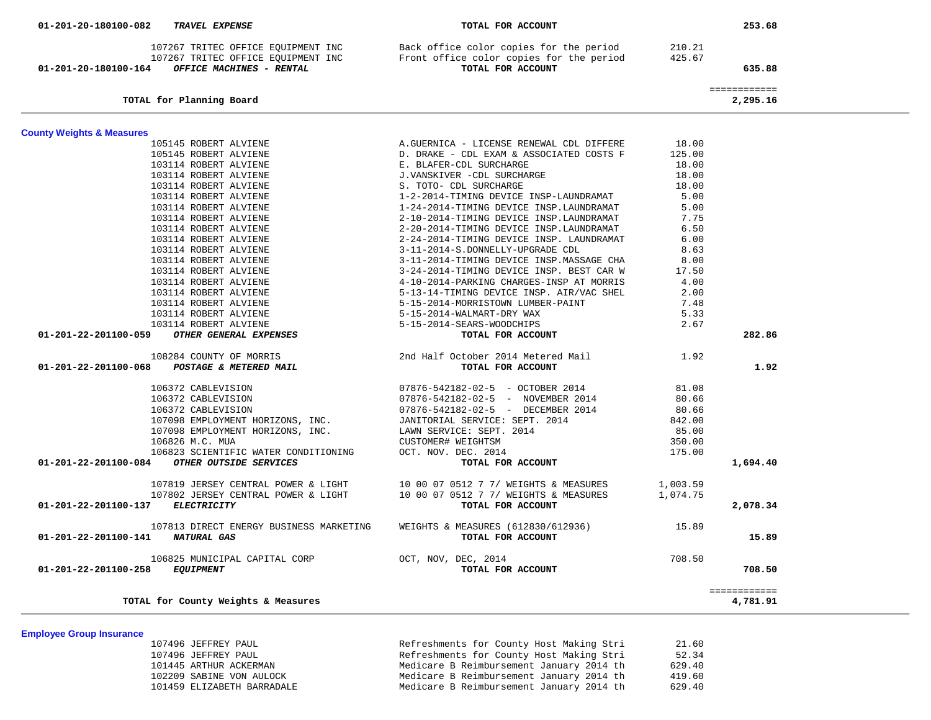| 01-201-20-180100-164 OFFICE MACHINES - RENTAL                                                                                                                                                                                                    | 107267 TRITEC OFFICE EQUIPMENT INC Back office color copies for the period 210.21<br>107267 TRITEC OFFICE EQUIPMENT INC Front office color copies for the period 425.67<br>TOTAL FOR ACCOUNT   |          | 635.88                   |
|--------------------------------------------------------------------------------------------------------------------------------------------------------------------------------------------------------------------------------------------------|------------------------------------------------------------------------------------------------------------------------------------------------------------------------------------------------|----------|--------------------------|
| TOTAL for Planning Board                                                                                                                                                                                                                         |                                                                                                                                                                                                |          | ============<br>2,295.16 |
| <b>County Weights &amp; Measures</b>                                                                                                                                                                                                             |                                                                                                                                                                                                |          |                          |
| 105145 ROBERT ALVIENE                                                                                                                                                                                                                            | A.GUERNICA - LICENSE RENEWAL CDL DIFFERE                                                                                                                                                       | 18.00    |                          |
| 105145 ROBERT ALVIENE                                                                                                                                                                                                                            | D. DRAKE - CDL EXAM & ASSOCIATED COSTS F                                                                                                                                                       | 125.00   |                          |
| 103114 ROBERT ALVIENE                                                                                                                                                                                                                            |                                                                                                                                                                                                | 18.00    |                          |
| 103114 ROBERT ALVIENE                                                                                                                                                                                                                            | E. BLAFER-CDL SURCHARGE<br>E. BLAFER-CDL SURCHARGE<br>J.VANSKIVER -CDL SURCHARGE<br>1-2-2014-TIMING DEVICE<br>1-24-2014-TIMING DEVICE<br>2-10-2014-TIMING DEVICE<br>J.VANSKIVER -CDL SURCHARGE | 18.00    |                          |
| 103114 ROBERT ALVIENE                                                                                                                                                                                                                            |                                                                                                                                                                                                | 18.00    |                          |
| 103114 ROBERT ALVIENE                                                                                                                                                                                                                            | 1-2-2014-TIMING DEVICE INSP-LAUNDRAMAT                                                                                                                                                         | 5.00     |                          |
| 103114 ROBERT ALVIENE                                                                                                                                                                                                                            | 1-24-2014-TIMING DEVICE INSP.LAUNDRAMAT                                                                                                                                                        | 5.00     |                          |
| 103114 ROBERT ALVIENE                                                                                                                                                                                                                            | 2-10-2014-TIMING DEVICE INSP.LAUNDRAMAT                                                                                                                                                        | 7.75     |                          |
| 103114 ROBERT ALVIENE                                                                                                                                                                                                                            | 2-20-2014-TIMING DEVICE INSP.LAUNDRAMAT                                                                                                                                                        | 6.50     |                          |
| 103114 ROBERT ALVIENE                                                                                                                                                                                                                            | 2-24-2014-TIMING DEVICE INSP. LAUNDRAMAT                                                                                                                                                       | 6.00     |                          |
| 103114 ROBERT ALVIENE                                                                                                                                                                                                                            | 3-11-2014-S.DONNELLY-UPGRADE CDL                                                                                                                                                               | 8.63     |                          |
|                                                                                                                                                                                                                                                  | 3-11-2014-TIMING DEVICE INSP. MASSAGE CHA                                                                                                                                                      | 8.00     |                          |
|                                                                                                                                                                                                                                                  | 3-24-2014-TIMING DEVICE INSP. BEST CAR W                                                                                                                                                       | 17.50    |                          |
|                                                                                                                                                                                                                                                  | 4-10-2014-PARKING CHARGES-INSP AT MORRIS                                                                                                                                                       | 4.00     |                          |
|                                                                                                                                                                                                                                                  | 5-13-14-TIMING DEVICE INSP. AIR/VAC SHEL                                                                                                                                                       | 2.00     |                          |
|                                                                                                                                                                                                                                                  | 5-15-2014-MORRISTOWN LUMBER-PAINT                                                                                                                                                              | 7.48     |                          |
|                                                                                                                                                                                                                                                  |                                                                                                                                                                                                | 5.33     |                          |
|                                                                                                                                                                                                                                                  |                                                                                                                                                                                                | 2.67     |                          |
| 3-11-2014-TIMING DEVICE I<br>103114 ROBERT ALVIENE<br>103114 ROBERT ALVIENE<br>103114 ROBERT ALVIENE<br>103114 ROBERT ALVIENE<br>103114 ROBERT ALVIENE<br>103114 ROBERT ALVIENE<br>103114 ROBERT ALVIENE<br>103114 ROBERT ALVIENE<br>103114 ROBE | TOTAL FOR ACCOUNT                                                                                                                                                                              |          | 282.86                   |
|                                                                                                                                                                                                                                                  | 2nd Half October 2014 Metered Mail                                                                                                                                                             | 1.92     |                          |
| 01-201-22-201100-068 POSTAGE & METERED MAIL                                                                                                                                                                                                      | TOTAL FOR ACCOUNT                                                                                                                                                                              |          | 1.92                     |
| 106372 CABLEVISION                                                                                                                                                                                                                               | 07876-542182-02-5 - OCTOBER 2014                                                                                                                                                               | 81.08    |                          |
| 106372 CABLEVISION                                                                                                                                                                                                                               | 07876-542182-02-5 - NOVEMBER 2014                                                                                                                                                              | 80.66    |                          |
| 106372 CABLEVISION                                                                                                                                                                                                                               | 07876-542182-02-5 - DECEMBER 2014                                                                                                                                                              | 80.66    |                          |
| 107098 EMPLOYMENT HORIZONS, INC.                                                                                                                                                                                                                 | JANITORIAL SERVICE: SEPT. 2014                                                                                                                                                                 | 842.00   |                          |
| 107098 EMPLOYMENT HORIZONS, INC.                                                                                                                                                                                                                 | LAWN SERVICE: SEPT. 2014                                                                                                                                                                       | 85.00    |                          |
| 106826 M.C. MUA                                                                                                                                                                                                                                  | CUSTOMER# WEIGHTSM                                                                                                                                                                             | 350.00   |                          |
| 106823 SCIENTIFIC WATER CONDITIONING                                                                                                                                                                                                             | OCT. NOV. DEC. 2014                                                                                                                                                                            | 175.00   |                          |
| 01-201-22-201100-084 OTHER OUTSIDE SERVICES                                                                                                                                                                                                      | TOTAL FOR ACCOUNT                                                                                                                                                                              |          | 1,694.40                 |
| 107819 JERSEY CENTRAL POWER & LIGHT                                                                                                                                                                                                              | 10 00 07 0512 7 7/ WEIGHTS & MEASURES                                                                                                                                                          | 1,003.59 |                          |
| 107802 JERSEY CENTRAL POWER & LIGHT                                                                                                                                                                                                              | 10 00 07 0512 7 7/ WEIGHTS & MEASURES                                                                                                                                                          | 1,074.75 |                          |
| 01-201-22-201100-137 ELECTRICITY                                                                                                                                                                                                                 | TOTAL FOR ACCOUNT                                                                                                                                                                              |          | 2,078.34                 |
| 107813 DIRECT ENERGY BUSINESS MARKETING                                                                                                                                                                                                          | WEIGHTS & MEASURES (612830/612936)                                                                                                                                                             | 15.89    |                          |
| 01-201-22-201100-141 NATURAL GAS                                                                                                                                                                                                                 | TOTAL FOR ACCOUNT                                                                                                                                                                              |          | 15.89                    |
| 106825 MUNICIPAL CAPITAL CORP                                                                                                                                                                                                                    | OCT, NOV, DEC, 2014                                                                                                                                                                            | 708.50   |                          |
| 01-201-22-201100-258 EQUIPMENT                                                                                                                                                                                                                   | TOTAL FOR ACCOUNT                                                                                                                                                                              |          | 708.50                   |
| TOTAL for County Weights & Measures                                                                                                                                                                                                              |                                                                                                                                                                                                |          | ============<br>4,781.91 |

 107496 JEFFREY PAUL Refreshments for County Host Making Stri 21.60 107496 JEFFREY PAUL Refreshments for County Host Making Stri 52.34 101445 ARTHUR ACKERMAN MEDICARE B Reimbursement January 2014 th 629.40<br>102209 SABINE VON AULOCK Medicare B Reimbursement January 2014 th 419.60 102209 SABINE VON AULOCK Medicare B Reimbursement January 2014 th 419.60 Medicare B Reimbursement January 2014 th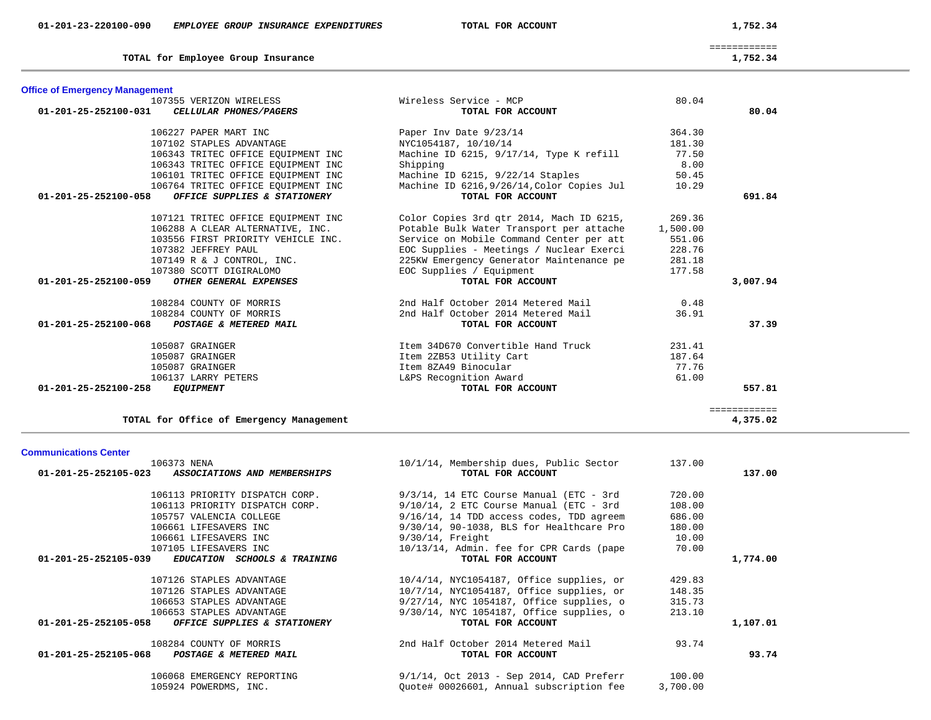| 01-201-25-252105-023<br>ASSOCIATIONS AND MEMBERSHIPS | TOTAL FOR ACCOUNT                               |          | 137.00   |
|------------------------------------------------------|-------------------------------------------------|----------|----------|
| 106113 PRIORITY DISPATCH CORP.                       | $9/3/14$ , 14 ETC Course Manual (ETC - 3rd      | 720.00   |          |
| 106113 PRIORITY DISPATCH CORP.                       | $9/10/14$ , 2 ETC Course Manual (ETC - 3rd      | 108.00   |          |
| 105757 VALENCIA COLLEGE                              | 9/16/14, 14 TDD access codes, TDD agreem        | 686.00   |          |
| 106661 LIFESAVERS INC                                | 9/30/14, 90-1038, BLS for Healthcare Pro        | 180.00   |          |
| 106661 LIFESAVERS INC                                | $9/30/14$ , Freight                             | 10.00    |          |
| 107105 LIFESAVERS INC                                | 10/13/14, Admin. fee for CPR Cards (pape        | 70.00    |          |
| 01-201-25-252105-039<br>EDUCATION SCHOOLS & TRAINING | TOTAL FOR ACCOUNT                               |          | 1,774.00 |
| 107126 STAPLES ADVANTAGE                             | $10/4/14$ , NYC1054187, Office supplies, or     | 429.83   |          |
| 107126 STAPLES ADVANTAGE                             | $10/7/14$ , NYC $1054187$ , Office supplies, or | 148.35   |          |
| 106653 STAPLES ADVANTAGE                             | 9/27/14, NYC 1054187, Office supplies, o        | 315.73   |          |
| 106653 STAPLES ADVANTAGE                             | 9/30/14, NYC 1054187, Office supplies, o        | 213.10   |          |
| 01-201-25-252105-058<br>OFFICE SUPPLIES & STATIONERY | TOTAL FOR ACCOUNT                               |          | 1,107.01 |
| 108284 COUNTY OF MORRIS                              | 2nd Half October 2014 Metered Mail              | 93.74    |          |
| 01-201-25-252105-068<br>POSTAGE & METERED MAIL       | TOTAL FOR ACCOUNT                               |          | 93.74    |
| 106068 EMERGENCY REPORTING                           | $9/1/14$ , Oct 2013 - Sep 2014, CAD Preferr     | 100.00   |          |
| 105924 POWERDMS, INC.                                | Quote# 00026601, Annual subscription fee        | 3,700.00 |          |

| 106227 PAPER MART INC                                | Paper Inv Date 9/23/14                     | 364.30   |          |
|------------------------------------------------------|--------------------------------------------|----------|----------|
| 107102 STAPLES ADVANTAGE                             | NYC1054187, 10/10/14                       | 181.30   |          |
| 106343 TRITEC OFFICE EQUIPMENT INC                   | Machine ID 6215, 9/17/14, Type K refill    | 77.50    |          |
| 106343 TRITEC OFFICE EOUIPMENT INC                   | Shipping                                   | 8.00     |          |
| 106101 TRITEC OFFICE EOUIPMENT INC                   | Machine ID 6215, 9/22/14 Staples           | 50.45    |          |
| 106764 TRITEC OFFICE EQUIPMENT INC                   | Machine ID 6216, 9/26/14, Color Copies Jul | 10.29    |          |
| 01-201-25-252100-058<br>OFFICE SUPPLIES & STATIONERY | TOTAL FOR ACCOUNT                          |          | 691.84   |
| 107121 TRITEC OFFICE EQUIPMENT INC                   | Color Copies 3rd qtr 2014, Mach ID 6215,   | 269.36   |          |
| 106288 A CLEAR ALTERNATIVE, INC.                     | Potable Bulk Water Transport per attache   | 1,500.00 |          |
| 103556 FIRST PRIORITY VEHICLE INC.                   | Service on Mobile Command Center per att   | 551.06   |          |
| 107382 JEFFREY PAUL                                  | EOC Supplies - Meetings / Nuclear Exerci   | 228.76   |          |
| 107149 R & J CONTROL, INC.                           | 225KW Emergency Generator Maintenance pe   | 281.18   |          |
| 107380 SCOTT DIGIRALOMO                              | EOC Supplies / Equipment                   | 177.58   |          |
| 01-201-25-252100-059<br>OTHER GENERAL EXPENSES       | TOTAL FOR ACCOUNT                          |          | 3,007.94 |
| 108284 COUNTY OF MORRIS                              | 2nd Half October 2014 Metered Mail         | 0.48     |          |
| 108284 COUNTY OF MORRIS                              | 2nd Half October 2014 Metered Mail         | 36.91    |          |

 **01-201-25-252100-068** *POSTAGE & METERED MAIL* **TOTAL FOR ACCOUNT 37.39**

 **01-201-25-252100-258** *EQUIPMENT* **TOTAL FOR ACCOUNT 557.81**

============

 105087 GRAINGER Item 34D670 Convertible Hand Truck 231.41 105087 GRAINGER Item 2ZB53 Utility Cart 187.64 105087 GRAINGER Item 8ZA49 Binocular 77.76

106373 NENA 10/1/14, Membership dues, Public Sector 137.00

 107355 VERIZON WIRELESS Wireless Service - MCP 80.04  **01-201-25-252100-031** *CELLULAR PHONES/PAGERS* **TOTAL FOR ACCOUNT 80.04**

# **Office of Emergency Management**

**Communications Center** 

TOTAL for Employee Group Insurance 1,752.34

============

2nd Half October 2014 Metered Mail<br>TOTAL FOR ACCOUNT

L&PS Recognition Award<br>TOTAL FOR ACCOUNT

**TOTAL for Office of Emergency Management 4,375.02**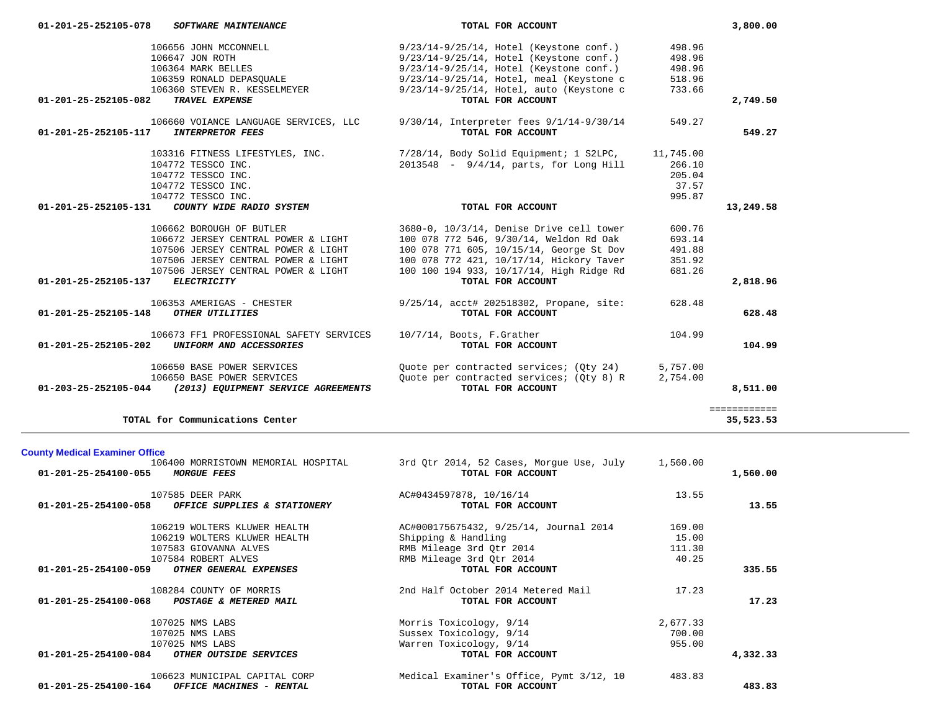|                                       | 106656 JOHN MCCONNELL                                    | 9/23/14-9/25/14, Hotel (Keystone conf.)   | 498.96    |              |
|---------------------------------------|----------------------------------------------------------|-------------------------------------------|-----------|--------------|
|                                       | 106647 JON ROTH                                          | 9/23/14-9/25/14, Hotel (Keystone conf.)   | 498.96    |              |
|                                       | 106364 MARK BELLES                                       | 9/23/14-9/25/14, Hotel (Keystone conf.)   | 498.96    |              |
|                                       | 106359 RONALD DEPASQUALE                                 | 9/23/14-9/25/14, Hotel, meal (Keystone c  | 518.96    |              |
|                                       | 106360 STEVEN R. KESSELMEYER                             | 9/23/14-9/25/14, Hotel, auto (Keystone c  | 733.66    |              |
| 01-201-25-252105-082                  | TRAVEL EXPENSE                                           | TOTAL FOR ACCOUNT                         |           | 2,749.50     |
|                                       | 106660 VOIANCE LANGUAGE SERVICES, LLC                    | 9/30/14, Interpreter fees 9/1/14-9/30/14  | 549.27    |              |
|                                       | 01-201-25-252105-117 INTERPRETOR FEES                    | TOTAL FOR ACCOUNT                         |           | 549.27       |
|                                       | 103316 FITNESS LIFESTYLES, INC.                          | 7/28/14, Body Solid Equipment; 1 S2LPC,   | 11,745.00 |              |
|                                       | 104772 TESSCO INC.                                       | $2013548 - 9/4/14$ , parts, for Long Hill | 266.10    |              |
|                                       | 104772 TESSCO INC.                                       |                                           | 205.04    |              |
|                                       | 104772 TESSCO INC.                                       |                                           | 37.57     |              |
|                                       | 104772 TESSCO INC.                                       |                                           | 995.87    |              |
| 01-201-25-252105-131                  | COUNTY WIDE RADIO SYSTEM                                 | TOTAL FOR ACCOUNT                         |           | 13,249.58    |
|                                       | 106662 BOROUGH OF BUTLER                                 | 3680-0, 10/3/14, Denise Drive cell tower  | 600.76    |              |
|                                       | 106672 JERSEY CENTRAL POWER & LIGHT                      | 100 078 772 546, 9/30/14, Weldon Rd Oak   | 693.14    |              |
|                                       | 107506 JERSEY CENTRAL POWER & LIGHT                      | 100 078 771 605, 10/15/14, George St Dov  | 491.88    |              |
|                                       | 107506 JERSEY CENTRAL POWER & LIGHT                      | 100 078 772 421, 10/17/14, Hickory Taver  | 351.92    |              |
|                                       | 107506 JERSEY CENTRAL POWER & LIGHT                      | 100 100 194 933, 10/17/14, High Ridge Rd  | 681.26    |              |
| 01-201-25-252105-137                  | <b>ELECTRICITY</b>                                       | TOTAL FOR ACCOUNT                         |           | 2,818.96     |
|                                       | 106353 AMERIGAS - CHESTER                                | 9/25/14, acct# 202518302, Propane, site:  | 628.48    |              |
| 01-201-25-252105-148 OTHER UTILITIES  |                                                          | TOTAL FOR ACCOUNT                         |           | 628.48       |
|                                       | 106673 FF1 PROFESSIONAL SAFETY SERVICES                  | 10/7/14, Boots, F.Grather                 | 104.99    |              |
|                                       | 01-201-25-252105-202 UNIFORM AND ACCESSORIES             | TOTAL FOR ACCOUNT                         |           | 104.99       |
|                                       | 106650 BASE POWER SERVICES                               | Quote per contracted services; (Qty 24)   | 5,757.00  |              |
|                                       | 106650 BASE POWER SERVICES                               | Quote per contracted services; (Qty 8) R  | 2,754.00  |              |
|                                       | 01-203-25-252105-044 (2013) EQUIPMENT SERVICE AGREEMENTS | TOTAL FOR ACCOUNT                         |           | 8,511.00     |
|                                       |                                                          |                                           |           | ============ |
|                                       | TOTAL for Communications Center                          |                                           |           | 35,523.53    |
|                                       |                                                          |                                           |           |              |
| <b>County Medical Examiner Office</b> | 106400 MORRISTOWN MEMORIAL HOSPITAL                      | 3rd Qtr 2014, 52 Cases, Morgue Use, July  | 1,560.00  |              |
| 01-201-25-254100-055                  | <i>MORGUE FEES</i>                                       | TOTAL FOR ACCOUNT                         |           | 1,560.00     |
|                                       |                                                          |                                           |           |              |
|                                       | 107585 DEER PARK                                         | AC#0434597878, 10/16/14                   | 13.55     |              |
| 01-201-25-254100-058                  | OFFICE SUPPLIES & STATIONERY                             | TOTAL FOR ACCOUNT                         |           | 13.55        |
|                                       | 106219 WOLTERS KLUWER HEALTH                             | AC#000175675432, 9/25/14, Journal 2014    | 169.00    |              |
|                                       | 106219 WOLTERS KLUWER HEALTH                             | Shipping & Handling                       | 15.00     |              |
|                                       | 107583 GIOVANNA ALVES                                    | RMB Mileage 3rd Qtr 2014                  | 111.30    |              |
|                                       | 107584 ROBERT ALVES                                      | RMB Mileage 3rd Qtr 2014                  | 40.25     |              |
| 01-201-25-254100-059                  | OTHER GENERAL EXPENSES                                   | TOTAL FOR ACCOUNT                         |           | 335.55       |
|                                       | 108284 COUNTY OF MORRIS                                  | 2nd Half October 2014 Metered Mail        | 17.23     |              |
|                                       | 01-201-25-254100-068 POSTAGE & METERED MAIL              | TOTAL FOR ACCOUNT                         |           | 17.23        |
|                                       | 107025 NMS LABS                                          | Morris Toxicology, 9/14                   | 2,677.33  |              |
|                                       | 107025 NMS LABS                                          | Sussex Toxicology, 9/14                   | 700.00    |              |
|                                       |                                                          |                                           |           |              |

 **01-201-25-252105-078** *SOFTWARE MAINTENANCE* **TOTAL FOR ACCOUNT 3,800.00**

107025 NMS LABS Warren Toxicology, 9/14 955.00<br>34 **OTHER OUTSIDE SERVICES** Warren Toxicology, 9/14 **POR ACCOUNT 01-201-25-254100-084** *OTHER OUTSIDE SERVICES* **TOTAL FOR ACCOUNT 4,332.33** 106623 MUNICIPAL CAPITAL CORP Medical Examiner's Office, Pymt 3/12, 10 483.83  **01-201-25-254100-164** *OFFICE MACHINES - RENTAL* **TOTAL FOR ACCOUNT 483.83**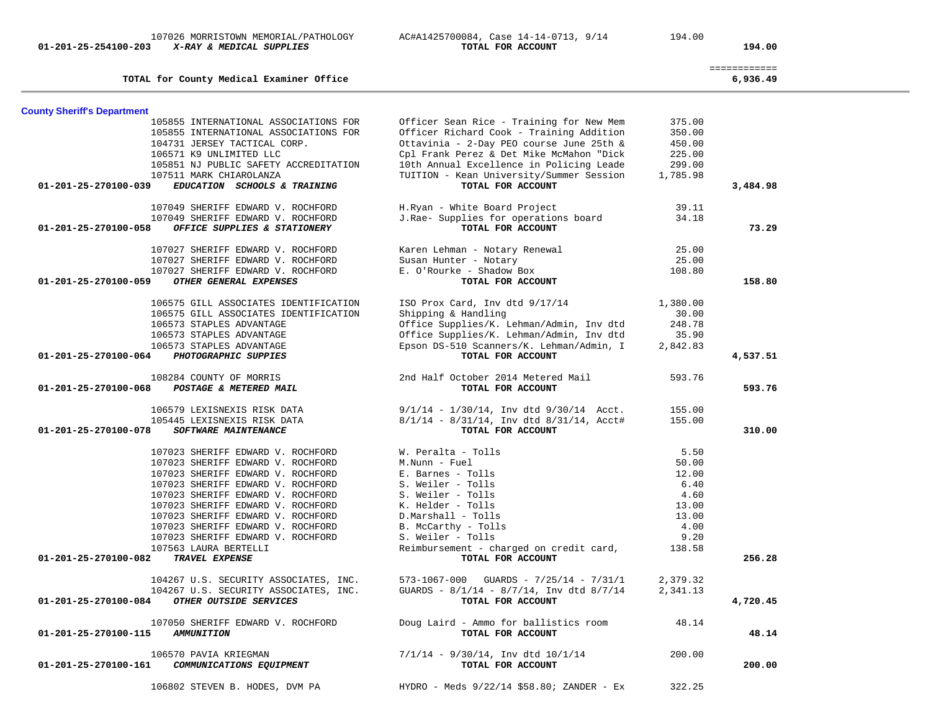|                                                      |                                                  |          | ============ |
|------------------------------------------------------|--------------------------------------------------|----------|--------------|
| TOTAL for County Medical Examiner Office             |                                                  |          | 6,936.49     |
| <b>County Sheriff's Department</b>                   |                                                  |          |              |
| 105855 INTERNATIONAL ASSOCIATIONS FOR                | Officer Sean Rice - Training for New Mem         | 375.00   |              |
| 105855 INTERNATIONAL ASSOCIATIONS FOR                | Officer Richard Cook - Training Addition         | 350.00   |              |
| 104731 JERSEY TACTICAL CORP.                         | Ottavinia - 2-Day PEO course June 25th &         | 450.00   |              |
| 106571 K9 UNLIMITED LLC                              | Cpl Frank Perez & Det Mike McMahon "Dick         | 225.00   |              |
| 105851 NJ PUBLIC SAFETY ACCREDITATION                | 10th Annual Excellence in Policing Leade         | 299.00   |              |
| 107511 MARK CHIAROLANZA                              | TUITION - Kean University/Summer Session         | 1,785.98 |              |
| 01-201-25-270100-039<br>EDUCATION SCHOOLS & TRAINING | TOTAL FOR ACCOUNT                                |          | 3,484.98     |
| 107049 SHERIFF EDWARD V. ROCHFORD                    | H.Ryan - White Board Project                     | 39.11    |              |
| 107049 SHERIFF EDWARD V. ROCHFORD                    | J.Rae- Supplies for operations board             | 34.18    |              |
| 01-201-25-270100-058<br>OFFICE SUPPLIES & STATIONERY | TOTAL FOR ACCOUNT                                |          | 73.29        |
|                                                      |                                                  |          |              |
| 107027 SHERIFF EDWARD V. ROCHFORD                    | Karen Lehman - Notary Renewal                    | 25.00    |              |
| 107027 SHERIFF EDWARD V. ROCHFORD                    | Susan Hunter - Notary                            | 25.00    |              |
| 107027 SHERIFF EDWARD V. ROCHFORD                    | E. O'Rourke - Shadow Box                         | 108.80   |              |
| OTHER GENERAL EXPENSES<br>01-201-25-270100-059       | TOTAL FOR ACCOUNT                                |          | 158.80       |
| 106575 GILL ASSOCIATES IDENTIFICATION                | ISO Prox Card, Inv dtd 9/17/14                   | 1,380.00 |              |
| 106575 GILL ASSOCIATES IDENTIFICATION                | Shipping & Handling                              | 30.00    |              |
| 106573 STAPLES ADVANTAGE                             | Office Supplies/K. Lehman/Admin, Inv dtd         | 248.78   |              |
| 106573 STAPLES ADVANTAGE                             | Office Supplies/K. Lehman/Admin, Inv dtd         | 35.90    |              |
| 106573 STAPLES ADVANTAGE                             | Epson DS-510 Scanners/K. Lehman/Admin, I         | 2,842.83 |              |
| PHOTOGRAPHIC SUPPIES<br>01-201-25-270100-064         | TOTAL FOR ACCOUNT                                |          | 4,537.51     |
| 108284 COUNTY OF MORRIS                              | 2nd Half October 2014 Metered Mail               | 593.76   |              |
| POSTAGE & METERED MAIL<br>01-201-25-270100-068       | TOTAL FOR ACCOUNT                                |          | 593.76       |
|                                                      |                                                  |          |              |
| 106579 LEXISNEXIS RISK DATA                          | $9/1/14 - 1/30/14$ , Inv dtd $9/30/14$ Acct.     | 155.00   |              |
| 105445 LEXISNEXIS RISK DATA                          | $8/1/14$ - $8/31/14$ , Inv dtd $8/31/14$ , Acct# | 155.00   |              |
| 01-201-25-270100-078<br>SOFTWARE MAINTENANCE         | TOTAL FOR ACCOUNT                                |          | 310.00       |
| 107023 SHERIFF EDWARD V. ROCHFORD                    | W. Peralta - Tolls                               | 5.50     |              |
| 107023 SHERIFF EDWARD V. ROCHFORD                    | M.Nunn - Fuel                                    | 50.00    |              |
| 107023 SHERIFF EDWARD V. ROCHFORD                    | E. Barnes - Tolls                                | 12.00    |              |
| 107023 SHERIFF EDWARD V. ROCHFORD                    | S. Weiler - Tolls                                | 6.40     |              |
| 107023 SHERIFF EDWARD V. ROCHFORD                    | S. Weiler - Tolls                                | 4.60     |              |
| 107023 SHERIFF EDWARD V. ROCHFORD                    | K. Helder - Tolls                                | 13.00    |              |
| 107023 SHERIFF EDWARD V. ROCHFORD                    | D.Marshall - Tolls                               | 13.00    |              |
| 107023 SHERIFF EDWARD V. ROCHFORD                    | B. McCarthy - Tolls                              | 4.00     |              |
| 107023 SHERIFF EDWARD V. ROCHFORD                    | S. Weiler - Tolls                                | 9.20     |              |
| 107563 LAURA BERTELLI                                | Reimbursement - charged on credit card,          | 138.58   |              |
| 01-201-25-270100-082<br>TRAVEL EXPENSE               | TOTAL FOR ACCOUNT                                |          | 256.28       |
|                                                      |                                                  |          |              |
| 104267 U.S. SECURITY ASSOCIATES, INC.                | $573-1067-000$ GUARDS - $7/25/14$ - $7/31/1$     | 2,379.32 |              |
| 104267 U.S. SECURITY ASSOCIATES, INC.                | GUARDS - $8/1/14$ - $8/7/14$ , Inv dtd $8/7/14$  | 2,341.13 |              |
| OTHER OUTSIDE SERVICES<br>01-201-25-270100-084       | TOTAL FOR ACCOUNT                                |          | 4,720.45     |
| 107050 SHERIFF EDWARD V. ROCHFORD                    | Doug Laird - Ammo for ballistics room            | 48.14    |              |
| 01-201-25-270100-115 AMMUNITION                      | TOTAL FOR ACCOUNT                                |          | 48.14        |
| 106570 PAVIA KRIEGMAN                                | $7/1/14$ - $9/30/14$ , Inv dtd $10/1/14$         | 200.00   |              |
| 01-201-25-270100-161<br>COMMUNICATIONS EQUIPMENT     | TOTAL FOR ACCOUNT                                |          | 200.00       |
|                                                      |                                                  |          |              |
| 106802 STEVEN B. HODES, DVM PA                       | $HYDRO - Meds 9/22/14 $58.807 ZANDER - Ex$       | 322.25   |              |

 **01-201-25-254100-203** *X-RAY & MEDICAL SUPPLIES* **TOTAL FOR ACCOUNT 194.00**

107026 MORRISTOWN MEMORIAL/PATHOLOGY AC#A1425700084, Case 14-14-0713, 9/14 194.00<br>3 X-RAY & MEDICAL SUPPLIES TORE TOTAL FOR ACCOUNT

L,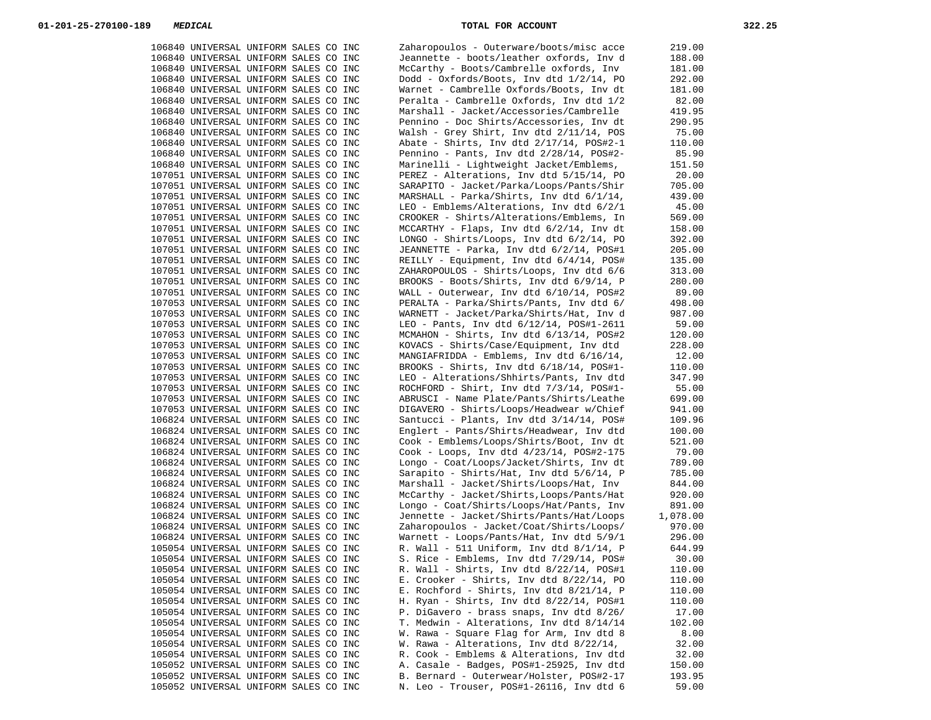| 106840 UNIVERSAL UNIFORM SALES CO INC | Zaharopoulos - Outerware/boots/misc acce      | 219.00   |
|---------------------------------------|-----------------------------------------------|----------|
| 106840 UNIVERSAL UNIFORM SALES CO INC | Jeannette - boots/leather oxfords, Inv d      | 188.00   |
| 106840 UNIVERSAL UNIFORM SALES CO INC | McCarthy - Boots/Cambrelle oxfords, Inv       | 181.00   |
|                                       |                                               |          |
| 106840 UNIVERSAL UNIFORM SALES CO INC | Dodd - Oxfords/Boots, Inv dtd 1/2/14, PO      | 292.00   |
| 106840 UNIVERSAL UNIFORM SALES CO INC | Warnet - Cambrelle Oxfords/Boots, Inv dt      | 181.00   |
| 106840 UNIVERSAL UNIFORM SALES CO INC | Peralta - Cambrelle Oxfords, Inv dtd 1/2      | 82.00    |
| 106840 UNIVERSAL UNIFORM SALES CO INC | Marshall - Jacket/Accessories/Cambrelle       | 419.95   |
| 106840 UNIVERSAL UNIFORM SALES CO INC | Pennino - Doc Shirts/Accessories, Inv dt      | 290.95   |
| 106840 UNIVERSAL UNIFORM SALES CO INC | Walsh - Grey Shirt, Inv dtd 2/11/14, POS      | 75.00    |
| 106840 UNIVERSAL UNIFORM SALES CO INC | Abate - Shirts, Inv dtd $2/17/14$ , POS#2-1   | 110.00   |
|                                       |                                               |          |
| 106840 UNIVERSAL UNIFORM SALES CO INC | Pennino - Pants, Inv dtd 2/28/14, POS#2-      | 85.90    |
| 106840 UNIVERSAL UNIFORM SALES CO INC | Marinelli - Lightweight Jacket/Emblems,       | 151.50   |
| 107051 UNIVERSAL UNIFORM SALES CO INC | PEREZ - Alterations, Inv dtd 5/15/14, PO      | 20.00    |
| 107051 UNIVERSAL UNIFORM SALES CO INC | SARAPITO - Jacket/Parka/Loops/Pants/Shir      | 705.00   |
| 107051 UNIVERSAL UNIFORM SALES CO INC | MARSHALL - Parka/Shirts, Inv dtd 6/1/14,      | 439.00   |
| 107051 UNIVERSAL UNIFORM SALES CO INC | LEO - Emblems/Alterations, Inv dtd 6/2/1      | 45.00    |
| 107051 UNIVERSAL UNIFORM SALES CO INC | CROOKER - Shirts/Alterations/Emblems, In      | 569.00   |
|                                       |                                               |          |
| 107051 UNIVERSAL UNIFORM SALES CO INC | MCCARTHY - Flaps, Inv dtd 6/2/14, Inv dt      | 158.00   |
| 107051 UNIVERSAL UNIFORM SALES CO INC | LONGO - Shirts/Loops, Inv dtd $6/2/14$ , PO   | 392.00   |
| 107051 UNIVERSAL UNIFORM SALES CO INC | JEANNETTE - Parka, Inv dtd 6/2/14, POS#1      | 205.00   |
| 107051 UNIVERSAL UNIFORM SALES CO INC | REILLY - Equipment, Inv dtd 6/4/14, POS#      | 135.00   |
| 107051 UNIVERSAL UNIFORM SALES CO INC | ZAHAROPOULOS - Shirts/Loops, Inv dtd 6/6      | 313.00   |
| 107051 UNIVERSAL UNIFORM SALES CO INC | BROOKS - Boots/Shirts, Inv dtd 6/9/14, P      | 280.00   |
| 107051 UNIVERSAL UNIFORM SALES CO INC | WALL - Outerwear, Inv dtd 6/10/14, POS#2      | 89.00    |
|                                       |                                               |          |
| 107053 UNIVERSAL UNIFORM SALES CO INC | PERALTA - Parka/Shirts/Pants, Inv dtd 6/      | 498.00   |
| 107053 UNIVERSAL UNIFORM SALES CO INC | WARNETT - Jacket/Parka/Shirts/Hat, Inv d      | 987.00   |
| 107053 UNIVERSAL UNIFORM SALES CO INC | $LEO -$ Pants, Inv dtd $6/12/14$ , POS#1-2611 | 59.00    |
| 107053 UNIVERSAL UNIFORM SALES CO INC | MCMAHON - Shirts, Inv dtd 6/13/14, POS#2      | 120.00   |
| 107053 UNIVERSAL UNIFORM SALES CO INC | KOVACS - Shirts/Case/Equipment, Inv dtd       | 228.00   |
| 107053 UNIVERSAL UNIFORM SALES CO INC | MANGIAFRIDDA - Emblems, Inv dtd 6/16/14,      | 12.00    |
|                                       |                                               |          |
| 107053 UNIVERSAL UNIFORM SALES CO INC | BROOKS - Shirts, Inv dtd $6/18/14$ , POS#1-   | 110.00   |
| 107053 UNIVERSAL UNIFORM SALES CO INC | LEO - Alterations/Shhirts/Pants, Inv dtd      | 347.90   |
| 107053 UNIVERSAL UNIFORM SALES CO INC | ROCHFORD - Shirt, Inv dtd 7/3/14, POS#1-      | 55.00    |
| 107053 UNIVERSAL UNIFORM SALES CO INC | ABRUSCI - Name Plate/Pants/Shirts/Leathe      | 699.00   |
| 107053 UNIVERSAL UNIFORM SALES CO INC | DIGAVERO - Shirts/Loops/Headwear w/Chief      | 941.00   |
| 106824 UNIVERSAL UNIFORM SALES CO INC | Santucci - Plants, Inv dtd 3/14/14, POS#      | 109.96   |
| 106824 UNIVERSAL UNIFORM SALES CO INC | Englert - Pants/Shirts/Headwear, Inv dtd      | 100.00   |
| 106824 UNIVERSAL UNIFORM SALES CO INC | Cook - Emblems/Loops/Shirts/Boot, Inv dt      | 521.00   |
|                                       |                                               |          |
| 106824 UNIVERSAL UNIFORM SALES CO INC | Cook - Loops, Inv dtd $4/23/14$ , POS#2-175   | 79.00    |
| 106824 UNIVERSAL UNIFORM SALES CO INC | Longo - Coat/Loops/Jacket/Shirts, Inv dt      | 789.00   |
| 106824 UNIVERSAL UNIFORM SALES CO INC | Sarapito - Shirts/Hat, Inv dtd 5/6/14, P      | 785.00   |
| 106824 UNIVERSAL UNIFORM SALES CO INC | Marshall - Jacket/Shirts/Loops/Hat, Inv       | 844.00   |
| 106824 UNIVERSAL UNIFORM SALES CO INC | McCarthy - Jacket/Shirts, Loops/Pants/Hat     | 920.00   |
| 106824 UNIVERSAL UNIFORM SALES CO INC | Longo - Coat/Shirts/Loops/Hat/Pants, Inv      | 891.00   |
| 106824 UNIVERSAL UNIFORM SALES CO INC | Jennette - Jacket/Shirts/Pants/Hat/Loops      | 1,078.00 |
| 106824 UNIVERSAL UNIFORM SALES CO INC | Zaharopoulos - Jacket/Coat/Shirts/Loops/      |          |
|                                       |                                               | 970.00   |
| 106824 UNIVERSAL UNIFORM SALES CO INC | Warnett - Loops/Pants/Hat, Inv dtd 5/9/1      | 296.00   |
| 105054 UNIVERSAL UNIFORM SALES CO INC | R. Wall - 511 Uniform, Inv dtd $8/1/14$ , P   | 644.99   |
| 105054 UNIVERSAL UNIFORM SALES CO INC | S. Rice - Emblems, Inv dtd 7/29/14, POS#      | 30.00    |
| 105054 UNIVERSAL UNIFORM SALES CO INC | R. Wall - Shirts, Inv dtd 8/22/14, POS#1      | 110.00   |
| 105054 UNIVERSAL UNIFORM SALES CO INC | E. Crooker - Shirts, Inv dtd 8/22/14, PO      | 110.00   |
| 105054 UNIVERSAL UNIFORM SALES CO INC | E. Rochford - Shirts, Inv dtd $8/21/14$ , P   | 110.00   |
| 105054 UNIVERSAL UNIFORM SALES CO INC | H. Ryan - Shirts, Inv dtd 8/22/14, POS#1      | 110.00   |
|                                       | P. DiGavero - brass snaps, Inv dtd 8/26/      |          |
| 105054 UNIVERSAL UNIFORM SALES CO INC |                                               | 17.00    |
| 105054 UNIVERSAL UNIFORM SALES CO INC | T. Medwin - Alterations, Inv dtd 8/14/14      | 102.00   |
| 105054 UNIVERSAL UNIFORM SALES CO INC | W. Rawa - Square Flag for Arm, Inv dtd 8      | 8.00     |
| 105054 UNIVERSAL UNIFORM SALES CO INC | W. Rawa - Alterations, Inv dtd $8/22/14$ ,    | 32.00    |
| 105054 UNIVERSAL UNIFORM SALES CO INC | R. Cook - Emblems & Alterations, Inv dtd      | 32.00    |
| 105052 UNIVERSAL UNIFORM SALES CO INC | A. Casale - Badges, POS#1-25925, Inv dtd      | 150.00   |
| 105052 UNIVERSAL UNIFORM SALES CO INC | B. Bernard - Outerwear/Holster, POS#2-17      | 193.95   |
|                                       | N. Leo - Trouser, POS#1-26116, Inv dtd 6      | 59.00    |
| 105052 UNIVERSAL UNIFORM SALES CO INC |                                               |          |

| 106840 UNIVERSAL UNIFORM SALES CO INC |  |  | Jeannette - boots/leather oxfords, Inv d    | 188.00                    |
|---------------------------------------|--|--|---------------------------------------------|---------------------------|
| 106840 UNIVERSAL UNIFORM SALES CO INC |  |  | McCarthy - Boots/Cambrelle oxfords, Inv     | 181.00                    |
| 106840 UNIVERSAL UNIFORM SALES CO INC |  |  | $Dodd - Oxfords/Boots, Inv dtd 1/2/14, PO$  | 292.00                    |
| 106840 UNIVERSAL UNIFORM SALES CO INC |  |  | Warnet - Cambrelle Oxfords/Boots, Inv dt    | 181.00                    |
| 106840 UNIVERSAL UNIFORM SALES CO INC |  |  | Peralta - Cambrelle Oxfords, Inv dtd 1/2    | 82.00                     |
| 106840 UNIVERSAL UNIFORM SALES CO INC |  |  | Marshall - Jacket/Accessories/Cambrelle     | 419.95                    |
| 106840 UNIVERSAL UNIFORM SALES CO INC |  |  | Pennino - Doc Shirts/Accessories, Inv dt    | 290.95                    |
| 106840 UNIVERSAL UNIFORM SALES CO INC |  |  | Walsh - Grey Shirt, Inv dtd $2/11/14$ , POS | 75.00                     |
| 106840 UNIVERSAL UNIFORM SALES CO INC |  |  | Abate - Shirts, Inv dtd $2/17/14$ , POS#2-1 | 110.00                    |
| 106840 UNIVERSAL UNIFORM SALES CO INC |  |  | Pennino - Pants, Inv dtd 2/28/14, POS#2-    | 85.90                     |
| 106840 UNIVERSAL UNIFORM SALES CO INC |  |  | Marinelli - Lightweight Jacket/Emblems,     | 151.50                    |
| 107051 UNIVERSAL UNIFORM SALES CO INC |  |  | PEREZ - Alterations, Inv dtd 5/15/14, PO    | 20.00                     |
| 107051 UNIVERSAL UNIFORM SALES CO INC |  |  | SARAPITO - Jacket/Parka/Loops/Pants/Shir    | 705.00                    |
|                                       |  |  |                                             |                           |
| 107051 UNIVERSAL UNIFORM SALES CO INC |  |  | MARSHALL - Parka/Shirts, Inv dtd 6/1/14,    | 439.00                    |
| 107051 UNIVERSAL UNIFORM SALES CO INC |  |  | LEO - Emblems/Alterations, Inv dtd $6/2/1$  | 45.00                     |
| 107051 UNIVERSAL UNIFORM SALES CO INC |  |  | CROOKER - Shirts/Alterations/Emblems, In    | 569.00                    |
| 107051 UNIVERSAL UNIFORM SALES CO INC |  |  | MCCARTHY - Flaps, Inv dtd 6/2/14, Inv dt    | 158.00                    |
| 107051 UNIVERSAL UNIFORM SALES CO INC |  |  | LONGO - Shirts/Loops, Inv dtd $6/2/14$ , PO | 392.00                    |
| 107051 UNIVERSAL UNIFORM SALES CO INC |  |  | JEANNETTE - Parka, Inv dtd 6/2/14, POS#1    | 205.00                    |
| 107051 UNIVERSAL UNIFORM SALES CO INC |  |  | REILLY - Equipment, Inv dtd 6/4/14, POS#    | 135.00                    |
| 107051 UNIVERSAL UNIFORM SALES CO INC |  |  | ZAHAROPOULOS - Shirts/Loops, Inv dtd 6/6    | 313.00                    |
| 107051 UNIVERSAL UNIFORM SALES CO INC |  |  | BROOKS - Boots/Shirts, Inv dtd 6/9/14, P    | 280.00                    |
| 107051 UNIVERSAL UNIFORM SALES CO INC |  |  | WALL - Outerwear, Inv dtd $6/10/14$ , POS#2 | 89.00                     |
| 107053 UNIVERSAL UNIFORM SALES CO INC |  |  | PERALTA - Parka/Shirts/Pants, Inv dtd 6/    | 498.00                    |
| 107053 UNIVERSAL UNIFORM SALES CO INC |  |  | WARNETT - Jacket/Parka/Shirts/Hat, Inv d    | 987.00                    |
| 107053 UNIVERSAL UNIFORM SALES CO INC |  |  | LEO - Pants, Inv dtd $6/12/14$ , POS#1-2611 | 59.00                     |
| 107053 UNIVERSAL UNIFORM SALES CO INC |  |  | MCMAHON - Shirts, Inv dtd $6/13/14$ , POS#2 | 120.00                    |
| 107053 UNIVERSAL UNIFORM SALES CO INC |  |  | KOVACS - Shirts/Case/Equipment, Inv dtd     | 228.00                    |
| 107053 UNIVERSAL UNIFORM SALES CO INC |  |  | MANGIAFRIDDA - Emblems, Inv dtd $6/16/14$ , | 12.00                     |
| 107053 UNIVERSAL UNIFORM SALES CO INC |  |  | BROOKS - Shirts, Inv dtd $6/18/14$ , POS#1- | 110.00                    |
| 107053 UNIVERSAL UNIFORM SALES CO INC |  |  | LEO - Alterations/Shhirts/Pants, Inv dtd    | 347.90                    |
| 107053 UNIVERSAL UNIFORM SALES CO INC |  |  | ROCHFORD - Shirt, Inv dtd $7/3/14$ , POS#1- | 55.00                     |
| 107053 UNIVERSAL UNIFORM SALES CO INC |  |  | ABRUSCI - Name Plate/Pants/Shirts/Leathe    | 699.00                    |
| 107053 UNIVERSAL UNIFORM SALES CO INC |  |  | DIGAVERO - Shirts/Loops/Headwear w/Chief    | 941.00                    |
| 106824 UNIVERSAL UNIFORM SALES CO INC |  |  | Santucci - Plants, Inv dtd 3/14/14, POS#    | 109.96                    |
| 106824 UNIVERSAL UNIFORM SALES CO INC |  |  | Englert - Pants/Shirts/Headwear, Inv dtd    | 100.00                    |
| 106824 UNIVERSAL UNIFORM SALES CO INC |  |  | Cook - Emblems/Loops/Shirts/Boot, Inv dt    | 521.00                    |
| 106824 UNIVERSAL UNIFORM SALES CO INC |  |  | Cook - Loops, Inv dtd $4/23/14$ , POS#2-175 | 79.00                     |
| 106824 UNIVERSAL UNIFORM SALES CO INC |  |  |                                             | 789.00                    |
|                                       |  |  | Longo - Coat/Loops/Jacket/Shirts, Inv dt    |                           |
| 106824 UNIVERSAL UNIFORM SALES CO INC |  |  | Sarapito - Shirts/Hat, Inv dtd 5/6/14, P    | 785.00                    |
| 106824 UNIVERSAL UNIFORM SALES CO INC |  |  | Marshall - Jacket/Shirts/Loops/Hat, Inv     | 844.00                    |
| 106824 UNIVERSAL UNIFORM SALES CO INC |  |  | McCarthy - Jacket/Shirts, Loops/Pants/Hat   | 920.00                    |
| 106824 UNIVERSAL UNIFORM SALES CO INC |  |  | Longo - Coat/Shirts/Loops/Hat/Pants, Inv    | 891.00                    |
| 106824 UNIVERSAL UNIFORM SALES CO INC |  |  | Jennette - Jacket/Shirts/Pants/Hat/Loops    | 1,078.00                  |
| 106824 UNIVERSAL UNIFORM SALES CO INC |  |  | Zaharopoulos - Jacket/Coat/Shirts/Loops/    | 970.00                    |
| 106824 UNIVERSAL UNIFORM SALES CO INC |  |  | Warnett - Loops/Pants/Hat, Inv dtd 5/9/1    | 296.00                    |
| 105054 UNIVERSAL UNIFORM SALES CO INC |  |  | R. Wall - 511 Uniform, Inv dtd $8/1/14$ , P | 644.99                    |
| 105054 UNIVERSAL UNIFORM SALES CO INC |  |  | S. Rice - Emblems, Inv dtd 7/29/14, POS#    | 30.00                     |
| 105054 UNIVERSAL UNIFORM SALES CO INC |  |  | R. Wall - Shirts, Inv dtd 8/22/14, POS#1    | 110.00                    |
| 105054 UNIVERSAL UNIFORM SALES CO INC |  |  | E. Crooker - Shirts, Inv dtd 8/22/14, PO    | 110.00                    |
| 105054 UNIVERSAL UNIFORM SALES CO INC |  |  | E. Rochford - Shirts, Inv dtd $8/21/14$ , P | 110.00                    |
| 105054 UNIVERSAL UNIFORM SALES CO INC |  |  | H. Ryan - Shirts, Inv dtd $8/22/14$ , POS#1 | 110.00                    |
| 105054 UNIVERSAL UNIFORM SALES CO INC |  |  | P. DiGavero - brass snaps, Inv dtd 8/26/    | 17.00                     |
| 105054 UNIVERSAL UNIFORM SALES CO INC |  |  | T. Medwin - Alterations, Inv dtd 8/14/14    | 102.00                    |
| 105054 UNIVERSAL UNIFORM SALES CO INC |  |  | W. Rawa - Square Flag for Arm, Inv dtd 8    | 8.00                      |
| 105054 UNIVERSAL UNIFORM SALES CO INC |  |  | W. Rawa - Alterations, Inv dtd 8/22/14,     | 32.00                     |
| 105054 UNIVERSAL UNIFORM SALES CO INC |  |  | R. Cook - Emblems & Alterations, Inv dtd    | 32.00                     |
| 105052 UNIVERSAL UNIFORM SALES CO INC |  |  | A. Casale - Badges, POS#1-25925, Inv dtd    | 150.00                    |
| 105052 UNIVERSAL UNIFORM SALES CO INC |  |  | B. Bernard - Outerwear/Holster, POS#2-17    | 193.95                    |
|                                       |  |  |                                             | $\sim$<br>$\Gamma$ $\cap$ |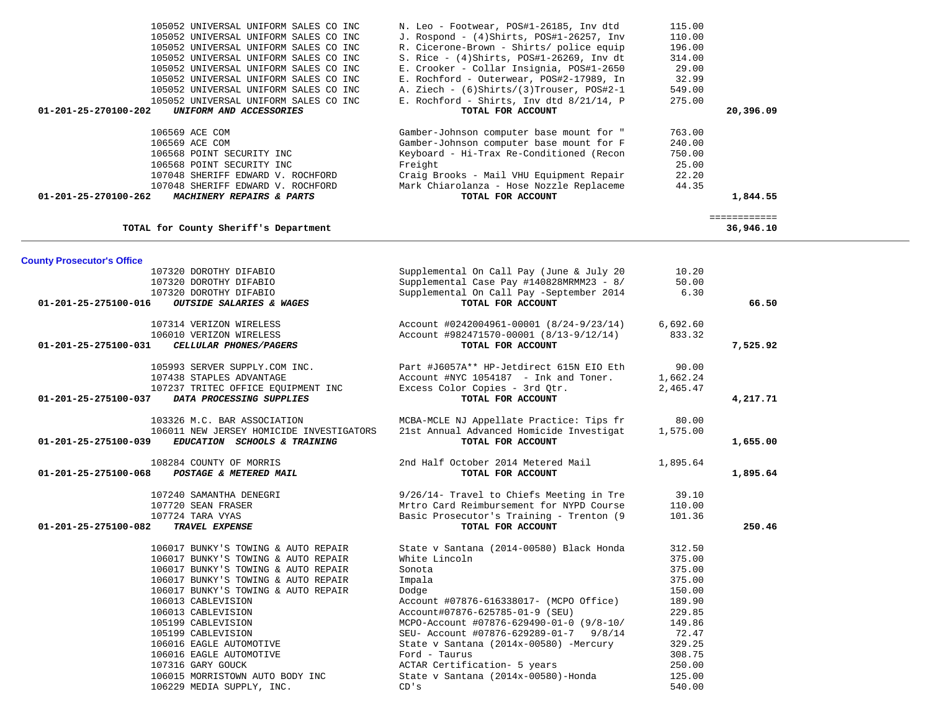| 106569 ACE COM<br>106569 ACE COM<br>106568 POINT SECURITY INC<br>106568 POINT SECURITY INC<br>107048 SHERIFF EDWARD V. ROCHFORD<br>107048 SHERIFF EDWARD V. ROCHFORD<br>01-201-25-270100-262<br>MACHINERY REPAIRS & PARTS | Gamber-Johnson computer base mount for "<br>Gamber-Johnson computer base mount for F<br>Keyboard - Hi-Trax Re-Conditioned (Recon<br>Freight<br>Craig Brooks - Mail VHU Equipment Repair<br>Mark Chiarolanza - Hose Nozzle Replaceme<br>TOTAL FOR ACCOUNT | 763.00<br>240.00<br>750.00<br>25.00<br>22.20<br>44.35 | 1,844.55<br>============ |  |
|---------------------------------------------------------------------------------------------------------------------------------------------------------------------------------------------------------------------------|----------------------------------------------------------------------------------------------------------------------------------------------------------------------------------------------------------------------------------------------------------|-------------------------------------------------------|--------------------------|--|
| TOTAL for County Sheriff's Department                                                                                                                                                                                     |                                                                                                                                                                                                                                                          |                                                       | 36,946.10                |  |
| <b>County Prosecutor's Office</b>                                                                                                                                                                                         |                                                                                                                                                                                                                                                          |                                                       |                          |  |
| 107320 DOROTHY DIFABIO                                                                                                                                                                                                    | Supplemental On Call Pay (June & July 20                                                                                                                                                                                                                 | 10.20                                                 |                          |  |
| 107320 DOROTHY DIFABIO                                                                                                                                                                                                    | Supplemental Case Pay #140828MRMM23 - 8/                                                                                                                                                                                                                 | 50.00                                                 |                          |  |
| 107320 DOROTHY DIFABIO                                                                                                                                                                                                    | Supplemental On Call Pay -September 2014                                                                                                                                                                                                                 | 6.30                                                  |                          |  |
| OUTSIDE SALARIES & WAGES<br>01-201-25-275100-016                                                                                                                                                                          | TOTAL FOR ACCOUNT                                                                                                                                                                                                                                        |                                                       | 66.50                    |  |
|                                                                                                                                                                                                                           |                                                                                                                                                                                                                                                          |                                                       |                          |  |
| 107314 VERIZON WIRELESS                                                                                                                                                                                                   | Account #0242004961-00001 (8/24-9/23/14)                                                                                                                                                                                                                 | 6,692.60                                              |                          |  |
| 106010 VERIZON WIRELESS                                                                                                                                                                                                   | Account #982471570-00001 (8/13-9/12/14)                                                                                                                                                                                                                  | 833.32                                                |                          |  |
| 01-201-25-275100-031<br>CELLULAR PHONES/PAGERS                                                                                                                                                                            | TOTAL FOR ACCOUNT                                                                                                                                                                                                                                        |                                                       | 7,525.92                 |  |
| 105993 SERVER SUPPLY.COM INC.                                                                                                                                                                                             | Part #J6057A** HP-Jetdirect 615N EIO Eth                                                                                                                                                                                                                 | 90.00                                                 |                          |  |
| 107438 STAPLES ADVANTAGE                                                                                                                                                                                                  | Account #NYC 1054187 - Ink and Toner.                                                                                                                                                                                                                    | 1,662.24                                              |                          |  |
| 107237 TRITEC OFFICE EQUIPMENT INC                                                                                                                                                                                        | Excess Color Copies - 3rd Qtr.                                                                                                                                                                                                                           | 2,465.47                                              |                          |  |
| 01-201-25-275100-037<br>DATA PROCESSING SUPPLIES                                                                                                                                                                          | TOTAL FOR ACCOUNT                                                                                                                                                                                                                                        |                                                       | 4,217.71                 |  |
|                                                                                                                                                                                                                           |                                                                                                                                                                                                                                                          |                                                       |                          |  |
| 103326 M.C. BAR ASSOCIATION                                                                                                                                                                                               | MCBA-MCLE NJ Appellate Practice: Tips fr                                                                                                                                                                                                                 | 80.00                                                 |                          |  |
| 106011 NEW JERSEY HOMICIDE INVESTIGATORS                                                                                                                                                                                  | 21st Annual Advanced Homicide Investigat                                                                                                                                                                                                                 | 1,575.00                                              |                          |  |
| 01-201-25-275100-039<br>EDUCATION SCHOOLS & TRAINING                                                                                                                                                                      | TOTAL FOR ACCOUNT                                                                                                                                                                                                                                        |                                                       | 1,655.00                 |  |
|                                                                                                                                                                                                                           |                                                                                                                                                                                                                                                          |                                                       |                          |  |
| 108284 COUNTY OF MORRIS                                                                                                                                                                                                   | 2nd Half October 2014 Metered Mail                                                                                                                                                                                                                       | 1,895.64                                              |                          |  |
| 01-201-25-275100-068<br>POSTAGE & METERED MAIL                                                                                                                                                                            | TOTAL FOR ACCOUNT                                                                                                                                                                                                                                        |                                                       | 1,895.64                 |  |
|                                                                                                                                                                                                                           |                                                                                                                                                                                                                                                          |                                                       |                          |  |
| 107240 SAMANTHA DENEGRI                                                                                                                                                                                                   | 9/26/14- Travel to Chiefs Meeting in Tre                                                                                                                                                                                                                 | 39.10                                                 |                          |  |
| 107720 SEAN FRASER                                                                                                                                                                                                        | Mrtro Card Reimbursement for NYPD Course                                                                                                                                                                                                                 | 110.00                                                |                          |  |
| 107724 TARA VYAS                                                                                                                                                                                                          | Basic Prosecutor's Training - Trenton (9                                                                                                                                                                                                                 | 101.36                                                |                          |  |
| 01-201-25-275100-082<br>TRAVEL EXPENSE                                                                                                                                                                                    | TOTAL FOR ACCOUNT                                                                                                                                                                                                                                        |                                                       | 250.46                   |  |
|                                                                                                                                                                                                                           |                                                                                                                                                                                                                                                          |                                                       |                          |  |
| 106017 BUNKY'S TOWING & AUTO REPAIR                                                                                                                                                                                       | State v Santana (2014-00580) Black Honda                                                                                                                                                                                                                 | 312.50                                                |                          |  |
| 106017 BUNKY'S TOWING & AUTO REPAIR<br>106017 BUNKY'S TOWING & AUTO REPAIR                                                                                                                                                | White Lincoln<br>Sonota                                                                                                                                                                                                                                  | 375.00<br>375.00                                      |                          |  |
| 106017 BUNKY'S TOWING & AUTO REPAIR                                                                                                                                                                                       | Impala                                                                                                                                                                                                                                                   | 375.00                                                |                          |  |
| 106017 BUNKY'S TOWING & AUTO REPAIR                                                                                                                                                                                       | Dodge                                                                                                                                                                                                                                                    | 150.00                                                |                          |  |
| 106013 CABLEVISION                                                                                                                                                                                                        | Account #07876-616338017- (MCPO Office)                                                                                                                                                                                                                  | 189.90                                                |                          |  |
| 106013 CABLEVISION                                                                                                                                                                                                        | Account#07876-625785-01-9 (SEU)                                                                                                                                                                                                                          | 229.85                                                |                          |  |
| 105199 CABLEVISION                                                                                                                                                                                                        | MCPO-Account #07876-629490-01-0 (9/8-10/                                                                                                                                                                                                                 | 149.86                                                |                          |  |
| 105199 CABLEVISION                                                                                                                                                                                                        | SEU- Account #07876-629289-01-7 9/8/14                                                                                                                                                                                                                   | 72.47                                                 |                          |  |
| 106016 EAGLE AUTOMOTIVE                                                                                                                                                                                                   | State v Santana (2014x-00580) -Mercury                                                                                                                                                                                                                   | 329.25                                                |                          |  |
| 106016 EAGLE AUTOMOTIVE                                                                                                                                                                                                   | Ford - Taurus                                                                                                                                                                                                                                            | 308.75                                                |                          |  |
| 107316 GARY GOUCK                                                                                                                                                                                                         | ACTAR Certification- 5 years                                                                                                                                                                                                                             | 250.00                                                |                          |  |
| 106015 MORRISTOWN AUTO BODY INC                                                                                                                                                                                           | State v Santana (2014x-00580)-Honda                                                                                                                                                                                                                      | 125.00                                                |                          |  |
| 106229 MEDIA SUPPLY, INC.                                                                                                                                                                                                 | CD's                                                                                                                                                                                                                                                     | 540.00                                                |                          |  |
|                                                                                                                                                                                                                           |                                                                                                                                                                                                                                                          |                                                       |                          |  |

 105052 UNIVERSAL UNIFORM SALES CO INC N. Leo - Footwear, POS#1-26185, Inv dtd 115.00 105052 UNIVERSAL UNIFORM SALES CO INC J. Rospond - (4)Shirts, POS#1-26257, Inv 110.00 105052 UNIVERSAL UNIFORM SALES CO INC R. Cicerone-Brown - Shirts/ police equip 196.00<br>105052 UNIVERSAL UNIFORM SALES CO INC S. Rice - (4)Shirts, POS#1-26269, Inv dt 314.00 105052 UNIVERSAL UNIFORM SALES CO INC S. Rice - (4)Shirts, POS#1-26269, Inv dt 314.00<br>105052 UNIVERSAL UNIFORM SALES CO INC E. Crooker - Collar Insignia, POS#1-2650 29.00 105052 UNIVERSAL UNIFORM SALES CO INC E. Crooker - Collar Insignia, POS#1-2650 29.00 105052 UNIVERSAL UNIFORM SALES CO INC E. Rochford - Outerwear, POS#2-17989, In 32.99 105052 UNIVERSAL UNIFORM SALES CO INC <br>105052 UNIVERSAL UNIFORM SALES CO INC E. Rochford - Shirts, Inv dtd 8/21/14, P 275.00

 **01-201-25-270100-202** *UNIFORM AND ACCESSORIES* **TOTAL FOR ACCOUNT 20,396.09**

E. Rochford - Shirts, Inv dtd 8/21/14, P<br>TOTAL FOR ACCOUNT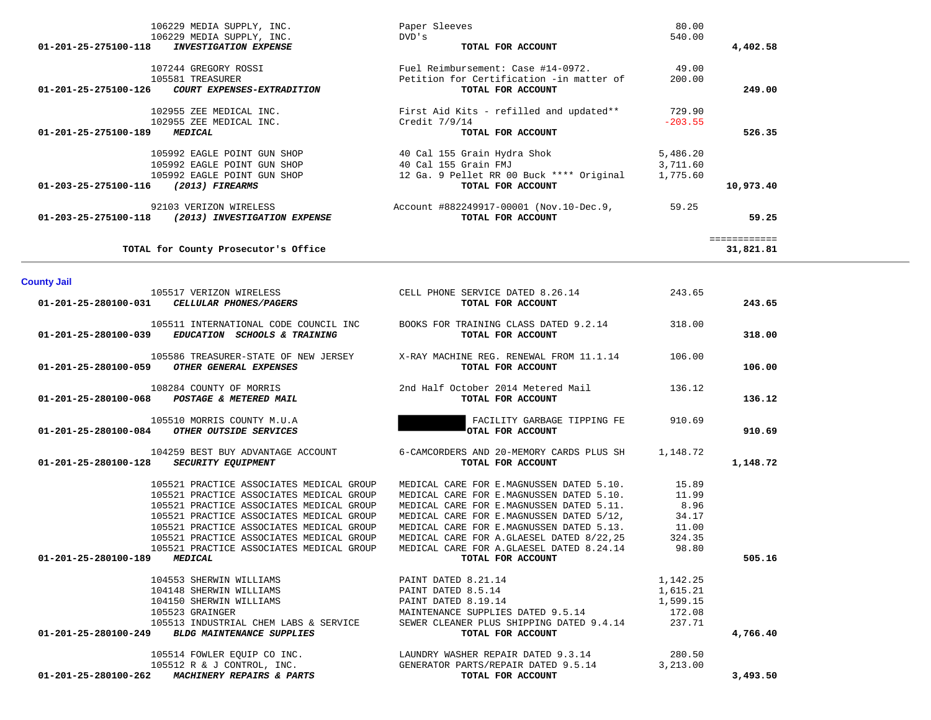| 01-201-25-275100-189 MEDICAL                                                     |                                                                                                                |                                                                                                                                                                                                                                                                                                                                                                    |           |                           |  |
|----------------------------------------------------------------------------------|----------------------------------------------------------------------------------------------------------------|--------------------------------------------------------------------------------------------------------------------------------------------------------------------------------------------------------------------------------------------------------------------------------------------------------------------------------------------------------------------|-----------|---------------------------|--|
|                                                                                  | 102955 ZEE MEDICAL INC.                                                                                        | Credit 7/9/14                                                                                                                                                                                                                                                                                                                                                      | $-203.55$ | 526.35                    |  |
|                                                                                  |                                                                                                                | <b>EXECUTE:</b><br><b>EXECUTE:</b><br><b>EXECUTE:</b><br><b>EXECUTE:</b><br><b>EXECUTE:</b><br><b>EXECUTE:</b><br><b>EXECUTE:</b><br><b>EXECUTE:</b><br><b>EXECUTE:</b><br><b>EXECUTE:</b><br><b>EXECUTE:</b><br><b>EXECUTE:</b><br><b>EXECUTE:</b><br><b>EXECUTE:</b><br><b>EXECUTE:</b><br><b>EXECUTE:</b><br><b>EXECUTE:</b><br><b>EXECUTE:</b><br><b>EXECU</b> |           |                           |  |
|                                                                                  |                                                                                                                |                                                                                                                                                                                                                                                                                                                                                                    |           |                           |  |
|                                                                                  |                                                                                                                |                                                                                                                                                                                                                                                                                                                                                                    |           |                           |  |
|                                                                                  |                                                                                                                |                                                                                                                                                                                                                                                                                                                                                                    |           |                           |  |
| 01-203-25-275100-116 (2013) FIREARMS                                             |                                                                                                                |                                                                                                                                                                                                                                                                                                                                                                    |           | 10,973.40                 |  |
|                                                                                  |                                                                                                                | 92103 VERIZON WIRELESS Account #882249917-00001 (Nov.10-Dec.9,                                                                                                                                                                                                                                                                                                     | 59.25     |                           |  |
| 01-203-25-275100-118 (2013) INVESTIGATION EXPENSE                                |                                                                                                                | TOTAL FOR ACCOUNT                                                                                                                                                                                                                                                                                                                                                  |           | 59.25                     |  |
|                                                                                  | TOTAL for County Prosecutor's Office                                                                           |                                                                                                                                                                                                                                                                                                                                                                    |           | ============<br>31,821.81 |  |
|                                                                                  |                                                                                                                |                                                                                                                                                                                                                                                                                                                                                                    |           |                           |  |
| <b>County Jail</b>                                                               |                                                                                                                | CELL PHONE SERVICE DATED 8.26.14                                                                                                                                                                                                                                                                                                                                   | 243.65    |                           |  |
|                                                                                  | 105517 VERIZON WIRELESS<br>01-201-25-280100-031 CELLULAR PHONES/PAGERS                                         | TOTAL FOR ACCOUNT                                                                                                                                                                                                                                                                                                                                                  |           | 243.65                    |  |
|                                                                                  |                                                                                                                | 105511 INTERNATIONAL CODE COUNCIL INC BOOKS FOR TRAINING CLASS DATED 9.2.14                                                                                                                                                                                                                                                                                        | 318.00    |                           |  |
|                                                                                  | 01-201-25-280100-039 EDUCATION SCHOOLS & TRAINING                                                              | TOTAL FOR ACCOUNT                                                                                                                                                                                                                                                                                                                                                  |           | 318.00                    |  |
|                                                                                  |                                                                                                                |                                                                                                                                                                                                                                                                                                                                                                    |           |                           |  |
|                                                                                  | 01-201-25-280100-059 OTHER GENERAL EXPENSES                                                                    | 105586 TREASURER-STATE OF NEW JERSEY X-RAY MACHINE REG. RENEWAL FROM 11.1.14 106.00<br>TOTAL FOR ACCOUNT                                                                                                                                                                                                                                                           |           | 106.00                    |  |
|                                                                                  |                                                                                                                |                                                                                                                                                                                                                                                                                                                                                                    |           |                           |  |
|                                                                                  |                                                                                                                |                                                                                                                                                                                                                                                                                                                                                                    | 136.12    |                           |  |
|                                                                                  |                                                                                                                | 108284 COUNTY OF MORRIS 2nd Half October 2014 Metered Mail<br>2nd Half October 2014 Metered Mail<br>TOTAL FOR ACCOUNT<br>105510 MORRIS COUNTY M.U.A<br>201-201-25-280100-084 OTHER OUTSIDE SERVICES<br>OTAL FOR ACCOUNT                                                                                                                                            |           | 136.12                    |  |
|                                                                                  |                                                                                                                | FACILITY GARBAGE TIPPING FE 910.69                                                                                                                                                                                                                                                                                                                                 |           |                           |  |
| $105510 \text{ MORRIS COUNTY M.U.A}$ 01-201-25-280100-084 OTHER OUTSIDE SERVICES |                                                                                                                | OTAL FOR ACCOUNT                                                                                                                                                                                                                                                                                                                                                   |           | 910.69                    |  |
|                                                                                  |                                                                                                                |                                                                                                                                                                                                                                                                                                                                                                    |           |                           |  |
|                                                                                  | 104259 BEST BUY ADVANTAGE ACCOUNT                                                                              | 6-CAMCORDERS AND 20-MEMORY CARDS PLUS SH 1, 148.72                                                                                                                                                                                                                                                                                                                 |           |                           |  |
| 01-201-25-280100-128 SECURITY EQUIPMENT                                          |                                                                                                                | TOTAL FOR ACCOUNT                                                                                                                                                                                                                                                                                                                                                  |           | 1,148.72                  |  |
|                                                                                  | 105521 PRACTICE ASSOCIATES MEDICAL GROUP                                                                       | MEDICAL CARE FOR E.MAGNUSSEN DATED 5.10.                                                                                                                                                                                                                                                                                                                           | 15.89     |                           |  |
|                                                                                  | 105521 PRACTICE ASSOCIATES MEDICAL GROUP                                                                       | MEDICAL CARE FOR E.MAGNUSSEN DATED 5.10.                                                                                                                                                                                                                                                                                                                           | 11.99     |                           |  |
|                                                                                  | 105521 PRACTICE ASSOCIATES MEDICAL GROUP                                                                       | MEDICAL CARE FOR E.MAGNUSSEN DATED 5.11.                                                                                                                                                                                                                                                                                                                           | 8.96      |                           |  |
|                                                                                  | 105521 PRACTICE ASSOCIATES MEDICAL GROUP                                                                       | MEDICAL CARE FOR E.MAGNUSSEN DATED 5/12,                                                                                                                                                                                                                                                                                                                           | 34.17     |                           |  |
|                                                                                  | 105521 PRACTICE ASSOCIATES MEDICAL GROUP                                                                       |                                                                                                                                                                                                                                                                                                                                                                    |           |                           |  |
|                                                                                  | 105521 PRACTICE ASSOCIATES MEDICAL GROUP                                                                       | MEDICAL CARE FOR E.MAGNUSSEN DATED 5.13. 11.00<br>MEDICAL CARE FOR A.GLAESEL DATED 8/22,25 324.35                                                                                                                                                                                                                                                                  |           |                           |  |
|                                                                                  | 105521 PRACTICE ASSOCIATES MEDICAL GROUP                                                                       | MEDICAL CARE FOR A.GLAESEL DATED 8.24.14                                                                                                                                                                                                                                                                                                                           | 98.80     |                           |  |
| 01-201-25-280100-189 MEDICAL                                                     |                                                                                                                | TOTAL FOR ACCOUNT                                                                                                                                                                                                                                                                                                                                                  |           | 505.16                    |  |
|                                                                                  |                                                                                                                |                                                                                                                                                                                                                                                                                                                                                                    |           |                           |  |
|                                                                                  | 104553 SHERWIN WILLIAMS                                                                                        | PAINT DATED 8.21.14                                                                                                                                                                                                                                                                                                                                                | 1,142.25  |                           |  |
|                                                                                  |                                                                                                                | PAINT DATED 8.5.14                                                                                                                                                                                                                                                                                                                                                 | 1,615.21  |                           |  |
|                                                                                  | 104148 SHERWIN WILLIAMS<br>104150 SHERWIN WILLIAMS<br>105523 GRAINGER<br>105513 INDUSTRIAL CHEM LABS & SERVICE | PAINT DATED 8.3.14<br>PAINT DATED 8.19.14<br>MAINTENANCE SUPPLIES DATED 9.5.14                                                                                                                                                                                                                                                                                     | 1,599.15  |                           |  |
|                                                                                  |                                                                                                                |                                                                                                                                                                                                                                                                                                                                                                    | 172.08    |                           |  |
|                                                                                  |                                                                                                                | SEWER CLEANER PLUS SHIPPING DATED 9.4.14 237.71                                                                                                                                                                                                                                                                                                                    |           |                           |  |
|                                                                                  | 01-201-25-280100-249 BLDG MAINTENANCE SUPPLIES                                                                 | TOTAL FOR ACCOUNT                                                                                                                                                                                                                                                                                                                                                  |           | 4,766.40                  |  |
|                                                                                  |                                                                                                                |                                                                                                                                                                                                                                                                                                                                                                    |           |                           |  |
|                                                                                  |                                                                                                                | 105514 FOWLER EQUIP CO INC.<br>105512 R & J CONTROL, INC.<br>105512 R & J CONTROL, INC.<br>105512 R & J CONTROL, INC.<br>105512 R & J CONTROL, INC.<br>105512 R & J CONTROL, INC.<br>105512 R & J CONTROL, INC.<br>105512 R & J CONTROL, INC.<br>1056                                                                                                              |           |                           |  |
|                                                                                  |                                                                                                                |                                                                                                                                                                                                                                                                                                                                                                    |           |                           |  |

| 106229 MEDIA SUPPLY, INC.<br>106229 MEDIA SUPPLY, INC.<br>01-201-25-275100-118<br><b>INVESTIGATION EXPENSE</b> | Paper Sleeves<br>DVD's<br>TOTAL FOR ACCOUNT                   | 80.00<br>540.00 | 4,402.58  |
|----------------------------------------------------------------------------------------------------------------|---------------------------------------------------------------|-----------------|-----------|
| 107244 GREGORY ROSSI                                                                                           | Fuel Reimbursement: Case #14-0972.                            | 49.00           |           |
| 105581 TREASURER<br>01-201-25-275100-126 COURT EXPENSES-EXTRADITION                                            | Petition for Certification -in matter of<br>TOTAL FOR ACCOUNT | 200.00          | 249.00    |
| 102955 ZEE MEDICAL INC.                                                                                        | First Aid Kits - refilled and updated**                       | 729.90          |           |
| 102955 ZEE MEDICAL INC.                                                                                        | Credit 7/9/14                                                 | $-203.55$       |           |
| $01 - 201 - 25 - 275100 - 189$<br><b>MEDICAL</b>                                                               | TOTAL FOR ACCOUNT                                             |                 | 526.35    |
| 105992 EAGLE POINT GUN SHOP                                                                                    | 40 Cal 155 Grain Hydra Shok                                   | 5,486.20        |           |
| 105992 EAGLE POINT GUN SHOP                                                                                    | 40 Cal 155 Grain FMJ                                          | 3,711.60        |           |
| 105992 EAGLE POINT GUN SHOP                                                                                    | 12 Ga. 9 Pellet RR 00 Buck **** Original                      | 1,775.60        |           |
| <i>(2013) FIREARMS</i><br>01-203-25-275100-116                                                                 | TOTAL FOR ACCOUNT                                             |                 | 10,973.40 |
| 92103 VERIZON WIRELESS                                                                                         | Account #882249917-00001 (Nov.10-Dec.9,                       | 59.25           |           |
| 01-203-25-275100-118<br><i>(2013) INVESTIGATION EXPENSE</i>                                                    | TOTAL FOR ACCOUNT                                             |                 | 59.25     |
|                                                                                                                |                                                               |                 |           |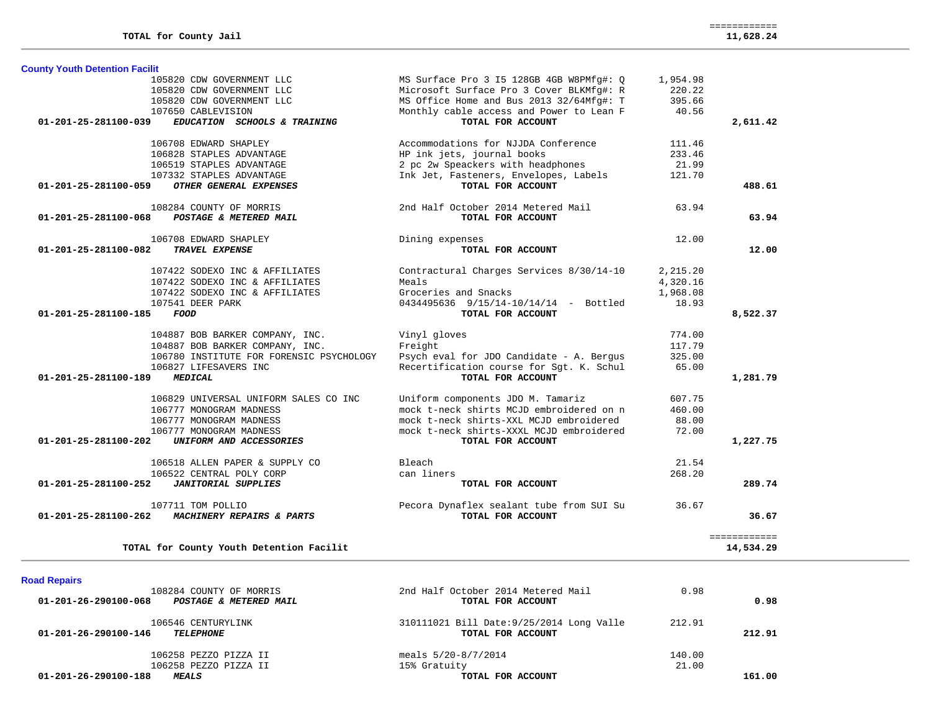| <b>County Youth Detention Facilit</b> |                                                    |                                                               |          |                           |
|---------------------------------------|----------------------------------------------------|---------------------------------------------------------------|----------|---------------------------|
|                                       | 105820 CDW GOVERNMENT LLC                          | MS Surface Pro 3 I5 128GB 4GB W8PMfg#: Q                      | 1,954.98 |                           |
|                                       | 105820 CDW GOVERNMENT LLC                          | Microsoft Surface Pro 3 Cover BLKMfg#: R                      | 220.22   |                           |
|                                       | 105820 CDW GOVERNMENT LLC                          | MS Office Home and Bus 2013 32/64Mfg#: T                      | 395.66   |                           |
|                                       | 107650 CABLEVISION                                 | Monthly cable access and Power to Lean F                      | 40.56    |                           |
| 01-201-25-281100-039                  | EDUCATION SCHOOLS & TRAINING                       | TOTAL FOR ACCOUNT                                             |          | 2,611.42                  |
|                                       | 106708 EDWARD SHAPLEY                              | Accommodations for NJJDA Conference                           | 111.46   |                           |
|                                       | 106828 STAPLES ADVANTAGE                           | HP ink jets, journal books                                    | 233.46   |                           |
|                                       | 106519 STAPLES ADVANTAGE                           | 2 pc 2w Speackers with headphones                             | 21.99    |                           |
|                                       | 107332 STAPLES ADVANTAGE                           | Ink Jet, Fasteners, Envelopes, Labels                         | 121.70   |                           |
| 01-201-25-281100-059                  | OTHER GENERAL EXPENSES                             | TOTAL FOR ACCOUNT                                             |          | 488.61                    |
|                                       | 108284 COUNTY OF MORRIS                            | 2nd Half October 2014 Metered Mail                            | 63.94    |                           |
| 01-201-25-281100-068                  | POSTAGE & METERED MAIL                             | TOTAL FOR ACCOUNT                                             |          | 63.94                     |
|                                       | 106708 EDWARD SHAPLEY                              | Dining expenses                                               | 12.00    |                           |
| 01-201-25-281100-082                  | TRAVEL EXPENSE                                     | TOTAL FOR ACCOUNT                                             |          | 12.00                     |
|                                       | 107422 SODEXO INC & AFFILIATES                     | Contractural Charges Services 8/30/14-10                      | 2,215.20 |                           |
|                                       | 107422 SODEXO INC & AFFILIATES                     | Meals                                                         | 4,320.16 |                           |
|                                       | 107422 SODEXO INC & AFFILIATES                     | Groceries and Snacks                                          | 1,968.08 |                           |
|                                       | 107541 DEER PARK                                   | 0434495636 9/15/14-10/14/14 - Bottled                         | 18.93    |                           |
| 01-201-25-281100-185                  | FOOD                                               | TOTAL FOR ACCOUNT                                             |          | 8,522.37                  |
|                                       | 104887 BOB BARKER COMPANY, INC.                    | Vinyl gloves                                                  | 774.00   |                           |
|                                       | 104887 BOB BARKER COMPANY, INC.                    | Freight                                                       | 117.79   |                           |
|                                       | 106780 INSTITUTE FOR FORENSIC PSYCHOLOGY           | Psych eval for JDO Candidate - A. Bergus                      | 325.00   |                           |
|                                       | 106827 LIFESAVERS INC                              | Recertification course for Sgt. K. Schul                      | 65.00    |                           |
| 01-201-25-281100-189                  | <b>MEDICAL</b>                                     | TOTAL FOR ACCOUNT                                             |          | 1,281.79                  |
|                                       | 106829 UNIVERSAL UNIFORM SALES CO INC              | Uniform components JDO M. Tamariz                             | 607.75   |                           |
|                                       | 106777 MONOGRAM MADNESS                            | mock t-neck shirts MCJD embroidered on n                      | 460.00   |                           |
|                                       | 106777 MONOGRAM MADNESS                            | mock t-neck shirts-XXL MCJD embroidered                       | 88.00    |                           |
| 01-201-25-281100-202                  | 106777 MONOGRAM MADNESS<br>UNIFORM AND ACCESSORIES | mock t-neck shirts-XXXL MCJD embroidered<br>TOTAL FOR ACCOUNT | 72.00    | 1,227.75                  |
|                                       | 106518 ALLEN PAPER & SUPPLY CO                     | Bleach                                                        | 21.54    |                           |
|                                       | 106522 CENTRAL POLY CORP                           | can liners                                                    | 268.20   |                           |
| 01-201-25-281100-252                  | <b>JANITORIAL SUPPLIES</b>                         | TOTAL FOR ACCOUNT                                             |          | 289.74                    |
|                                       | 107711 TOM POLLIO                                  | Pecora Dynaflex sealant tube from SUI Su                      | 36.67    |                           |
| 01-201-25-281100-262                  | MACHINERY REPAIRS & PARTS                          | TOTAL FOR ACCOUNT                                             |          | 36.67                     |
|                                       | TOTAL for County Youth Detention Facilit           |                                                               |          | ============<br>14,534.29 |

| 108284 COUNTY OF MORRIS<br>01-201-26-290100-068<br>POSTAGE & METERED MAIL | 2nd Half October 2014 Metered Mail<br>TOTAL FOR ACCOUNT        | 0.98            | 0.98   |
|---------------------------------------------------------------------------|----------------------------------------------------------------|-----------------|--------|
| 106546 CENTURYLINK<br>01-201-26-290100-146<br><b>TELEPHONE</b>            | 310111021 Bill Date: 9/25/2014 Long Valle<br>TOTAL FOR ACCOUNT | 212.91          | 212.91 |
| 106258 PEZZO PIZZA II<br>106258 PEZZO PIZZA II                            | meals 5/20-8/7/2014<br>15% Gratuity                            | 140.00<br>21.00 |        |
| 01-201-26-290100-188<br><b>MEALS</b>                                      | TOTAL FOR ACCOUNT                                              |                 | 161.00 |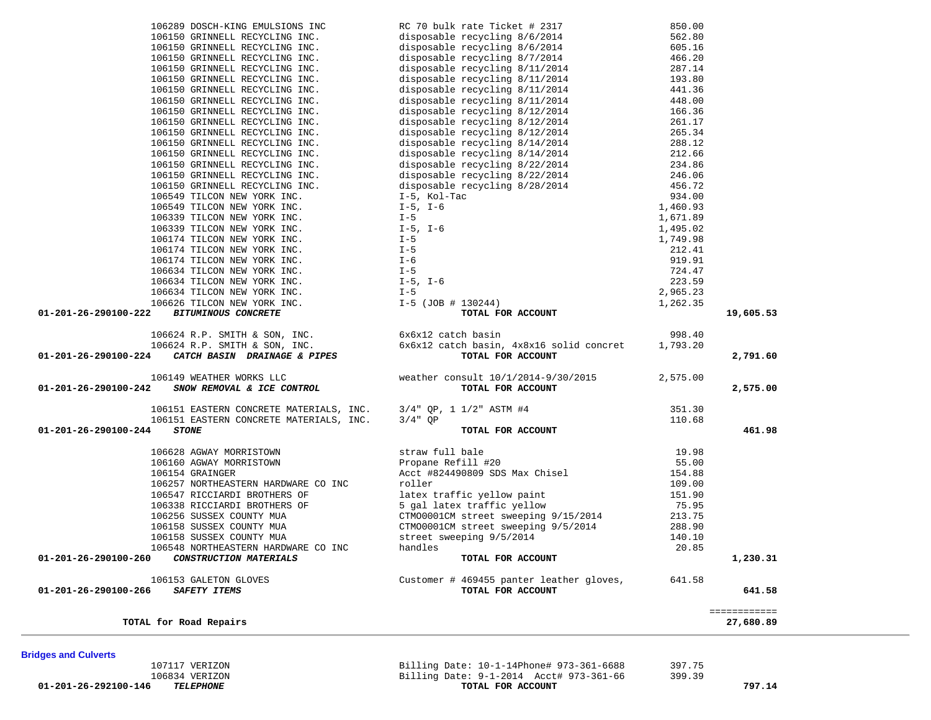**Bridges and Culverts** 

 107117 VERIZON Billing Date: 10-1-14Phone# 973-361-6688 397.75 Billing Date:  $9-1-2014$  Acct# 973-361-66<br>TOTAL FOR ACCOUNT  **01-201-26-292100-146** *TELEPHONE* **TOTAL FOR ACCOUNT 797.14**

|                                | TOTAL for Road Repairs                       |                                                               |        | 27,680.89 |
|--------------------------------|----------------------------------------------|---------------------------------------------------------------|--------|-----------|
| $01 - 201 - 26 - 290100 - 266$ | 106153 GALETON GLOVES<br><i>SAFETY ITEMS</i> | Customer # 469455 panter leather gloves,<br>TOTAL FOR ACCOUNT | 641.58 | 641.58    |
| $01 - 201 - 26 - 290100 - 260$ | CONSTRUCTION MATERIALS                       | TOTAL FOR ACCOUNT                                             |        | 1,230.31  |
|                                | 106548 NORTHEASTERN HARDWARE CO INC          | handles                                                       | 20.85  |           |
|                                | 106158 SUSSEX COUNTY MUA                     | street sweeping 9/5/2014                                      | 140.10 |           |
|                                | 106158 SUSSEX COUNTY MUA                     | CTM00001CM street sweeping 9/5/2014                           | 288.90 |           |
|                                | 106256 SUSSEX COUNTY MUA                     | CTM00001CM street sweeping 9/15/2014                          | 213.75 |           |
|                                | 106338 RICCIARDI BROTHERS OF                 | 5 gal latex traffic yellow                                    | 75.95  |           |
|                                | 106547 RICCIARDI BROTHERS OF                 | latex traffic yellow paint                                    | 151.90 |           |
|                                | 106257 NORTHEASTERN HARDWARE CO INC          | roller                                                        | 109.00 |           |
|                                | 106154 GRAINGER                              | Acct #824490809 SDS Max Chisel                                | 154.88 |           |
|                                | 106160 AGWAY MORRISTOWN                      | Propane Refill #20                                            | 55.00  |           |
|                                |                                              |                                                               |        |           |

|                                                                                       |                                                                  | ------------     |           |
|---------------------------------------------------------------------------------------|------------------------------------------------------------------|------------------|-----------|
| 106153 GALETON GLOVES<br>01-201-26-290100-266<br><b>SAFETY ITEMS</b>                  | Customer # 469455 panter leather gloves,<br>TOTAL FOR ACCOUNT    | 641.58           | 641.58    |
|                                                                                       |                                                                  |                  |           |
| 106548 NORTHEASTERN HARDWARE CO INC<br>CONSTRUCTION MATERIALS<br>01-201-26-290100-260 | handles<br>TOTAL FOR ACCOUNT                                     | 20.85            | 1,230.31  |
| 106158 SUSSEX COUNTY MUA                                                              | street sweeping 9/5/2014                                         | 140.10           |           |
| 106158 SUSSEX COUNTY MUA                                                              | CTM00001CM street sweeping 9/5/2014                              | 288.90           |           |
| 106256 SUSSEX COUNTY MUA                                                              | CTM00001CM street sweeping 9/15/2014                             | 213.75           |           |
| 106338 RICCIARDI BROTHERS OF                                                          | 5 gal latex traffic yellow                                       | 75.95            |           |
| 106547 RICCIARDI BROTHERS OF                                                          | latex traffic yellow paint                                       | 151.90           |           |
| 106257 NORTHEASTERN HARDWARE CO INC                                                   | roller                                                           | 109.00           |           |
| 106154 GRAINGER                                                                       | Acct #824490809 SDS Max Chisel                                   | 154.88           |           |
| 106160 AGWAY MORRISTOWN                                                               | Propane Refill #20                                               | 55.00            |           |
| 106628 AGWAY MORRISTOWN                                                               | straw full bale                                                  | 19.98            |           |
| $01 - 201 - 26 - 290100 - 244$<br><b>STONE</b>                                        | TOTAL FOR ACCOUNT                                                |                  | 461.98    |
| 106151 EASTERN CONCRETE MATERIALS, INC.                                               | $3/4"$ OP                                                        | 110.68           |           |
| 106151 EASTERN CONCRETE MATERIALS, INC.                                               | $3/4$ " QP, 1 $1/2$ " ASTM #4                                    | 351.30           |           |
| 106149 WEATHER WORKS LLC<br>01-201-26-290100-242<br>SNOW REMOVAL & ICE CONTROL        | weather consult $10/1/2014-9/30/2015$<br>TOTAL FOR ACCOUNT       | 2,575.00         | 2,575.00  |
| CATCH BASIN DRAINAGE & PIPES<br>01-201-26-290100-224                                  | TOTAL FOR ACCOUNT                                                |                  | 2,791.60  |
| 106624 R.P. SMITH & SON, INC.                                                         | 6x6x12 catch basin, 4x8x16 solid concret                         | 1,793.20         |           |
| 106624 R.P. SMITH & SON, INC.                                                         | 6x6x12 catch basin                                               | 998.40           |           |
| 01-201-26-290100-222<br><b>BITUMINOUS CONCRETE</b>                                    | TOTAL FOR ACCOUNT                                                |                  | 19,605.53 |
| 106626 TILCON NEW YORK INC.                                                           | I-5 (JOB # 130244)                                               | 1,262.35         |           |
| 106634 TILCON NEW YORK INC.                                                           | $I - 5$                                                          | 2,965.23         |           |
| 106634 TILCON NEW YORK INC.                                                           | $I-5$ , $I-6$                                                    | 223.59           |           |
| 106634 TILCON NEW YORK INC.                                                           | $I - 5$                                                          | 724.47           |           |
| 106174 TILCON NEW YORK INC.                                                           | I-6                                                              | 919.91           |           |
| 106174 TILCON NEW YORK INC.                                                           | $I - 5$                                                          | 212.41           |           |
| 106174 TILCON NEW YORK INC.                                                           | $I - 5$                                                          | 1,749.98         |           |
| 106339 TILCON NEW YORK INC.                                                           | $I-5$ , $I-6$                                                    | 1,495.02         |           |
| 106339 TILCON NEW YORK INC.                                                           | $I - 5$                                                          | 1,671.89         |           |
| 106549 TILCON NEW YORK INC.                                                           | $I-5$ , $I-6$                                                    | 1,460.93         |           |
| 106549 TILCON NEW YORK INC.                                                           | I-5, Kol-Tac                                                     | 934.00           |           |
| 106150 GRINNELL RECYCLING INC.                                                        | disposable recycling 8/28/2014                                   | 456.72           |           |
| 106150 GRINNELL RECYCLING INC.<br>106150 GRINNELL RECYCLING INC.                      | disposable recycling 8/22/2014<br>disposable recycling 8/22/2014 | 246.06           |           |
| 106150 GRINNELL RECYCLING INC.                                                        | disposable recycling 8/14/2014                                   | 212.66<br>234.86 |           |
| 106150 GRINNELL RECYCLING INC.                                                        | disposable recycling 8/14/2014                                   | 288.12           |           |
| 106150 GRINNELL RECYCLING INC.                                                        | disposable recycling 8/12/2014                                   | 265.34           |           |
| 106150 GRINNELL RECYCLING INC.                                                        | disposable recycling 8/12/2014                                   | 261.17           |           |
| 106150 GRINNELL RECYCLING INC.                                                        | disposable recycling 8/12/2014                                   | 166.36           |           |
| 106150 GRINNELL RECYCLING INC.                                                        | disposable recycling 8/11/2014                                   | 448.00           |           |
| 106150 GRINNELL RECYCLING INC.                                                        | disposable recycling 8/11/2014                                   | 441.36           |           |
| 106150 GRINNELL RECYCLING INC.                                                        | disposable recycling 8/11/2014                                   | 193.80           |           |
| 106150 GRINNELL RECYCLING INC.                                                        | disposable recycling 8/11/2014                                   | 287.14           |           |
| 106150 GRINNELL RECYCLING INC.                                                        | disposable recycling 8/7/2014                                    | 466.20           |           |
| 106150 GRINNELL RECYCLING INC.                                                        | disposable recycling 8/6/2014                                    | 605.16           |           |
| 106150 GRINNELL RECYCLING INC.                                                        | disposable recycling 8/6/2014                                    | 562.80           |           |
| 106289 DOSCH-KING EMULSIONS INC                                                       | RC 70 bulk rate Ticket # 2317                                    | 850.00           |           |
|                                                                                       |                                                                  |                  |           |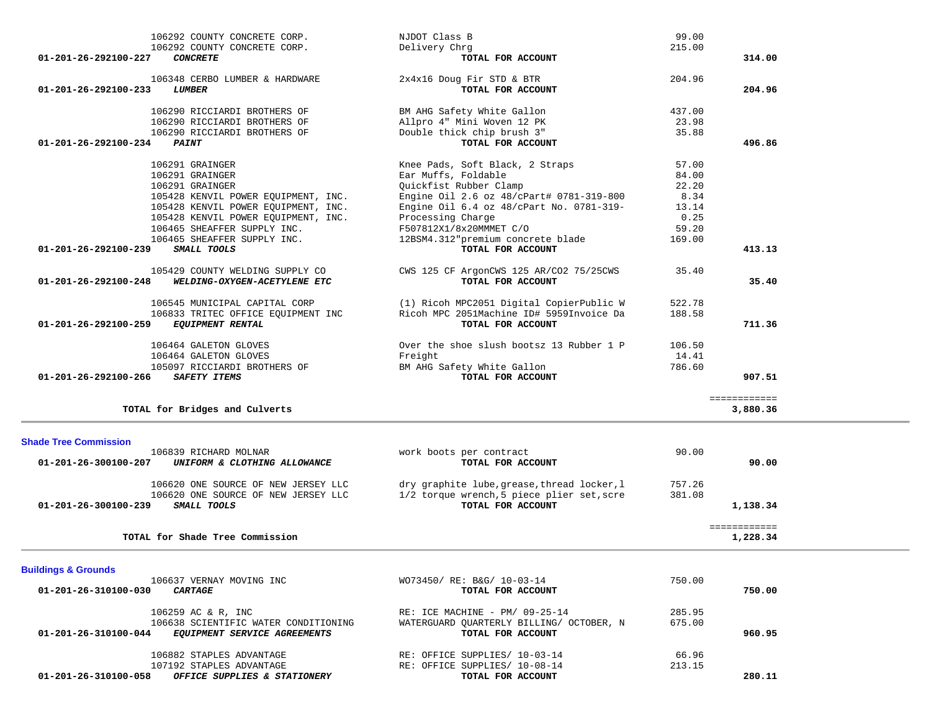| <b>Buildings &amp; Grounds</b><br>106637 VERNAY MOVING INC<br>$01 - 201 - 26 - 310100 - 030$<br><i>CARTAGE</i> | WO73450/ RE: B&G/ 10-03-14<br>TOTAL FOR ACCOUNT | 750.00 | 750.00 |
|----------------------------------------------------------------------------------------------------------------|-------------------------------------------------|--------|--------|
|                                                                                                                |                                                 |        |        |
| 106259 AC & R, INC                                                                                             | RE: ICE MACHINE - PM/ 09-25-14                  | 285.95 |        |
| 106638 SCIENTIFIC WATER CONDITIONING                                                                           | WATERGUARD OUARTERLY BILLING/ OCTOBER, N        | 675.00 |        |
| $01 - 201 - 26 - 310100 - 044$<br>EQUIPMENT SERVICE AGREEMENTS                                                 | TOTAL FOR ACCOUNT                               |        | 960.95 |
| 106882 STAPLES ADVANTAGE                                                                                       | RE: OFFICE SUPPLIES/ 10-03-14                   | 66.96  |        |
| 107192 STAPLES ADVANTAGE                                                                                       | RE: OFFICE SUPPLIES/ 10-08-14                   | 213.15 |        |
| 01-201-26-310100-058<br>OFFICE SUPPLIES & STATIONERY                                                           | TOTAL FOR ACCOUNT                               |        | 280.11 |

| 106839 RICHARD MOLNAR<br>01-201-26-300100-207<br>UNIFORM & CLOTHING ALLOWANCE                                     | work boots per contract<br>TOTAL FOR ACCOUNT                                                                   | 90.00            | 90.00    |
|-------------------------------------------------------------------------------------------------------------------|----------------------------------------------------------------------------------------------------------------|------------------|----------|
| 106620 ONE SOURCE OF NEW JERSEY LLC<br>106620 ONE SOURCE OF NEW JERSEY LLC<br>01-201-26-300100-239<br>SMALL TOOLS | dry graphite lube, grease, thread locker, l<br>1/2 torque wrench, 5 piece plier set, scre<br>TOTAL FOR ACCOUNT | 757.26<br>381.08 | 1,138.34 |
| TOTAL for Shade Tree Commission                                                                                   |                                                                                                                |                  | 1,228.34 |

| TOTAL for Bridges and Culverts                                                                                |                                                                                         |                  | 3,880.36 |
|---------------------------------------------------------------------------------------------------------------|-----------------------------------------------------------------------------------------|------------------|----------|
| <b>Shade Tree Commission</b><br>106839 RICHARD MOLNAR<br>01-201-26-300100-207<br>UNIFORM & CLOTHING ALLOWANCE | work boots per contract<br>TOTAL FOR ACCOUNT                                            | 90.00            | 90.00    |
| 106620 ONE SOURCE OF NEW JERSEY LLC<br>106620 ONE SOURCE OF NEW JERSEY LLC                                    | dry graphite lube, grease, thread locker, 1<br>1/2 torque wrench.5 piece plier set.scre | 757.26<br>381.08 |          |

| 106292 COUNTY CONCRETE CORP.                         | NJDOT Class B                            | 99.00  |        |
|------------------------------------------------------|------------------------------------------|--------|--------|
| 106292 COUNTY CONCRETE CORP.                         | Delivery Chrq                            | 215.00 |        |
| $01 - 201 - 26 - 292100 - 227$<br><b>CONCRETE</b>    | TOTAL FOR ACCOUNT                        |        | 314.00 |
| 106348 CERBO LUMBER & HARDWARE                       | 2x4x16 Doug Fir STD & BTR                | 204.96 |        |
| $01 - 201 - 26 - 292100 - 233$<br><b>LUMBER</b>      | TOTAL FOR ACCOUNT                        |        | 204.96 |
| 106290 RICCIARDI BROTHERS OF                         | BM AHG Safety White Gallon               | 437.00 |        |
| 106290 RICCIARDI BROTHERS OF                         | Allpro 4" Mini Woven 12 PK               | 23.98  |        |
| 106290 RICCIARDI BROTHERS OF                         | Double thick chip brush 3"               | 35.88  |        |
| $01 - 201 - 26 - 292100 - 234$<br><b>PAINT</b>       | TOTAL FOR ACCOUNT                        |        | 496.86 |
| 106291 GRAINGER                                      | Knee Pads, Soft Black, 2 Straps          | 57.00  |        |
| 106291 GRAINGER                                      | Ear Muffs, Foldable                      | 84.00  |        |
| 106291 GRAINGER                                      | Ouickfist Rubber Clamp                   | 22.20  |        |
| 105428 KENVIL POWER EOUIPMENT, INC.                  | Engine Oil 2.6 oz 48/cPart# 0781-319-800 | 8.34   |        |
| 105428 KENVIL POWER EOUIPMENT, INC.                  | Engine Oil 6.4 oz 48/cPart No. 0781-319- | 13.14  |        |
| 105428 KENVIL POWER EOUIPMENT, INC.                  | Processing Charge                        | 0.25   |        |
| 106465 SHEAFFER SUPPLY INC.                          | F507812X1/8x20MMMET C/O                  | 59.20  |        |
| 106465 SHEAFFER SUPPLY INC.                          | 12BSM4.312"premium concrete blade        | 169.00 |        |
| 01-201-26-292100-239<br>SMALL TOOLS                  | TOTAL FOR ACCOUNT                        |        | 413.13 |
| 105429 COUNTY WELDING SUPPLY CO                      | CWS 125 CF ArgonCWS 125 AR/CO2 75/25CWS  | 35.40  |        |
| 01-201-26-292100-248<br>WELDING-OXYGEN-ACETYLENE ETC | TOTAL FOR ACCOUNT                        |        | 35.40  |
| 106545 MUNICIPAL CAPITAL CORP                        | (1) Ricoh MPC2051 Digital CopierPublic W | 522.78 |        |
| 106833 TRITEC OFFICE EQUIPMENT INC                   | Ricoh MPC 2051Machine ID# 5959Invoice Da | 188.58 |        |
| 01-201-26-292100-259<br><b>EQUIPMENT RENTAL</b>      | TOTAL FOR ACCOUNT                        |        | 711.36 |
| 106464 GALETON GLOVES                                | Over the shoe slush bootsz 13 Rubber 1 P | 106.50 |        |
|                                                      | Freight                                  | 14.41  |        |
| 106464 GALETON GLOVES                                |                                          |        |        |
| 105097 RICCIARDI BROTHERS OF                         | BM AHG Safety White Gallon               | 786.60 |        |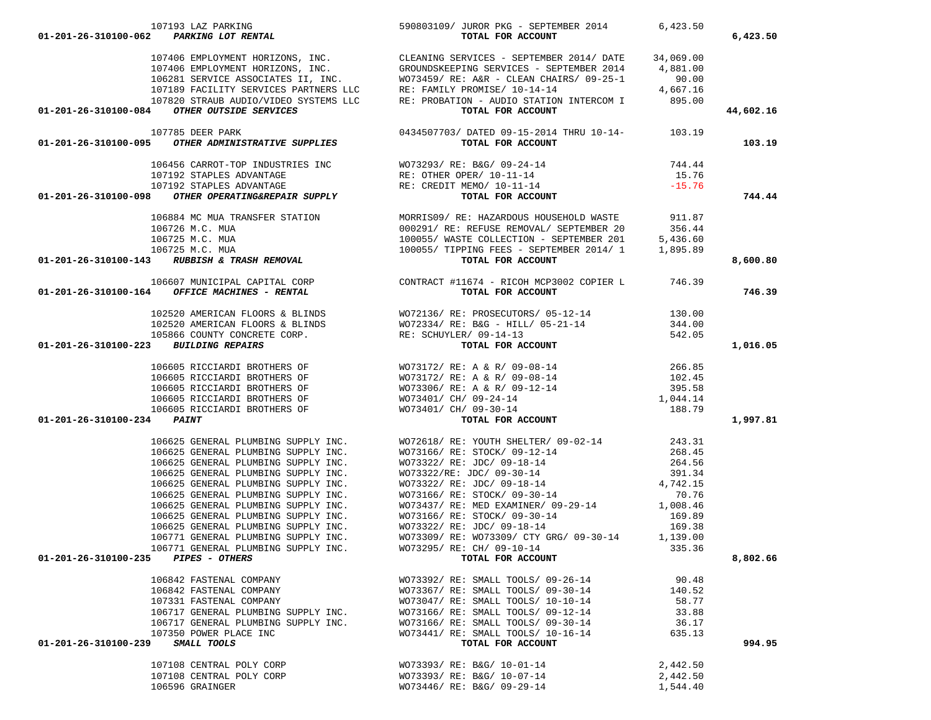| 107193 LAZ PARKING<br>590803109/ JUROR PKG - SEPTEMBER 2014 6,423.50<br><b>107193 LAZ PARKING LOT RENTAL</b><br>590803109/ JUROR PKG - SEPTEMBER 2014 6,423.50                                                                                                                                                                                                                                                                                         |                                               |          | 6,423.50  |
|--------------------------------------------------------------------------------------------------------------------------------------------------------------------------------------------------------------------------------------------------------------------------------------------------------------------------------------------------------------------------------------------------------------------------------------------------------|-----------------------------------------------|----------|-----------|
|                                                                                                                                                                                                                                                                                                                                                                                                                                                        |                                               |          |           |
|                                                                                                                                                                                                                                                                                                                                                                                                                                                        |                                               |          |           |
|                                                                                                                                                                                                                                                                                                                                                                                                                                                        |                                               |          |           |
|                                                                                                                                                                                                                                                                                                                                                                                                                                                        |                                               |          |           |
|                                                                                                                                                                                                                                                                                                                                                                                                                                                        |                                               |          |           |
|                                                                                                                                                                                                                                                                                                                                                                                                                                                        |                                               |          |           |
| $\begin{tabular}{lllllllllllllllllll} \multicolumn{4}{c }{\textbf{01-201-26-310100-084}} & \multicolumn{4}{c }{\textbf{09-340}} & \multicolumn{4}{c }{\textbf{01-201-26-310100-084}} & \multicolumn{4}{c }{\textbf{01-201-26-310100-084}} & \multicolumn{4}{c }{\textbf{01-201-26-310100-084}} & \multicolumn{4}{c }{\textbf{01-201-26-310100-084}} & \$                                                                                               |                                               |          | 44,602.16 |
| 107785 DEER PARK 10434507703/ DATED 09-15-2014 THRU 10-14-<br>01-201-26-310100-095 OTHER ADMINISTRATIVE SUPPLIES TOTAL FOR ACCOUNT                                                                                                                                                                                                                                                                                                                     |                                               |          |           |
|                                                                                                                                                                                                                                                                                                                                                                                                                                                        |                                               |          | 103.19    |
|                                                                                                                                                                                                                                                                                                                                                                                                                                                        |                                               |          |           |
|                                                                                                                                                                                                                                                                                                                                                                                                                                                        |                                               |          |           |
|                                                                                                                                                                                                                                                                                                                                                                                                                                                        |                                               |          |           |
|                                                                                                                                                                                                                                                                                                                                                                                                                                                        |                                               |          |           |
| $107192 \begin{tabular}{lcccc} \multicolumn{4}{c}{\textbf{STAPLES ADVANTAGE}} & \multicolumn{4}{c}{\textbf{NIC-TOP INDUSTRIES INC}} & \multicolumn{4}{c}{\textbf{NO73293/ RE: BAG/ 09-24-14}} & \multicolumn{4}{c}{\textbf{744.44}} \\ & 107192 \begin{tabular}{lcccc} \multicolumn{4}{c}{\textbf{STAPLES ADVANTAGE}} & \multicolumn{4}{c}{\textbf{R}} & \multicolumn{4}{c}{\textbf{R}} & \multicolumn{4}{c}{\textbf{R}} \\ & 107192 \begin{tabular}{$ |                                               |          | 744.44    |
|                                                                                                                                                                                                                                                                                                                                                                                                                                                        |                                               |          |           |
|                                                                                                                                                                                                                                                                                                                                                                                                                                                        |                                               |          |           |
|                                                                                                                                                                                                                                                                                                                                                                                                                                                        |                                               |          |           |
|                                                                                                                                                                                                                                                                                                                                                                                                                                                        |                                               |          |           |
|                                                                                                                                                                                                                                                                                                                                                                                                                                                        |                                               |          |           |
| $\begin{tabular}{c c c c c c} \multicolumn{1}{c }{\textbf{0.00291/RE: HAZARDOUS HOUSEHOLD MASTE}} & \multicolumn{1}{c }{\textbf{0.00291/RE: HAZARDOUS HOUSEHOLD MASTE}} & \multicolumn{1}{c }{\textbf{0.00291/RE: REFUSE REMOVAL/ SEPTEMBER 201}} & \multicolumn{1}{c }{\textbf{0.00291/RE: REFUSE REMOVAL/ SEPTEMBER 201}} & \multicolumn{1}{c }{\textbf{0.00291/RE: REFUSE REMOVAL/SEPTEMBER 201}} & \multicolumn$                                   |                                               |          | 8,600.80  |
|                                                                                                                                                                                                                                                                                                                                                                                                                                                        |                                               |          |           |
|                                                                                                                                                                                                                                                                                                                                                                                                                                                        |                                               |          | 746.39    |
|                                                                                                                                                                                                                                                                                                                                                                                                                                                        |                                               |          |           |
|                                                                                                                                                                                                                                                                                                                                                                                                                                                        |                                               |          |           |
|                                                                                                                                                                                                                                                                                                                                                                                                                                                        |                                               |          |           |
|                                                                                                                                                                                                                                                                                                                                                                                                                                                        |                                               |          |           |
| 01-201-26-310100-223 BUILDING REPAIRS                                                                                                                                                                                                                                                                                                                                                                                                                  |                                               |          | 1,016.05  |
|                                                                                                                                                                                                                                                                                                                                                                                                                                                        |                                               |          |           |
|                                                                                                                                                                                                                                                                                                                                                                                                                                                        |                                               |          |           |
|                                                                                                                                                                                                                                                                                                                                                                                                                                                        |                                               |          |           |
|                                                                                                                                                                                                                                                                                                                                                                                                                                                        |                                               |          |           |
|                                                                                                                                                                                                                                                                                                                                                                                                                                                        |                                               |          |           |
| 01-201-26-310100-234 PAINT                                                                                                                                                                                                                                                                                                                                                                                                                             |                                               |          | 1,997.81  |
|                                                                                                                                                                                                                                                                                                                                                                                                                                                        |                                               |          |           |
|                                                                                                                                                                                                                                                                                                                                                                                                                                                        |                                               |          |           |
|                                                                                                                                                                                                                                                                                                                                                                                                                                                        |                                               |          |           |
|                                                                                                                                                                                                                                                                                                                                                                                                                                                        |                                               |          |           |
|                                                                                                                                                                                                                                                                                                                                                                                                                                                        |                                               |          |           |
|                                                                                                                                                                                                                                                                                                                                                                                                                                                        |                                               |          |           |
|                                                                                                                                                                                                                                                                                                                                                                                                                                                        |                                               |          |           |
|                                                                                                                                                                                                                                                                                                                                                                                                                                                        |                                               |          |           |
|                                                                                                                                                                                                                                                                                                                                                                                                                                                        |                                               |          |           |
|                                                                                                                                                                                                                                                                                                                                                                                                                                                        |                                               |          |           |
| 106771 GENERAL PLUMBING SUPPLY INC.                                                                                                                                                                                                                                                                                                                                                                                                                    | WO73309/RE: WO73309/CTY GRG/09-30-14 1,139.00 |          |           |
| 106771 GENERAL PLUMBING SUPPLY INC.                                                                                                                                                                                                                                                                                                                                                                                                                    | WO73295/ RE: CH/ 09-10-14                     | 335.36   |           |
| 01-201-26-310100-235 PIPES - OTHERS                                                                                                                                                                                                                                                                                                                                                                                                                    | TOTAL FOR ACCOUNT                             |          | 8,802.66  |
| 106842 FASTENAL COMPANY                                                                                                                                                                                                                                                                                                                                                                                                                                | WO73392/ RE: SMALL TOOLS/ 09-26-14            | 90.48    |           |
| 106842 FASTENAL COMPANY                                                                                                                                                                                                                                                                                                                                                                                                                                | WO73367/ RE: SMALL TOOLS/ 09-30-14            | 140.52   |           |
| 107331 FASTENAL COMPANY                                                                                                                                                                                                                                                                                                                                                                                                                                | WO73047/ RE: SMALL TOOLS/ 10-10-14            | 58.77    |           |
| 106717 GENERAL PLUMBING SUPPLY INC.                                                                                                                                                                                                                                                                                                                                                                                                                    | WO73166/ RE: SMALL TOOLS/ 09-12-14            | 33.88    |           |
| 106717 GENERAL PLUMBING SUPPLY INC.                                                                                                                                                                                                                                                                                                                                                                                                                    | WO73166/ RE: SMALL TOOLS/ 09-30-14            | 36.17    |           |
| 107350 POWER PLACE INC                                                                                                                                                                                                                                                                                                                                                                                                                                 | WO73441/ RE: SMALL TOOLS/ 10-16-14            | 635.13   |           |
| SMALL TOOLS<br>01-201-26-310100-239                                                                                                                                                                                                                                                                                                                                                                                                                    | TOTAL FOR ACCOUNT                             |          | 994.95    |
|                                                                                                                                                                                                                                                                                                                                                                                                                                                        |                                               |          |           |
| 107108 CENTRAL POLY CORP                                                                                                                                                                                                                                                                                                                                                                                                                               | WO73393/ RE: B&G/ 10-01-14                    | 2,442.50 |           |
| 107108 CENTRAL POLY CORP                                                                                                                                                                                                                                                                                                                                                                                                                               | WO73393/ RE: B&G/ 10-07-14                    | 2,442.50 |           |
| 106596 GRAINGER                                                                                                                                                                                                                                                                                                                                                                                                                                        | WO73446/ RE: B&G/ 09-29-14                    | 1,544.40 |           |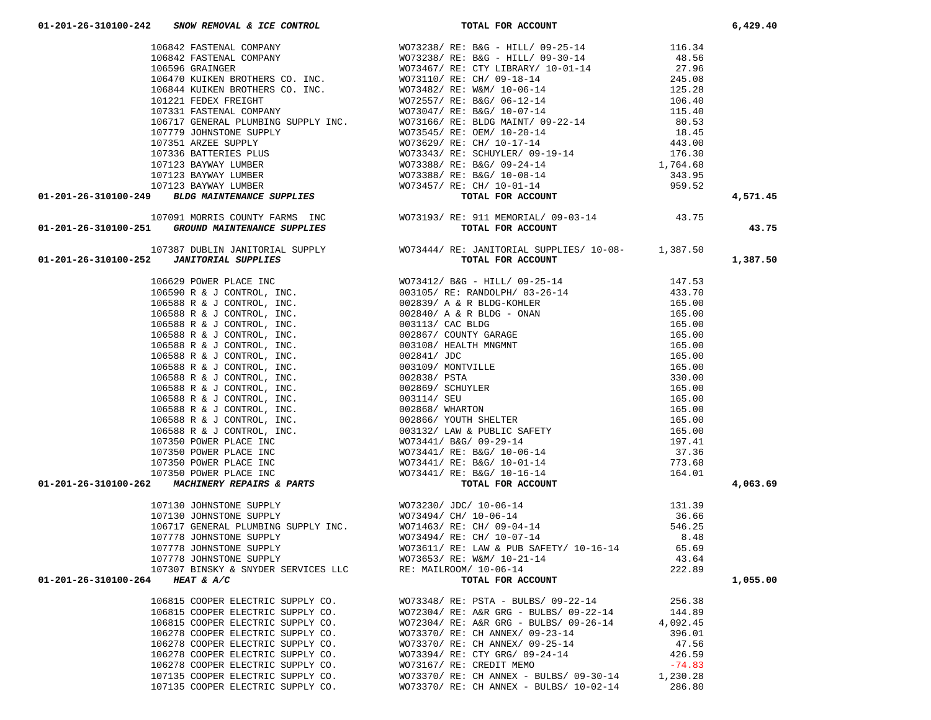| 106642 FASTEMAL COMPANY $10756 \text{ GRANITM. COMPANY} \qquad W073238 / RE: BAG - HILLI/ 09-20-14 \qquad 48.56 \qquad 48.56 \qquad 106540 \text{ XIMITMERS CO. INC.} \qquad W073430 / RE: CTV IIRRRX'/ 10-01-14 \qquad 27.96 \qquad 106470 \text{ KUTKER} \qquad 20.08 \qquad 106470 \text{ KUTKER} \qquad 20.08 \qquad 106470 \text{ KUTK$ |                                                                       |          |          |
|----------------------------------------------------------------------------------------------------------------------------------------------------------------------------------------------------------------------------------------------------------------------------------------------------------------------------------------------|-----------------------------------------------------------------------|----------|----------|
|                                                                                                                                                                                                                                                                                                                                              |                                                                       |          |          |
|                                                                                                                                                                                                                                                                                                                                              |                                                                       |          |          |
|                                                                                                                                                                                                                                                                                                                                              |                                                                       |          |          |
| 107387 DUBLIN JANITORIAL SUPPLY WOT3444/RE: JANITORIAL SUPPLIES/ 10-08-<br><b>01-201-26-310100-252</b> JANITORIAL SUPPLIES<br>TOTAL FOR ACCOUNT                                                                                                                                                                                              |                                                                       |          | 1,387.50 |
| 01–201–26–310100–252 JANITORIAL SUPPLIES<br>106530 F. & J. CONTROL, INC.<br>106530 F. & J. CONTROL, INC.<br>106538 R. & J. CONTROL, INC.<br>106588 R. & J. CONTROL, INC.<br>106588 R. & J. CONTROL, INC.<br>106588 R. & J. CONTROL, INC.<br>                                                                                                 |                                                                       |          |          |
|                                                                                                                                                                                                                                                                                                                                              |                                                                       |          |          |
|                                                                                                                                                                                                                                                                                                                                              |                                                                       |          |          |
|                                                                                                                                                                                                                                                                                                                                              |                                                                       |          |          |
|                                                                                                                                                                                                                                                                                                                                              |                                                                       |          |          |
|                                                                                                                                                                                                                                                                                                                                              |                                                                       |          |          |
|                                                                                                                                                                                                                                                                                                                                              |                                                                       |          |          |
|                                                                                                                                                                                                                                                                                                                                              |                                                                       |          |          |
|                                                                                                                                                                                                                                                                                                                                              |                                                                       |          |          |
|                                                                                                                                                                                                                                                                                                                                              |                                                                       |          |          |
|                                                                                                                                                                                                                                                                                                                                              |                                                                       |          |          |
|                                                                                                                                                                                                                                                                                                                                              |                                                                       |          |          |
|                                                                                                                                                                                                                                                                                                                                              |                                                                       |          |          |
|                                                                                                                                                                                                                                                                                                                                              |                                                                       |          |          |
|                                                                                                                                                                                                                                                                                                                                              |                                                                       |          |          |
|                                                                                                                                                                                                                                                                                                                                              |                                                                       |          |          |
|                                                                                                                                                                                                                                                                                                                                              |                                                                       |          |          |
|                                                                                                                                                                                                                                                                                                                                              |                                                                       |          |          |
|                                                                                                                                                                                                                                                                                                                                              |                                                                       |          |          |
|                                                                                                                                                                                                                                                                                                                                              |                                                                       |          | 4,063.69 |
|                                                                                                                                                                                                                                                                                                                                              |                                                                       |          |          |
|                                                                                                                                                                                                                                                                                                                                              |                                                                       |          |          |
|                                                                                                                                                                                                                                                                                                                                              |                                                                       |          |          |
|                                                                                                                                                                                                                                                                                                                                              |                                                                       |          |          |
|                                                                                                                                                                                                                                                                                                                                              |                                                                       |          |          |
|                                                                                                                                                                                                                                                                                                                                              |                                                                       |          |          |
|                                                                                                                                                                                                                                                                                                                                              |                                                                       |          |          |
| 01-201-26-310100-264 HEAT & A/C                                                                                                                                                                                                                                                                                                              | TOTAL FOR ACCOUNT                                                     |          | 1,055.00 |
|                                                                                                                                                                                                                                                                                                                                              | 106815 COOPER ELECTRIC SUPPLY CO. WO73348/ RE: PSTA - BULBS/ 09-22-14 | 256.38   |          |
| 106815 COOPER ELECTRIC SUPPLY CO.                                                                                                                                                                                                                                                                                                            | WO72304/ RE: A&R GRG - BULBS/ 09-22-14                                | 144.89   |          |
| 106815 COOPER ELECTRIC SUPPLY CO.                                                                                                                                                                                                                                                                                                            | WO72304/ RE: A&R GRG - BULBS/ 09-26-14                                | 4,092.45 |          |
| 106278 COOPER ELECTRIC SUPPLY CO.                                                                                                                                                                                                                                                                                                            | WO73370/ RE: CH ANNEX/ 09-23-14                                       | 396.01   |          |
| 106278 COOPER ELECTRIC SUPPLY CO.                                                                                                                                                                                                                                                                                                            | WO73370/ RE: CH ANNEX/ 09-25-14                                       | 47.56    |          |
| 106278 COOPER ELECTRIC SUPPLY CO.                                                                                                                                                                                                                                                                                                            | WO73394/ RE: CTY GRG/ 09-24-14                                        | 426.59   |          |
| 106278 COOPER ELECTRIC SUPPLY CO.                                                                                                                                                                                                                                                                                                            | WO73167/ RE: CREDIT MEMO                                              | $-74.83$ |          |
| 107135 COOPER ELECTRIC SUPPLY CO.                                                                                                                                                                                                                                                                                                            | $WO73370/RE: CH ANNEX - BULBS/09-30-14$ 1,230.28                      |          |          |

107135 COOPER ELECTRIC SUPPLY CO. WO73370/ RE: CH ANNEX - BULBS/ 10-02-14 286.80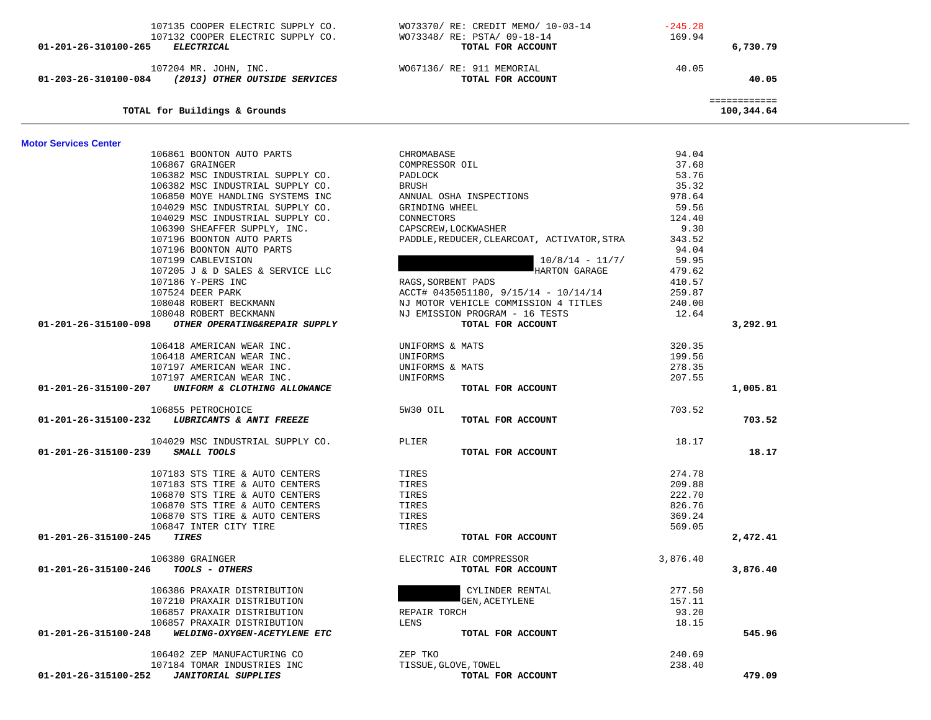| 107135 COOPER ELECTRIC SUPPLY CO.                     | WO73370/ RE: CREDIT MEMO/ 10-03-14          | $-245.28$ |              |  |
|-------------------------------------------------------|---------------------------------------------|-----------|--------------|--|
| 107132 COOPER ELECTRIC SUPPLY CO.                     | WO73348/ RE: PSTA/ 09-18-14                 | 169.94    |              |  |
| 01-201-26-310100-265 ELECTRICAL                       | TOTAL FOR ACCOUNT                           |           | 6,730.79     |  |
|                                                       |                                             |           |              |  |
| 107204 MR. JOHN, INC.                                 | WO67136/ RE: 911 MEMORIAL                   | 40.05     |              |  |
| 01-203-26-310100-084 (2013) OTHER OUTSIDE SERVICES    | TOTAL FOR ACCOUNT                           |           | 40.05        |  |
|                                                       |                                             |           | ============ |  |
| TOTAL for Buildings & Grounds                         |                                             |           | 100,344.64   |  |
|                                                       |                                             |           |              |  |
| <b>Motor Services Center</b>                          |                                             |           |              |  |
| 106861 BOONTON AUTO PARTS                             | CHROMABASE                                  | 94.04     |              |  |
| 106867 GRAINGER                                       | COMPRESSOR OIL                              | 37.68     |              |  |
| 106382 MSC INDUSTRIAL SUPPLY CO.                      | PADLOCK                                     | 53.76     |              |  |
| 106382 MSC INDUSTRIAL SUPPLY CO.                      | BRUSH                                       | 35.32     |              |  |
| 106850 MOYE HANDLING SYSTEMS INC                      | ANNUAL OSHA INSPECTIONS                     | 978.64    |              |  |
| 104029 MSC INDUSTRIAL SUPPLY CO.                      | GRINDING WHEEL                              | 59.56     |              |  |
| 104029 MSC INDUSTRIAL SUPPLY CO.                      | CONNECTORS                                  | 124.40    |              |  |
| 106390 SHEAFFER SUPPLY, INC.                          | CAPSCREW, LOCKWASHER                        | 9.30      |              |  |
| 107196 BOONTON AUTO PARTS                             | PADDLE, REDUCER, CLEARCOAT, ACTIVATOR, STRA | 343.52    |              |  |
| 107196 BOONTON AUTO PARTS                             |                                             | 94.04     |              |  |
| 107199 CABLEVISION                                    | $10/8/14 - 11/7/$                           | 59.95     |              |  |
| 107205 J & D SALES & SERVICE LLC                      | HARTON GARAGE                               | 479.62    |              |  |
| 107186 Y-PERS INC                                     | RAGS, SORBENT PADS                          | 410.57    |              |  |
| 107524 DEER PARK                                      | $ACCT# 0435051180, 9/15/14 - 10/14/14$      | 259.87    |              |  |
| 108048 ROBERT BECKMANN                                | NJ MOTOR VEHICLE COMMISSION 4 TITLES        | 240.00    |              |  |
| 108048 ROBERT BECKMANN                                | NJ EMISSION PROGRAM - 16 TESTS              | 12.64     |              |  |
| 01-201-26-315100-098<br>OTHER OPERATING&REPAIR SUPPLY | TOTAL FOR ACCOUNT                           |           | 3,292.91     |  |
| 106418 AMERICAN WEAR INC.                             | UNIFORMS & MATS                             | 320.35    |              |  |
| 106418 AMERICAN WEAR INC.                             | UNIFORMS                                    | 199.56    |              |  |
| 107197 AMERICAN WEAR INC.                             |                                             | 278.35    |              |  |
| 107197 AMERICAN WEAR INC.                             | UNIFORMS & MATS<br>UNIFORMS                 | 207.55    |              |  |
| 01-201-26-315100-207 UNIFORM & CLOTHING ALLOWANCE     | TOTAL FOR ACCOUNT                           |           | 1,005.81     |  |
|                                                       |                                             |           |              |  |
| 106855 PETROCHOICE                                    | 5W30 OIL                                    | 703.52    |              |  |
| 01-201-26-315100-232 LUBRICANTS & ANTI FREEZE         | TOTAL FOR ACCOUNT                           |           | 703.52       |  |
| 104029 MSC INDUSTRIAL SUPPLY CO.                      | PLIER                                       | 18.17     |              |  |
| 01-201-26-315100-239 SMALL TOOLS                      | TOTAL FOR ACCOUNT                           |           | 18.17        |  |
|                                                       | TIRES                                       | 274.78    |              |  |
| 107183 STS TIRE & AUTO CENTERS                        |                                             |           |              |  |
| 107183 STS TIRE & AUTO CENTERS                        | TIRES                                       | 209.88    |              |  |
| 106870 STS TIRE & AUTO CENTERS                        | TIRES                                       | 222.70    |              |  |
| 106870 STS TIRE & AUTO CENTERS                        | TIRES                                       | 826.76    |              |  |
| 106870 STS TIRE & AUTO CENTERS                        | TIRES                                       | 369.24    |              |  |
| 106847 INTER CITY TIRE                                | TIRES                                       | 569.05    |              |  |
| 01-201-26-315100-245<br>TIRES                         | TOTAL FOR ACCOUNT                           |           | 2,472.41     |  |
| 106380 GRAINGER                                       | ELECTRIC AIR COMPRESSOR                     | 3,876.40  |              |  |
| 01-201-26-315100-246<br>TOOLS - OTHERS                | TOTAL FOR ACCOUNT                           |           | 3,876.40     |  |
|                                                       |                                             |           |              |  |
| 106386 PRAXAIR DISTRIBUTION                           | CYLINDER RENTAL                             | 277.50    |              |  |
| 107210 PRAXAIR DISTRIBUTION                           | <b>GEN, ACETYLENE</b>                       | 157.11    |              |  |
| 106857 PRAXAIR DISTRIBUTION                           | REPAIR TORCH                                | 93.20     |              |  |
| 106857 PRAXAIR DISTRIBUTION                           | LENS                                        | 18.15     |              |  |
| WELDING-OXYGEN-ACETYLENE ETC<br>01-201-26-315100-248  | TOTAL FOR ACCOUNT                           |           | 545.96       |  |
|                                                       |                                             |           |              |  |
| 106402 ZEP MANUFACTURING CO                           | ZEP TKO                                     | 240.69    |              |  |
| 107184 TOMAR INDUSTRIES INC                           | TISSUE, GLOVE, TOWEL                        | 238.40    |              |  |
| <b>JANITORIAL SUPPLIES</b><br>01-201-26-315100-252    | TOTAL FOR ACCOUNT                           |           | 479.09       |  |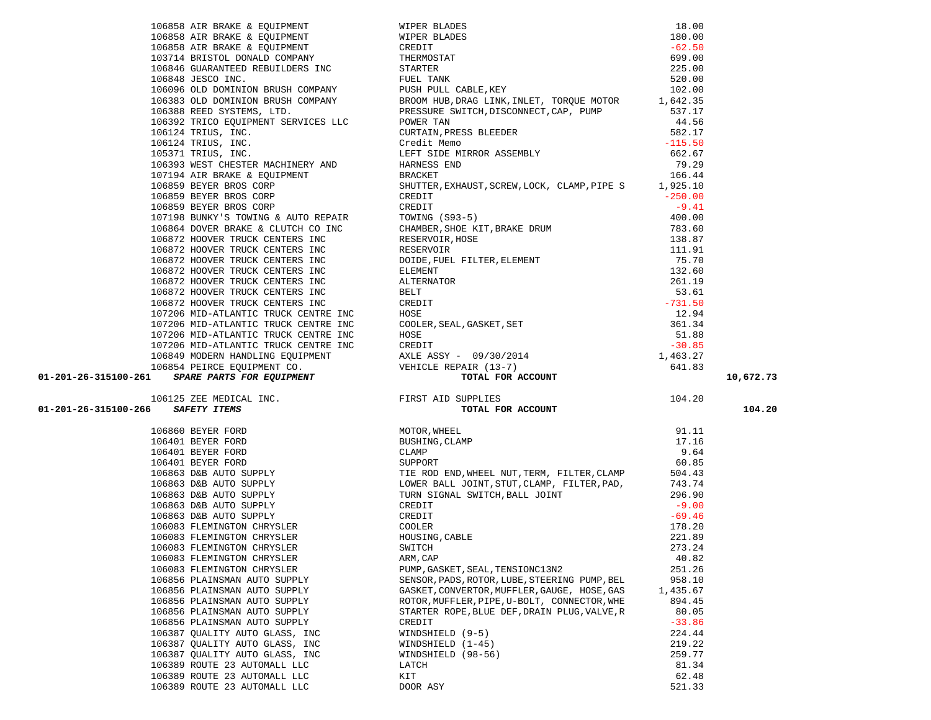|                                                              |                                                                                                                                                                                                                                                                                                                        |                  | 10,672.73 |
|--------------------------------------------------------------|------------------------------------------------------------------------------------------------------------------------------------------------------------------------------------------------------------------------------------------------------------------------------------------------------------------------|------------------|-----------|
|                                                              |                                                                                                                                                                                                                                                                                                                        |                  |           |
|                                                              |                                                                                                                                                                                                                                                                                                                        |                  |           |
|                                                              |                                                                                                                                                                                                                                                                                                                        |                  |           |
|                                                              |                                                                                                                                                                                                                                                                                                                        |                  | 104.20    |
|                                                              |                                                                                                                                                                                                                                                                                                                        |                  |           |
|                                                              |                                                                                                                                                                                                                                                                                                                        |                  |           |
|                                                              |                                                                                                                                                                                                                                                                                                                        |                  |           |
|                                                              |                                                                                                                                                                                                                                                                                                                        |                  |           |
|                                                              |                                                                                                                                                                                                                                                                                                                        |                  |           |
|                                                              |                                                                                                                                                                                                                                                                                                                        |                  |           |
|                                                              |                                                                                                                                                                                                                                                                                                                        |                  |           |
|                                                              |                                                                                                                                                                                                                                                                                                                        |                  |           |
|                                                              |                                                                                                                                                                                                                                                                                                                        |                  |           |
|                                                              |                                                                                                                                                                                                                                                                                                                        |                  |           |
|                                                              |                                                                                                                                                                                                                                                                                                                        |                  |           |
|                                                              |                                                                                                                                                                                                                                                                                                                        |                  |           |
| 106083 FLEMINGTON CHRYSLER                                   | SWITCH                                                                                                                                                                                                                                                                                                                 | 273.24           |           |
| 106083 FLEMINGTON CHRYSLER                                   | ARM, CAP                                                                                                                                                                                                                                                                                                               | 40.82            |           |
| 106083 FLEMINGTON CHRYSLER<br>106856 PLAINSMAN AUTO SUPPLY   | 1968 A.M. Weeks 2 (1970-2013) and 1972 and 1970-2013<br>1968 A.M. Weeks 2 (1970-2013) and 1970-2013<br>1968 A.M. Weeks Contained Street (1970-2013) and 1982 and 1982 and 1982 and 1982 and 1982 and 1982 and 1982 and 1982 and 1<br>PUMP, GASKET, SEAL, TENSIONC13N2<br>SENSOR, PADS, ROTOR, LUBE, STEERING PUMP, BEL | 251.26<br>958.10 |           |
| 106856 PLAINSMAN AUTO SUPPLY                                 | GASKET, CONVERTOR, MUFFLER, GAUGE, HOSE, GAS                                                                                                                                                                                                                                                                           | 1,435.67         |           |
| 106856 PLAINSMAN AUTO SUPPLY                                 | ROTOR, MUFFLER, PIPE, U-BOLT, CONNECTOR, WHE                                                                                                                                                                                                                                                                           | 894.45           |           |
| 106856 PLAINSMAN AUTO SUPPLY                                 | STARTER ROPE, BLUE DEF, DRAIN PLUG, VALVE, R                                                                                                                                                                                                                                                                           | 80.05            |           |
| 106856 PLAINSMAN AUTO SUPPLY                                 | CREDIT                                                                                                                                                                                                                                                                                                                 | $-33.86$         |           |
|                                                              | WINDSHIELD (9-5)                                                                                                                                                                                                                                                                                                       | 224.44           |           |
| 106387 QUALITY AUTO GLASS, INC                               |                                                                                                                                                                                                                                                                                                                        | 219.22           |           |
| 106387 QUALITY AUTO GLASS, INC                               | WINDSHIELD $(1-45)$                                                                                                                                                                                                                                                                                                    | 259.77           |           |
| 106387 QUALITY AUTO GLASS, INC                               | WINDSHIELD (98-56)                                                                                                                                                                                                                                                                                                     |                  |           |
| 106389 ROUTE 23 AUTOMALL LLC<br>106389 ROUTE 23 AUTOMALL LLC | LATCH<br>KIT                                                                                                                                                                                                                                                                                                           | 81.34<br>62.48   |           |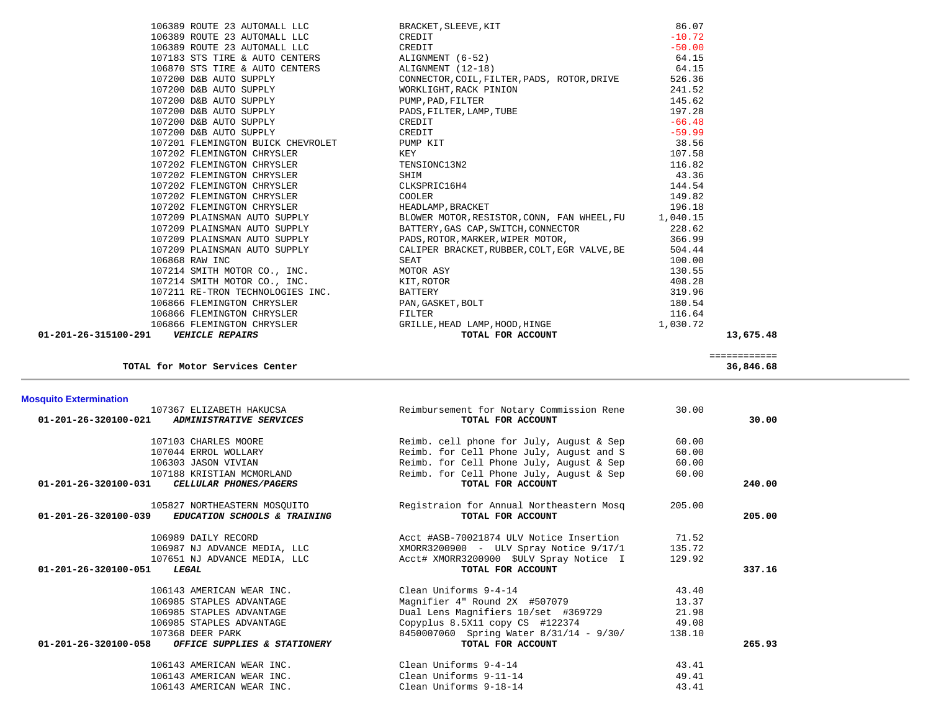| <b>Mosquito Extermination</b>                                                        |                                                               |        |        |
|--------------------------------------------------------------------------------------|---------------------------------------------------------------|--------|--------|
| 107367 ELIZABETH HAKUCSA<br>01-201-26-320100-021<br>ADMINISTRATIVE SERVICES          | Reimbursement for Notary Commission Rene<br>TOTAL FOR ACCOUNT | 30.00  | 30.00  |
| 107103 CHARLES MOORE                                                                 | Reimb. cell phone for July, August & Sep                      | 60.00  |        |
| 107044 ERROL WOLLARY                                                                 | Reimb. for Cell Phone July, August and S                      | 60.00  |        |
| 106303 JASON VIVIAN                                                                  | Reimb. for Cell Phone July, August & Sep                      | 60.00  |        |
| 107188 KRISTIAN MCMORLAND                                                            | Reimb. for Cell Phone July, August & Sep                      | 60.00  |        |
| 01-201-26-320100-031<br>CELLULAR PHONES/PAGERS                                       | TOTAL FOR ACCOUNT                                             |        | 240.00 |
| 105827 NORTHEASTERN MOSOUITO<br>01-201-26-320100-039<br>EDUCATION SCHOOLS & TRAINING | Registraion for Annual Northeastern Mosq<br>TOTAL FOR ACCOUNT | 205.00 | 205.00 |
| 106989 DAILY RECORD                                                                  | Acct #ASB-70021874 ULV Notice Insertion                       | 71.52  |        |
| 106987 NJ ADVANCE MEDIA, LLC                                                         | XMORR3200900 - ULV Spray Notice 9/17/1                        | 135.72 |        |
| 107651 NJ ADVANCE MEDIA, LLC                                                         | Acct# XMORR3200900 \$ULV Spray Notice I                       | 129.92 |        |
| $01 - 201 - 26 - 320100 - 051$<br>LEGAL                                              | TOTAL FOR ACCOUNT                                             |        | 337.16 |
| 106143 AMERICAN WEAR INC.                                                            | Clean Uniforms 9-4-14                                         | 43.40  |        |
| 106985 STAPLES ADVANTAGE                                                             | Magnifier 4" Round 2X #507079                                 | 13.37  |        |
| 106985 STAPLES ADVANTAGE                                                             | Dual Lens Magnifiers 10/set #369729                           | 21.98  |        |
| 106985 STAPLES ADVANTAGE                                                             | Copyplus 8.5X11 copy CS #122374                               | 49.08  |        |
| 107368 DEER PARK                                                                     | 8450007060 Spring Water 8/31/14 - 9/30/                       | 138.10 |        |
| $01 - 201 - 26 - 320100 - 058$<br>OFFICE SUPPLIES & STATIONERY                       | TOTAL FOR ACCOUNT                                             |        | 265.93 |
| 106143 AMERICAN WEAR INC.                                                            | Clean Uniforms 9-4-14                                         | 43.41  |        |
| 106143 AMERICAN WEAR INC.                                                            | Clean Uniforms 9-11-14                                        | 49.41  |        |
| 106143 AMERICAN WEAR INC.                                                            | Clean Uniforms 9-18-14                                        | 43.41  |        |

 ============ **TOTAL for Motor Services Center 36,846.68**

| 106389 ROUTE 23 AUTOMALL LLC      |
|-----------------------------------|
| 107183 STS TIRE & AUTO CENTERS    |
| 106870 STS TIRE & AUTO CENTERS    |
| 107200 D&B AUTO SUPPLY            |
| 107200 D&B AUTO SUPPLY            |
| 107200 D&B AUTO SUPPLY            |
| 107200 D&B AUTO SUPPLY            |
| 107200 D&B AUTO SUPPLY            |
| 107200 D&B AUTO SUPPLY            |
| 107201 FLEMINGTON BUICK CHEVROLET |
| 107202 FLEMINGTON CHRYSLER        |
| 107202 FLEMINGTON CHRYSLER        |
| 107202 FLEMINGTON CHRYSLER        |
| 107202 FLEMINGTON CHRYSLER        |
| 107202 FLEMINGTON CHRYSLER        |
| 107202 FLEMINGTON CHRYSLER        |
| 107209 PLAINSMAN AUTO SUPPLY      |
| 107209 PLAINSMAN AUTO SUPPLY      |
| 107209 PLAINSMAN AUTO SUPPLY      |
| 107209 PLAINSMAN AUTO SUPPLY      |
| 106868 RAW INC                    |
| 107214 SMITH MOTOR CO., INC.      |
| 107214 SMITH MOTOR CO., INC.      |
| 107211 RE-TRON TECHNOLOGIES INC.  |
| 106866 FLEMINGTON CHRYSLER        |
| 106866 FLEMINGTON CHRYSLER        |
| 106866 FLEMINGTON CHRYSLER        |
|                                   |

|                      | 106389 ROUTE 23 AUTOMALL LLC      | BRACKET, SLEEVE, KIT                                 | 86.07    |           |
|----------------------|-----------------------------------|------------------------------------------------------|----------|-----------|
|                      | 106389 ROUTE 23 AUTOMALL LLC      | CREDIT                                               | $-10.72$ |           |
|                      | 106389 ROUTE 23 AUTOMALL LLC      | CREDIT                                               | $-50.00$ |           |
|                      | 107183 STS TIRE & AUTO CENTERS    | ALIGNMENT (6-52)                                     | 64.15    |           |
|                      | 106870 STS TIRE & AUTO CENTERS    | ALIGNMENT (12-18)                                    | 64.15    |           |
|                      | 107200 D&B AUTO SUPPLY            | CONNECTOR, COIL, FILTER, PADS, ROTOR, DRIVE          | 526.36   |           |
|                      | 107200 D&B AUTO SUPPLY            | WORKLIGHT, RACK PINION                               | 241.52   |           |
|                      | 107200 D&B AUTO SUPPLY            | PUMP, PAD, FILTER<br>PADS, FILTER, LAMP, TUBE        | 145.62   |           |
|                      | 107200 D&B AUTO SUPPLY            |                                                      | 197.28   |           |
|                      | 107200 D&B AUTO SUPPLY            | CREDIT                                               | $-66.48$ |           |
|                      | 107200 D&B AUTO SUPPLY            | CREDIT                                               | $-59.99$ |           |
|                      | 107201 FLEMINGTON BUICK CHEVROLET | PUMP KIT                                             | 38.56    |           |
|                      | 107202 FLEMINGTON CHRYSLER        | KEY                                                  | 107.58   |           |
|                      | 107202 FLEMINGTON CHRYSLER        | TENSIONC13N2                                         | 116.82   |           |
|                      | 107202 FLEMINGTON CHRYSLER        | SHIM                                                 | 43.36    |           |
|                      | 107202 FLEMINGTON CHRYSLER        | CLKSPRIC16H4                                         | 144.54   |           |
|                      | 107202 FLEMINGTON CHRYSLER        | COOLER                                               | 149.82   |           |
|                      | 107202 FLEMINGTON CHRYSLER        | HEADLAMP, BRACKET                                    | 196.18   |           |
|                      | 107209 PLAINSMAN AUTO SUPPLY      | BLOWER MOTOR, RESISTOR, CONN, FAN WHEEL, FU 1,040.15 |          |           |
|                      | 107209 PLAINSMAN AUTO SUPPLY      | BATTERY, GAS CAP, SWITCH, CONNECTOR                  | 228.62   |           |
|                      | 107209 PLAINSMAN AUTO SUPPLY      | PADS, ROTOR, MARKER, WIPER MOTOR,                    | 366.99   |           |
|                      | 107209 PLAINSMAN AUTO SUPPLY      | CALIPER BRACKET, RUBBER, COLT, EGR VALVE, BE         | 504.44   |           |
|                      | 106868 RAW INC                    | SEAT                                                 | 100.00   |           |
|                      | 107214 SMITH MOTOR CO., INC.      | MOTOR ASY                                            | 130.55   |           |
|                      | 107214 SMITH MOTOR CO., INC.      | KIT,ROTOR                                            | 408.28   |           |
|                      | 107211 RE-TRON TECHNOLOGIES INC.  | BATTERY                                              | 319.96   |           |
|                      | 106866 FLEMINGTON CHRYSLER        | PAN, GASKET, BOLT                                    | 180.54   |           |
|                      | 106866 FLEMINGTON CHRYSLER        | FILTER                                               | 116.64   |           |
|                      | 106866 FLEMINGTON CHRYSLER        | GRILLE, HEAD LAMP, HOOD, HINGE                       | 1,030.72 |           |
| 01-201-26-315100-291 | <b>VEHICLE REPAIRS</b>            | TOTAL FOR ACCOUNT                                    |          | 13,675.48 |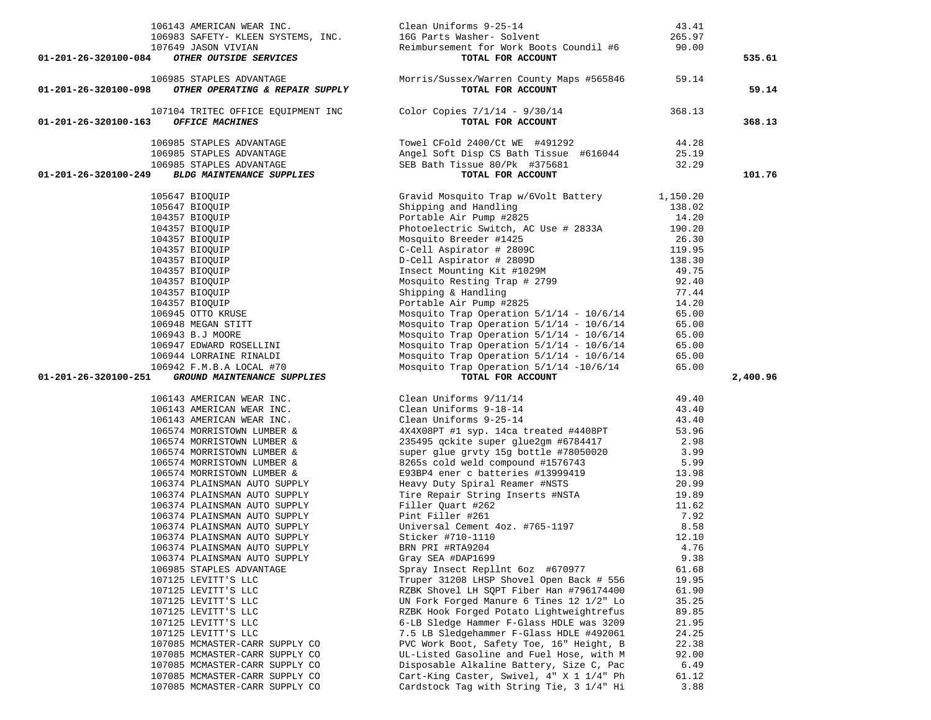| 106143 AMERICAN WEAR INC.<br>106983 SAFETY- KLEEN SYSTEMS, INC.<br>107649 JASON VIVIAN                                                                                                                                                                                   | Clean Uniforms 9-25-14<br>16G Parts Washer- Solvent<br>Reimbursement for Work Boots Coundil #6 90.00                                                                                                                                           | 43.41<br>265.97 |          |
|--------------------------------------------------------------------------------------------------------------------------------------------------------------------------------------------------------------------------------------------------------------------------|------------------------------------------------------------------------------------------------------------------------------------------------------------------------------------------------------------------------------------------------|-----------------|----------|
| OTHER OUTSIDE SERVICES<br>01-201-26-320100-084                                                                                                                                                                                                                           | TOTAL FOR ACCOUNT                                                                                                                                                                                                                              |                 | 535.61   |
| 106985 STAPLES ADVANTAGE<br>01-201-26-320100-098<br>OTHER OPERATING & REPAIR SUPPLY                                                                                                                                                                                      | Morris/Sussex/Warren County Maps #565846 59.14<br>TOTAL FOR ACCOUNT                                                                                                                                                                            |                 | 59.14    |
| 107104 TRITEC OFFICE EQUIPMENT INC<br>01-201-26-320100-163<br>OFFICE MACHINES                                                                                                                                                                                            | Color Copies $7/1/14$ - $9/30/14$<br>TOTAL FOR ACCOUNT                                                                                                                                                                                         | 368.13          | 368.13   |
| 106985 STAPLES ADVANTAGE                                                                                                                                                                                                                                                 | Towel CFold 2400/Ct WE #491292                                                                                                                                                                                                                 | 44.28           |          |
| 106985 STAPLES ADVANTAGE                                                                                                                                                                                                                                                 | Angel Soft Disp CS Bath Tissue #616044 25.19                                                                                                                                                                                                   |                 |          |
| 106985 STAPLES ADVANTAGE<br>%5 STAPLES ADVANTAGE<br><b>BLDG MAINTENANCE SUPPLIES</b><br>01-201-26-320100-249                                                                                                                                                             | SEB Bath Tissue 80/Pk #375681<br>TOTAL FOR ACCOUNT                                                                                                                                                                                             | 32.29           | 101.76   |
|                                                                                                                                                                                                                                                                          |                                                                                                                                                                                                                                                |                 |          |
| 105647 BIOQUIP<br>105647 BIOQUIP<br>104357 BIOQUIP<br>104357 BIOQUIP<br>104357 BIOQUIP<br>104357 BIOQUIP<br>104357 BIOQUIP<br>104357 BIOQUIP<br>104357 BIOQUIP<br>104357 BIOQUIP<br>106945 OTTO KRUSE<br>106945 OTTO KRUSE<br>106948 MSGAN STITT<br>106943 B.J MORE<br>1 | Gravid Mosquito Trap w/6Volt Battery 1,150.20                                                                                                                                                                                                  |                 |          |
|                                                                                                                                                                                                                                                                          | Gravid Mosquito Trap W/6Volt Battery<br>Shipping and Handling<br>Portable Air Pump #2825<br>Photoelectric Switch, AC Use # 2833A<br>190.20<br>Mosquito Breeder #1425<br>C-Cell Aspirator # 2809C<br>D-Cell Aspirator # 2809C<br>D-Cell Aspirat |                 |          |
|                                                                                                                                                                                                                                                                          |                                                                                                                                                                                                                                                |                 |          |
|                                                                                                                                                                                                                                                                          |                                                                                                                                                                                                                                                |                 |          |
|                                                                                                                                                                                                                                                                          |                                                                                                                                                                                                                                                |                 |          |
|                                                                                                                                                                                                                                                                          |                                                                                                                                                                                                                                                |                 |          |
|                                                                                                                                                                                                                                                                          |                                                                                                                                                                                                                                                |                 |          |
|                                                                                                                                                                                                                                                                          |                                                                                                                                                                                                                                                |                 |          |
|                                                                                                                                                                                                                                                                          |                                                                                                                                                                                                                                                |                 |          |
|                                                                                                                                                                                                                                                                          |                                                                                                                                                                                                                                                |                 |          |
|                                                                                                                                                                                                                                                                          | Mosquito Trap Operation $5/1/14 - 10/6/14$                                                                                                                                                                                                     | 65.00           |          |
|                                                                                                                                                                                                                                                                          | Mosquito Trap Operation $5/1/14 - 10/6/14$                                                                                                                                                                                                     | 65.00           |          |
|                                                                                                                                                                                                                                                                          | Mosquito Trap Operation $5/1/14 - 10/6/14$<br>Mosquito Trap Operation $5/1/14 - 10/6/14$                                                                                                                                                       | 65.00           |          |
|                                                                                                                                                                                                                                                                          |                                                                                                                                                                                                                                                | 65.00           |          |
| 106944 LORRAINE RINALDI                                                                                                                                                                                                                                                  | Mosquito Trap Operation $5/1/14 - 10/6/14$<br>Mosquito Trap Operation $5/1/14 - 10/6/14$                                                                                                                                                       | 65.00           |          |
| 106942 F.M.B.A LOCAL #70                                                                                                                                                                                                                                                 |                                                                                                                                                                                                                                                | 65.00           |          |
| GROUND MAINTENANCE SUPPLIES<br>01-201-26-320100-251                                                                                                                                                                                                                      | TOTAL FOR ACCOUNT                                                                                                                                                                                                                              |                 | 2,400.96 |
| 106143 AMERICAN WEAR INC.                                                                                                                                                                                                                                                |                                                                                                                                                                                                                                                | 49.40           |          |
| 106143 AMERICAN WEAR INC.                                                                                                                                                                                                                                                | Clean Uniforms 9/11/14<br>Clean Uniforms 9-18-14<br>Clean Uniforms 9-25-14                                                                                                                                                                     | 43.40           |          |
| 106143 AMERICAN WEAR INC.                                                                                                                                                                                                                                                |                                                                                                                                                                                                                                                | 43.40           |          |
| 106574 MORRISTOWN LUMBER &                                                                                                                                                                                                                                               | 4X4X08PT #1 syp. 14ca treated #4408PT                                                                                                                                                                                                          | 53.96           |          |
| 106574 MORRISTOWN LUMBER &                                                                                                                                                                                                                                               | 235495 qckite super glue2gm #6784417<br>super glue grvty 15g bottle #78050020                                                                                                                                                                  | 2.98            |          |
| 106574 MORRISTOWN LUMBER &                                                                                                                                                                                                                                               |                                                                                                                                                                                                                                                | 3.99            |          |
| 106574 MORRISTOWN LUMBER &                                                                                                                                                                                                                                               | 8265s cold weld compound #1576743                                                                                                                                                                                                              | 5.99            |          |
| 106574 MORRISTOWN LUMBER &                                                                                                                                                                                                                                               | E93BP4 ener c batteries #13999419                                                                                                                                                                                                              | 13.98           |          |
| 106374 PLAINSMAN AUTO SUPPLY<br>106374 PLAINSMAN AUTO SUPPLY                                                                                                                                                                                                             | Heavy Duty Spiral Reamer #NSTS<br>Tire Repair String Inserts #NSTA<br>Filler Quart #262                                                                                                                                                        | 20.99<br>19.89  |          |
| 106374 PLAINSMAN AUTO SUPPLY                                                                                                                                                                                                                                             |                                                                                                                                                                                                                                                | 11.62           |          |
| 106374 PLAINSMAN AUTO SUPPLY                                                                                                                                                                                                                                             | Pint Filler #261                                                                                                                                                                                                                               | 7.92            |          |
| 106374 PLAINSMAN AUTO SUPPLY                                                                                                                                                                                                                                             | Universal Cement 4oz. #765-1197                                                                                                                                                                                                                | 8.58            |          |
| 106374 PLAINSMAN AUTO SUPPLY                                                                                                                                                                                                                                             | Sticker #710-1110                                                                                                                                                                                                                              | 12.10           |          |
| 106374 PLAINSMAN AUTO SUPPLY                                                                                                                                                                                                                                             | BRN PRI #RTA9204                                                                                                                                                                                                                               | 4.76            |          |
| 106374 PLAINSMAN AUTO SUPPLY                                                                                                                                                                                                                                             | Gray SEA #DAP1699                                                                                                                                                                                                                              | 9.38            |          |
| 106985 STAPLES ADVANTAGE                                                                                                                                                                                                                                                 | Spray Insect Repllnt 6oz #670977                                                                                                                                                                                                               | 61.68           |          |
| 107125 LEVITT'S LLC                                                                                                                                                                                                                                                      | Truper 31208 LHSP Shovel Open Back # 556                                                                                                                                                                                                       | 19.95           |          |
| 107125 LEVITT'S LLC                                                                                                                                                                                                                                                      | RZBK Shovel LH SOPT Fiber Han #796174400                                                                                                                                                                                                       | 61.90           |          |
| 107125 LEVITT'S LLC                                                                                                                                                                                                                                                      | UN Fork Forged Manure 6 Tines 12 1/2" Lo                                                                                                                                                                                                       | 35.25           |          |
| 107125 LEVITT'S LLC                                                                                                                                                                                                                                                      | RZBK Hook Forged Potato Lightweightrefus                                                                                                                                                                                                       | 89.85           |          |
| 107125 LEVITT'S LLC<br>107125 LEVITT'S LLC                                                                                                                                                                                                                               | 6-LB Sledge Hammer F-Glass HDLE was 3209<br>7.5 LB Sledgehammer F-Glass HDLE #492061                                                                                                                                                           | 21.95<br>24.25  |          |
| 107085 MCMASTER-CARR SUPPLY CO                                                                                                                                                                                                                                           | PVC Work Boot, Safety Toe, 16" Height, B                                                                                                                                                                                                       | 22.38           |          |
| 107085 MCMASTER-CARR SUPPLY CO                                                                                                                                                                                                                                           | UL-Listed Gasoline and Fuel Hose, with M                                                                                                                                                                                                       | 92.00           |          |
| 107085 MCMASTER-CARR SUPPLY CO                                                                                                                                                                                                                                           | Disposable Alkaline Battery, Size C, Pac                                                                                                                                                                                                       | 6.49            |          |
| 107085 MCMASTER-CARR SUPPLY CO                                                                                                                                                                                                                                           | Cart-King Caster, Swivel, 4" X 1 1/4" Ph                                                                                                                                                                                                       | 61.12           |          |
|                                                                                                                                                                                                                                                                          |                                                                                                                                                                                                                                                |                 |          |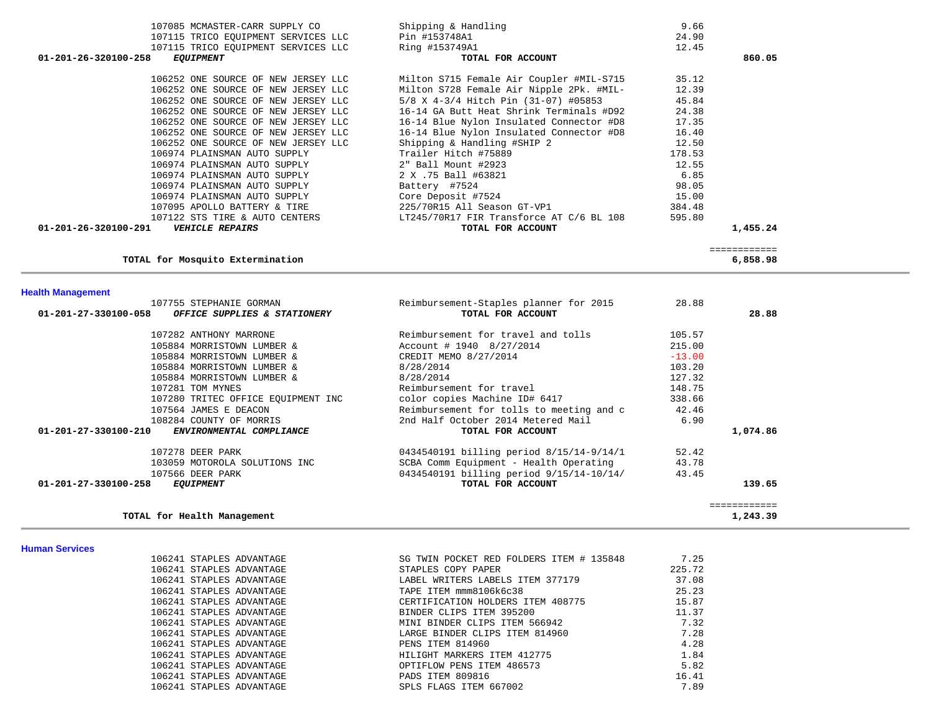| 107085 MCMASTER-CARR SUPPLY CO                       | Shipping & Handling                      | 9.66     |              |  |
|------------------------------------------------------|------------------------------------------|----------|--------------|--|
| 107115 TRICO EQUIPMENT SERVICES LLC                  | Pin #153748A1                            | 24.90    |              |  |
| 107115 TRICO EQUIPMENT SERVICES LLC                  | Ring #153749A1                           | 12.45    |              |  |
| 01-201-26-320100-258<br><i>EQUIPMENT</i>             | TOTAL FOR ACCOUNT                        |          | 860.05       |  |
| 106252 ONE SOURCE OF NEW JERSEY LLC                  | Milton S715 Female Air Coupler #MIL-S715 | 35.12    |              |  |
| 106252 ONE SOURCE OF NEW JERSEY LLC                  | Milton S728 Female Air Nipple 2Pk. #MIL- | 12.39    |              |  |
| 106252 ONE SOURCE OF NEW JERSEY LLC                  | 5/8 X 4-3/4 Hitch Pin (31-07) #05853     | 45.84    |              |  |
| 106252 ONE SOURCE OF NEW JERSEY LLC                  | 16-14 GA Butt Heat Shrink Terminals #D92 | 24.38    |              |  |
| 106252 ONE SOURCE OF NEW JERSEY LLC                  | 16-14 Blue Nylon Insulated Connector #D8 | 17.35    |              |  |
| 106252 ONE SOURCE OF NEW JERSEY LLC                  | 16-14 Blue Nylon Insulated Connector #D8 | 16.40    |              |  |
| 106252 ONE SOURCE OF NEW JERSEY LLC                  | Shipping & Handling #SHIP 2              | 12.50    |              |  |
| 106974 PLAINSMAN AUTO SUPPLY                         | Trailer Hitch #75889                     | 178.53   |              |  |
| 106974 PLAINSMAN AUTO SUPPLY                         | 2" Ball Mount #2923                      | 12.55    |              |  |
| 106974 PLAINSMAN AUTO SUPPLY                         | 2 X .75 Ball #63821                      | 6.85     |              |  |
| 106974 PLAINSMAN AUTO SUPPLY                         | Battery #7524                            | 98.05    |              |  |
| 106974 PLAINSMAN AUTO SUPPLY                         | Core Deposit #7524                       | 15.00    |              |  |
| 107095 APOLLO BATTERY & TIRE                         | 225/70R15 All Season GT-VP1              | 384.48   |              |  |
| 107122 STS TIRE & AUTO CENTERS                       | LT245/70R17 FIR Transforce AT C/6 BL 108 | 595.80   |              |  |
| 01-201-26-320100-291<br><b>VEHICLE REPAIRS</b>       | TOTAL FOR ACCOUNT                        |          | 1,455.24     |  |
|                                                      |                                          |          | ============ |  |
| TOTAL for Mosquito Extermination                     |                                          |          | 6,858.98     |  |
|                                                      |                                          |          |              |  |
| <b>Health Management</b><br>107755 STEPHANIE GORMAN  | Reimbursement-Staples planner for 2015   | 28.88    |              |  |
| 01-201-27-330100-058<br>OFFICE SUPPLIES & STATIONERY | TOTAL FOR ACCOUNT                        |          | 28.88        |  |
| 107282 ANTHONY MARRONE                               | Reimbursement for travel and tolls       | 105.57   |              |  |
| 105884 MORRISTOWN LUMBER &                           | Account # 1940 8/27/2014                 | 215.00   |              |  |
| 105884 MORRISTOWN LUMBER &                           | CREDIT MEMO 8/27/2014                    | $-13.00$ |              |  |
| 105884 MORRISTOWN LUMBER &                           | 8/28/2014                                | 103.20   |              |  |
| 105884 MORRISTOWN LUMBER &                           | 8/28/2014                                | 127.32   |              |  |
| 107281 TOM MYNES                                     | Reimbursement for travel                 | 148.75   |              |  |
| 107280 TRITEC OFFICE EQUIPMENT INC                   | color copies Machine ID# 6417            | 338.66   |              |  |

| 100001 MONULDIONN BOMBIN G                       |                                          |        |              |
|--------------------------------------------------|------------------------------------------|--------|--------------|
| 107281 TOM MYNES                                 | Reimbursement for travel                 | 148.75 |              |
| 107280 TRITEC OFFICE EQUIPMENT INC               | color copies Machine ID# 6417            | 338.66 |              |
| 107564 JAMES E DEACON                            | Reimbursement for tolls to meeting and c | 42.46  |              |
| 108284 COUNTY OF MORRIS                          | 2nd Half October 2014 Metered Mail       | 6.90   |              |
| 01-201-27-330100-210<br>ENVIRONMENTAL COMPLIANCE | TOTAL FOR ACCOUNT                        |        | 1,074.86     |
| 107278 DEER PARK                                 | 0434540191 billing period 8/15/14-9/14/1 | 52.42  |              |
| 103059 MOTOROLA SOLUTIONS INC                    | SCBA Comm Equipment - Health Operating   | 43.78  |              |
| 107566 DEER PARK                                 | 0434540191 billing period 9/15/14-10/14/ | 43.45  |              |
| 01-201-27-330100-258<br><i>EOUIPMENT</i>         | TOTAL FOR ACCOUNT                        |        | 139.65       |
|                                                  |                                          |        | ============ |
| TOTAL for Health Management                      |                                          |        | 1,243.39     |

**Human Services** 

 $\sim$ 

| 106241 STAPLES ADVANTAGE | SG TWIN POCKET RED FOLDERS ITEM # 135848 | 7.25   |
|--------------------------|------------------------------------------|--------|
| 106241 STAPLES ADVANTAGE | STAPLES COPY PAPER                       | 225.72 |
| 106241 STAPLES ADVANTAGE | LABEL WRITERS LABELS ITEM 377179         | 37.08  |
| 106241 STAPLES ADVANTAGE | TAPE ITEM mmm8106k6c38                   | 25.23  |
| 106241 STAPLES ADVANTAGE | CERTIFICATION HOLDERS ITEM 408775        | 15.87  |
| 106241 STAPLES ADVANTAGE | BINDER CLIPS ITEM 395200                 | 11.37  |
| 106241 STAPLES ADVANTAGE | MINI BINDER CLIPS ITEM 566942            | 7.32   |
| 106241 STAPLES ADVANTAGE | LARGE BINDER CLIPS ITEM 814960           | 7.28   |
| 106241 STAPLES ADVANTAGE | PENS ITEM 814960                         | 4.28   |
| 106241 STAPLES ADVANTAGE | HILIGHT MARKERS ITEM 412775              | 1.84   |
| 106241 STAPLES ADVANTAGE | OPTIFLOW PENS ITEM 486573                | 5.82   |
| 106241 STAPLES ADVANTAGE | PADS ITEM 809816                         | 16.41  |
| 106241 STAPLES ADVANTAGE | SPLS FLAGS ITEM 667002                   | 7.89   |
|                          |                                          |        |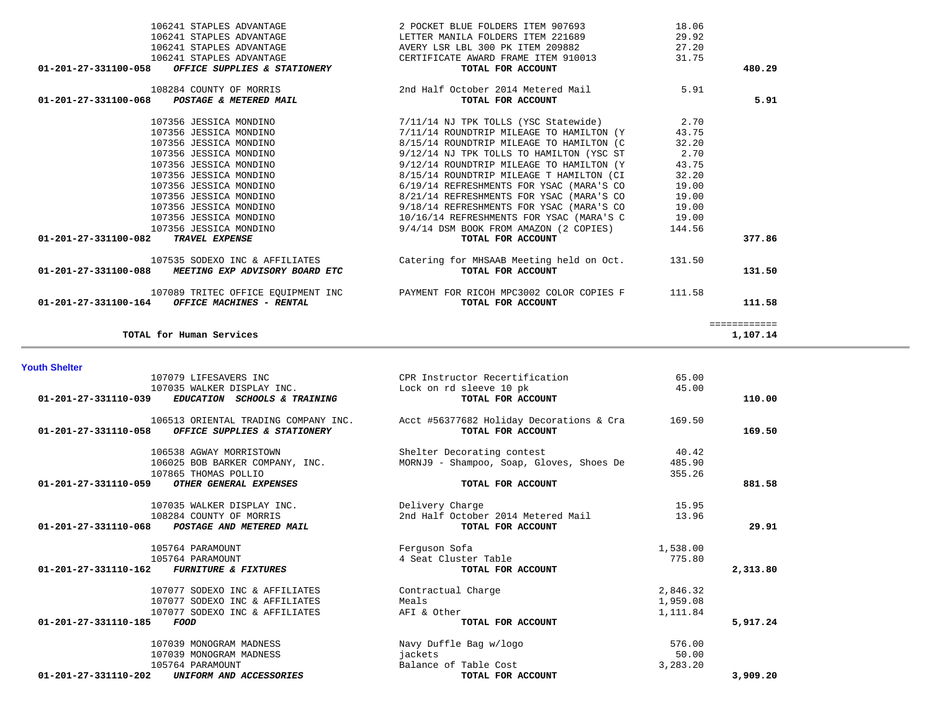| 107079 LIFESAVERS INC                                   | CPR Instructor Recertification           | 65.00    |          |
|---------------------------------------------------------|------------------------------------------|----------|----------|
| 107035 WALKER DISPLAY INC.                              | Lock on rd sleeve 10 pk                  | 45.00    |          |
| 01-201-27-331110-039<br>EDUCATION SCHOOLS & TRAINING    | TOTAL FOR ACCOUNT                        |          | 110.00   |
| 106513 ORIENTAL TRADING COMPANY INC.                    | Acct #56377682 Holiday Decorations & Cra | 169.50   |          |
| 01-201-27-331110-058<br>OFFICE SUPPLIES & STATIONERY    | TOTAL FOR ACCOUNT                        |          | 169.50   |
| 106538 AGWAY MORRISTOWN                                 | Shelter Decorating contest               | 40.42    |          |
| 106025 BOB BARKER COMPANY, INC.                         | MORNJ9 - Shampoo, Soap, Gloves, Shoes De | 485.90   |          |
| 107865 THOMAS POLLIO                                    |                                          | 355.26   |          |
| 01-201-27-331110-059<br>OTHER GENERAL EXPENSES          | TOTAL FOR ACCOUNT                        |          | 881.58   |
| 107035 WALKER DISPLAY INC.                              | Delivery Charge                          | 15.95    |          |
| 108284 COUNTY OF MORRIS                                 | 2nd Half October 2014 Metered Mail       | 13.96    |          |
| 01-201-27-331110-068<br>POSTAGE AND METERED MAIL        | TOTAL FOR ACCOUNT                        |          | 29.91    |
| 105764 PARAMOUNT                                        | Ferguson Sofa                            | 1,538.00 |          |
| 105764 PARAMOUNT                                        | 4 Seat Cluster Table                     | 775.80   |          |
| 01-201-27-331110-162<br><i>FURNITURE &amp; FIXTURES</i> | TOTAL FOR ACCOUNT                        |          | 2,313.80 |
| 107077 SODEXO INC & AFFILIATES                          | Contractual Charge                       | 2,846.32 |          |
| 107077 SODEXO INC & AFFILIATES                          | Meals                                    | 1,959.08 |          |
| 107077 SODEXO INC & AFFILIATES                          | AFI & Other                              | 1,111.84 |          |
| 01-201-27-331110-185<br><b>FOOD</b>                     | TOTAL FOR ACCOUNT                        |          | 5,917.24 |
| 107039 MONOGRAM MADNESS                                 | Navy Duffle Bag w/logo                   | 576.00   |          |
| 107039 MONOGRAM MADNESS                                 | jackets                                  | 50.00    |          |
| 105764 PARAMOUNT                                        | Balance of Table Cost                    | 3,283.20 |          |
| 01-201-27-331110-202<br>UNIFORM AND ACCESSORIES         | TOTAL FOR ACCOUNT                        |          | 3,909.20 |

**Youth Shelter** 

|        | 29.92  | LETTER MANILA FOLDERS ITEM 221689               | 106241 STAPLES ADVANTAGE                                        |
|--------|--------|-------------------------------------------------|-----------------------------------------------------------------|
|        | 27.20  | AVERY LSR LBL 300 PK ITEM 209882                | 106241 STAPLES ADVANTAGE                                        |
|        | 31.75  | CERTIFICATE AWARD FRAME ITEM 910013             | 106241 STAPLES ADVANTAGE                                        |
| 480.29 |        | TOTAL FOR ACCOUNT                               | <i>OFFICE SUPPLIES &amp; STATIONERY</i><br>01-201-27-331100-058 |
|        | 5.91   | 2nd Half October 2014 Metered Mail              | 108284 COUNTY OF MORRIS                                         |
| 5.91   |        | TOTAL FOR ACCOUNT                               | 01-201-27-331100-068<br>POSTAGE & METERED MAIL                  |
|        | 2.70   | 7/11/14 NJ TPK TOLLS (YSC Statewide)            | 107356 JESSICA MONDINO                                          |
|        | 43.75  | 7/11/14 ROUNDTRIP MILEAGE TO HAMILTON (Y        | 107356 JESSICA MONDINO                                          |
|        | 32.20  | 8/15/14 ROUNDTRIP MILEAGE TO HAMILTON (C        | 107356 JESSICA MONDINO                                          |
|        | 2.70   | 9/12/14 NJ TPK TOLLS TO HAMILTON (YSC ST        | 107356 JESSICA MONDINO                                          |
|        | 43.75  | 9/12/14 ROUNDTRIP MILEAGE TO HAMILTON (Y        | 107356 JESSICA MONDINO                                          |
|        | 32.20  | 8/15/14 ROUNDTRIP MILEAGE T HAMILTON (CI        | 107356 JESSICA MONDINO                                          |
|        | 19.00  | 6/19/14 REFRESHMENTS FOR YSAC (MARA'S CO        | 107356 JESSICA MONDINO                                          |
|        | 19.00  | 8/21/14 REFRESHMENTS FOR YSAC (MARA'S CO        | 107356 JESSICA MONDINO                                          |
|        | 19.00  | 9/18/14 REFRESHMENTS FOR YSAC (MARA'S CO        | 107356 JESSICA MONDINO                                          |
|        | 19.00  | 10/16/14 REFRESHMENTS FOR YSAC (MARA'S C        | 107356 JESSICA MONDINO                                          |
|        | 144.56 | 9/4/14 DSM BOOK FROM AMAZON (2 COPIES)          | 107356 JESSICA MONDINO                                          |
| 377.86 |        | TOTAL FOR ACCOUNT                               | TRAVEL EXPENSE<br>01-201-27-331100-082                          |
|        |        | Catering for MHSAAB Meeting held on Oct. 131.50 | 107535 SODEXO INC & AFFILIATES                                  |
| 131.50 |        | TOTAL FOR ACCOUNT                               | 01-201-27-331100-088 MEETING EXP ADVISORY BOARD ETC             |
|        | 111.58 | PAYMENT FOR RICOH MPC3002 COLOR COPIES F        | 107089 TRITEC OFFICE EQUIPMENT INC                              |
| 111.58 |        | TOTAL FOR ACCOUNT                               | 01-201-27-331100-164<br><i>OFFICE MACHINES - RENTAL</i>         |

106241 STAPLES ADVANTAGE 2 POCKET BLUE FOLDERS ITEM 907693 18.06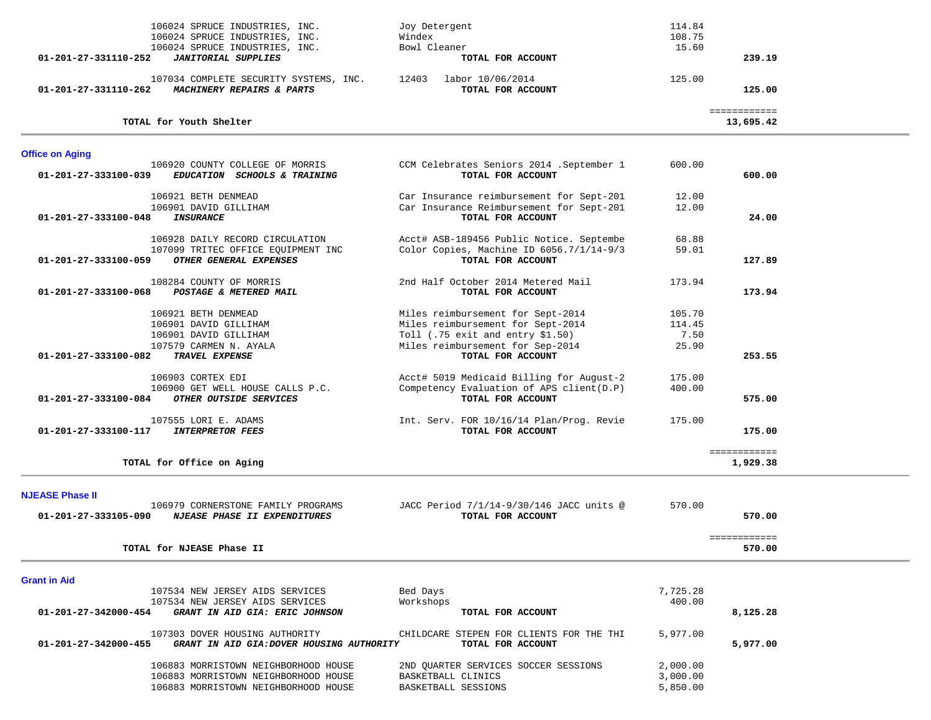| 01-201-27-331110-252   | 106024 SPRUCE INDUSTRIES, INC.<br>106024 SPRUCE INDUSTRIES, INC.<br>106024 SPRUCE INDUSTRIES, INC.<br><b>JANITORIAL SUPPLIES</b> | Joy Detergent<br>Windex<br>Bowl Cleaner<br>TOTAL FOR ACCOUNT                                                                                                                  | 114.84<br>108.75<br>15.60         | 239.19                    |
|------------------------|----------------------------------------------------------------------------------------------------------------------------------|-------------------------------------------------------------------------------------------------------------------------------------------------------------------------------|-----------------------------------|---------------------------|
|                        | 107034 COMPLETE SECURITY SYSTEMS, INC.<br>01-201-27-331110-262 MACHINERY REPAIRS & PARTS                                         | 12403 labor 10/06/2014<br>TOTAL FOR ACCOUNT                                                                                                                                   | 125.00                            | 125.00                    |
|                        | TOTAL for Youth Shelter                                                                                                          |                                                                                                                                                                               |                                   | ============<br>13,695.42 |
| <b>Office on Aging</b> |                                                                                                                                  |                                                                                                                                                                               |                                   |                           |
| 01-201-27-333100-039   | 106920 COUNTY COLLEGE OF MORRIS<br>EDUCATION SCHOOLS & TRAINING                                                                  | CCM Celebrates Seniors 2014 .September 1<br>TOTAL FOR ACCOUNT                                                                                                                 | 600.00                            | 600.00                    |
| 01-201-27-333100-048   | 106921 BETH DENMEAD<br>106901 DAVID GILLIHAM<br>INSURANCE                                                                        | Car Insurance reimbursement for Sept-201<br>Car Insurance Reimbursement for Sept-201<br>TOTAL FOR ACCOUNT                                                                     | 12.00<br>12.00                    | 24.00                     |
|                        | 106928 DAILY RECORD CIRCULATION<br>107099 TRITEC OFFICE EQUIPMENT INC<br>01-201-27-333100-059 OTHER GENERAL EXPENSES             | Acct# ASB-189456 Public Notice. Septembe<br>Color Copies, Machine ID 6056.7/1/14-9/3<br>TOTAL FOR ACCOUNT                                                                     | 68.88<br>59.01                    | 127.89                    |
|                        | 108284 COUNTY OF MORRIS<br>01-201-27-333100-068 POSTAGE & METERED MAIL                                                           | 2nd Half October 2014 Metered Mail<br>TOTAL FOR ACCOUNT                                                                                                                       | 173.94                            | 173.94                    |
| 01-201-27-333100-082   | 106921 BETH DENMEAD<br>106901 DAVID GILLIHAM<br>106901 DAVID GILLIHAM<br>107579 CARMEN N. AYALA<br>TRAVEL EXPENSE                | Miles reimbursement for Sept-2014<br>Miles reimbursement for Sept-2014<br>Toll $(.75 \text{ exit and entry } $1.50)$<br>Miles reimbursement for Sep-2014<br>TOTAL FOR ACCOUNT | 105.70<br>114.45<br>7.50<br>25.90 | 253.55                    |
| 01-201-27-333100-084   | 106903 CORTEX EDI<br>106900 GET WELL HOUSE CALLS P.C.<br>OTHER OUTSIDE SERVICES                                                  | Acct# 5019 Medicaid Billing for August-2<br>Competency Evaluation of APS client (D.P)<br>TOTAL FOR ACCOUNT                                                                    | 175.00<br>400.00                  | 575.00                    |
| 01-201-27-333100-117   | 107555 LORI E. ADAMS<br><i><b>INTERPRETOR FEES</b></i>                                                                           | Int. Serv. FOR 10/16/14 Plan/Prog. Revie<br>TOTAL FOR ACCOUNT                                                                                                                 | 175.00                            | 175.00                    |
|                        | TOTAL for Office on Aging                                                                                                        |                                                                                                                                                                               |                                   | ============<br>1,929.38  |
| <b>NJEASE Phase II</b> |                                                                                                                                  |                                                                                                                                                                               |                                   |                           |
| 01-201-27-333105-090   | 106979 CORNERSTONE FAMILY PROGRAMS<br><i>NJEASE PHASE II EXPENDITURES</i>                                                        | JACC Period 7/1/14-9/30/146 JACC units @<br>TOTAL FOR ACCOUNT                                                                                                                 | 570.00                            | 570.00                    |
|                        | TOTAL for NJEASE Phase II                                                                                                        |                                                                                                                                                                               |                                   | ============<br>570.00    |
| <b>Grant in Aid</b>    |                                                                                                                                  |                                                                                                                                                                               |                                   |                           |
| 01-201-27-342000-454   | 107534 NEW JERSEY AIDS SERVICES<br>107534 NEW JERSEY AIDS SERVICES<br>GRANT IN AID GIA: ERIC JOHNSON                             | Bed Days<br>Workshops<br>TOTAL FOR ACCOUNT                                                                                                                                    | 7,725.28<br>400.00                | 8,125.28                  |
| 01-201-27-342000-455   | 107303 DOVER HOUSING AUTHORITY<br>GRANT IN AID GIA: DOVER HOUSING AUTHORITY                                                      | CHILDCARE STEPEN FOR CLIENTS FOR THE THI<br>TOTAL FOR ACCOUNT                                                                                                                 | 5,977.00                          | 5,977.00                  |
|                        | 106883 MORRISTOWN NEIGHBORHOOD HOUSE<br>106883 MORRISTOWN NEIGHBORHOOD HOUSE<br>106883 MORRISTOWN NEIGHBORHOOD HOUSE             | 2ND OUARTER SERVICES SOCCER SESSIONS<br>BASKETBALL CLINICS<br>BASKETBALL SESSIONS                                                                                             | 2,000.00<br>3,000.00<br>5,850.00  |                           |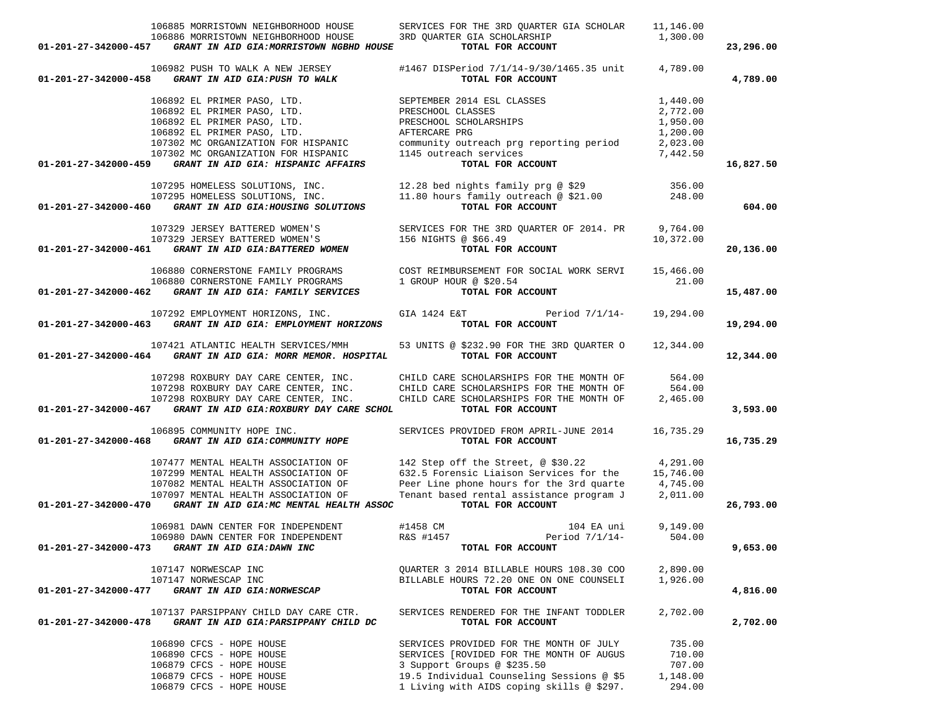|                      | 106885 MORRISTOWN NEIGHBORHOOD HOUSE                                   | SERVICES FOR THE 3RD QUARTER GIA SCHOLAR                                             | 11,146.00            |           |
|----------------------|------------------------------------------------------------------------|--------------------------------------------------------------------------------------|----------------------|-----------|
|                      | 106886 MORRISTOWN NEIGHBORHOOD HOUSE                                   | 3RD QUARTER GIA SCHOLARSHIP                                                          | 1,300.00             |           |
| 01-201-27-342000-457 | GRANT IN AID GIA: MORRISTOWN NGBHD HOUSE                               | TOTAL FOR ACCOUNT                                                                    |                      | 23,296.00 |
|                      | 106982 PUSH TO WALK A NEW JERSEY                                       | #1467 DISPeriod 7/1/14-9/30/1465.35 unit                                             | 4,789.00             |           |
| 01-201-27-342000-458 | GRANT IN AID GIA: PUSH TO WALK                                         | TOTAL FOR ACCOUNT                                                                    |                      | 4,789.00  |
|                      | 106892 EL PRIMER PASO, LTD.                                            | SEPTEMBER 2014 ESL CLASSES                                                           | 1,440.00             |           |
|                      | 106892 EL PRIMER PASO, LTD.                                            | PRESCHOOL CLASSES                                                                    | 2,772.00             |           |
|                      | 106892 EL PRIMER PASO, LTD.                                            | PRESCHOOL SCHOLARSHIPS                                                               | 1,950.00             |           |
|                      | 106892 EL PRIMER PASO, LTD.                                            | AFTERCARE PRG                                                                        | 1,200.00             |           |
|                      | 107302 MC ORGANIZATION FOR HISPANIC                                    | community outreach prg reporting period                                              | 2,023.00             |           |
|                      | 107302 MC ORGANIZATION FOR HISPANIC                                    | 1145 outreach services                                                               | 7,442.50             |           |
| 01-201-27-342000-459 | GRANT IN AID GIA: HISPANIC AFFAIRS                                     | TOTAL FOR ACCOUNT                                                                    |                      | 16,827.50 |
|                      | 107295 HOMELESS SOLUTIONS, INC.                                        |                                                                                      | 356.00               |           |
|                      |                                                                        | 12.28 bed nights family prg @ \$29<br>11.80 hours family outreach @ \$21.00          | 248.00               |           |
| 01-201-27-342000-460 | 107295 HOMELESS SOLUTIONS, INC.<br>GRANT IN AID GIA: HOUSING SOLUTIONS | TOTAL FOR ACCOUNT                                                                    |                      | 604.00    |
|                      |                                                                        |                                                                                      |                      |           |
|                      | 107329 JERSEY BATTERED WOMEN'S                                         | SERVICES FOR THE 3RD QUARTER OF 2014. PR                                             | 9,764.00             |           |
|                      | 107329 JERSEY BATTERED WOMEN'S                                         | 156 NIGHTS @ \$66.49                                                                 | 10,372.00            |           |
| 01-201-27-342000-461 | GRANT IN AID GIA: BATTERED WOMEN                                       | TOTAL FOR ACCOUNT                                                                    |                      | 20,136.00 |
|                      | 106880 CORNERSTONE FAMILY PROGRAMS                                     | COST REIMBURSEMENT FOR SOCIAL WORK SERVI                                             | 15,466.00            |           |
|                      | 106880 CORNERSTONE FAMILY PROGRAMS                                     | 1 GROUP HOUR @ \$20.54                                                               | 21.00                |           |
| 01-201-27-342000-462 | GRANT IN AID GIA: FAMILY SERVICES                                      | TOTAL FOR ACCOUNT                                                                    |                      | 15,487.00 |
|                      | 107292 EMPLOYMENT HORIZONS, INC.                                       | GIA 1424 E&T<br>Period 7/1/14-                                                       | 19,294.00            |           |
| 01-201-27-342000-463 | GRANT IN AID GIA: EMPLOYMENT HORIZONS                                  | TOTAL FOR ACCOUNT                                                                    |                      | 19,294.00 |
|                      | 107421 ATLANTIC HEALTH SERVICES/MMH                                    | 53 UNITS @ \$232.90 FOR THE 3RD QUARTER O                                            | 12,344.00            |           |
| 01-201-27-342000-464 | GRANT IN AID GIA: MORR MEMOR. HOSPITAL                                 | TOTAL FOR ACCOUNT                                                                    |                      | 12,344.00 |
|                      |                                                                        | 107298 ROXBURY DAY CARE CENTER, INC. CHILD CARE SCHOLARSHIPS FOR THE MONTH OF        | 564.00               |           |
|                      | 107298 ROXBURY DAY CARE CENTER, INC.                                   | CHILD CARE SCHOLARSHIPS FOR THE MONTH OF                                             | 564.00               |           |
|                      | 107298 ROXBURY DAY CARE CENTER, INC.                                   | CHILD CARE SCHOLARSHIPS FOR THE MONTH OF                                             | 2,465.00             |           |
| 01-201-27-342000-467 | GRANT IN AID GIA: ROXBURY DAY CARE SCHOL                               | TOTAL FOR ACCOUNT                                                                    |                      | 3,593.00  |
|                      | 106895 COMMUNITY HOPE INC.                                             | SERVICES PROVIDED FROM APRIL-JUNE 2014                                               | 16,735.29            |           |
| 01-201-27-342000-468 | GRANT IN AID GIA: COMMUNITY HOPE                                       | TOTAL FOR ACCOUNT                                                                    |                      | 16,735.29 |
|                      | 107477 MENTAL HEALTH ASSOCIATION OF                                    | 142 Step off the Street, @ \$30.22                                                   | 4,291.00             |           |
|                      | 107299 MENTAL HEALTH ASSOCIATION OF                                    | 632.5 Forensic Liaison Services for the                                              | 15,746.00            |           |
|                      | 107082 MENTAL HEALTH ASSOCIATION OF                                    | Peer Line phone hours for the 3rd quarte                                             | 4,745.00             |           |
|                      | 107097 MENTAL HEALTH ASSOCIATION OF                                    | Tenant based rental assistance program J                                             | 2,011.00             |           |
| 01-201-27-342000-470 | GRANT IN AID GIA: MC MENTAL HEALTH ASSOC                               | TOTAL FOR ACCOUNT                                                                    |                      | 26,793.00 |
|                      |                                                                        |                                                                                      |                      |           |
|                      | 106981 DAWN CENTER FOR INDEPENDENT                                     | #1458 CM<br>104 EA uni                                                               | 9,149.00             |           |
|                      | 106980 DAWN CENTER FOR INDEPENDENT                                     | Period $7/1/14$ -<br>R&S #1457                                                       | 504.00               |           |
| 01-201-27-342000-473 | GRANT IN AID GIA: DAWN INC                                             | TOTAL FOR ACCOUNT                                                                    |                      | 9,653.00  |
|                      |                                                                        |                                                                                      |                      |           |
|                      | 107147 NORWESCAP INC<br>107147 NORWESCAP INC                           | QUARTER 3 2014 BILLABLE HOURS 108.30 COO<br>BILLABLE HOURS 72.20 ONE ON ONE COUNSELI | 2,890.00<br>1,926.00 |           |
|                      |                                                                        |                                                                                      |                      |           |
| 01-201-27-342000-477 | GRANT IN AID GIA: NORWESCAP                                            | TOTAL FOR ACCOUNT                                                                    |                      | 4,816.00  |
|                      | 107137 PARSIPPANY CHILD DAY CARE CTR.                                  | SERVICES RENDERED FOR THE INFANT TODDLER                                             | 2,702.00             |           |
| 01-201-27-342000-478 | GRANT IN AID GIA: PARSIPPANY CHILD DC                                  | TOTAL FOR ACCOUNT                                                                    |                      | 2,702.00  |
|                      | 106890 CFCS - HOPE HOUSE                                               | SERVICES PROVIDED FOR THE MONTH OF JULY                                              | 735.00               |           |
|                      | 106890 CFCS - HOPE HOUSE                                               | SERVICES [ROVIDED FOR THE MONTH OF AUGUS                                             | 710.00               |           |
|                      | 106879 CFCS - HOPE HOUSE                                               | 3 Support Groups @ \$235.50                                                          | 707.00               |           |
|                      | 106879 CFCS - HOPE HOUSE                                               | 19.5 Individual Counseling Sessions @ \$5                                            | 1,148.00             |           |

106879 CFCS - HOPE HOUSE 1 Living with AIDS coping skills @ \$297. 294.00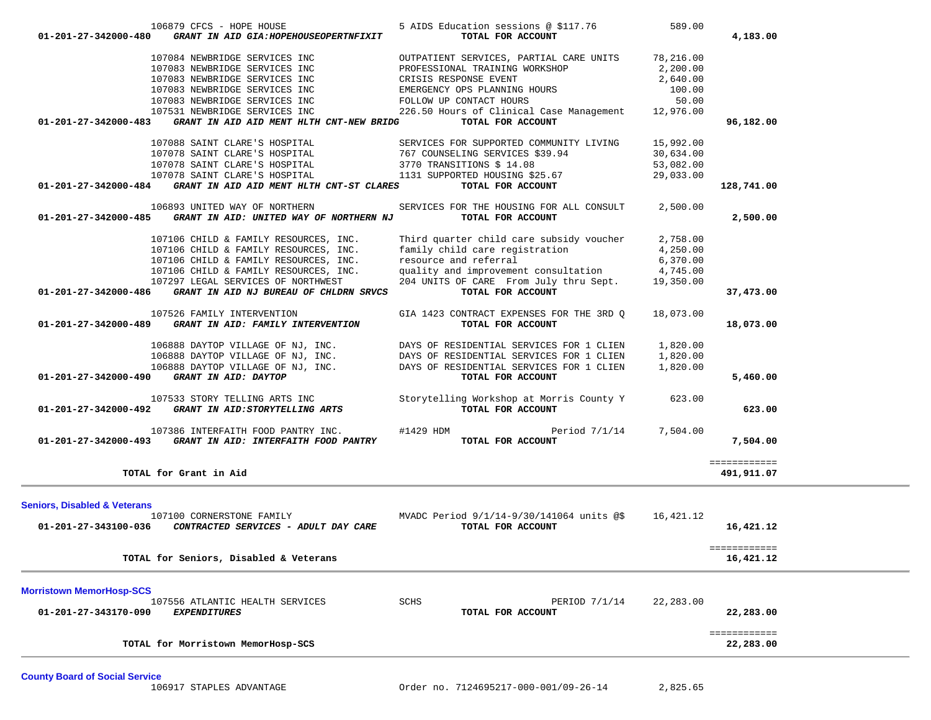| 106879 CFCS - HOPE HOUSE                                                                                                                                                                                                             | 5 AIDS Education sessions @ \$117.76                                 | 589.00               |              |
|--------------------------------------------------------------------------------------------------------------------------------------------------------------------------------------------------------------------------------------|----------------------------------------------------------------------|----------------------|--------------|
| 01-201-27-342000-480<br>GRANT IN AID GIA: HOPEHOUSEOPERTNFIXIT                                                                                                                                                                       | TOTAL FOR ACCOUNT                                                    |                      | 4,183.00     |
| 107084 NEWBRIDGE SERVICES INC                                                                                                                                                                                                        | OUTPATIENT SERVICES, PARTIAL CARE UNITS 78,216.00                    |                      |              |
| 107083 NEWBRIDGE SERVICES INC                                                                                                                                                                                                        | PROFESSIONAL TRAINING WORKSHOP                                       | 2,200.00             |              |
| 107083 NEWBRIDGE SERVICES INC                                                                                                                                                                                                        | CRISIS RESPONSE EVENT                                                | 2,640.00             |              |
| 107083 NEWBRIDGE SERVICES INC                                                                                                                                                                                                        | EMERGENCY OPS PLANNING HOURS                                         | 100.00               |              |
| 107083 NEWBRIDGE SERVICES INC                                                                                                                                                                                                        | FOLLOW UP CONTACT HOURS                                              | 50.00                |              |
| 107531 NEWBRIDGE SERVICES INC                                                                                                                                                                                                        | 226.50 Hours of Clinical Case Management 12,976.00                   |                      |              |
| GRANT IN AID AID MENT HLTH CNT-NEW BRIDG<br>01-201-27-342000-483                                                                                                                                                                     | TOTAL FOR ACCOUNT                                                    |                      | 96,182.00    |
| 107088 SAINT CLARE'S HOSPITAL                                                                                                                                                                                                        | SERVICES FOR SUPPORTED COMMUNITY LIVING                              | 15,992.00            |              |
| 107078 SAINT CLARE'S HOSPITAL                                                                                                                                                                                                        | 767 COUNSELING SERVICES \$39.94                                      | 30,634.00            |              |
| 107078 SAINT CLARE'S HOSPITAL 3770 TRANSITIONS \$14.08                                                                                                                                                                               |                                                                      | 53,082.00            |              |
| 107078 SAINT CLARE'S HOSPITAL                                                                                                                                                                                                        | 1131 SUPPORTED HOUSING \$25.67                                       | 29,033.00            |              |
| 01-201-27-342000-484 GRANT IN AID AID MENT HLTH CNT-ST CLARES                                                                                                                                                                        | TOTAL FOR ACCOUNT                                                    |                      | 128,741.00   |
| 106893 UNITED WAY OF NORTHERN                                                                                                                                                                                                        | SERVICES FOR THE HOUSING FOR ALL CONSULT                             | 2,500.00             |              |
| 01-201-27-342000-485 GRANT IN AID: UNITED WAY OF NORTHERN NJ                                                                                                                                                                         | TOTAL FOR ACCOUNT                                                    |                      | 2,500.00     |
| 107106 CHILD & FAMILY RESOURCES, INC.                                                                                                                                                                                                | Third quarter child care subsidy voucher                             | 2,758.00             |              |
| 107106 CHILD & FAMILY RESOURCES, INC.                                                                                                                                                                                                | family child care registration                                       | 4,250.00             |              |
| 107106 CHILD & FAMILY RESOURCES, INC.                                                                                                                                                                                                | resource and referral                                                | 6,370.00             |              |
| 107106 CHILD & FAMILY RESOURCES, INC.                                                                                                                                                                                                | quality and improvement consultation                                 | 4,745.00             |              |
| 107297 LEGAL SERVICES OF NORTHWEST                                                                                                                                                                                                   | 204 UNITS OF CARE From July thru Sept.                               | 19,350.00            |              |
| 01-201-27-342000-486<br>GRANT IN AID NJ BUREAU OF CHLDRN SRVCS                                                                                                                                                                       | TOTAL FOR ACCOUNT                                                    |                      | 37,473.00    |
| 107526 FAMILY INTERVENTION                                                                                                                                                                                                           | GIA 1423 CONTRACT EXPENSES FOR THE 3RD Q                             | 18,073.00            |              |
| 01-201-27-342000-489 GRANT IN AID: FAMILY INTERVENTION                                                                                                                                                                               | TOTAL FOR ACCOUNT                                                    |                      | 18,073.00    |
|                                                                                                                                                                                                                                      |                                                                      |                      |              |
|                                                                                                                                                                                                                                      | DAYS OF RESIDENTIAL SERVICES FOR 1 CLIEN                             | 1,820.00<br>1,820.00 |              |
| 106888 DAYTOP VILLAGE OF NJ, INC. DAYS OF RESIDENTIAL SERVICES FOR 1 CLIEN<br>106888 DAYTOP VILLAGE OF NJ, INC. DAYS OF RESIDENTIAL SERVICES FOR 1 CLIEN<br>106888 DAYTOP VILLAGE OF NJ, INC. DAYS OF RESIDENTIAL SERVICES FOR 1 CLI |                                                                      | 1,820.00             |              |
| 01-201-27-342000-490 GRANT IN AID: DAYTOP                                                                                                                                                                                            | TOTAL FOR ACCOUNT                                                    |                      | 5,460.00     |
|                                                                                                                                                                                                                                      |                                                                      |                      |              |
| 107533 STORY TELLING ARTS INC<br>01-201-27-342000-492 GRANT IN AID:STORYTELLING ARTS                                                                                                                                                 | Storytelling Workshop at Morris County Y 623.00<br>TOTAL FOR ACCOUNT |                      | 623.00       |
|                                                                                                                                                                                                                                      |                                                                      |                      |              |
| 107386 INTERFAITH FOOD PANTRY INC.                                                                                                                                                                                                   | #1429 HDM<br>Period 7/1/14                                           | 7,504.00             |              |
| 01-201-27-342000-493 GRANT IN AID: INTERFAITH FOOD PANTRY                                                                                                                                                                            | TOTAL FOR ACCOUNT                                                    |                      | 7,504.00     |
|                                                                                                                                                                                                                                      |                                                                      |                      | ============ |
| TOTAL for Grant in Aid                                                                                                                                                                                                               |                                                                      |                      | 491,911.07   |
|                                                                                                                                                                                                                                      |                                                                      |                      |              |
| <b>Seniors, Disabled &amp; Veterans</b><br>107100 CORNERSTONE FAMILY                                                                                                                                                                 | MVADC Period 9/1/14-9/30/141064 units @\$                            | 16,421.12            |              |
| 01-201-27-343100-036  CONTRACTED SERVICES - ADULT DAY CARE                                                                                                                                                                           | TOTAL FOR ACCOUNT                                                    |                      | 16,421.12    |
|                                                                                                                                                                                                                                      |                                                                      |                      |              |
|                                                                                                                                                                                                                                      |                                                                      |                      |              |
| TOTAL for Seniors, Disabled & Veterans                                                                                                                                                                                               |                                                                      |                      | 16,421.12    |
|                                                                                                                                                                                                                                      |                                                                      |                      |              |
| <b>Morristown MemorHosp-SCS</b><br>107556 ATLANTIC HEALTH SERVICES                                                                                                                                                                   | SCHS<br>PERIOD 7/1/14                                                | 22,283.00            |              |
| 01-201-27-343170-090<br><b>EXPENDITURES</b>                                                                                                                                                                                          | TOTAL FOR ACCOUNT                                                    |                      | 22,283.00    |
|                                                                                                                                                                                                                                      |                                                                      |                      |              |
|                                                                                                                                                                                                                                      |                                                                      |                      | ============ |
| TOTAL for Morristown MemorHosp-SCS                                                                                                                                                                                                   |                                                                      |                      | 22,283.00    |
|                                                                                                                                                                                                                                      |                                                                      |                      |              |

**County Board of Social Service**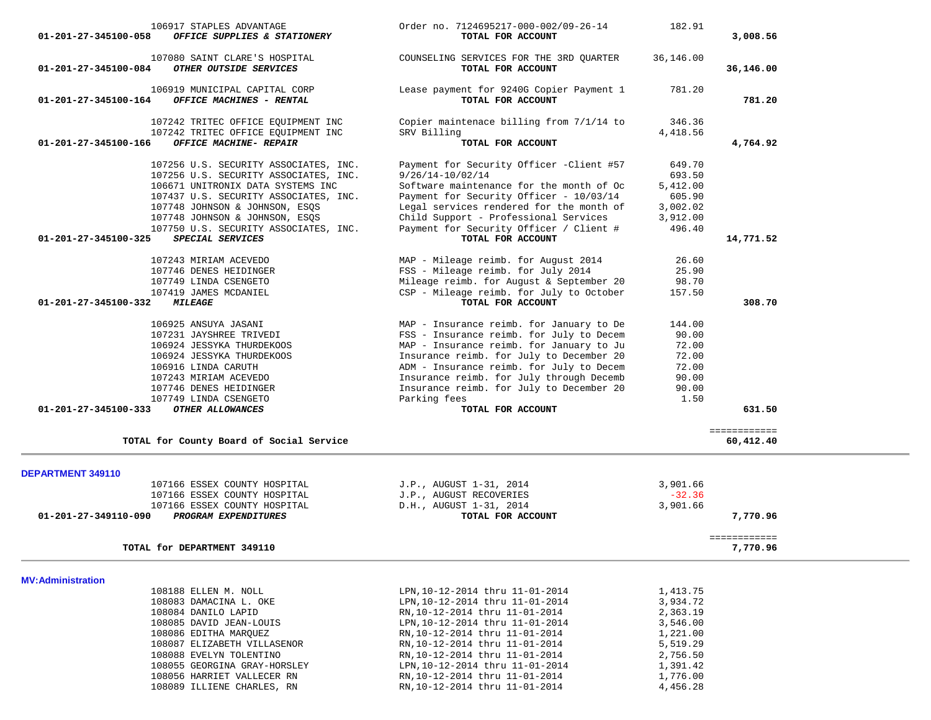| 106917 STAPLES ADVANTAGE                                                   | Order no. 7124695217-000-002/09-26-14                            | 182.91             |                           |
|----------------------------------------------------------------------------|------------------------------------------------------------------|--------------------|---------------------------|
| OFFICE SUPPLIES & STATIONERY<br>01-201-27-345100-058                       | TOTAL FOR ACCOUNT                                                |                    | 3,008.56                  |
| 107080 SAINT CLARE'S HOSPITAL                                              | COUNSELING SERVICES FOR THE 3RD QUARTER                          | 36,146.00          |                           |
| 01-201-27-345100-084<br>OTHER OUTSIDE SERVICES                             | TOTAL FOR ACCOUNT                                                |                    | 36,146.00                 |
| 106919 MUNICIPAL CAPITAL CORP                                              | Lease payment for 9240G Copier Payment 1                         | 781.20             |                           |
| 01-201-27-345100-164<br>OFFICE MACHINES - RENTAL                           | TOTAL FOR ACCOUNT                                                |                    | 781.20                    |
| 107242 TRITEC OFFICE EQUIPMENT INC                                         | Copier maintenace billing from 7/1/14 to                         | 346.36             |                           |
| 107242 TRITEC OFFICE EQUIPMENT INC                                         | SRV Billing                                                      | 4,418.56           |                           |
| 01-201-27-345100-166<br>OFFICE MACHINE- REPAIR                             | TOTAL FOR ACCOUNT                                                |                    | 4,764.92                  |
| 107256 U.S. SECURITY ASSOCIATES, INC.                                      | Payment for Security Officer -Client #57                         | 649.70             |                           |
| 107256 U.S. SECURITY ASSOCIATES, INC.<br>106671 UNITRONIX DATA SYSTEMS INC | $9/26/14 - 10/02/14$<br>Software maintenance for the month of Oc | 693.50             |                           |
| 107437 U.S. SECURITY ASSOCIATES, INC.                                      | Payment for Security Officer - 10/03/14                          | 5,412.00<br>605.90 |                           |
| 107748 JOHNSON & JOHNSON, ESQS                                             | Legal services rendered for the month of                         | 3,002.02           |                           |
| 107748 JOHNSON & JOHNSON, ESQS                                             | Child Support - Professional Services                            | 3,912.00           |                           |
| 107750 U.S. SECURITY ASSOCIATES, INC.                                      | Payment for Security Officer / Client #                          | 496.40             |                           |
| 01-201-27-345100-325<br>SPECIAL SERVICES                                   | TOTAL FOR ACCOUNT                                                |                    | 14,771.52                 |
| 107243 MIRIAM ACEVEDO                                                      | MAP - Mileage reimb. for August 2014                             | 26.60              |                           |
| 107746 DENES HEIDINGER                                                     | FSS - Mileage reimb. for July 2014                               | 25.90              |                           |
| 107749 LINDA CSENGETO                                                      | Mileage reimb. for August & September 20                         | 98.70              |                           |
| 107419 JAMES MCDANIEL                                                      | CSP - Mileage reimb. for July to October                         | 157.50             |                           |
| 01-201-27-345100-332<br><i><b>MILEAGE</b></i>                              | TOTAL FOR ACCOUNT                                                |                    | 308.70                    |
| 106925 ANSUYA JASANI                                                       | MAP - Insurance reimb. for January to De                         | 144.00             |                           |
| 107231 JAYSHREE TRIVEDI                                                    | FSS - Insurance reimb. for July to Decem                         | 90.00              |                           |
| 106924 JESSYKA THURDEKOOS                                                  | MAP - Insurance reimb. for January to Ju                         | 72.00              |                           |
| 106924 JESSYKA THURDEKOOS                                                  | Insurance reimb. for July to December 20                         | 72.00              |                           |
| 106916 LINDA CARUTH                                                        | ADM - Insurance reimb. for July to Decem                         | 72.00              |                           |
| 107243 MIRIAM ACEVEDO                                                      | Insurance reimb. for July through Decemb                         | 90.00              |                           |
| 107746 DENES HEIDINGER                                                     | Insurance reimb. for July to December 20                         | 90.00              |                           |
| 107749 LINDA CSENGETO<br>01-201-27-345100-333<br>OTHER ALLOWANCES          | Parking fees<br>TOTAL FOR ACCOUNT                                | 1.50               | 631.50                    |
|                                                                            |                                                                  |                    |                           |
| TOTAL for County Board of Social Service                                   |                                                                  |                    | ============<br>60,412.40 |
|                                                                            |                                                                  |                    |                           |
| DEPARTMENT 349110<br>107166 ESSEX COUNTY HOSPITAL                          | J.P., AUGUST 1-31, 2014                                          | 3,901.66           |                           |
| 107166 ESSEX COUNTY HOSPITAL                                               | J.P., AUGUST RECOVERIES                                          | $-32.36$           |                           |
| 107166 ESSEX COUNTY HOSPITAL                                               | D.H., AUGUST 1-31, 2014                                          | 3,901.66           |                           |
| PROGRAM EXPENDITURES<br>01-201-27-349110-090                               | TOTAL FOR ACCOUNT                                                |                    | 7,770.96                  |
|                                                                            |                                                                  |                    | ============              |
| TOTAL for DEPARTMENT 349110                                                |                                                                  |                    | 7,770.96                  |
|                                                                            |                                                                  |                    |                           |
| <b>MV: Administration</b><br>108188 ELLEN M. NOLL                          | LPN, 10-12-2014 thru 11-01-2014                                  | 1,413.75           |                           |
| 108083 DAMACINA L. OKE                                                     | LPN, 10-12-2014 thru 11-01-2014                                  | 3,934.72           |                           |
| 108084 DANILO LAPID                                                        | RN, 10-12-2014 thru 11-01-2014                                   | 2,363.19           |                           |
| 108085 DAVID JEAN-LOUIS                                                    | LPN, 10-12-2014 thru 11-01-2014                                  | 3,546.00           |                           |
| 108086 EDITHA MARQUEZ                                                      | RN, 10-12-2014 thru 11-01-2014                                   | 1,221.00           |                           |
| 108087 ELIZABETH VILLASENOR                                                | RN, 10-12-2014 thru 11-01-2014                                   | 5,519.29           |                           |
| 108088 EVELYN TOLENTINO                                                    | RN, 10-12-2014 thru 11-01-2014                                   | 2,756.50           |                           |
| 108055 GEORGINA GRAY-HORSLEY                                               | LPN, 10-12-2014 thru 11-01-2014                                  | 1,391.42           |                           |
| 108056 HARRIET VALLECER RN                                                 | RN, 10-12-2014 thru 11-01-2014                                   | 1,776.00           |                           |
| 108089 ILLIENE CHARLES, RN                                                 | RN, 10-12-2014 thru 11-01-2014                                   | 4,456.28           |                           |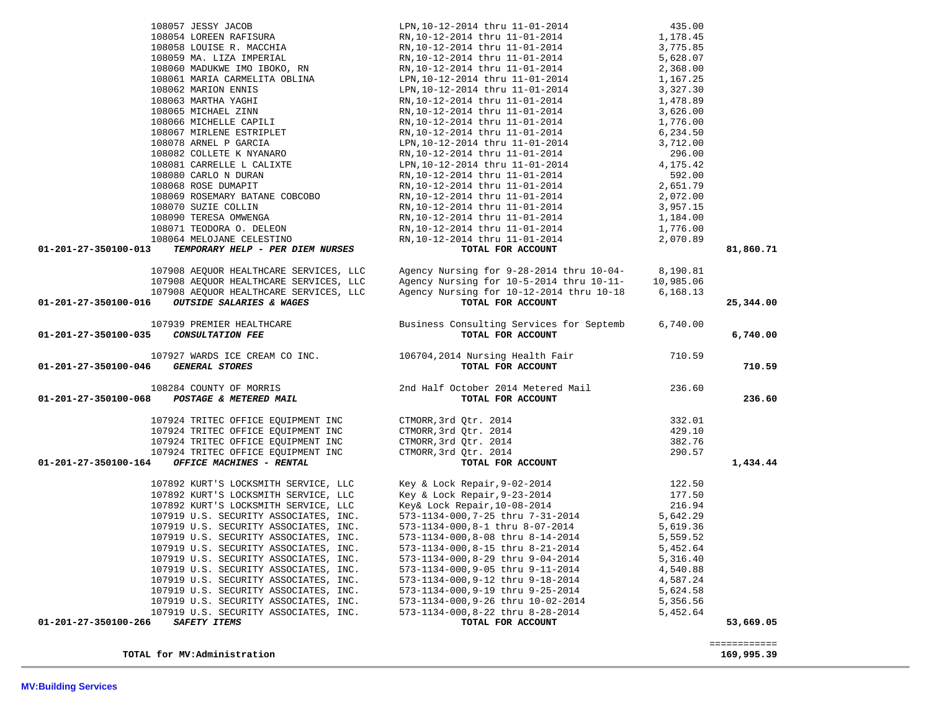| 108058 LOUISE R. MACCHIA                                                                                                                                             | RN,10-12-2014 thru 11-01-2014                                                                                                     | 3,775.85  |              |
|----------------------------------------------------------------------------------------------------------------------------------------------------------------------|-----------------------------------------------------------------------------------------------------------------------------------|-----------|--------------|
| 108059 MA. LIZA IMPERIAL                                                                                                                                             | RN,10-12-2014 thru 11-01-2014                                                                                                     | 5,628.07  |              |
| 108053 PM. LILM INDIENC, RN                                                                                                                                          | -<br>RN,10-12-2014 thru 11-01-2014<br>LPN,10-12-2014 thru 11-01-2014                                                              | 2,368.00  |              |
| 108061 MARIA CARMELITA OBLINA<br>108062 MARION ENNIS                                                                                                                 |                                                                                                                                   | 1,167.25  |              |
|                                                                                                                                                                      | LPN, 10-12-2014 thru 11-01-2014                                                                                                   | 3,327.30  |              |
| 108063 MARTHA YAGHI                                                                                                                                                  | RN,10-12-2014 thru 11-01-2014                                                                                                     | 1,478.89  |              |
|                                                                                                                                                                      | RN, 10-12-2014 thru 11-01-2014                                                                                                    | 3,626.00  |              |
|                                                                                                                                                                      | RN,10-12-2014 thru 11-01-2014                                                                                                     | 1,776.00  |              |
| 108065 MICHAEL ZINN<br>108066 MICHELLE CAPILI<br>108067 MIRLENE ESTRIPLET                                                                                            | RN, 10-12-2014 thru 11-01-2014                                                                                                    | 6,234.50  |              |
| 108078 ARNEL P GARCIA                                                                                                                                                | LPN, 10-12-2014 thru 11-01-2014<br>RN, 10-12-2014 thru 11-01-2014                                                                 | 3,712.00  |              |
| 108082 COLLETE K NYANARO                                                                                                                                             |                                                                                                                                   | 296.00    |              |
| 108081 CARRELLE L CALIXTE                                                                                                                                            | LPN,10-12-2014 thru 11-01-2014                                                                                                    | 4,175.42  |              |
| 108080 CARLO N DURAN                                                                                                                                                 | RN, 10-12-2014 thru 11-01-2014                                                                                                    | 592.00    |              |
| 108068 ROSE DUMAPIT                                                                                                                                                  | RN,10-12-2014 thru 11-01-2014                                                                                                     | 2,651.79  |              |
| 108068 ROSE DUMAPIT<br>108069 ROSEMARY BATANE COBCOBO                                                                                                                | RN, 10-12-2014 thru 11-01-2014                                                                                                    | 2,072.00  |              |
| 108070 SUZIE COLLIN                                                                                                                                                  | RN,10-12-2014 thru 11-01-2014                                                                                                     | 3,957.15  |              |
| 108090 TERESA OMWENGA                                                                                                                                                | RN, 10-12-2014 thru 11-01-2014                                                                                                    | 1,184.00  |              |
|                                                                                                                                                                      |                                                                                                                                   | 1,776.00  |              |
| 108071 TEODORA O. DELEON<br>108064 MELOJANE CELESTINO<br>108064 MELOJANE CELESTINO                                                                                   | RN, 10-12-2014 thru 11-01-2014<br>RN, 10-12-2014 thru 11-01-2014                                                                  | 2,070.89  |              |
| TEMPORARY HELP - PER DIEM NURSES<br>01-201-27-350100-013                                                                                                             | TOTAL FOR ACCOUNT                                                                                                                 |           | 81,860.71    |
|                                                                                                                                                                      |                                                                                                                                   |           |              |
| 107908 AEQUOR HEALTHCARE SERVICES, LLC                                                                                                                               | Agency Nursing for 9-28-2014 thru 10-04-                                                                                          | 8,190.81  |              |
| 107908 AEQUOR HEALTHCARE SERVICES, LLC                                                                                                                               | Agency Nursing for 10-5-2014 thru 10-11-                                                                                          | 10,985.06 |              |
| 107908 AEQUOR HEALTHCARE SERVICES, LLC                                                                                                                               | Agency Nursing for 10-12-2014 thru 10-18                                                                                          | 6,168.13  |              |
| OUTSIDE SALARIES & WAGES<br>01-201-27-350100-016                                                                                                                     | TOTAL FOR ACCOUNT                                                                                                                 |           | 25,344.00    |
|                                                                                                                                                                      |                                                                                                                                   |           |              |
| 107939 PREMIER HEALTHCARE                                                                                                                                            | Business Consulting Services for Septemb                                                                                          | 6,740.00  |              |
| 01-201-27-350100-035<br>CONSULTATION FEE                                                                                                                             | TOTAL FOR ACCOUNT                                                                                                                 |           | 6,740.00     |
|                                                                                                                                                                      |                                                                                                                                   |           |              |
|                                                                                                                                                                      | 107927 WARDS ICE CREAM CO INC.<br>106704,2014 Nursing Health Fair 710.59                                                          |           |              |
| <b>GENERAL STORES</b><br>01-201-27-350100-046                                                                                                                        | TOTAL FOR ACCOUNT                                                                                                                 |           | 710.59       |
|                                                                                                                                                                      |                                                                                                                                   |           |              |
| 108284 COUNTY OF MORRIS 2nd Half October 2014 Metered Mail 236.60<br><b>01-201-27-350100-068</b> POSTAGE & METERED MAIL 201-201-27-350100-068 POSTAGE & METERED MAIL |                                                                                                                                   |           | 236.60       |
|                                                                                                                                                                      |                                                                                                                                   |           |              |
| 107924 TRITEC OFFICE EQUIPMENT INC                                                                                                                                   | CTMORR, 3rd Qtr. 2014                                                                                                             | 332.01    |              |
| 107924 TRITEC OFFICE EQUIPMENT INC                                                                                                                                   | CTMORR, 3rd Qtr. 2014                                                                                                             | 429.10    |              |
| 107924 TRITEC OFFICE EQUIPMENT INC                                                                                                                                   | CTMORR, 3rd Qtr. 2014                                                                                                             | 382.76    |              |
| 107924 TRITEC OFFICE EQUIPMENT INC                                                                                                                                   | CTMORR, 3rd Qtr. 2014                                                                                                             | 290.57    |              |
| 01-201-27-350100-164<br>OFFICE MACHINES - RENTAL                                                                                                                     | Qtr. 2014<br>Qtr. 2014<br>Qtr. 2014<br>Qtr. 2014<br><b>TOTAL FOR ACCOUNT</b>                                                      |           | 1,434.44     |
|                                                                                                                                                                      |                                                                                                                                   |           |              |
| 107892 KURT'S LOCKSMITH SERVICE, LLC                                                                                                                                 |                                                                                                                                   | 122.50    |              |
| 107892 KURT'S LOCKSMITH SERVICE, LLC                                                                                                                                 |                                                                                                                                   | 177.50    |              |
| 107892 KURT'S LOCKSMITH SERVICE, LLC                                                                                                                                 |                                                                                                                                   | 216.94    |              |
| 107919 U.S. SECURITY ASSOCIATES, INC.                                                                                                                                | Key & Lock Repair, 9-02-2014<br>Key & Lock Repair, 9-23-2014<br>Key& Lock Repair, 10-08-2014<br>573-1134-000, 7-25 thru 7-31-2014 | 5,642.29  |              |
| 107919 U.S. SECURITY ASSOCIATES, INC.                                                                                                                                | 573-1134-000, 8-1 thru 8-07-2014                                                                                                  | 5,619.36  |              |
| 107919 U.S. SECURITY ASSOCIATES, INC.                                                                                                                                |                                                                                                                                   | 5,559.52  |              |
| 107919 U.S. SECURITY ASSOCIATES, INC.                                                                                                                                | 573-1134-000,8-08 thru 8-14-2014<br>573-1134-000,8-15 thru 8-21-2014                                                              | 5,452.64  |              |
| 107919 U.S. SECURITY ASSOCIATES, INC.                                                                                                                                |                                                                                                                                   | 5,316.40  |              |
|                                                                                                                                                                      | 573-1134-000,8-29 thru 9-04-2014                                                                                                  | 4,540.88  |              |
| 107919 U.S. SECURITY ASSOCIATES, INC.                                                                                                                                | 573-1134-000, 9-05 thru 9-11-2014                                                                                                 |           |              |
| 107919 U.S. SECURITY ASSOCIATES, INC.                                                                                                                                | 573-1134-000, 9-12 thru 9-18-2014                                                                                                 | 4,587.24  |              |
| 107919 U.S. SECURITY ASSOCIATES, INC.                                                                                                                                | 573-1134-000, 9-19 thru 9-25-2014                                                                                                 | 5,624.58  |              |
| 107919 U.S. SECURITY ASSOCIATES, INC.                                                                                                                                | 573-1134-000, 9-26 thru 10-02-2014                                                                                                | 5,356.56  |              |
| 107919 U.S. SECURITY ASSOCIATES, INC.                                                                                                                                | 573-1134-000,8-22 thru 8-28-2014                                                                                                  | 5,452.64  |              |
| 01-201-27-350100-266<br><b>SAFETY ITEMS</b>                                                                                                                          | TOTAL FOR ACCOUNT                                                                                                                 |           | 53,669.05    |
|                                                                                                                                                                      |                                                                                                                                   |           |              |
| TOTAL for MV:Administration                                                                                                                                          |                                                                                                                                   |           | ============ |
|                                                                                                                                                                      |                                                                                                                                   |           | 169,995.39   |

108057 JESSY JACOB 108057 JESSY JACOB 108054 LPN,10-12-2014 thru 11-01-2014 435.00<br>RN,10-12-2014 thru 11-01-2014 1 1,178.45

RN,10-12-2014 thru 11-01-2014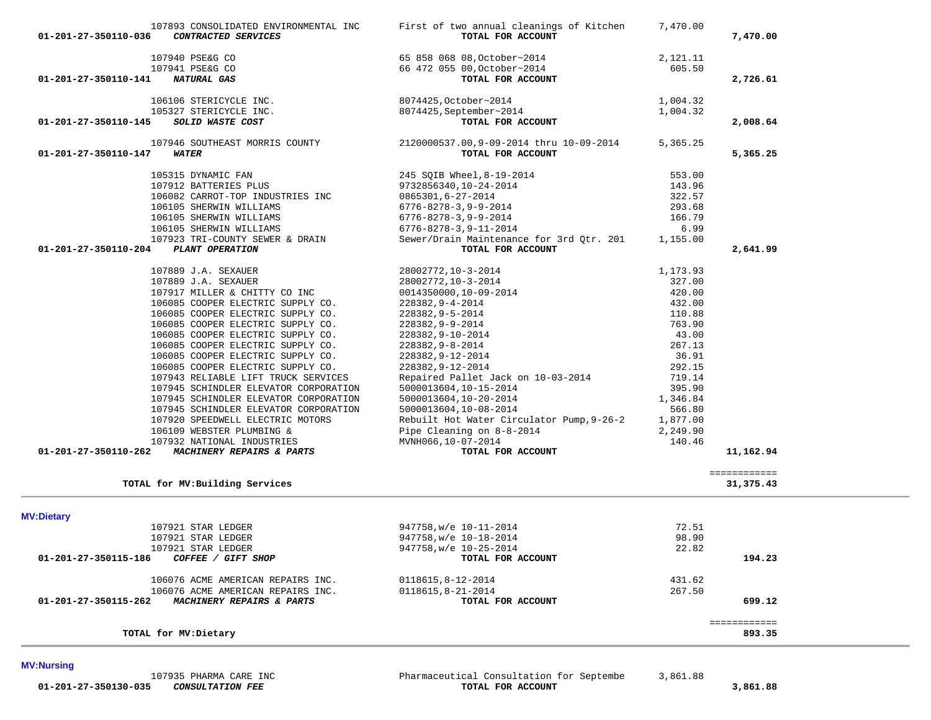**MV:Nursing** 

| 01-201-27-350110-145 | SOLID WASTE COST                      | TOTAL FOR ACCOUNT                         |          | 2,008.64               |
|----------------------|---------------------------------------|-------------------------------------------|----------|------------------------|
|                      | 107946 SOUTHEAST MORRIS COUNTY        | 2120000537.00,9-09-2014 thru 10-09-2014   | 5,365.25 |                        |
| 01-201-27-350110-147 | <b>WATER</b>                          | TOTAL FOR ACCOUNT                         |          | 5,365.25               |
|                      | 105315 DYNAMIC FAN                    | 245 SQIB Wheel, 8-19-2014                 | 553.00   |                        |
|                      | 107912 BATTERIES PLUS                 | 9732856340,10-24-2014                     | 143.96   |                        |
|                      | 106082 CARROT-TOP INDUSTRIES INC      | 0865301,6-27-2014                         | 322.57   |                        |
|                      | 106105 SHERWIN WILLIAMS               | $6776 - 8278 - 3, 9 - 9 - 2014$           | 293.68   |                        |
|                      | 106105 SHERWIN WILLIAMS               | $6776 - 8278 - 3, 9 - 9 - 2014$           | 166.79   |                        |
|                      | 106105 SHERWIN WILLIAMS               | $6776 - 8278 - 3, 9 - 11 - 2014$          | 6.99     |                        |
|                      | 107923 TRI-COUNTY SEWER & DRAIN       | Sewer/Drain Maintenance for 3rd Otr. 201  | 1,155.00 |                        |
| 01-201-27-350110-204 | PLANT OPERATION                       | TOTAL FOR ACCOUNT                         |          | 2,641.99               |
|                      | 107889 J.A. SEXAUER                   | 28002772, 10-3-2014                       | 1,173.93 |                        |
|                      | 107889 J.A. SEXAUER                   | 28002772, 10-3-2014                       | 327.00   |                        |
|                      | 107917 MILLER & CHITTY CO INC         | 0014350000,10-09-2014                     | 420.00   |                        |
|                      | 106085 COOPER ELECTRIC SUPPLY CO.     | 228382,9-4-2014                           | 432.00   |                        |
|                      | 106085 COOPER ELECTRIC SUPPLY CO.     | 228382, 9-5-2014                          | 110.88   |                        |
|                      | 106085 COOPER ELECTRIC SUPPLY CO.     | 228382,9-9-2014                           | 763.90   |                        |
|                      | 106085 COOPER ELECTRIC SUPPLY CO.     | 228382, 9-10-2014                         | 43.00    |                        |
|                      | 106085 COOPER ELECTRIC SUPPLY CO.     | 228382, 9-8-2014                          | 267.13   |                        |
|                      | 106085 COOPER ELECTRIC SUPPLY CO.     | 228382, 9-12-2014                         | 36.91    |                        |
|                      | 106085 COOPER ELECTRIC SUPPLY CO.     | 228382, 9-12-2014                         | 292.15   |                        |
|                      | 107943 RELIABLE LIFT TRUCK SERVICES   | Repaired Pallet Jack on 10-03-2014        | 719.14   |                        |
|                      | 107945 SCHINDLER ELEVATOR CORPORATION | 5000013604,10-15-2014                     | 395.90   |                        |
|                      | 107945 SCHINDLER ELEVATOR CORPORATION |                                           | 1,346.84 |                        |
|                      | 107945 SCHINDLER ELEVATOR CORPORATION | 5000013604,10-20-2014                     | 566.80   |                        |
|                      |                                       | 5000013604,10-08-2014                     |          |                        |
|                      | 107920 SPEEDWELL ELECTRIC MOTORS      | Rebuilt Hot Water Circulator Pump, 9-26-2 | 1,877.00 |                        |
|                      | 106109 WEBSTER PLUMBING &             | Pipe Cleaning on 8-8-2014                 | 2,249.90 |                        |
|                      | 107932 NATIONAL INDUSTRIES            | MVNH066,10-07-2014                        | 140.46   |                        |
| 01-201-27-350110-262 | MACHINERY REPAIRS & PARTS             | TOTAL FOR ACCOUNT                         |          | 11,162.94              |
|                      |                                       |                                           |          | ============           |
|                      | TOTAL for MV: Building Services       |                                           |          | 31,375.43              |
| <b>MV:Dietary</b>    |                                       |                                           |          |                        |
|                      | 107921 STAR LEDGER                    | 947758, w/e 10-11-2014                    | 72.51    |                        |
|                      | 107921 STAR LEDGER                    | 947758, w/e 10-18-2014                    | 98.90    |                        |
|                      | 107921 STAR LEDGER                    | 947758, w/e 10-25-2014                    | 22.82    |                        |
| 01-201-27-350115-186 | COFFEE / GIFT SHOP                    | TOTAL FOR ACCOUNT                         |          | 194.23                 |
|                      | 106076 ACME AMERICAN REPAIRS INC.     | 0118615,8-12-2014                         | 431.62   |                        |
|                      | 106076 ACME AMERICAN REPAIRS INC.     | 0118615,8-21-2014                         | 267.50   |                        |
| 01-201-27-350115-262 | MACHINERY REPAIRS & PARTS             | TOTAL FOR ACCOUNT                         |          | 699.12                 |
|                      |                                       |                                           |          |                        |
|                      | TOTAL for MV: Dietary                 |                                           |          | ============<br>893.35 |

107893 CONSOLIDATED ENVIRONMENTAL INC First of two annual cleanings of Kitchen 7,470.00<br>6 CONTRACTED SERVICES TOTAL FOR ACCOUNT  **01-201-27-350110-036** *CONTRACTED SERVICES* **TOTAL FOR ACCOUNT 7,470.00**

107940 PSE&G CO 65 858 068 08,0ctober~2014 2,121.11<br>107941 PSE&G CO 66 472 055 00,0ctober~2014 605.50

106106 STERICYCLE INC. <br>1,004.32 105327 STERICYCLE INC. <br>8074425,September~2014 1,004.32

 **01-201-27-350110-141** *NATURAL GAS* **TOTAL FOR ACCOUNT 2,726.61**

66 472 055 00, October~2014<br> **TOTAL FOR ACCOUNT** 

8074425, September~2014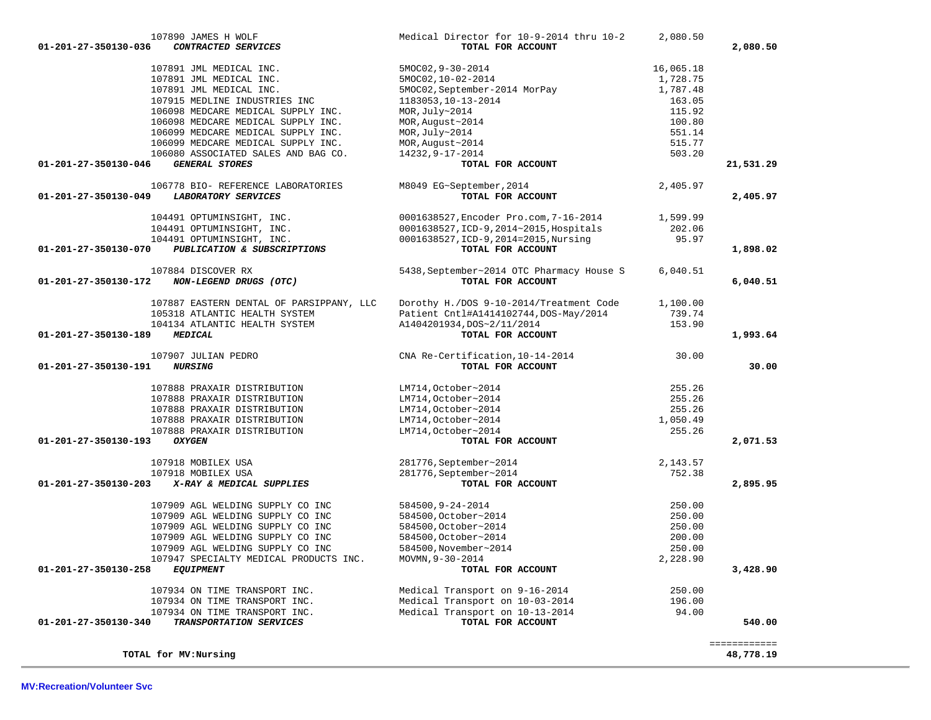| 107890 JAMES H WOLF                                                                | Medical Director for 10-9-2014 thru 10-2  | 2,080.50  |              |
|------------------------------------------------------------------------------------|-------------------------------------------|-----------|--------------|
| CONTRACTED SERVICES<br>01-201-27-350130-036                                        | TOTAL FOR ACCOUNT                         |           | 2,080.50     |
| 107891 JML MEDICAL INC.                                                            | 5MOC02, 9-30-2014                         | 16,065.18 |              |
| 107891 JML MEDICAL INC.                                                            | 5MOC02,10-02-2014                         | 1,728.75  |              |
| 107891 JML MEDICAL INC.                                                            | 5MOC02, September-2014 MorPay             | 1,787.48  |              |
| 107915 MEDLINE INDUSTRIES INC                                                      | 1183053,10-13-2014                        | 163.05    |              |
|                                                                                    |                                           |           |              |
| 106098 MEDCARE MEDICAL SUPPLY INC.                                                 | MOR, July~2014                            | 115.92    |              |
| 106098 MEDCARE MEDICAL SUPPLY INC.                                                 | MOR, August~2014                          | 100.80    |              |
| 106099 MEDCARE MEDICAL SUPPLY INC.                                                 | MOR, July~2014                            | 551.14    |              |
| 106099 MEDCARE MEDICAL SUPPLY INC.                                                 | MOR, August~2014                          | 515.77    |              |
| 106080 ASSOCIATED SALES AND BAG CO.                                                | 14232, 9-17-2014                          | 503.20    |              |
| <b>GENERAL STORES</b><br>01-201-27-350130-046                                      | TOTAL FOR ACCOUNT                         |           | 21,531.29    |
| 106778 BIO- REFERENCE LABORATORIES                                                 | M8049 EG~September, 2014                  | 2,405.97  |              |
| LABORATORY SERVICES<br>01-201-27-350130-049                                        | TOTAL FOR ACCOUNT                         |           | 2,405.97     |
| 104491 OPTUMINSIGHT, INC.                                                          | 0001638527, Encoder Pro.com, 7-16-2014    | 1,599.99  |              |
| 104491 OPTUMINSIGHT, INC.                                                          | 0001638527, ICD-9, 2014~2015, Hospitals   | 202.06    |              |
| 104491 OPTUMINSIGHT, INC.                                                          | 0001638527, ICD-9, 2014=2015, Nursing     | 95.97     |              |
| 01-201-27-350130-070<br>PUBLICATION & SUBSCRIPTIONS                                | TOTAL FOR ACCOUNT                         |           | 1,898.02     |
| 107884 DISCOVER RX                                                                 | 5438, September~2014 OTC Pharmacy House S | 6,040.51  |              |
| 01-201-27-350130-172<br>NON-LEGEND DRUGS (OTC)                                     | TOTAL FOR ACCOUNT                         |           | 6,040.51     |
| 107887 EASTERN DENTAL OF PARSIPPANY, LLC                                           | Dorothy H./DOS 9-10-2014/Treatment Code   | 1,100.00  |              |
| 105318 ATLANTIC HEALTH SYSTEM                                                      | Patient Cntl#A1414102744, DOS-May/2014    | 739.74    |              |
| 104134 ATLANTIC HEALTH SYSTEM                                                      | A1404201934, DOS~2/11/2014                | 153.90    |              |
| 01-201-27-350130-189<br><b>MEDICAL</b>                                             | TOTAL FOR ACCOUNT                         |           | 1,993.64     |
| 107907 JULIAN PEDRO                                                                | CNA Re-Certification, 10-14-2014          | 30.00     |              |
| 01-201-27-350130-191<br><i><b>NURSING</b></i>                                      | TOTAL FOR ACCOUNT                         |           | 30.00        |
| 107888 PRAXAIR DISTRIBUTION                                                        | LM714, October~2014                       | 255.26    |              |
| 107888 PRAXAIR DISTRIBUTION                                                        | LM714, October~2014                       | 255.26    |              |
| 107888 PRAXAIR DISTRIBUTION                                                        | LM714, October~2014                       | 255.26    |              |
| 107888 PRAXAIR DISTRIBUTION                                                        | LM714, October~2014                       | 1,050.49  |              |
| 107888 PRAXAIR DISTRIBUTION                                                        | LM714, October~2014                       | 255.26    |              |
| 01-201-27-350130-193<br><b>OXYGEN</b>                                              | TOTAL FOR ACCOUNT                         |           | 2,071.53     |
| 107918 MOBILEX USA                                                                 | 281776, September~2014                    | 2,143.57  |              |
| 107918 MOBILEX USA                                                                 | 281776, September~2014                    | 752.38    |              |
| 01-201-27-350130-203<br>X-RAY & MEDICAL SUPPLIES                                   | TOTAL FOR ACCOUNT                         |           | 2,895.95     |
| 107909 AGL WELDING SUPPLY CO INC                                                   | 584500,9-24-2014                          | 250.00    |              |
| 107909 AGL WELDING SUPPLY CO INC                                                   | 584500, October~2014                      | 250.00    |              |
| 107909 AGL WELDING SUPPLY CO INC                                                   | 584500, October~2014                      | 250.00    |              |
| 107909 AGL WELDING SUPPLY CO INC                                                   | 584500, October~2014                      | 200.00    |              |
|                                                                                    |                                           | 250.00    |              |
| 107909 AGL WELDING SUPPLY CO INC                                                   | 584500, November~2014                     | 2,228.90  |              |
| 107947 SPECIALTY MEDICAL PRODUCTS INC.<br>01-201-27-350130-258<br><b>EQUIPMENT</b> | MOVMN, 9-30-2014<br>TOTAL FOR ACCOUNT     |           | 3,428.90     |
|                                                                                    |                                           |           |              |
| 107934 ON TIME TRANSPORT INC.                                                      | Medical Transport on 9-16-2014            | 250.00    |              |
| 107934 ON TIME TRANSPORT INC.                                                      | Medical Transport on 10-03-2014           | 196.00    |              |
| 107934 ON TIME TRANSPORT INC.                                                      | Medical Transport on 10-13-2014           | 94.00     |              |
| TRANSPORTATION SERVICES<br>01-201-27-350130-340                                    | TOTAL FOR ACCOUNT                         |           | 540.00       |
|                                                                                    |                                           |           | ============ |
| TOTAL for MV: Nursing                                                              |                                           |           | 48,778.19    |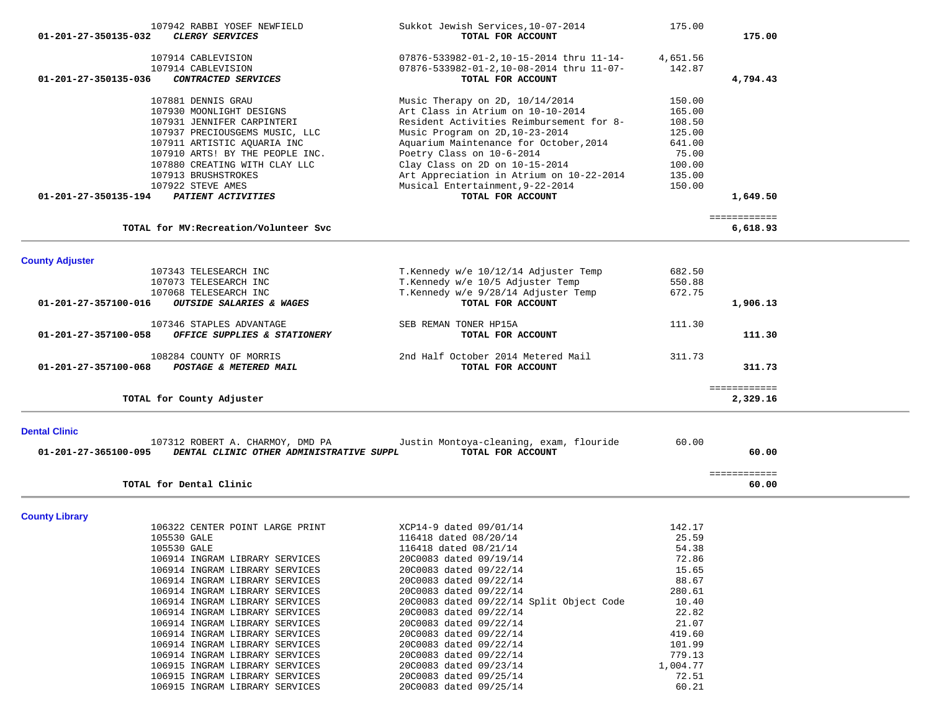| 01-201-27-350135-032           | 107942 RABBI YOSEF NEWFIELD<br><b>CLERGY SERVICES</b>            | Sukkot Jewish Services, 10-07-2014<br>TOTAL FOR ACCOUNT | 175.00             | 175.00                   |
|--------------------------------|------------------------------------------------------------------|---------------------------------------------------------|--------------------|--------------------------|
|                                |                                                                  |                                                         |                    |                          |
|                                | 107914 CABLEVISION                                               | 07876-533982-01-2,10-15-2014 thru 11-14-                | 4,651.56           |                          |
|                                | 107914 CABLEVISION                                               | 07876-533982-01-2,10-08-2014 thru 11-07-                | 142.87             |                          |
| 01-201-27-350135-036           | CONTRACTED SERVICES                                              | TOTAL FOR ACCOUNT                                       |                    | 4,794.43                 |
|                                | 107881 DENNIS GRAU                                               | Music Therapy on $2D$ , $10/14/2014$                    | 150.00             |                          |
|                                | 107930 MOONLIGHT DESIGNS                                         | Art Class in Atrium on 10-10-2014                       | 165.00             |                          |
|                                | 107931 JENNIFER CARPINTERI                                       | Resident Activities Reimbursement for 8-                | 108.50             |                          |
|                                | 107937 PRECIOUSGEMS MUSIC, LLC                                   | Music Program on 2D, 10-23-2014                         | 125.00             |                          |
|                                | 107911 ARTISTIC AQUARIA INC                                      | Aquarium Maintenance for October, 2014                  | 641.00             |                          |
|                                | 107910 ARTS! BY THE PEOPLE INC.                                  | Poetry Class on 10-6-2014                               | 75.00              |                          |
|                                | 107880 CREATING WITH CLAY LLC                                    | Clay Class on 2D on $10-15-2014$                        | 100.00             |                          |
|                                | 107913 BRUSHSTROKES                                              | Art Appreciation in Atrium on 10-22-2014                | 135.00             |                          |
|                                | 107922 STEVE AMES                                                | Musical Entertainment, 9-22-2014                        | 150.00             |                          |
| 01-201-27-350135-194           | PATIENT ACTIVITIES                                               | TOTAL FOR ACCOUNT                                       |                    | 1,649.50                 |
|                                |                                                                  |                                                         |                    | ============             |
|                                | TOTAL for MV: Recreation/Volunteer Svc                           |                                                         |                    | 6,618.93                 |
| <b>County Adjuster</b>         |                                                                  |                                                         |                    |                          |
|                                | 107343 TELESEARCH INC                                            | T.Kennedy w/e 10/12/14 Adjuster Temp                    | 682.50             |                          |
|                                | 107073 TELESEARCH INC                                            | T.Kennedy w/e 10/5 Adjuster Temp                        | 550.88             |                          |
|                                | 107068 TELESEARCH INC                                            | T.Kennedy w/e 9/28/14 Adjuster Temp                     | 672.75             |                          |
| $01 - 201 - 27 - 357100 - 016$ | OUTSIDE SALARIES & WAGES                                         | TOTAL FOR ACCOUNT                                       |                    | 1,906.13                 |
|                                | 107346 STAPLES ADVANTAGE                                         | SEB REMAN TONER HP15A                                   | 111.30             |                          |
| 01-201-27-357100-058           | OFFICE SUPPLIES & STATIONERY                                     | TOTAL FOR ACCOUNT                                       |                    | 111.30                   |
|                                | 108284 COUNTY OF MORRIS                                          | 2nd Half October 2014 Metered Mail                      | 311.73             |                          |
| 01-201-27-357100-068           | POSTAGE & METERED MAIL                                           | TOTAL FOR ACCOUNT                                       |                    | 311.73                   |
|                                |                                                                  |                                                         |                    |                          |
|                                | TOTAL for County Adjuster                                        |                                                         |                    | ============<br>2,329.16 |
| <b>Dental Clinic</b>           |                                                                  |                                                         |                    |                          |
|                                | 107312 ROBERT A. CHARMOY, DMD PA                                 | Justin Montoya-cleaning, exam, flouride                 | 60.00              |                          |
| 01-201-27-365100-095           | DENTAL CLINIC OTHER ADMINISTRATIVE SUPPL                         | TOTAL FOR ACCOUNT                                       |                    | 60.00                    |
|                                |                                                                  |                                                         |                    | ============             |
|                                | TOTAL for Dental Clinic                                          |                                                         |                    | 60.00                    |
|                                |                                                                  |                                                         |                    |                          |
| <b>County Library</b>          | 106322 CENTER POINT LARGE PRINT                                  | XCP14-9 dated 09/01/14                                  | 142.17             |                          |
|                                | 105530 GALE                                                      | 116418 dated 08/20/14                                   | 25.59              |                          |
|                                | 105530 GALE                                                      | 116418 dated 08/21/14                                   | 54.38              |                          |
|                                | 106914 INGRAM LIBRARY SERVICES                                   | 20C0083 dated 09/19/14                                  | 72.86              |                          |
|                                | 106914 INGRAM LIBRARY SERVICES                                   | 20C0083 dated 09/22/14                                  | 15.65              |                          |
|                                | 106914 INGRAM LIBRARY SERVICES                                   | 20C0083 dated 09/22/14                                  | 88.67              |                          |
|                                | 106914 INGRAM LIBRARY SERVICES                                   | 20C0083 dated 09/22/14                                  | 280.61             |                          |
|                                | 106914 INGRAM LIBRARY SERVICES                                   | 20C0083 dated 09/22/14 Split Object Code                | 10.40              |                          |
|                                | 106914 INGRAM LIBRARY SERVICES                                   | 20C0083 dated 09/22/14                                  | 22.82              |                          |
|                                | 106914 INGRAM LIBRARY SERVICES                                   | 20C0083 dated 09/22/14                                  | 21.07              |                          |
|                                | 106914 INGRAM LIBRARY SERVICES                                   | 20C0083 dated 09/22/14                                  | 419.60             |                          |
|                                | 106914 INGRAM LIBRARY SERVICES                                   | 20C0083 dated 09/22/14                                  | 101.99             |                          |
|                                | 106914 INGRAM LIBRARY SERVICES                                   | 20C0083 dated 09/22/14                                  | 779.13<br>1,004.77 |                          |
|                                | 106915 INGRAM LIBRARY SERVICES<br>106915 INGRAM LIBRARY SERVICES | 20C0083 dated 09/23/14<br>20C0083 dated 09/25/14        | 72.51              |                          |
|                                | 106915 INGRAM LIBRARY SERVICES                                   | 20C0083 dated 09/25/14                                  | 60.21              |                          |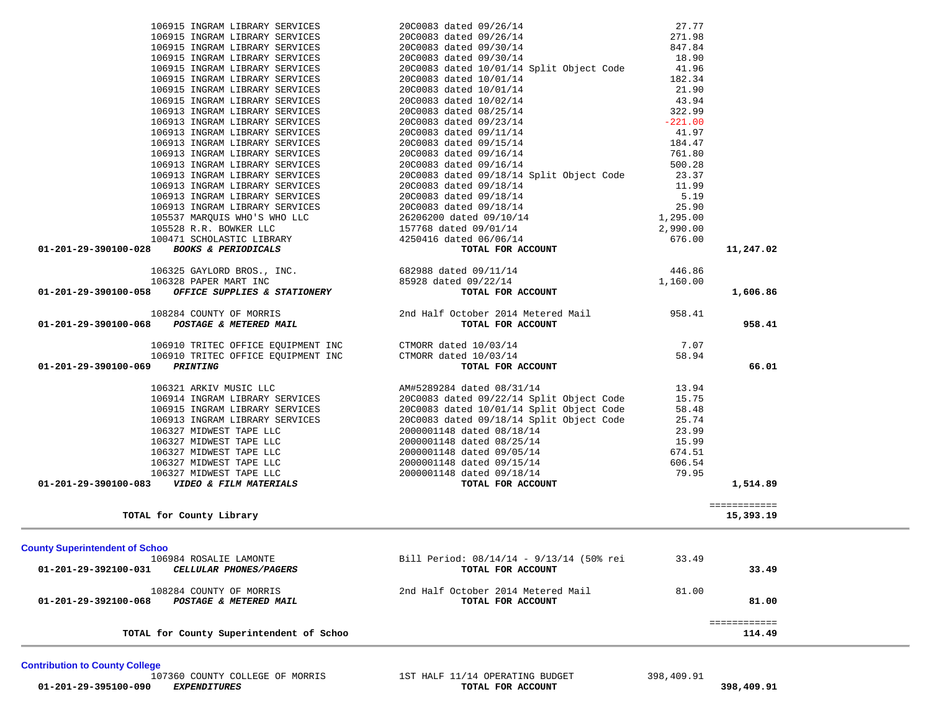**Contribution to County College**

107360 COUNTY COLLEGE OF MORRIS **1ST HALF 11/14 OPERATING BUDGET** 398,409.91<br>**707AL FOR ACCOUNT 398,409.91** 398,409.91 **IOTAL SEXPENDITURES** 

| 108284 COUNTY OF MORRIS<br>01-201-29-390100-068 POSTAGE & METERED MAIL                  | 2nd Half October 2014 Metered Mail<br>TOTAL FOR ACCOUNT | 958.41 | 958.41       |
|-----------------------------------------------------------------------------------------|---------------------------------------------------------|--------|--------------|
|                                                                                         |                                                         |        |              |
| 106910 TRITEC OFFICE EQUIPMENT INC                                                      | CTMORR dated 10/03/14                                   | 7.07   |              |
| 106910 TRITEC OFFICE EQUIPMENT INC<br>$01 - 201 - 29 - 390100 - 069$<br><b>PRINTING</b> | CTMORR dated 10/03/14<br>TOTAL FOR ACCOUNT              | 58.94  | 66.01        |
|                                                                                         |                                                         |        |              |
| 106321 ARKIV MUSIC LLC                                                                  | AM#5289284 dated 08/31/14                               | 13.94  |              |
| 106914 INGRAM LIBRARY SERVICES                                                          | 20C0083 dated 09/22/14 Split Object Code                | 15.75  |              |
| 106915 INGRAM LIBRARY SERVICES                                                          | 20C0083 dated 10/01/14 Split Object Code                | 58.48  |              |
| 106913 INGRAM LIBRARY SERVICES                                                          | 20C0083 dated 09/18/14 Split Object Code                | 25.74  |              |
| 106327 MIDWEST TAPE LLC                                                                 | 2000001148 dated 08/18/14                               | 23.99  |              |
| 106327 MIDWEST TAPE LLC                                                                 | 2000001148 dated 08/25/14                               | 15.99  |              |
| 106327 MIDWEST TAPE LLC                                                                 | 2000001148 dated 09/05/14                               | 674.51 |              |
| 106327 MIDWEST TAPE LLC                                                                 | 2000001148 dated 09/15/14                               | 606.54 |              |
| 106327 MIDWEST TAPE LLC                                                                 | 2000001148 dated 09/18/14                               | 79.95  |              |
| 01-201-29-390100-083<br>VIDEO & FILM MATERIALS                                          | TOTAL FOR ACCOUNT                                       |        | 1,514.89     |
|                                                                                         |                                                         |        |              |
|                                                                                         |                                                         |        | ============ |
| TOTAL for County Library                                                                |                                                         |        | 15,393.19    |
|                                                                                         |                                                         |        |              |
| <b>County Superintendent of Schoo</b>                                                   |                                                         |        |              |
| 106984 ROSALIE LAMONTE                                                                  | Bill Period: 08/14/14 - 9/13/14 (50% rei                | 33.49  |              |
| 01-201-29-392100-031<br>CELLULAR PHONES/PAGERS                                          | TOTAL FOR ACCOUNT                                       |        | 33.49        |
| 108284 COUNTY OF MORRIS                                                                 | 2nd Half October 2014 Metered Mail                      | 81.00  |              |
| 01-201-29-392100-068<br>POSTAGE & METERED MAIL                                          | TOTAL FOR ACCOUNT                                       |        | 81.00        |
|                                                                                         |                                                         |        | ============ |
| TOTAL for County Superintendent of Schoo                                                |                                                         |        | 114.49       |

|                                                                                                                                                                                                                                             | 106915 INGRAM LIBRARY SERVICES 2000083 dated 09/26/14 271.98<br>106915 INGRAM LIBRARY SERVICES 2000083 dated 09/30/14 847.84<br>106915 INGRAM LIBRARY SERVICES 2000083 dated 09/30/14 18<br>106915 INGRAM LIBRARY SERVICES 2000083 date      |           |
|---------------------------------------------------------------------------------------------------------------------------------------------------------------------------------------------------------------------------------------------|----------------------------------------------------------------------------------------------------------------------------------------------------------------------------------------------------------------------------------------------|-----------|
|                                                                                                                                                                                                                                             |                                                                                                                                                                                                                                              |           |
|                                                                                                                                                                                                                                             |                                                                                                                                                                                                                                              |           |
|                                                                                                                                                                                                                                             |                                                                                                                                                                                                                                              |           |
|                                                                                                                                                                                                                                             |                                                                                                                                                                                                                                              |           |
|                                                                                                                                                                                                                                             |                                                                                                                                                                                                                                              |           |
|                                                                                                                                                                                                                                             |                                                                                                                                                                                                                                              |           |
|                                                                                                                                                                                                                                             |                                                                                                                                                                                                                                              |           |
|                                                                                                                                                                                                                                             | 106915 INGRAM LIBRARY SERVICES<br>106915 INGRAM LIBRARY SERVICES<br>106915 INGRAM LIBRARY SERVICES<br>106915 INGRAM LIBRARY SERVICES<br>106915 INGRAM LIBRARY SERVICES<br>20C0083 dated 10/01/14<br>106913 INGRAM LIBRARY SERVICES<br>20C008 |           |
|                                                                                                                                                                                                                                             |                                                                                                                                                                                                                                              |           |
|                                                                                                                                                                                                                                             |                                                                                                                                                                                                                                              |           |
|                                                                                                                                                                                                                                             |                                                                                                                                                                                                                                              |           |
|                                                                                                                                                                                                                                             |                                                                                                                                                                                                                                              |           |
|                                                                                                                                                                                                                                             | 106913 INGRAM LIBRARY SERVICES 20C0083 dated 09/18/14 Split Object Code 23.37                                                                                                                                                                |           |
|                                                                                                                                                                                                                                             |                                                                                                                                                                                                                                              |           |
|                                                                                                                                                                                                                                             |                                                                                                                                                                                                                                              |           |
|                                                                                                                                                                                                                                             |                                                                                                                                                                                                                                              |           |
|                                                                                                                                                                                                                                             |                                                                                                                                                                                                                                              |           |
|                                                                                                                                                                                                                                             |                                                                                                                                                                                                                                              |           |
|                                                                                                                                                                                                                                             |                                                                                                                                                                                                                                              |           |
| 106913 INGRAM LIBRARY SERVICES<br>106913 INGRAM LIBRARY SERVICES<br>106913 INGRAM LIBRARY SERVICES<br>106913 INGRAM LIBRARY SERVICES<br>106913 INGRAM LIBRARY SERVICES<br>2000083 dated 09/18/14<br>2000083 dated 09/18/14<br>2000083 dated |                                                                                                                                                                                                                                              | 11,247.02 |
| 106325 GAYLORD BROS., INC.<br>106328 PAPER MART INC 85928 dated 09/11/14<br>1,160.00 85928 dated 09/22/14 <b>106328 PAPER MART INC</b> 85928 dated 09/22/14 <b>1,160.00</b>                                                                 |                                                                                                                                                                                                                                              |           |
|                                                                                                                                                                                                                                             |                                                                                                                                                                                                                                              |           |
|                                                                                                                                                                                                                                             |                                                                                                                                                                                                                                              | 1,606.86  |
| 108284 COUNTY OF MORRIS<br>2nd Half October 2014 Metered Mail 958.41<br><b>201-201-29-390100-068</b> POSTAGE & METERED MAIL <b>DEPERTY OF ACCOUNT</b>                                                                                       |                                                                                                                                                                                                                                              | 958.41    |
|                                                                                                                                                                                                                                             |                                                                                                                                                                                                                                              |           |
|                                                                                                                                                                                                                                             | 106910 TRITEC OFFICE EQUIPMENT INC<br>106910 TRITEC OFFICE EQUIPMENT INC CTMORR dated $10/03/14$<br>2007 POTAL FOR ACCOUNT                                                                                                                   |           |
| 01-201-29-390100-069 PRINTING                                                                                                                                                                                                               | TOTAL FOR ACCOUNT                                                                                                                                                                                                                            | 66.01     |
|                                                                                                                                                                                                                                             | 106321 ARKIV MUSIC LLC<br>106914 INGRAM LIBRARY SERVICES<br>106915 INGRAM LIBRARY SERVICES<br>106915 INGRAM LIBRARY SERVICES<br>106913 INGRAM LIBRARY SERVICES<br>20000033 dated 10/01/14 Split Object Code<br>58.48<br>106327 MIDWEST TAPE  |           |
|                                                                                                                                                                                                                                             |                                                                                                                                                                                                                                              |           |
|                                                                                                                                                                                                                                             |                                                                                                                                                                                                                                              |           |
|                                                                                                                                                                                                                                             |                                                                                                                                                                                                                                              |           |
|                                                                                                                                                                                                                                             |                                                                                                                                                                                                                                              |           |
|                                                                                                                                                                                                                                             |                                                                                                                                                                                                                                              |           |
|                                                                                                                                                                                                                                             |                                                                                                                                                                                                                                              |           |
|                                                                                                                                                                                                                                             |                                                                                                                                                                                                                                              |           |
|                                                                                                                                                                                                                                             |                                                                                                                                                                                                                                              |           |

106915 INGRAM LIBRARY SERVICES 20C0083 dated 09/26/14 27.77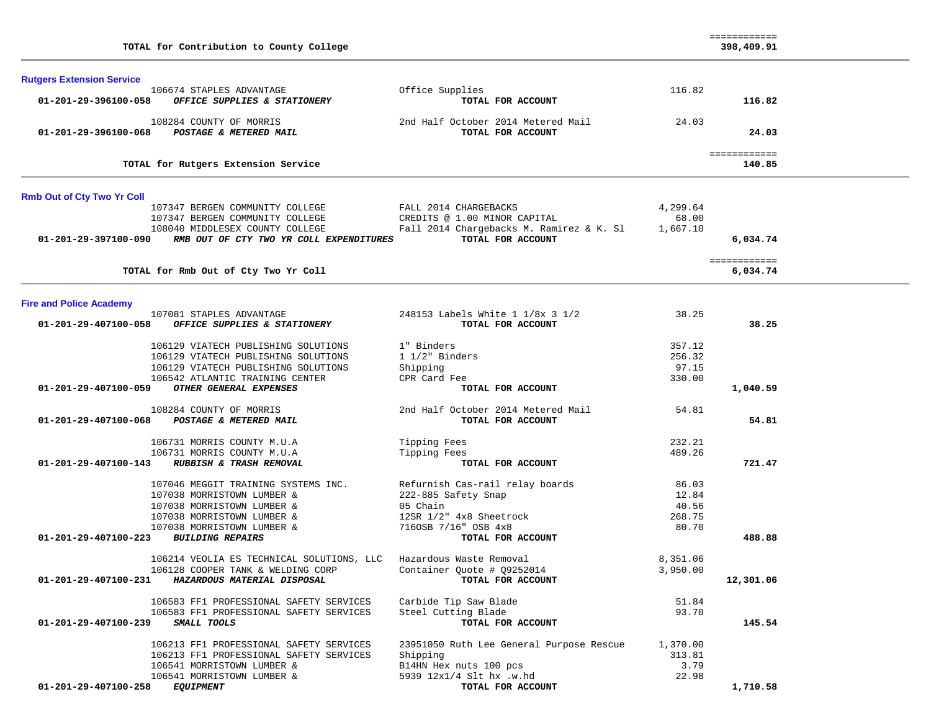| TOTAL for Contribution to County College                                                                             |                                                         |                   | ============<br>398,409.91 |  |
|----------------------------------------------------------------------------------------------------------------------|---------------------------------------------------------|-------------------|----------------------------|--|
| <b>Rutgers Extension Service</b><br>106674 STAPLES ADVANTAGE<br>01-201-29-396100-058<br>OFFICE SUPPLIES & STATIONERY | Office Supplies<br>TOTAL FOR ACCOUNT                    | 116.82            | 116.82                     |  |
| 108284 COUNTY OF MORRIS<br>POSTAGE & METERED MAIL<br>01-201-29-396100-068                                            | 2nd Half October 2014 Metered Mail<br>TOTAL FOR ACCOUNT | 24.03             | 24.03                      |  |
| TOTAL for Rutgers Extension Service                                                                                  |                                                         |                   | ============<br>140.85     |  |
| <b>Rmb Out of Cty Two Yr Coll</b>                                                                                    |                                                         |                   |                            |  |
| 107347 BERGEN COMMUNITY COLLEGE<br>107347 BERGEN COMMUNITY COLLEGE                                                   | FALL 2014 CHARGEBACKS<br>CREDITS @ 1.00 MINOR CAPITAL   | 4,299.64<br>68.00 |                            |  |
| 108040 MIDDLESEX COUNTY COLLEGE                                                                                      | Fall 2014 Chargebacks M. Ramirez & K. Sl                | 1,667.10          |                            |  |
| 01-201-29-397100-090<br>RMB OUT OF CTY TWO YR COLL EXPENDITURES                                                      | TOTAL FOR ACCOUNT                                       |                   | 6,034.74                   |  |
| TOTAL for Rmb Out of Cty Two Yr Coll                                                                                 |                                                         |                   | ============<br>6,034.74   |  |
| <b>Fire and Police Academy</b>                                                                                       |                                                         |                   |                            |  |
| 107081 STAPLES ADVANTAGE<br>01-201-29-407100-058<br>OFFICE SUPPLIES & STATIONERY                                     | 248153 Labels White 1 1/8x 3 1/2<br>TOTAL FOR ACCOUNT   | 38.25             | 38.25                      |  |
| 106129 VIATECH PUBLISHING SOLUTIONS                                                                                  | 1" Binders                                              | 357.12            |                            |  |
| 106129 VIATECH PUBLISHING SOLUTIONS                                                                                  | $1 \frac{1}{2}$ Binders                                 | 256.32            |                            |  |
| 106129 VIATECH PUBLISHING SOLUTIONS                                                                                  | Shipping                                                | 97.15             |                            |  |
| 106542 ATLANTIC TRAINING CENTER<br>OTHER GENERAL EXPENSES<br>01-201-29-407100-059                                    | CPR Card Fee<br>TOTAL FOR ACCOUNT                       | 330.00            | 1,040.59                   |  |
| 108284 COUNTY OF MORRIS<br>POSTAGE & METERED MAIL<br>01-201-29-407100-068                                            | 2nd Half October 2014 Metered Mail<br>TOTAL FOR ACCOUNT | 54.81             | 54.81                      |  |
| 106731 MORRIS COUNTY M.U.A                                                                                           | Tipping Fees                                            | 232.21            |                            |  |
| 106731 MORRIS COUNTY M.U.A                                                                                           | Tipping Fees                                            | 489.26            |                            |  |
| 01-201-29-407100-143<br>RUBBISH & TRASH REMOVAL                                                                      | TOTAL FOR ACCOUNT                                       |                   | 721.47                     |  |
| 107046 MEGGIT TRAINING SYSTEMS INC.                                                                                  | Refurnish Cas-rail relay boards                         | 86.03             |                            |  |
| 107038 MORRISTOWN LUMBER &                                                                                           | 222-885 Safety Snap                                     | 12.84             |                            |  |
| 107038 MORRISTOWN LUMBER &                                                                                           | 05 Chain                                                | 40.56             |                            |  |
| 107038 MORRISTOWN LUMBER &                                                                                           | 12SR 1/2" 4x8 Sheetrock                                 | 268.75            |                            |  |
| 107038 MORRISTOWN LUMBER &<br>01-201-29-407100-223 BUILDING REPAIRS                                                  | 7160SB 7/16" OSB 4x8<br>TOTAL FOR ACCOUNT               | 80.70             | 488.88                     |  |
| 106214 VEOLIA ES TECHNICAL SOLUTIONS, LLC Hazardous Waste Removal                                                    |                                                         | 8,351.06          |                            |  |
| 106128 COOPER TANK & WELDING CORP                                                                                    | Container Quote # 09252014                              | 3,950.00          |                            |  |
| 01-201-29-407100-231 HAZARDOUS MATERIAL DISPOSAL                                                                     | TOTAL FOR ACCOUNT                                       |                   | 12,301.06                  |  |
| 106583 FF1 PROFESSIONAL SAFETY SERVICES                                                                              | Carbide Tip Saw Blade                                   | 51.84             |                            |  |
| 106583 FF1 PROFESSIONAL SAFETY SERVICES                                                                              | Steel Cutting Blade                                     | 93.70             |                            |  |
| 01-201-29-407100-239<br>SMALL TOOLS                                                                                  | TOTAL FOR ACCOUNT                                       |                   | 145.54                     |  |
| 106213 FF1 PROFESSIONAL SAFETY SERVICES                                                                              | 23951050 Ruth Lee General Purpose Rescue                | 1,370.00          |                            |  |
| 106213 FF1 PROFESSIONAL SAFETY SERVICES                                                                              | Shipping                                                | 313.81            |                            |  |
| 106541 MORRISTOWN LUMBER &                                                                                           | B14HN Hex nuts 100 pcs                                  | 3.79              |                            |  |
| 106541 MORRISTOWN LUMBER &<br>01-201-29-407100-258<br><b>EQUIPMENT</b>                                               | 5939 12x1/4 Slt hx .w.hd<br>TOTAL FOR ACCOUNT           | 22.98             | 1,710.58                   |  |
|                                                                                                                      |                                                         |                   |                            |  |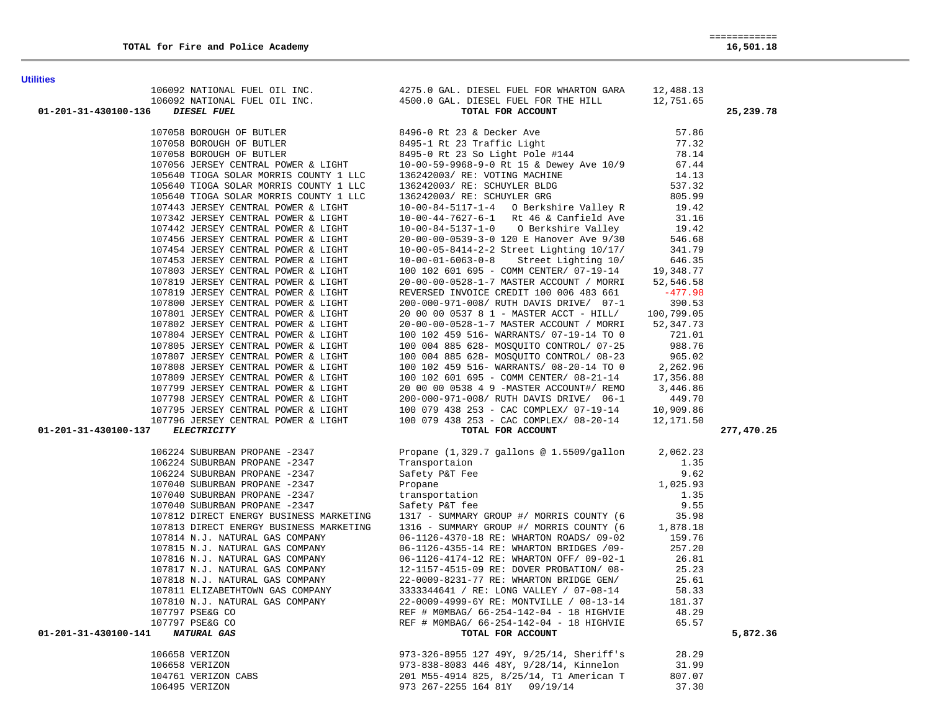**Utilities** 

| 01-201-31-430100-136             | DIESEL FUEL | 106092 NATIONAL FUEL OIL INC.<br>106092 NATIONAL FUEL OIL INC. 4275.0 GAL. DIESEL FUEL FOR THE HILL 12,751.65<br>5. DIESEL FUEL TOR DIESEL FUEL FOR THE HILL 12,751.65<br>DIESEL FUEL FOR ACTES                                              | 25,239.78  |
|----------------------------------|-------------|----------------------------------------------------------------------------------------------------------------------------------------------------------------------------------------------------------------------------------------------|------------|
|                                  |             |                                                                                                                                                                                                                                              |            |
|                                  |             |                                                                                                                                                                                                                                              |            |
|                                  |             |                                                                                                                                                                                                                                              |            |
|                                  |             |                                                                                                                                                                                                                                              |            |
|                                  |             |                                                                                                                                                                                                                                              |            |
|                                  |             |                                                                                                                                                                                                                                              |            |
|                                  |             |                                                                                                                                                                                                                                              |            |
|                                  |             |                                                                                                                                                                                                                                              |            |
|                                  |             |                                                                                                                                                                                                                                              |            |
|                                  |             |                                                                                                                                                                                                                                              |            |
|                                  |             |                                                                                                                                                                                                                                              |            |
|                                  |             |                                                                                                                                                                                                                                              |            |
|                                  |             |                                                                                                                                                                                                                                              |            |
|                                  |             |                                                                                                                                                                                                                                              |            |
|                                  |             |                                                                                                                                                                                                                                              |            |
|                                  |             |                                                                                                                                                                                                                                              |            |
|                                  |             |                                                                                                                                                                                                                                              |            |
|                                  |             |                                                                                                                                                                                                                                              |            |
|                                  |             |                                                                                                                                                                                                                                              |            |
|                                  |             |                                                                                                                                                                                                                                              |            |
|                                  |             |                                                                                                                                                                                                                                              |            |
|                                  |             |                                                                                                                                                                                                                                              |            |
|                                  |             |                                                                                                                                                                                                                                              |            |
|                                  |             |                                                                                                                                                                                                                                              |            |
|                                  |             |                                                                                                                                                                                                                                              |            |
|                                  |             |                                                                                                                                                                                                                                              |            |
|                                  |             |                                                                                                                                                                                                                                              |            |
| 01-201-31-430100-137             |             |                                                                                                                                                                                                                                              | 277,470.25 |
|                                  |             |                                                                                                                                                                                                                                              |            |
|                                  |             | 106224 SUBURBAN PROPANE -2347 Propane (1,329.7 gallons @ 1.5509/gallon 2,062.23                                                                                                                                                              |            |
|                                  |             | $\frac{1}{2}$                                                                                                                                                                                                                                |            |
|                                  |             |                                                                                                                                                                                                                                              |            |
|                                  |             |                                                                                                                                                                                                                                              |            |
|                                  |             |                                                                                                                                                                                                                                              |            |
|                                  |             |                                                                                                                                                                                                                                              |            |
|                                  |             |                                                                                                                                                                                                                                              |            |
|                                  |             | 106224 SUBURBAN PROPANE -2347<br>106224 SUBURBAN PROPANE -2347<br>107040 SUBURBAN PROPANE -2347<br>107040 SUBURBAN PROPANE -2347<br>107040 SUBURBAN PROPANE -2347<br>107040 SUBURBAN PROPANE -2347<br>107040 SUBURBAN PROPANE -2347<br>10704 |            |
|                                  |             |                                                                                                                                                                                                                                              |            |
|                                  |             |                                                                                                                                                                                                                                              |            |
|                                  |             |                                                                                                                                                                                                                                              |            |
|                                  |             |                                                                                                                                                                                                                                              |            |
|                                  |             |                                                                                                                                                                                                                                              |            |
|                                  |             |                                                                                                                                                                                                                                              |            |
|                                  |             |                                                                                                                                                                                                                                              |            |
|                                  |             |                                                                                                                                                                                                                                              |            |
| 01-201-31-430100-141 NATURAL GAS |             |                                                                                                                                                                                                                                              | 5,872.36   |
|                                  |             |                                                                                                                                                                                                                                              |            |
|                                  |             |                                                                                                                                                                                                                                              |            |
|                                  |             |                                                                                                                                                                                                                                              |            |
|                                  |             |                                                                                                                                                                                                                                              |            |
|                                  |             |                                                                                                                                                                                                                                              |            |

973 267-2255 164 81Y 09/19/14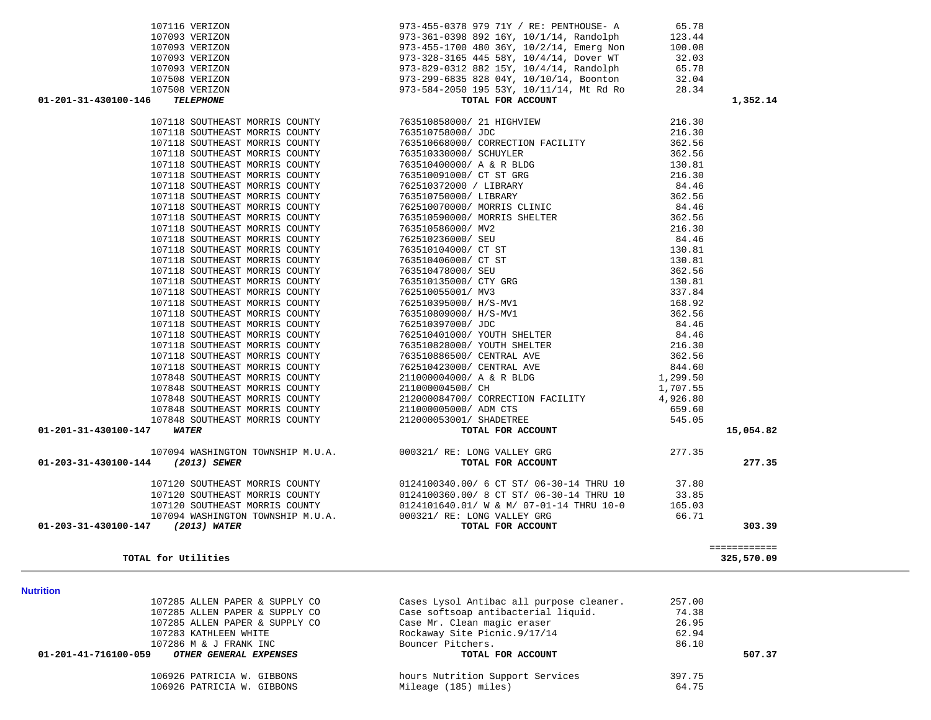|                                   | 197116 value<br>and the state of the state of the material of the state of the state of the state of the state of the state of the state of the state of the state of the state of the state of the state of the state of the st |              |
|-----------------------------------|----------------------------------------------------------------------------------------------------------------------------------------------------------------------------------------------------------------------------------|--------------|
|                                   |                                                                                                                                                                                                                                  |              |
|                                   |                                                                                                                                                                                                                                  |              |
|                                   |                                                                                                                                                                                                                                  |              |
|                                   |                                                                                                                                                                                                                                  |              |
| 01-201-31-430100-146 TELEPHONE    |                                                                                                                                                                                                                                  | 1,352.14     |
|                                   |                                                                                                                                                                                                                                  |              |
|                                   |                                                                                                                                                                                                                                  |              |
|                                   |                                                                                                                                                                                                                                  |              |
|                                   |                                                                                                                                                                                                                                  |              |
|                                   |                                                                                                                                                                                                                                  |              |
|                                   |                                                                                                                                                                                                                                  |              |
|                                   |                                                                                                                                                                                                                                  |              |
|                                   |                                                                                                                                                                                                                                  |              |
|                                   |                                                                                                                                                                                                                                  |              |
|                                   |                                                                                                                                                                                                                                  |              |
|                                   |                                                                                                                                                                                                                                  |              |
|                                   |                                                                                                                                                                                                                                  |              |
|                                   |                                                                                                                                                                                                                                  |              |
|                                   |                                                                                                                                                                                                                                  |              |
|                                   |                                                                                                                                                                                                                                  |              |
|                                   |                                                                                                                                                                                                                                  |              |
|                                   |                                                                                                                                                                                                                                  |              |
|                                   |                                                                                                                                                                                                                                  |              |
|                                   |                                                                                                                                                                                                                                  |              |
|                                   |                                                                                                                                                                                                                                  |              |
|                                   |                                                                                                                                                                                                                                  |              |
|                                   |                                                                                                                                                                                                                                  |              |
|                                   |                                                                                                                                                                                                                                  |              |
|                                   |                                                                                                                                                                                                                                  |              |
|                                   |                                                                                                                                                                                                                                  |              |
|                                   |                                                                                                                                                                                                                                  |              |
|                                   |                                                                                                                                                                                                                                  |              |
|                                   |                                                                                                                                                                                                                                  |              |
| 01-201-31-430100-147 WATER        |                                                                                                                                                                                                                                  | 15,054.82    |
|                                   |                                                                                                                                                                                                                                  |              |
| 01-203-31-430100-144 (2013) SEWER |                                                                                                                                                                                                                                  | 277.35       |
|                                   |                                                                                                                                                                                                                                  |              |
|                                   |                                                                                                                                                                                                                                  |              |
|                                   |                                                                                                                                                                                                                                  |              |
|                                   |                                                                                                                                                                                                                                  |              |
|                                   |                                                                                                                                                                                                                                  |              |
| 01-203-31-430100-147 (2013) WATER |                                                                                                                                                                                                                                  | 303.39       |
|                                   |                                                                                                                                                                                                                                  | ============ |
| TOTAL for Utilities               |                                                                                                                                                                                                                                  | 325,570.09   |

## **Nutrition**

|                      | 107285 ALLEN PAPER & SUPPLY CO | Cases Lysol Antibac all purpose cleaner. | 257.00 |        |
|----------------------|--------------------------------|------------------------------------------|--------|--------|
|                      | 107285 ALLEN PAPER & SUPPLY CO | Case softsoap antibacterial liquid.      | 74.38  |        |
|                      | 107285 ALLEN PAPER & SUPPLY CO | Case Mr. Clean magic eraser              | 26.95  |        |
|                      | 107283 KATHLEEN WHITE          | Rockaway Site Picnic.9/17/14             | 62.94  |        |
|                      | 107286 M & J FRANK INC         | Bouncer Pitchers.                        | 86.10  |        |
| 01-201-41-716100-059 | OTHER GENERAL EXPENSES         | TOTAL FOR ACCOUNT                        |        | 507.37 |
|                      |                                |                                          |        |        |
|                      | 106926 PATRICIA W. GIBBONS     | hours Nutrition Support Services         | 397.75 |        |
|                      | 106926 PATRICIA W. GIBBONS     | Mileage (185) miles)                     | 64.75  |        |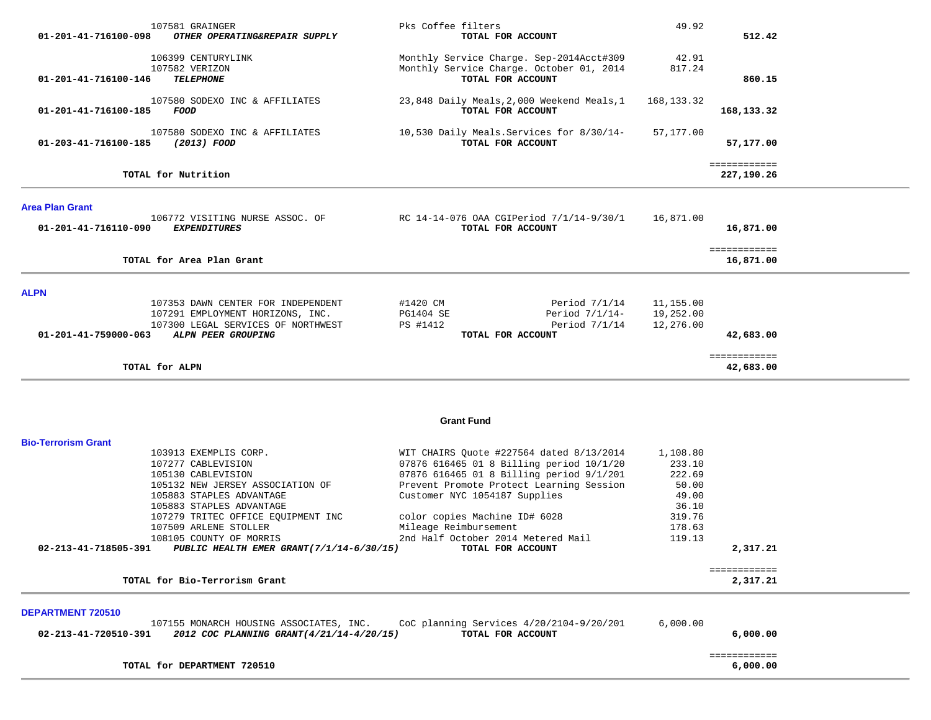| 01-201-41-716100-098                      | 107581 GRAINGER<br>OTHER OPERATING&REPAIR SUPPLY                                                                                                                                                                                                                                                    | Pks Coffee filters<br>TOTAL FOR ACCOUNT                                                                                                                                                                                                                                                                                            | 49.92                                                                                 | 512.42                     |  |
|-------------------------------------------|-----------------------------------------------------------------------------------------------------------------------------------------------------------------------------------------------------------------------------------------------------------------------------------------------------|------------------------------------------------------------------------------------------------------------------------------------------------------------------------------------------------------------------------------------------------------------------------------------------------------------------------------------|---------------------------------------------------------------------------------------|----------------------------|--|
| 01-201-41-716100-146                      | 106399 CENTURYLINK<br>107582 VERIZON<br><b>TELEPHONE</b>                                                                                                                                                                                                                                            | Monthly Service Charge. Sep-2014Acct#309<br>Monthly Service Charge. October 01, 2014<br>TOTAL FOR ACCOUNT                                                                                                                                                                                                                          | 42.91<br>817.24                                                                       | 860.15                     |  |
| 01-201-41-716100-185                      | 107580 SODEXO INC & AFFILIATES<br>FOOD                                                                                                                                                                                                                                                              | 23,848 Daily Meals, 2,000 Weekend Meals, 1<br>TOTAL FOR ACCOUNT                                                                                                                                                                                                                                                                    | 168, 133. 32                                                                          | 168,133.32                 |  |
| 01-203-41-716100-185                      | 107580 SODEXO INC & AFFILIATES<br><i>(2013) FOOD</i>                                                                                                                                                                                                                                                | 10,530 Daily Meals. Services for 8/30/14-<br>TOTAL FOR ACCOUNT                                                                                                                                                                                                                                                                     | 57,177.00                                                                             | 57,177.00                  |  |
|                                           | TOTAL for Nutrition                                                                                                                                                                                                                                                                                 |                                                                                                                                                                                                                                                                                                                                    |                                                                                       | ============<br>227,190.26 |  |
| <b>Area Plan Grant</b>                    | 106772 VISITING NURSE ASSOC. OF                                                                                                                                                                                                                                                                     | RC 14-14-076 OAA CGIPeriod 7/1/14-9/30/1                                                                                                                                                                                                                                                                                           | 16,871.00                                                                             |                            |  |
| 01-201-41-716110-090                      | <b>EXPENDITURES</b>                                                                                                                                                                                                                                                                                 | TOTAL FOR ACCOUNT                                                                                                                                                                                                                                                                                                                  |                                                                                       | 16,871.00<br>============  |  |
|                                           | TOTAL for Area Plan Grant                                                                                                                                                                                                                                                                           |                                                                                                                                                                                                                                                                                                                                    |                                                                                       | 16,871.00                  |  |
| <b>ALPN</b><br>01-201-41-759000-063       | 107353 DAWN CENTER FOR INDEPENDENT<br>107291 EMPLOYMENT HORIZONS, INC.<br>107300 LEGAL SERVICES OF NORTHWEST<br>ALPN PEER GROUPING                                                                                                                                                                  | #1420 CM<br>Period $7/1/14$<br>PG1404 SE<br>Period $7/1/14-$<br>PS #1412<br>Period $7/1/14$<br>TOTAL FOR ACCOUNT                                                                                                                                                                                                                   | 11,155.00<br>19,252.00<br>12,276.00                                                   | 42,683.00                  |  |
|                                           | TOTAL for ALPN                                                                                                                                                                                                                                                                                      |                                                                                                                                                                                                                                                                                                                                    |                                                                                       | ============<br>42,683.00  |  |
|                                           |                                                                                                                                                                                                                                                                                                     | <b>Grant Fund</b>                                                                                                                                                                                                                                                                                                                  |                                                                                       |                            |  |
| <b>Bio-Terrorism Grant</b>                |                                                                                                                                                                                                                                                                                                     |                                                                                                                                                                                                                                                                                                                                    |                                                                                       |                            |  |
| 02-213-41-718505-391                      | 103913 EXEMPLIS CORP.<br>107277 CABLEVISION<br>105130 CABLEVISION<br>105132 NEW JERSEY ASSOCIATION OF<br>105883 STAPLES ADVANTAGE<br>105883 STAPLES ADVANTAGE<br>107279 TRITEC OFFICE EQUIPMENT INC<br>107509 ARLENE STOLLER<br>108105 COUNTY OF MORRIS<br>PUBLIC HEALTH EMER GRANT(7/1/14-6/30/15) | WIT CHAIRS Quote #227564 dated 8/13/2014<br>07876 616465 01 8 Billing period 10/1/20<br>07876 616465 01 8 Billing period 9/1/201<br>Prevent Promote Protect Learning Session<br>Customer NYC 1054187 Supplies<br>color copies Machine ID# 6028<br>Mileage Reimbursement<br>2nd Half October 2014 Metered Mail<br>TOTAL FOR ACCOUNT | 1,108.80<br>233.10<br>222.69<br>50.00<br>49.00<br>36.10<br>319.76<br>178.63<br>119.13 | 2,317.21                   |  |
|                                           | TOTAL for Bio-Terrorism Grant                                                                                                                                                                                                                                                                       |                                                                                                                                                                                                                                                                                                                                    |                                                                                       | ============<br>2,317.21   |  |
|                                           |                                                                                                                                                                                                                                                                                                     |                                                                                                                                                                                                                                                                                                                                    |                                                                                       |                            |  |
| DEPARTMENT 720510<br>02-213-41-720510-391 | 107155 MONARCH HOUSING ASSOCIATES, INC.<br>2012 COC PLANNING GRANT (4/21/14-4/20/15)                                                                                                                                                                                                                | CoC planning Services 4/20/2104-9/20/201<br>TOTAL FOR ACCOUNT                                                                                                                                                                                                                                                                      | 6,000.00                                                                              | 6,000.00                   |  |
|                                           | TOTAL for DEPARTMENT 720510                                                                                                                                                                                                                                                                         |                                                                                                                                                                                                                                                                                                                                    |                                                                                       | ============<br>6,000.00   |  |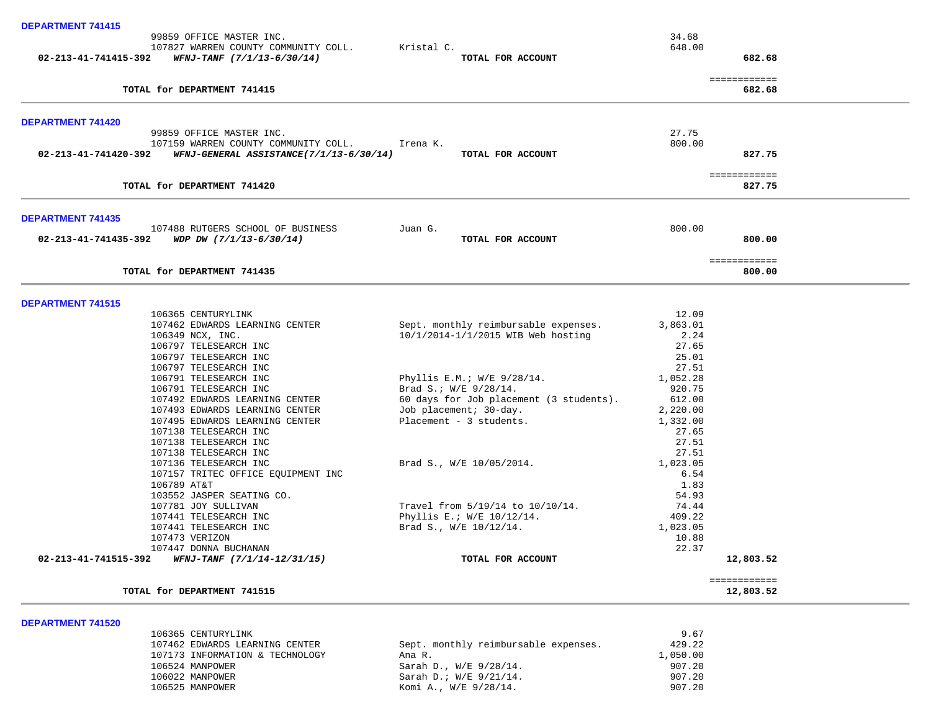| <b>DEPARTMENT 741415</b> |                                                                  |            |                                         |                 |                           |
|--------------------------|------------------------------------------------------------------|------------|-----------------------------------------|-----------------|---------------------------|
|                          | 99859 OFFICE MASTER INC.<br>107827 WARREN COUNTY COMMUNITY COLL. | Kristal C. |                                         | 34.68<br>648.00 |                           |
|                          | 02-213-41-741415-392 WFNJ-TANF (7/1/13-6/30/14)                  |            | TOTAL FOR ACCOUNT                       |                 | 682.68                    |
|                          | TOTAL for DEPARTMENT 741415                                      |            |                                         |                 | ============<br>682.68    |
| DEPARTMENT 741420        |                                                                  |            |                                         |                 |                           |
|                          | 99859 OFFICE MASTER INC.<br>107159 WARREN COUNTY COMMUNITY COLL. | Irena K.   |                                         | 27.75<br>800.00 |                           |
| 02-213-41-741420-392     | WFNJ-GENERAL ASSISTANCE(7/1/13-6/30/14)                          |            | TOTAL FOR ACCOUNT                       |                 | 827.75                    |
|                          | TOTAL for DEPARTMENT 741420                                      |            |                                         |                 | ============<br>827.75    |
| <b>DEPARTMENT 741435</b> |                                                                  |            |                                         |                 |                           |
|                          | 107488 RUTGERS SCHOOL OF BUSINESS                                | Juan G.    |                                         | 800.00          |                           |
|                          | 02-213-41-741435-392 WDP DW $(7/1/13-6/30/14)$                   |            | TOTAL FOR ACCOUNT                       |                 | 800.00                    |
|                          | TOTAL for DEPARTMENT 741435                                      |            |                                         |                 | ============<br>800.00    |
| <b>DEPARTMENT 741515</b> |                                                                  |            |                                         |                 |                           |
|                          | 106365 CENTURYLINK                                               |            |                                         | 12.09           |                           |
|                          | 107462 EDWARDS LEARNING CENTER                                   |            | Sept. monthly reimbursable expenses.    | 3,863.01        |                           |
|                          | 106349 NCX, INC.<br>106797 TELESEARCH INC                        |            | 10/1/2014-1/1/2015 WIB Web hosting      | 2.24<br>27.65   |                           |
|                          | 106797 TELESEARCH INC                                            |            |                                         | 25.01           |                           |
|                          | 106797 TELESEARCH INC                                            |            |                                         | 27.51           |                           |
|                          | 106791 TELESEARCH INC                                            |            | Phyllis E.M.; W/E 9/28/14.              | 1,052.28        |                           |
|                          | 106791 TELESEARCH INC                                            |            | Brad S.; W/E 9/28/14.                   | 920.75          |                           |
|                          | 107492 EDWARDS LEARNING CENTER                                   |            | 60 days for Job placement (3 students). | 612.00          |                           |
|                          | 107493 EDWARDS LEARNING CENTER                                   |            | Job placement; 30-day.                  | 2,220.00        |                           |
|                          | 107495 EDWARDS LEARNING CENTER                                   |            | Placement - 3 students.                 | 1,332.00        |                           |
|                          | 107138 TELESEARCH INC<br>107138 TELESEARCH INC                   |            |                                         | 27.65<br>27.51  |                           |
|                          | 107138 TELESEARCH INC                                            |            |                                         | 27.51           |                           |
|                          | 107136 TELESEARCH INC                                            |            | Brad S., W/E 10/05/2014.                | 1,023.05        |                           |
|                          | 107157 TRITEC OFFICE EQUIPMENT INC                               |            |                                         | 6.54            |                           |
|                          | 106789 AT&T                                                      |            |                                         | 1.83            |                           |
|                          | 103552 JASPER SEATING CO.                                        |            |                                         | 54.93           |                           |
|                          | 107781 JOY SULLIVAN                                              |            | Travel from 5/19/14 to 10/10/14.        | 74.44           |                           |
|                          | 107441 TELESEARCH INC                                            |            | Phyllis E.; W/E 10/12/14.               | 409.22          |                           |
|                          | 107441 TELESEARCH INC                                            |            | Brad S., W/E 10/12/14.                  | 1,023.05        |                           |
|                          | 107473 VERIZON<br>107447 DONNA BUCHANAN                          |            |                                         | 10.88<br>22.37  |                           |
| 02-213-41-741515-392     | WFNJ-TANF (7/1/14-12/31/15)                                      |            | TOTAL FOR ACCOUNT                       |                 | 12,803.52                 |
|                          | TOTAL for DEPARTMENT 741515                                      |            |                                         |                 | ============<br>12,803.52 |

9.67<br>9.22.107462 EDWARDS LEARNING CENTER Sept. monthly reimbursable expenses. 429.22 107462 Sept. monthly reimbursable expenses. 429.22<br>Ana R. 1,050.00 107173 INFORMATION & TECHNOLOGY <br>106524 MANPOWER 106524 MANPOWER 107.20 106524 MANPOWER Sarah D., W/E 9/28/14. 907.20 106022 MANPOWER Sarah D.; W/E 9/21/14. 907.20 Komi A., W/E 9/28/14.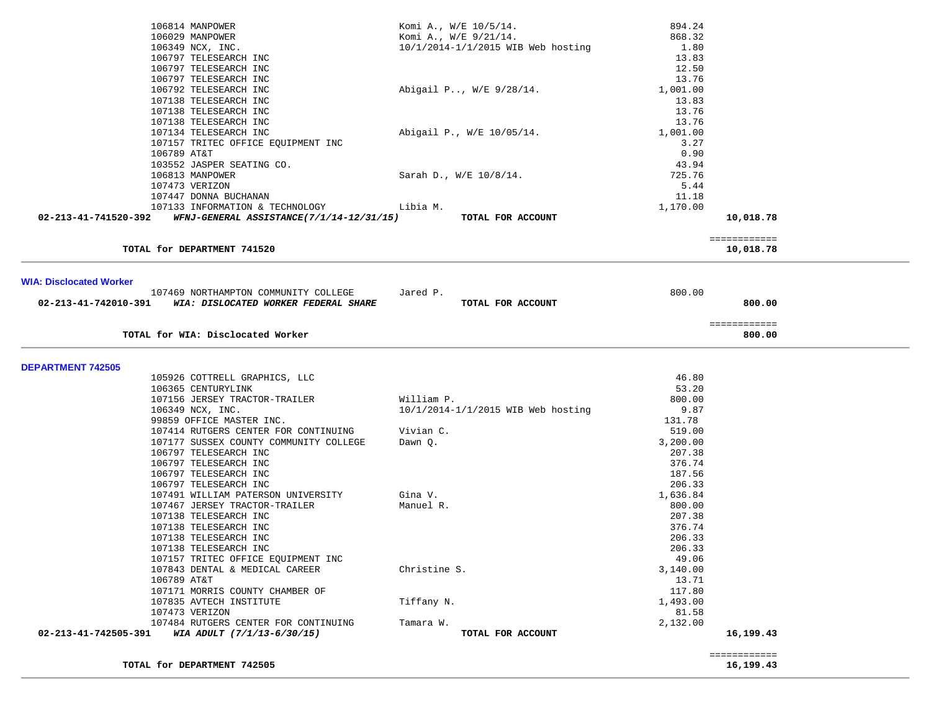| 106814 MANPOWER                                                  | Komi A., W/E 10/5/14.              | 894.24   |              |  |
|------------------------------------------------------------------|------------------------------------|----------|--------------|--|
| 106029 MANPOWER                                                  | Komi A., W/E 9/21/14.              | 868.32   |              |  |
|                                                                  |                                    |          |              |  |
| 106349 NCX, INC.                                                 | 10/1/2014-1/1/2015 WIB Web hosting | 1.80     |              |  |
| 106797 TELESEARCH INC                                            |                                    | 13.83    |              |  |
| 106797 TELESEARCH INC                                            |                                    | 12.50    |              |  |
|                                                                  |                                    |          |              |  |
| 106797 TELESEARCH INC                                            |                                    | 13.76    |              |  |
| 106792 TELESEARCH INC                                            | Abigail P, W/E 9/28/14.            | 1,001.00 |              |  |
| 107138 TELESEARCH INC                                            |                                    | 13.83    |              |  |
| 107138 TELESEARCH INC                                            |                                    | 13.76    |              |  |
|                                                                  |                                    |          |              |  |
| 107138 TELESEARCH INC                                            |                                    | 13.76    |              |  |
| 107134 TELESEARCH INC                                            | Abigail P., W/E 10/05/14.          | 1,001.00 |              |  |
| 107157 TRITEC OFFICE EQUIPMENT INC                               |                                    | 3.27     |              |  |
| 106789 AT&T                                                      |                                    | 0.90     |              |  |
|                                                                  |                                    |          |              |  |
| 103552 JASPER SEATING CO.                                        |                                    | 43.94    |              |  |
| 106813 MANPOWER                                                  | Sarah D., W/E 10/8/14.             | 725.76   |              |  |
| 107473 VERIZON                                                   |                                    | 5.44     |              |  |
| 107447 DONNA BUCHANAN                                            |                                    | 11.18    |              |  |
|                                                                  |                                    |          |              |  |
| 107133 INFORMATION & TECHNOLOGY                                  | Libia M.                           | 1,170.00 |              |  |
| 02-213-41-741520-392<br>WFNJ-GENERAL ASSISTANCE(7/1/14-12/31/15) | TOTAL FOR ACCOUNT                  |          | 10,018.78    |  |
|                                                                  |                                    |          |              |  |
|                                                                  |                                    |          | ============ |  |
| TOTAL for DEPARTMENT 741520                                      |                                    |          | 10,018.78    |  |
|                                                                  |                                    |          |              |  |
|                                                                  |                                    |          |              |  |
|                                                                  |                                    |          |              |  |
| <b>WIA: Disclocated Worker</b>                                   |                                    |          |              |  |
| 107469 NORTHAMPTON COMMUNITY COLLEGE                             | Jared P.                           | 800.00   |              |  |
| 02-213-41-742010-391<br>WIA: DISLOCATED WORKER FEDERAL SHARE     | TOTAL FOR ACCOUNT                  |          | 800.00       |  |
|                                                                  |                                    |          |              |  |
|                                                                  |                                    |          |              |  |
|                                                                  |                                    |          | ============ |  |
| TOTAL for WIA: Disclocated Worker                                |                                    |          | 800.00       |  |
|                                                                  |                                    |          |              |  |
|                                                                  |                                    |          |              |  |
| <b>DEPARTMENT 742505</b>                                         |                                    |          |              |  |
|                                                                  |                                    |          |              |  |
| 105926 COTTRELL GRAPHICS, LLC                                    |                                    | 46.80    |              |  |
| 106365 CENTURYLINK                                               |                                    | 53.20    |              |  |
| 107156 JERSEY TRACTOR-TRAILER                                    | William P.                         | 800.00   |              |  |
|                                                                  |                                    |          |              |  |
| 106349 NCX, INC.                                                 | 10/1/2014-1/1/2015 WIB Web hosting | 9.87     |              |  |
| 99859 OFFICE MASTER INC.                                         |                                    | 131.78   |              |  |
| 107414 RUTGERS CENTER FOR CONTINUING                             | Vivian C.                          | 519.00   |              |  |
| 107177 SUSSEX COUNTY COMMUNITY COLLEGE                           | Dawn Q.                            | 3,200.00 |              |  |
| 106797 TELESEARCH INC                                            |                                    | 207.38   |              |  |
|                                                                  |                                    |          |              |  |
| 106797 TELESEARCH INC                                            |                                    | 376.74   |              |  |
| 106797 TELESEARCH INC                                            |                                    | 187.56   |              |  |
| 106797 TELESEARCH INC                                            |                                    | 206.33   |              |  |
| 107491 WILLIAM PATERSON UNIVERSITY                               | Gina V.                            | 1,636.84 |              |  |
|                                                                  |                                    |          |              |  |
| 107467 JERSEY TRACTOR-TRAILER                                    | Manuel R.                          | 800.00   |              |  |
| 107138 TELESEARCH INC                                            |                                    | 207.38   |              |  |
| 107138 TELESEARCH INC                                            |                                    | 376.74   |              |  |
| 107138 TELESEARCH INC                                            |                                    | 206.33   |              |  |
| 107138 TELESEARCH INC                                            |                                    | 206.33   |              |  |
|                                                                  |                                    |          |              |  |
| 107157 TRITEC OFFICE EQUIPMENT INC                               |                                    | 49.06    |              |  |
| 107843 DENTAL & MEDICAL CAREER                                   | Christine S.                       | 3,140.00 |              |  |
| 106789 AT&T                                                      |                                    | 13.71    |              |  |
| 107171 MORRIS COUNTY CHAMBER OF                                  |                                    | 117.80   |              |  |
|                                                                  |                                    | 1,493.00 |              |  |
| 107835 AVTECH INSTITUTE                                          | Tiffany N.                         |          |              |  |
| 107473 VERIZON                                                   |                                    | 81.58    |              |  |
| 107484 RUTGERS CENTER FOR CONTINUING                             | Tamara W.                          | 2,132.00 |              |  |
| 02-213-41-742505-391<br>WIA ADULT (7/1/13-6/30/15)               | TOTAL FOR ACCOUNT                  |          | 16,199.43    |  |
|                                                                  |                                    |          |              |  |
|                                                                  |                                    |          |              |  |
|                                                                  |                                    |          | ============ |  |

**TOTAL for DEPARTMENT 742505 16,199.43**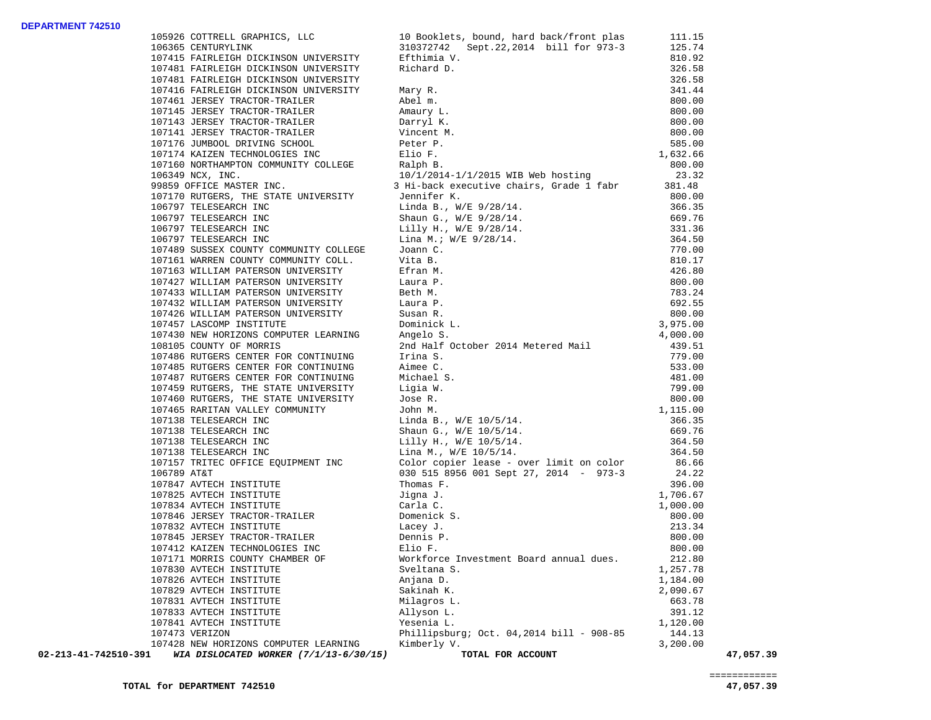## **DEPARTMENT 742510**

| 105926 COTTRELL GRAPHICS, LLC<br>106365 CENTURYLINK                                                                                                                                                                                                                                                         | 10 Booklets, bound, hard back/front plas                                                                                                                                                                                                                                    | 111.15               |           |
|-------------------------------------------------------------------------------------------------------------------------------------------------------------------------------------------------------------------------------------------------------------------------------------------------------------|-----------------------------------------------------------------------------------------------------------------------------------------------------------------------------------------------------------------------------------------------------------------------------|----------------------|-----------|
|                                                                                                                                                                                                                                                                                                             | 310372742 Sept.22,2014 bill for 973-3                                                                                                                                                                                                                                       | 125.74               |           |
|                                                                                                                                                                                                                                                                                                             |                                                                                                                                                                                                                                                                             | 810.92               |           |
|                                                                                                                                                                                                                                                                                                             |                                                                                                                                                                                                                                                                             | 326.58               |           |
| $[0714 \mbox{ K.1872}, 0014 \mbox{ L.19744} \mbox{ L.10745} \mbox{ } 10745 \mbox{ } 10745 \mbox{ } 10745 \mbox{ } 10745 \mbox{ } 10745 \mbox{ } 10745 \mbox{ } 10745 \mbox{ } 10745 \mbox{ } 10745 \mbox{ } 10745 \mbox{ } 10745 \mbox{ } 10745 \mbox{ } 10745 \mbox{ } 10745 \mbox{ } 10745 \mbox{ } 1074$ |                                                                                                                                                                                                                                                                             | 326.58               |           |
|                                                                                                                                                                                                                                                                                                             |                                                                                                                                                                                                                                                                             | 341.44               |           |
|                                                                                                                                                                                                                                                                                                             |                                                                                                                                                                                                                                                                             | 800.00               |           |
|                                                                                                                                                                                                                                                                                                             |                                                                                                                                                                                                                                                                             | 800.00               |           |
|                                                                                                                                                                                                                                                                                                             |                                                                                                                                                                                                                                                                             | 800.00               |           |
|                                                                                                                                                                                                                                                                                                             |                                                                                                                                                                                                                                                                             | 800.00               |           |
|                                                                                                                                                                                                                                                                                                             |                                                                                                                                                                                                                                                                             | 585.00               |           |
|                                                                                                                                                                                                                                                                                                             |                                                                                                                                                                                                                                                                             | 1,632.66             |           |
|                                                                                                                                                                                                                                                                                                             |                                                                                                                                                                                                                                                                             | 800.00               |           |
|                                                                                                                                                                                                                                                                                                             |                                                                                                                                                                                                                                                                             | 23.32                |           |
|                                                                                                                                                                                                                                                                                                             | 3 Hi-back executive chairs, Grade 1 fabr                                                                                                                                                                                                                                    | 381.48               |           |
|                                                                                                                                                                                                                                                                                                             |                                                                                                                                                                                                                                                                             | 800.00               |           |
|                                                                                                                                                                                                                                                                                                             |                                                                                                                                                                                                                                                                             | 366.35               |           |
|                                                                                                                                                                                                                                                                                                             |                                                                                                                                                                                                                                                                             | 669.76               |           |
|                                                                                                                                                                                                                                                                                                             |                                                                                                                                                                                                                                                                             | 331.36               |           |
| 106797 TELESEARCH INC<br>106797 TELESEARCH INC<br>106797 TELESEARCH INC                                                                                                                                                                                                                                     |                                                                                                                                                                                                                                                                             | 364.50               |           |
|                                                                                                                                                                                                                                                                                                             |                                                                                                                                                                                                                                                                             | 770.00               |           |
| 107489 SUSSEX COUNTY COMMUNITY COLLEGE JOANN C.<br>107161 WARREN COUNTY COMMUNITY COLL. Vita B.                                                                                                                                                                                                             |                                                                                                                                                                                                                                                                             | 810.17               |           |
| 107163 WILLIAM PATERSON UNIVERSITY                                                                                                                                                                                                                                                                          |                                                                                                                                                                                                                                                                             | 426.80               |           |
| 107427 WILLIAM PATERSON UNIVERSITY                                                                                                                                                                                                                                                                          |                                                                                                                                                                                                                                                                             | 800.00               |           |
|                                                                                                                                                                                                                                                                                                             |                                                                                                                                                                                                                                                                             | 783.24               |           |
| 107433 WILLIAM PATERSON UNIVERSITY<br>107432 WILLIAM PATERSON UNIVERSITY                                                                                                                                                                                                                                    |                                                                                                                                                                                                                                                                             | 692.55               |           |
|                                                                                                                                                                                                                                                                                                             |                                                                                                                                                                                                                                                                             |                      |           |
| 107426 WILLIAM PATERSON UNIVERSITY<br>107457 LASCOMP INSTITUTE<br>107457 LASCOMP INSTITUTE                                                                                                                                                                                                                  |                                                                                                                                                                                                                                                                             | $800.00$<br>3,975.00 |           |
|                                                                                                                                                                                                                                                                                                             |                                                                                                                                                                                                                                                                             | 4,000.00             |           |
| 107430 NEW HORIZONS COMPUTER LEARNING<br>108105 COUNTY OF MORRIS                                                                                                                                                                                                                                            | 3 Hi-back executive chairs, wrote -<br>Jennifer K.<br>Linda B., W/E 9/28/14.<br>Shaun G., W/E 9/28/14.<br>Lilly H., W/E 9/28/14.<br>Lina M.: W/E 9/28/14.<br>Joann C.<br>Vita B.<br>Efran M.<br>Laura P.<br>Beth M.<br>Laura P.<br>Susan R.<br>Susan R.<br>Dominick L.<br>A | 439.51               |           |
| 107486 RUTGERS CENTER FOR CONTINUING                                                                                                                                                                                                                                                                        |                                                                                                                                                                                                                                                                             | 779.00               |           |
| 107485 RUTGERS CENTER FOR CONTINUING                                                                                                                                                                                                                                                                        |                                                                                                                                                                                                                                                                             | 533.00               |           |
| 107487 RUTGERS CENTER FOR CONTINUING                                                                                                                                                                                                                                                                        |                                                                                                                                                                                                                                                                             | 481.00               |           |
| 107459 RUTGERS, THE STATE UNIVERSITY                                                                                                                                                                                                                                                                        |                                                                                                                                                                                                                                                                             | 799.00               |           |
|                                                                                                                                                                                                                                                                                                             |                                                                                                                                                                                                                                                                             | 800.00               |           |
| 107460 RUTGERS, THE STATE UNIVERSITY<br>107465 RARITAN VALLEY COMMUNITY                                                                                                                                                                                                                                     |                                                                                                                                                                                                                                                                             | 1,115.00             |           |
| 107138 TELESEARCH INC                                                                                                                                                                                                                                                                                       |                                                                                                                                                                                                                                                                             | 366.35               |           |
| 107138 TELESEARCH INC                                                                                                                                                                                                                                                                                       |                                                                                                                                                                                                                                                                             | 669.76               |           |
| 107138 TELESEARCH INC<br>107138 TELESEARCH INC                                                                                                                                                                                                                                                              |                                                                                                                                                                                                                                                                             |                      |           |
|                                                                                                                                                                                                                                                                                                             |                                                                                                                                                                                                                                                                             | 364.50<br>364.50     |           |
|                                                                                                                                                                                                                                                                                                             | Imina S.<br>Irina S.<br>Aimee C.<br>Michael S.<br>Ligia W.<br>Jose R.<br>John M.<br>Linda B., W/E 10/5/14.<br>Shaun G., W/E 10/5/14.<br>Lilly H., W/E 10/5/14.<br>Lilly H., W/E 10/5/14.<br>Linda M., W/E 10/5/14.<br>Linda M., W/E 10/5/14.                                |                      |           |
|                                                                                                                                                                                                                                                                                                             | 107157 TRITEC OFFICE EQUIPMENT INC<br>106789 AT&T<br>106789 AT&T<br>24.22<br>24.22                                                                                                                                                                                          |                      |           |
|                                                                                                                                                                                                                                                                                                             |                                                                                                                                                                                                                                                                             | 396.00               |           |
| 107847 AVTECH INSTITUTE                                                                                                                                                                                                                                                                                     |                                                                                                                                                                                                                                                                             |                      |           |
| 107825 AVTECH INSTITUTE Jigna J.<br>107834 AVTECH INSTITUTE Jigna J.<br>107834 AVTECH INSTITUTE Carla C.<br>107846 JERSEY TRACTOR-TRAILER Domenick S.<br>107845 JERSEY TRACTOR-TRAILER Lacey J.<br>107412 KAIZEN TECHNOLOGIES INC Elio F                                                                    |                                                                                                                                                                                                                                                                             | 1,706.67<br>1,000.00 |           |
|                                                                                                                                                                                                                                                                                                             |                                                                                                                                                                                                                                                                             | 800.00               |           |
|                                                                                                                                                                                                                                                                                                             |                                                                                                                                                                                                                                                                             |                      |           |
|                                                                                                                                                                                                                                                                                                             |                                                                                                                                                                                                                                                                             | 213.34               |           |
|                                                                                                                                                                                                                                                                                                             |                                                                                                                                                                                                                                                                             | 800.00               |           |
|                                                                                                                                                                                                                                                                                                             |                                                                                                                                                                                                                                                                             | 800.00               |           |
| 107171 MORRIS COUNTY CHAMBER OF                                                                                                                                                                                                                                                                             | Workforce Investment Board annual dues.                                                                                                                                                                                                                                     | 212.80               |           |
| 107830 AVTECH INSTITUTE                                                                                                                                                                                                                                                                                     | Sveltana S.                                                                                                                                                                                                                                                                 | 1,257.78             |           |
| 107826 AVTECH INSTITUTE                                                                                                                                                                                                                                                                                     | Anjana D.                                                                                                                                                                                                                                                                   | 1,184.00             |           |
| 107829 AVTECH INSTITUTE                                                                                                                                                                                                                                                                                     | Sakinah K.                                                                                                                                                                                                                                                                  | 2,090.67             |           |
| 107831 AVTECH INSTITUTE                                                                                                                                                                                                                                                                                     | Milagros L.                                                                                                                                                                                                                                                                 | 663.78               |           |
| 107833 AVTECH INSTITUTE                                                                                                                                                                                                                                                                                     | Allyson L.                                                                                                                                                                                                                                                                  | 391.12               |           |
| 107841 AVTECH INSTITUTE                                                                                                                                                                                                                                                                                     | Yesenia L.                                                                                                                                                                                                                                                                  | 1,120.00             |           |
| 107473 VERIZON                                                                                                                                                                                                                                                                                              | Phillipsburg; Oct. $04,2014$ bill - 908-85                                                                                                                                                                                                                                  | 144.13               |           |
| 107428 NEW HORIZONS COMPUTER LEARNING                                                                                                                                                                                                                                                                       | Kimberly V.                                                                                                                                                                                                                                                                 | 3,200.00             |           |
| 02-213-41-742510-391<br>WIA DISLOCATED WORKER (7/1/13-6/30/15)                                                                                                                                                                                                                                              | TOTAL FOR ACCOUNT                                                                                                                                                                                                                                                           |                      | 47,057.39 |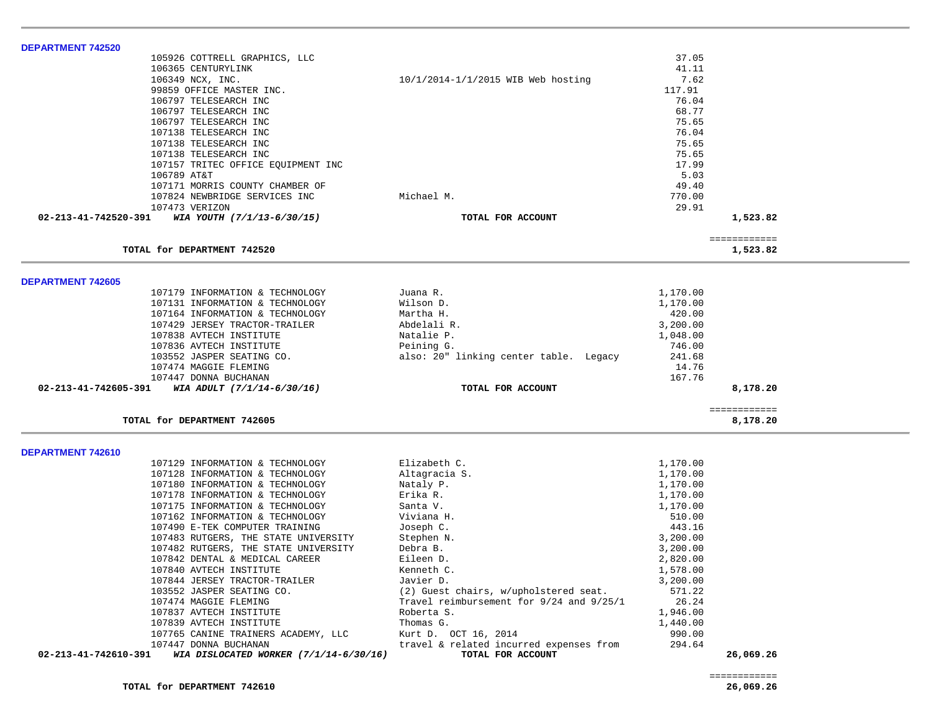| <b>DEPARTMENT 742520</b>                                       |                                          |          |                          |
|----------------------------------------------------------------|------------------------------------------|----------|--------------------------|
| 105926 COTTRELL GRAPHICS, LLC                                  |                                          | 37.05    |                          |
| 106365 CENTURYLINK                                             |                                          | 41.11    |                          |
| 106349 NCX, INC.                                               | 10/1/2014-1/1/2015 WIB Web hosting       | 7.62     |                          |
| 99859 OFFICE MASTER INC.                                       |                                          | 117.91   |                          |
| 106797 TELESEARCH INC                                          |                                          | 76.04    |                          |
| 106797 TELESEARCH INC                                          |                                          | 68.77    |                          |
| 106797 TELESEARCH INC                                          |                                          | 75.65    |                          |
| 107138 TELESEARCH INC                                          |                                          | 76.04    |                          |
| 107138 TELESEARCH INC                                          |                                          | 75.65    |                          |
| 107138 TELESEARCH INC                                          |                                          | 75.65    |                          |
| 107157 TRITEC OFFICE EQUIPMENT INC                             |                                          | 17.99    |                          |
| 106789 AT&T                                                    |                                          | 5.03     |                          |
| 107171 MORRIS COUNTY CHAMBER OF                                |                                          | 49.40    |                          |
| 107824 NEWBRIDGE SERVICES INC                                  | Michael M.                               | 770.00   |                          |
| 107473 VERIZON                                                 |                                          | 29.91    |                          |
| 02-213-41-742520-391<br>WIA YOUTH (7/1/13-6/30/15)             | TOTAL FOR ACCOUNT                        |          | 1,523.82                 |
|                                                                |                                          |          | ============             |
| TOTAL for DEPARTMENT 742520                                    |                                          |          | 1,523.82                 |
|                                                                |                                          |          |                          |
| <b>DEPARTMENT 742605</b>                                       |                                          |          |                          |
| 107179 INFORMATION & TECHNOLOGY                                | Juana R.                                 | 1,170.00 |                          |
| 107131 INFORMATION & TECHNOLOGY                                | Wilson D.                                | 1,170.00 |                          |
| 107164 INFORMATION & TECHNOLOGY                                | Martha H.                                | 420.00   |                          |
| 107429 JERSEY TRACTOR-TRAILER                                  | Abdelali R.                              | 3,200.00 |                          |
| 107838 AVTECH INSTITUTE                                        | Natalie P.                               | 1,048.00 |                          |
| 107836 AVTECH INSTITUTE                                        | Peining G.                               | 746.00   |                          |
| 103552 JASPER SEATING CO.                                      | also: 20" linking center table. Legacy   | 241.68   |                          |
| 107474 MAGGIE FLEMING                                          |                                          | 14.76    |                          |
| 107447 DONNA BUCHANAN                                          |                                          | 167.76   |                          |
| 02-213-41-742605-391<br>WIA ADULT (7/1/14-6/30/16)             | TOTAL FOR ACCOUNT                        |          | 8,178.20                 |
| TOTAL for DEPARTMENT 742605                                    |                                          |          | ============<br>8,178.20 |
|                                                                |                                          |          |                          |
| DEPARTMENT 742610                                              |                                          |          |                          |
| 107129 INFORMATION & TECHNOLOGY                                | Elizabeth C.                             | 1,170.00 |                          |
| 107128 INFORMATION & TECHNOLOGY                                | Altagracia S.                            | 1,170.00 |                          |
| 107180 INFORMATION & TECHNOLOGY                                | Nataly P.                                | 1,170.00 |                          |
| 107178 INFORMATION & TECHNOLOGY                                | Erika R.                                 | 1,170.00 |                          |
| 107175 INFORMATION & TECHNOLOGY                                | Santa V.                                 | 1,170.00 |                          |
| 107162 INFORMATION & TECHNOLOGY                                | Viviana H.                               | 510.00   |                          |
| 107490 E-TEK COMPUTER TRAINING                                 | Joseph C.                                | 443.16   |                          |
| 107483 RUTGERS, THE STATE UNIVERSITY                           | Stephen N.                               | 3,200.00 |                          |
| 107482 RUTGERS, THE STATE UNIVERSITY                           | Debra B.                                 | 3,200.00 |                          |
| 107842 DENTAL & MEDICAL CAREER                                 | Eileen D.                                | 2,820.00 |                          |
| 107840 AVTECH INSTITUTE                                        | Kenneth C.                               | 1,578.00 |                          |
| 107844 JERSEY TRACTOR-TRAILER                                  | Javier D.                                | 3,200.00 |                          |
| 103552 JASPER SEATING CO.                                      | (2) Guest chairs, w/upholstered seat.    | 571.22   |                          |
| 107474 MAGGIE FLEMING                                          | Travel reimbursement for 9/24 and 9/25/1 | 26.24    |                          |
| 107837 AVTECH INSTITUTE                                        | Roberta S.                               | 1,946.00 |                          |
| 107839 AVTECH INSTITUTE                                        | Thomas G.                                | 1,440.00 |                          |
| 107765 CANINE TRAINERS ACADEMY, LLC                            | Kurt D. OCT 16, 2014                     | 990.00   |                          |
| 107447 DONNA BUCHANAN                                          | travel & related incurred expenses from  | 294.64   |                          |
| 02-213-41-742610-391<br>WIA DISLOCATED WORKER (7/1/14-6/30/16) | TOTAL FOR ACCOUNT                        |          | 26,069.26                |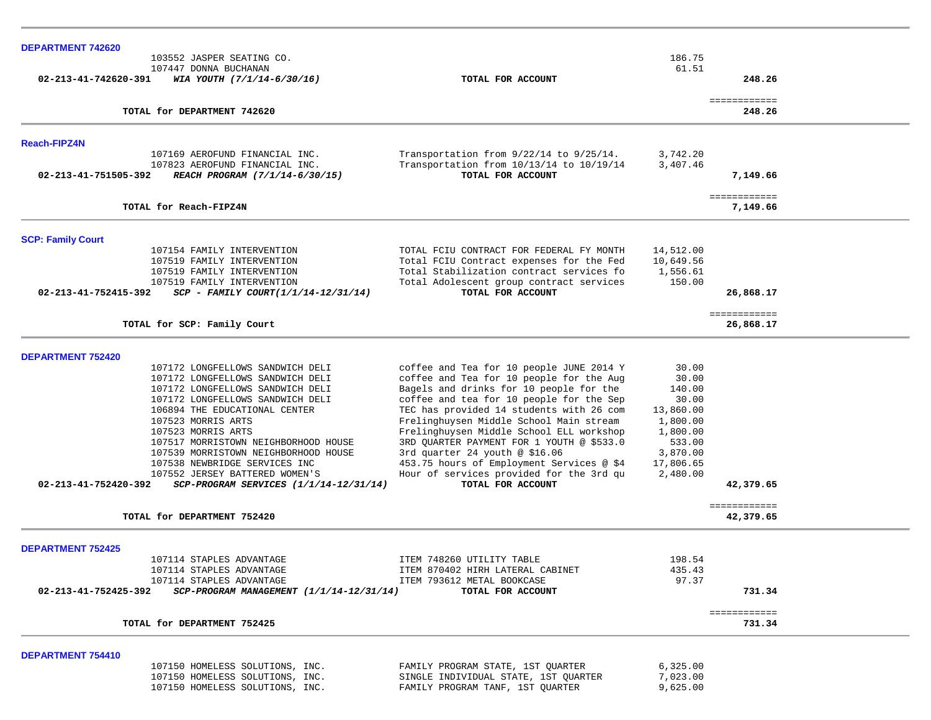| DEPARTMENT 742620                                                                                                                                                                                                                                                                                                                                                                                                                                  |                                                                                                                                                                                                                                                                                                                                                                                                                                                                                                              |                                                                                                                       |                           |  |
|----------------------------------------------------------------------------------------------------------------------------------------------------------------------------------------------------------------------------------------------------------------------------------------------------------------------------------------------------------------------------------------------------------------------------------------------------|--------------------------------------------------------------------------------------------------------------------------------------------------------------------------------------------------------------------------------------------------------------------------------------------------------------------------------------------------------------------------------------------------------------------------------------------------------------------------------------------------------------|-----------------------------------------------------------------------------------------------------------------------|---------------------------|--|
| 103552 JASPER SEATING CO.                                                                                                                                                                                                                                                                                                                                                                                                                          |                                                                                                                                                                                                                                                                                                                                                                                                                                                                                                              | 186.75                                                                                                                |                           |  |
| 107447 DONNA BUCHANAN<br>02-213-41-742620-391<br>WIA YOUTH (7/1/14-6/30/16)                                                                                                                                                                                                                                                                                                                                                                        | TOTAL FOR ACCOUNT                                                                                                                                                                                                                                                                                                                                                                                                                                                                                            | 61.51                                                                                                                 | 248.26                    |  |
| TOTAL for DEPARTMENT 742620                                                                                                                                                                                                                                                                                                                                                                                                                        |                                                                                                                                                                                                                                                                                                                                                                                                                                                                                                              |                                                                                                                       | ============<br>248.26    |  |
| <b>Reach-FIPZ4N</b>                                                                                                                                                                                                                                                                                                                                                                                                                                |                                                                                                                                                                                                                                                                                                                                                                                                                                                                                                              |                                                                                                                       |                           |  |
| 107169 AEROFUND FINANCIAL INC.<br>107823 AEROFUND FINANCIAL INC.<br>02-213-41-751505-392<br>REACH PROGRAM (7/1/14-6/30/15)                                                                                                                                                                                                                                                                                                                         | Transportation from 9/22/14 to 9/25/14.<br>Transportation from 10/13/14 to 10/19/14<br>TOTAL FOR ACCOUNT                                                                                                                                                                                                                                                                                                                                                                                                     | 3,742.20<br>3,407.46                                                                                                  | 7,149.66                  |  |
| TOTAL for Reach-FIPZ4N                                                                                                                                                                                                                                                                                                                                                                                                                             |                                                                                                                                                                                                                                                                                                                                                                                                                                                                                                              |                                                                                                                       | ============<br>7,149.66  |  |
| <b>SCP: Family Court</b>                                                                                                                                                                                                                                                                                                                                                                                                                           |                                                                                                                                                                                                                                                                                                                                                                                                                                                                                                              |                                                                                                                       |                           |  |
| 107154 FAMILY INTERVENTION<br>107519 FAMILY INTERVENTION<br>107519 FAMILY INTERVENTION<br>107519 FAMILY INTERVENTION<br>02-213-41-752415-392<br>$SCP - FAMILY COURT(1/1/14-12/31/14)$                                                                                                                                                                                                                                                              | TOTAL FCIU CONTRACT FOR FEDERAL FY MONTH<br>Total FCIU Contract expenses for the Fed<br>Total Stabilization contract services fo<br>Total Adolescent group contract services<br>TOTAL FOR ACCOUNT                                                                                                                                                                                                                                                                                                            | 14,512.00<br>10,649.56<br>1,556.61<br>150.00                                                                          | 26,868.17                 |  |
| TOTAL for SCP: Family Court                                                                                                                                                                                                                                                                                                                                                                                                                        |                                                                                                                                                                                                                                                                                                                                                                                                                                                                                                              |                                                                                                                       | ============<br>26,868.17 |  |
| <b>DEPARTMENT 752420</b>                                                                                                                                                                                                                                                                                                                                                                                                                           |                                                                                                                                                                                                                                                                                                                                                                                                                                                                                                              |                                                                                                                       |                           |  |
| 107172 LONGFELLOWS SANDWICH DELI<br>107172 LONGFELLOWS SANDWICH DELI<br>107172 LONGFELLOWS SANDWICH DELI<br>107172 LONGFELLOWS SANDWICH DELI<br>106894 THE EDUCATIONAL CENTER<br>107523 MORRIS ARTS<br>107523 MORRIS ARTS<br>107517 MORRISTOWN NEIGHBORHOOD HOUSE<br>107539 MORRISTOWN NEIGHBORHOOD HOUSE<br>107538 NEWBRIDGE SERVICES INC<br>107552 JERSEY BATTERED WOMEN'S<br>02-213-41-752420-392<br>$SCP-PROGRAM$ SERVICES $(1/1/14-12/31/14)$ | coffee and Tea for 10 people JUNE 2014 Y<br>coffee and Tea for 10 people for the Aug<br>Bagels and drinks for 10 people for the<br>coffee and tea for 10 people for the Sep<br>TEC has provided 14 students with 26 com<br>Frelinghuysen Middle School Main stream<br>Frelinghuysen Middle School ELL workshop<br>3RD QUARTER PAYMENT FOR 1 YOUTH @ \$533.0<br>3rd quarter 24 youth @ $$16.06$<br>453.75 hours of Employment Services @ \$4<br>Hour of services provided for the 3rd qu<br>TOTAL FOR ACCOUNT | 30.00<br>30.00<br>140.00<br>30.00<br>13,860.00<br>1,800.00<br>1,800.00<br>533.00<br>3,870.00<br>17,806.65<br>2,480.00 | 42,379.65                 |  |
| TOTAL for DEPARTMENT 752420                                                                                                                                                                                                                                                                                                                                                                                                                        |                                                                                                                                                                                                                                                                                                                                                                                                                                                                                                              |                                                                                                                       | ============<br>42,379.65 |  |
| <b>DEPARTMENT 752425</b>                                                                                                                                                                                                                                                                                                                                                                                                                           |                                                                                                                                                                                                                                                                                                                                                                                                                                                                                                              |                                                                                                                       |                           |  |
| 107114 STAPLES ADVANTAGE<br>107114 STAPLES ADVANTAGE<br>107114 STAPLES ADVANTAGE<br>02-213-41-752425-392 SCP-PROGRAM MANAGEMENT (1/1/14-12/31/14)                                                                                                                                                                                                                                                                                                  | ITEM 748260 UTILITY TABLE<br>ITEM 870402 HIRH LATERAL CABINET<br>ITEM 793612 METAL BOOKCASE<br>TOTAL FOR ACCOUNT                                                                                                                                                                                                                                                                                                                                                                                             | 198.54<br>435.43<br>97.37                                                                                             | 731.34                    |  |
| TOTAL for DEPARTMENT 752425                                                                                                                                                                                                                                                                                                                                                                                                                        |                                                                                                                                                                                                                                                                                                                                                                                                                                                                                                              |                                                                                                                       | ============<br>731.34    |  |
| <b>DEPARTMENT 754410</b>                                                                                                                                                                                                                                                                                                                                                                                                                           |                                                                                                                                                                                                                                                                                                                                                                                                                                                                                                              |                                                                                                                       |                           |  |
| 107150 HOMELESS SOLUTIONS, INC.<br>107150 HOMELESS SOLUTIONS, INC.<br>107150 HOMELESS SOLUTIONS, INC.                                                                                                                                                                                                                                                                                                                                              | FAMILY PROGRAM STATE, 1ST QUARTER<br>SINGLE INDIVIDUAL STATE, 1ST QUARTER<br>FAMILY PROGRAM TANF, 1ST QUARTER                                                                                                                                                                                                                                                                                                                                                                                                | 6,325.00<br>7,023.00<br>9,625.00                                                                                      |                           |  |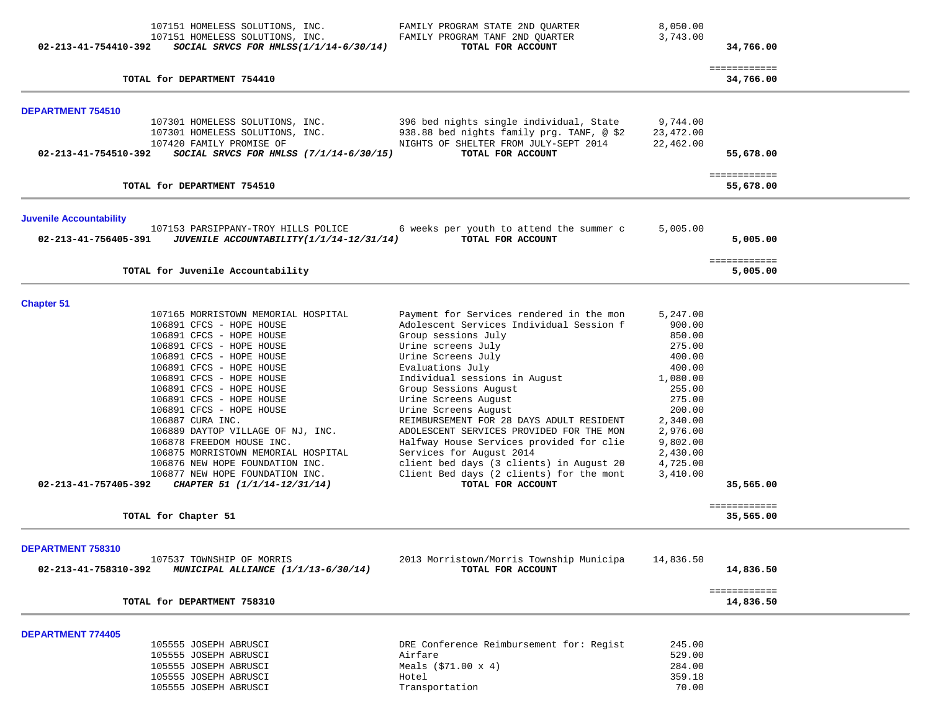| 02-213-41-754410-392           | 107151 HOMELESS SOLUTIONS, INC.<br>107151 HOMELESS SOLUTIONS, INC.<br>SOCIAL SRVCS FOR HMLSS $(1/1/14-6/30/14)$ | FAMILY PROGRAM STATE 2ND QUARTER<br>FAMILY PROGRAM TANF 2ND QUARTER<br>TOTAL FOR ACCOUNT                                      | 8,050.00<br>3,743.00               | 34,766.00                 |  |
|--------------------------------|-----------------------------------------------------------------------------------------------------------------|-------------------------------------------------------------------------------------------------------------------------------|------------------------------------|---------------------------|--|
|                                | TOTAL for DEPARTMENT 754410                                                                                     |                                                                                                                               |                                    | ============<br>34,766.00 |  |
| <b>DEPARTMENT 754510</b>       |                                                                                                                 |                                                                                                                               |                                    |                           |  |
|                                | 107301 HOMELESS SOLUTIONS, INC.<br>107301 HOMELESS SOLUTIONS, INC.<br>107420 FAMILY PROMISE OF                  | 396 bed nights single individual, State<br>938.88 bed nights family prg. TANF, @ \$2<br>NIGHTS OF SHELTER FROM JULY-SEPT 2014 | 9,744.00<br>23,472.00<br>22,462.00 |                           |  |
| 02-213-41-754510-392           | SOCIAL SRVCS FOR HMLSS (7/1/14-6/30/15)                                                                         | TOTAL FOR ACCOUNT                                                                                                             |                                    | 55,678.00                 |  |
|                                | TOTAL for DEPARTMENT 754510                                                                                     |                                                                                                                               |                                    | ============<br>55,678.00 |  |
| <b>Juvenile Accountability</b> |                                                                                                                 |                                                                                                                               |                                    |                           |  |
| 02-213-41-756405-391           | 107153 PARSIPPANY-TROY HILLS POLICE<br>JUVENILE ACCOUNTABILITY (1/1/14-12/31/14)                                | 6 weeks per youth to attend the summer c<br>TOTAL FOR ACCOUNT                                                                 | 5,005.00                           | 5,005.00                  |  |
|                                | TOTAL for Juvenile Accountability                                                                               |                                                                                                                               |                                    | ============<br>5,005.00  |  |
| <b>Chapter 51</b>              |                                                                                                                 |                                                                                                                               |                                    |                           |  |
|                                | 107165 MORRISTOWN MEMORIAL HOSPITAL                                                                             | Payment for Services rendered in the mon                                                                                      | 5,247.00                           |                           |  |
|                                | 106891 CFCS - HOPE HOUSE                                                                                        | Adolescent Services Individual Session f                                                                                      | 900.00                             |                           |  |
|                                | 106891 CFCS - HOPE HOUSE                                                                                        | Group sessions July                                                                                                           | 850.00                             |                           |  |
|                                | 106891 CFCS - HOPE HOUSE                                                                                        | Urine screens July                                                                                                            | 275.00                             |                           |  |
|                                | 106891 CFCS - HOPE HOUSE                                                                                        | Urine Screens July                                                                                                            | 400.00                             |                           |  |
|                                | 106891 CFCS - HOPE HOUSE                                                                                        | Evaluations July                                                                                                              | 400.00                             |                           |  |
|                                | 106891 CFCS - HOPE HOUSE                                                                                        | Individual sessions in August                                                                                                 | 1,080.00                           |                           |  |
|                                | 106891 CFCS - HOPE HOUSE                                                                                        | Group Sessions August                                                                                                         | 255.00                             |                           |  |
|                                | 106891 CFCS - HOPE HOUSE                                                                                        | Urine Screens August                                                                                                          | 275.00                             |                           |  |
|                                | 106891 CFCS - HOPE HOUSE                                                                                        | Urine Screens August                                                                                                          | 200.00                             |                           |  |
|                                | 106887 CURA INC.                                                                                                | REIMBURSEMENT FOR 28 DAYS ADULT RESIDENT                                                                                      | 2,340.00                           |                           |  |
|                                | 106889 DAYTOP VILLAGE OF NJ, INC.                                                                               | ADOLESCENT SERVICES PROVIDED FOR THE MON                                                                                      | 2,976.00                           |                           |  |
|                                | 106878 FREEDOM HOUSE INC.                                                                                       | Halfway House Services provided for clie                                                                                      | 9,802.00                           |                           |  |
|                                | 106875 MORRISTOWN MEMORIAL HOSPITAL                                                                             | Services for August 2014                                                                                                      | 2,430.00                           |                           |  |
|                                | 106876 NEW HOPE FOUNDATION INC.                                                                                 | client bed days (3 clients) in August 20                                                                                      | 4,725.00                           |                           |  |
|                                | 106877 NEW HOPE FOUNDATION INC.                                                                                 | Client Bed days (2 clients) for the mont                                                                                      | 3,410.00                           |                           |  |
| 02-213-41-757405-392           | CHAPTER 51 (1/1/14-12/31/14)                                                                                    | TOTAL FOR ACCOUNT                                                                                                             |                                    | 35,565.00                 |  |
|                                | TOTAL for Chapter 51                                                                                            |                                                                                                                               |                                    | ============<br>35,565.00 |  |
| DEPARTMENT 758310              |                                                                                                                 |                                                                                                                               |                                    |                           |  |
|                                | 107537 TOWNSHIP OF MORRIS                                                                                       | 2013 Morristown/Morris Township Municipa                                                                                      | 14,836.50                          |                           |  |
| 02-213-41-758310-392           | MUNICIPAL ALLIANCE (1/1/13-6/30/14)                                                                             | TOTAL FOR ACCOUNT                                                                                                             |                                    | 14,836.50                 |  |
|                                | TOTAL for DEPARTMENT 758310                                                                                     |                                                                                                                               |                                    | ============<br>14,836.50 |  |
| <b>DEPARTMENT 774405</b>       |                                                                                                                 |                                                                                                                               |                                    |                           |  |
|                                | 105555 JOSEPH ABRUSCI                                                                                           | DRE Conference Reimbursement for: Regist                                                                                      | 245.00                             |                           |  |
|                                | 105555 JOSEPH ABRUSCI                                                                                           | Airfare                                                                                                                       | 529.00                             |                           |  |
|                                | 105555 JOSEPH ABRUSCI                                                                                           | Meals $(571.00 \times 4)$                                                                                                     | 284.00                             |                           |  |
|                                | 105555 JOSEPH ABRUSCI                                                                                           | Hotel                                                                                                                         | 359.18                             |                           |  |
|                                | 105555 JOSEPH ABRUSCI                                                                                           | Transportation                                                                                                                | 70.00                              |                           |  |
|                                |                                                                                                                 |                                                                                                                               |                                    |                           |  |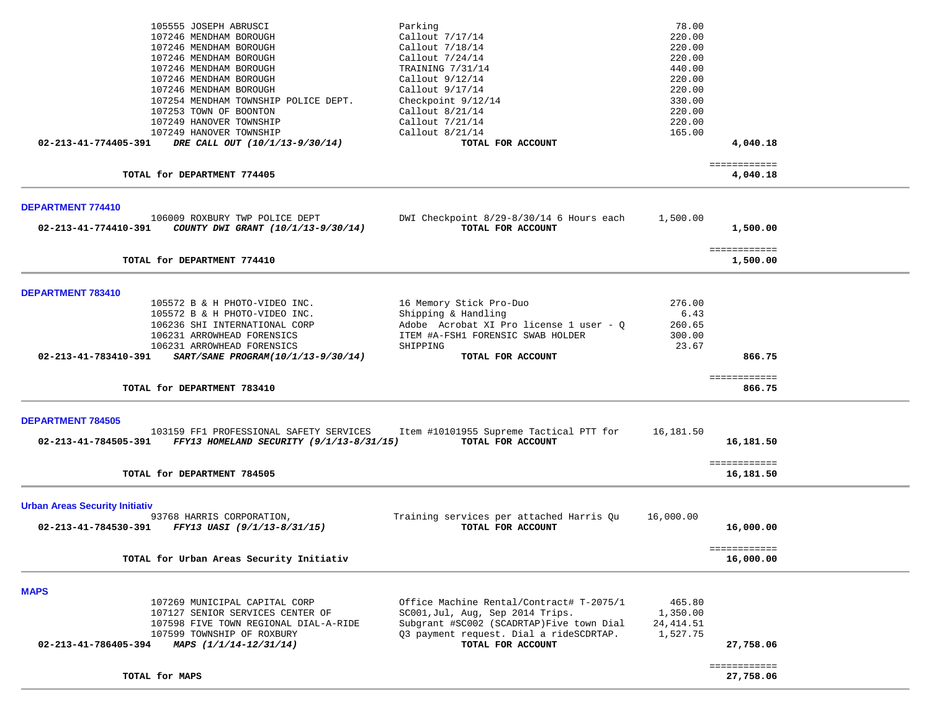|                                                                                              | Parking                                                       | 78.00      |                           |  |
|----------------------------------------------------------------------------------------------|---------------------------------------------------------------|------------|---------------------------|--|
| 107246 MENDHAM BOROUGH                                                                       | Callout 7/17/14                                               | 220.00     |                           |  |
| 107246 MENDHAM BOROUGH                                                                       | Callout 7/18/14                                               | 220.00     |                           |  |
| 107246 MENDHAM BOROUGH                                                                       | Callout 7/24/14                                               | 220.00     |                           |  |
| 107246 MENDHAM BOROUGH                                                                       | TRAINING 7/31/14                                              | 440.00     |                           |  |
| 107246 MENDHAM BOROUGH                                                                       | Callout 9/12/14                                               | 220.00     |                           |  |
| 107246 MENDHAM BOROUGH                                                                       | Callout $9/17/14$                                             | 220.00     |                           |  |
| 107254 MENDHAM TOWNSHIP POLICE DEPT.                                                         | Checkpoint 9/12/14                                            | 330.00     |                           |  |
| 107253 TOWN OF BOONTON                                                                       | Callout $8/21/14$                                             | 220.00     |                           |  |
| 107249 HANOVER TOWNSHIP                                                                      | Callout 7/21/14                                               | 220.00     |                           |  |
| 107249 HANOVER TOWNSHIP                                                                      | Callout 8/21/14                                               | 165.00     |                           |  |
| 02-213-41-774405-391<br>DRE CALL OUT (10/1/13-9/30/14)                                       | TOTAL FOR ACCOUNT                                             |            | 4,040.18                  |  |
| TOTAL for DEPARTMENT 774405                                                                  |                                                               |            | ============<br>4,040.18  |  |
|                                                                                              |                                                               |            |                           |  |
| <b>DEPARTMENT 774410</b>                                                                     |                                                               |            |                           |  |
| 106009 ROXBURY TWP POLICE DEPT<br>02-213-41-774410-391<br>COUNTY DWI GRANT (10/1/13-9/30/14) | DWI Checkpoint 8/29-8/30/14 6 Hours each<br>TOTAL FOR ACCOUNT | 1,500.00   | 1,500.00                  |  |
| TOTAL for DEPARTMENT 774410                                                                  |                                                               |            | ============              |  |
|                                                                                              |                                                               |            | 1,500.00                  |  |
| DEPARTMENT 783410                                                                            |                                                               |            |                           |  |
| 105572 B & H PHOTO-VIDEO INC.                                                                | 16 Memory Stick Pro-Duo                                       | 276.00     |                           |  |
| 105572 B & H PHOTO-VIDEO INC.                                                                | Shipping & Handling                                           | 6.43       |                           |  |
| 106236 SHI INTERNATIONAL CORP                                                                | Adobe Acrobat XI Pro license 1 user - Q                       | 260.65     |                           |  |
| 106231 ARROWHEAD FORENSICS                                                                   | ITEM #A-FSH1 FORENSIC SWAB HOLDER                             | 300.00     |                           |  |
| 106231 ARROWHEAD FORENSICS                                                                   | SHIPPING                                                      | 23.67      |                           |  |
| 02-213-41-783410-391<br>SART/SANE PROGRAM(10/1/13-9/30/14)                                   | TOTAL FOR ACCOUNT                                             |            | 866.75                    |  |
|                                                                                              |                                                               |            | ============              |  |
|                                                                                              |                                                               |            |                           |  |
| TOTAL for DEPARTMENT 783410                                                                  |                                                               |            | 866.75                    |  |
| <b>DEPARTMENT 784505</b>                                                                     |                                                               |            |                           |  |
| 103159 FF1 PROFESSIONAL SAFETY SERVICES                                                      | Item #10101955 Supreme Tactical PTT for                       | 16,181.50  |                           |  |
| 02-213-41-784505-391 FFY13 HOMELAND SECURITY (9/1/13-8/31/15)                                | TOTAL FOR ACCOUNT                                             |            | 16,181.50                 |  |
|                                                                                              |                                                               |            |                           |  |
| TOTAL for DEPARTMENT 784505                                                                  |                                                               |            | ============<br>16,181.50 |  |
|                                                                                              |                                                               |            |                           |  |
| <b>Urban Areas Security Initiativ</b>                                                        |                                                               |            |                           |  |
| 93768 HARRIS CORPORATION,                                                                    | Training services per attached Harris Qu                      | 16,000.00  |                           |  |
| 02-213-41-784530-391<br>FFY13 UASI (9/1/13-8/31/15)                                          | TOTAL FOR ACCOUNT                                             |            | 16,000.00                 |  |
|                                                                                              |                                                               |            |                           |  |
| TOTAL for Urban Areas Security Initiativ                                                     |                                                               |            | ============<br>16,000.00 |  |
|                                                                                              |                                                               |            |                           |  |
| <b>MAPS</b>                                                                                  |                                                               |            |                           |  |
| 107269 MUNICIPAL CAPITAL CORP                                                                | Office Machine Rental/Contract# T-2075/1                      | 465.80     |                           |  |
| 107127 SENIOR SERVICES CENTER OF                                                             | SC001, Jul, Aug, Sep 2014 Trips.                              | 1,350.00   |                           |  |
| 107598 FIVE TOWN REGIONAL DIAL-A-RIDE                                                        | Subgrant #SC002 (SCADRTAP) Five town Dial                     | 24, 414.51 |                           |  |
| 107599 TOWNSHIP OF ROXBURY                                                                   | Q3 payment request. Dial a rideSCDRTAP.                       | 1,527.75   |                           |  |
| 02-213-41-786405-394<br>MAPS (1/1/14-12/31/14)                                               | TOTAL FOR ACCOUNT                                             |            | 27,758.06                 |  |
|                                                                                              |                                                               |            |                           |  |
| TOTAL for MAPS                                                                               |                                                               |            | ============              |  |
|                                                                                              |                                                               |            | 27,758.06                 |  |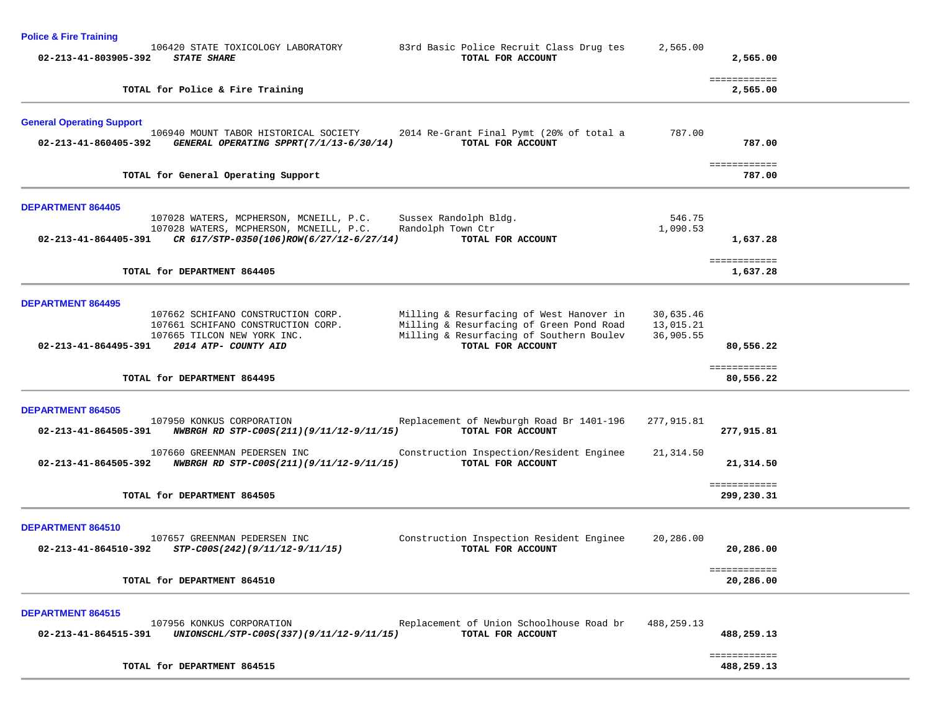**Police & Fire Training** 

| 83rd Basic Police Recruit Class Drug tes<br>2,565.00                                                                                                                    | 2,565.00   |                                                                                                              |
|-------------------------------------------------------------------------------------------------------------------------------------------------------------------------|------------|--------------------------------------------------------------------------------------------------------------|
|                                                                                                                                                                         | 2,565.00   |                                                                                                              |
| 787.00<br>2014 Re-Grant Final Pymt (20% of total a                                                                                                                      | 787.00     |                                                                                                              |
|                                                                                                                                                                         | 787.00     |                                                                                                              |
| 546.75<br>1,090.53                                                                                                                                                      | 1,637.28   |                                                                                                              |
|                                                                                                                                                                         | 1,637.28   |                                                                                                              |
| Milling & Resurfacing of West Hanover in<br>30,635.46<br>Milling & Resurfacing of Green Pond Road<br>13,015.21<br>Milling & Resurfacing of Southern Boulev<br>36,905.55 | 80,556.22  |                                                                                                              |
|                                                                                                                                                                         | 80,556.22  |                                                                                                              |
| Replacement of Newburgh Road Br 1401-196<br>277,915.81                                                                                                                  | 277,915.81 |                                                                                                              |
| Construction Inspection/Resident Enginee<br>21,314.50                                                                                                                   | 21,314.50  |                                                                                                              |
|                                                                                                                                                                         | 299,230.31 |                                                                                                              |
| Construction Inspection Resident Enginee<br>20,286.00                                                                                                                   | 20,286.00  |                                                                                                              |
|                                                                                                                                                                         | 20,286.00  |                                                                                                              |
| Replacement of Union Schoolhouse Road br<br>488,259.13                                                                                                                  | 488,259.13 |                                                                                                              |
|                                                                                                                                                                         | 488,259.13 |                                                                                                              |
|                                                                                                                                                                         |            | ============<br>============<br>============<br>============<br>============<br>============<br>============ |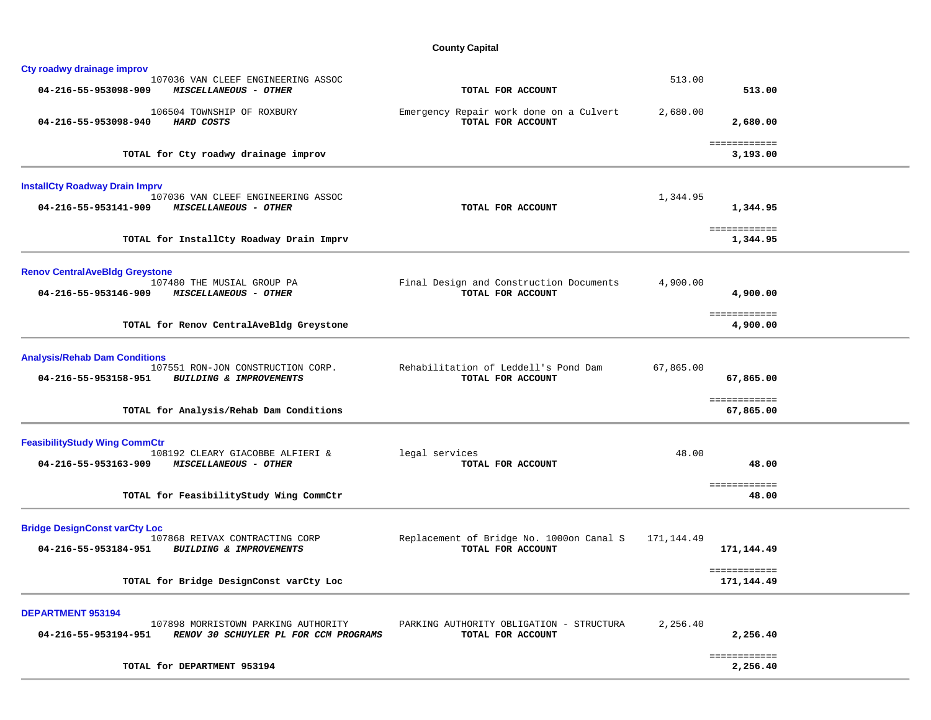## **County Capital**

| TOTAL FOR ACCOUNT                                                                                      | 513.00                                              |                                                        |
|--------------------------------------------------------------------------------------------------------|-----------------------------------------------------|--------------------------------------------------------|
| Emergency Repair work done on a Culvert<br>TOTAL FOR ACCOUNT                                           | 2,680.00<br>2,680.00                                |                                                        |
|                                                                                                        | ============<br>3,193.00                            |                                                        |
| TOTAL FOR ACCOUNT                                                                                      | 1,344.95<br>1,344.95                                |                                                        |
|                                                                                                        | 1,344.95                                            |                                                        |
| Final Design and Construction Documents<br>TOTAL FOR ACCOUNT                                           | 4,900.00<br>4,900.00                                |                                                        |
|                                                                                                        | 4,900.00                                            |                                                        |
| Rehabilitation of Leddell's Pond Dam<br>TOTAL FOR ACCOUNT                                              | 67,865.00<br>67,865.00<br>============<br>67,865.00 |                                                        |
| legal services<br>TOTAL FOR ACCOUNT                                                                    | 48.00<br>48.00<br>============<br>48.00             |                                                        |
| Replacement of Bridge No. 1000on Canal S<br>TOTAL FOR ACCOUNT                                          | 171,144.49<br>171,144.49                            |                                                        |
|                                                                                                        | 171,144.49                                          |                                                        |
| PARKING AUTHORITY OBLIGATION - STRUCTURA<br>RENOV 30 SCHUYLER PL FOR CCM PROGRAMS<br>TOTAL FOR ACCOUNT | 2,256.40<br>2,256.40                                |                                                        |
|                                                                                                        | ============<br>2,256.40                            |                                                        |
|                                                                                                        |                                                     | 513.00<br>============<br>============<br>============ |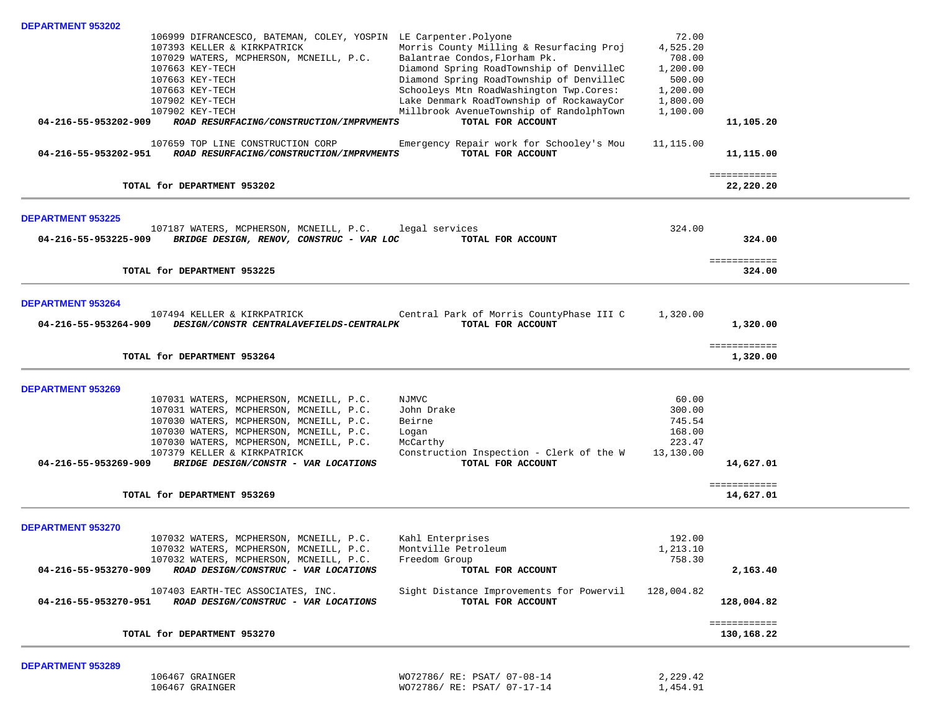| DEPARTMENT 953202        |                                                                                                        |                                          |                    |              |  |
|--------------------------|--------------------------------------------------------------------------------------------------------|------------------------------------------|--------------------|--------------|--|
|                          | 106999 DIFRANCESCO, BATEMAN, COLEY, YOSPIN LE Carpenter. Polyone                                       |                                          | 72.00              |              |  |
|                          | 107393 KELLER & KIRKPATRICK                                                                            | Morris County Milling & Resurfacing Proj | 4,525.20           |              |  |
|                          | 107029 WATERS, MCPHERSON, MCNEILL, P.C.                                                                | Balantrae Condos, Florham Pk.            | 708.00             |              |  |
|                          | 107663 KEY-TECH                                                                                        | Diamond Spring RoadTownship of DenvilleC | 1,200.00           |              |  |
|                          | 107663 KEY-TECH                                                                                        | Diamond Spring RoadTownship of DenvilleC | 500.00             |              |  |
|                          | 107663 KEY-TECH                                                                                        | Schooleys Mtn RoadWashington Twp.Cores:  | 1,200.00           |              |  |
|                          | 107902 KEY-TECH                                                                                        | Lake Denmark RoadTownship of RockawayCor | 1,800.00           |              |  |
|                          | 107902 KEY-TECH                                                                                        | Millbrook AvenueTownship of RandolphTown | 1,100.00           |              |  |
| 04-216-55-953202-909     | ROAD RESURFACING/CONSTRUCTION/IMPRVMENTS                                                               | TOTAL FOR ACCOUNT                        |                    | 11,105.20    |  |
|                          |                                                                                                        |                                          |                    |              |  |
|                          | 107659 TOP LINE CONSTRUCTION CORP                                                                      | Emergency Repair work for Schooley's Mou | 11,115.00          |              |  |
| 04-216-55-953202-951     | ROAD RESURFACING/CONSTRUCTION/IMPRVMENTS                                                               | TOTAL FOR ACCOUNT                        |                    | 11,115.00    |  |
|                          |                                                                                                        |                                          |                    |              |  |
|                          |                                                                                                        |                                          |                    | ============ |  |
|                          | TOTAL for DEPARTMENT 953202                                                                            |                                          |                    | 22,220.20    |  |
|                          |                                                                                                        |                                          |                    |              |  |
| <b>DEPARTMENT 953225</b> |                                                                                                        |                                          |                    |              |  |
|                          | 107187 WATERS, MCPHERSON, MCNEILL, P.C. legal services                                                 |                                          | 324.00             |              |  |
| 04-216-55-953225-909     | BRIDGE DESIGN, RENOV, CONSTRUC - VAR LOC                                                               | TOTAL FOR ACCOUNT                        |                    | 324.00       |  |
|                          |                                                                                                        |                                          |                    |              |  |
|                          |                                                                                                        |                                          |                    | ============ |  |
|                          | TOTAL for DEPARTMENT 953225                                                                            |                                          |                    | 324.00       |  |
|                          |                                                                                                        |                                          |                    |              |  |
|                          |                                                                                                        |                                          |                    |              |  |
| <b>DEPARTMENT 953264</b> |                                                                                                        |                                          |                    |              |  |
|                          | 107494 KELLER & KIRKPATRICK                                                                            | Central Park of Morris CountyPhase III C | 1,320.00           |              |  |
| 04-216-55-953264-909     | DESIGN/CONSTR CENTRALAVEFIELDS-CENTRALPK                                                               | TOTAL FOR ACCOUNT                        |                    | 1,320.00     |  |
|                          |                                                                                                        |                                          |                    |              |  |
|                          |                                                                                                        |                                          |                    | ============ |  |
|                          | TOTAL for DEPARTMENT 953264                                                                            |                                          |                    | 1,320.00     |  |
|                          |                                                                                                        |                                          |                    |              |  |
| <b>DEPARTMENT 953269</b> |                                                                                                        |                                          |                    |              |  |
|                          | 107031 WATERS, MCPHERSON, MCNEILL, P.C.                                                                | NJMVC                                    | 60.00              |              |  |
|                          | 107031 WATERS, MCPHERSON, MCNEILL, P.C.                                                                | John Drake                               | 300.00             |              |  |
|                          | 107030 WATERS, MCPHERSON, MCNEILL, P.C.                                                                | Beirne                                   | 745.54             |              |  |
|                          | 107030 WATERS, MCPHERSON, MCNEILL, P.C.                                                                | Logan                                    | 168.00             |              |  |
|                          | 107030 WATERS, MCPHERSON, MCNEILL, P.C.                                                                | McCarthy                                 | 223.47             |              |  |
|                          | 107379 KELLER & KIRKPATRICK                                                                            | Construction Inspection - Clerk of the W | 13,130.00          |              |  |
| 04-216-55-953269-909     | BRIDGE DESIGN/CONSTR - VAR LOCATIONS                                                                   | TOTAL FOR ACCOUNT                        |                    | 14,627.01    |  |
|                          |                                                                                                        |                                          |                    |              |  |
|                          |                                                                                                        |                                          |                    | ============ |  |
|                          | TOTAL for DEPARTMENT 953269                                                                            |                                          |                    | 14,627.01    |  |
|                          |                                                                                                        |                                          |                    |              |  |
| <b>DEPARTMENT 953270</b> |                                                                                                        |                                          |                    |              |  |
|                          | 107032 WATERS, MCPHERSON, MCNEILL, P.C.                                                                | Kahl Enterprises                         | 192.00             |              |  |
|                          |                                                                                                        |                                          |                    |              |  |
|                          | 107032 WATERS, MCPHERSON, MCNEILL, P.C. Montville Petroleum<br>107032 WATERS, MCPHERSON, MCNEILL, P.C. | Freedom Group                            | 1,213.10<br>758.30 |              |  |
|                          |                                                                                                        |                                          |                    |              |  |
| 04-216-55-953270-909     | ROAD DESIGN/CONSTRUC - VAR LOCATIONS                                                                   | TOTAL FOR ACCOUNT                        |                    | 2,163.40     |  |
|                          | 107403 EARTH-TEC ASSOCIATES, INC.                                                                      | Sight Distance Improvements for Powervil | 128,004.82         |              |  |
| 04-216-55-953270-951     | ROAD DESIGN/CONSTRUC - VAR LOCATIONS                                                                   | TOTAL FOR ACCOUNT                        |                    | 128,004.82   |  |
|                          |                                                                                                        |                                          |                    |              |  |
|                          |                                                                                                        |                                          |                    | ============ |  |
|                          | TOTAL for DEPARTMENT 953270                                                                            |                                          |                    | 130,168.22   |  |
|                          |                                                                                                        |                                          |                    |              |  |
| <b>DEPARTMENT 953289</b> |                                                                                                        |                                          |                    |              |  |
|                          | 106467 GRAINGER                                                                                        | WO72786/ RE: PSAT/ 07-08-14              | 2,229.42           |              |  |
|                          | 106467 GRAINGER                                                                                        | WO72786/ RE: PSAT/ 07-17-14              | 1,454.91           |              |  |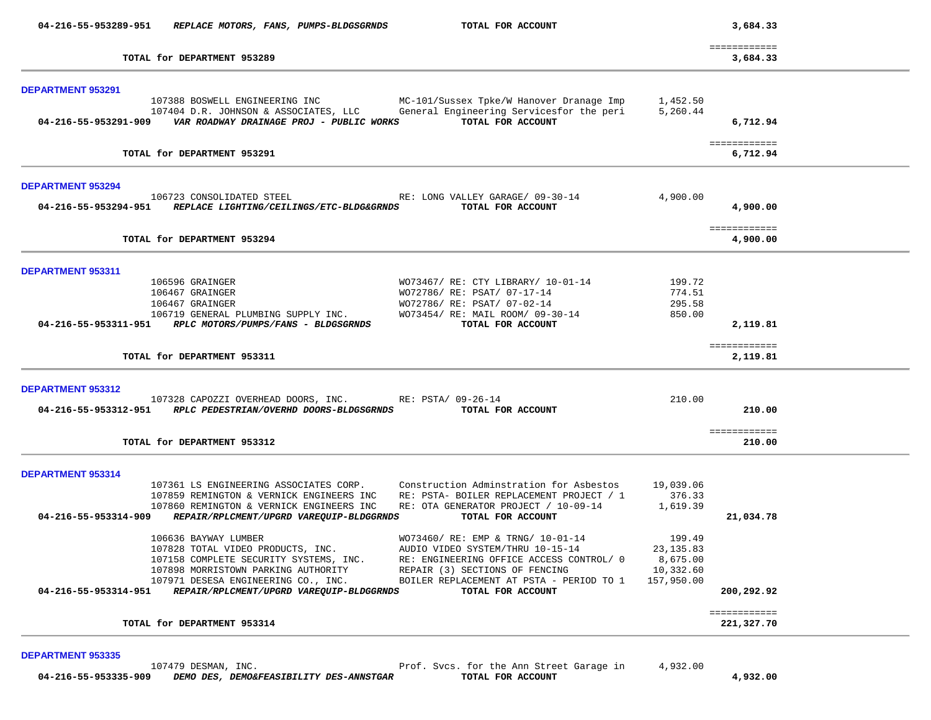| 04-216-55-953289-951                      | REPLACE MOTORS, FANS, PUMPS-BLDGSGRNDS                                                                                                                                                                                        | TOTAL FOR ACCOUNT                                                                                                                                                                                                    |                                                             | 3,684.33                         |  |
|-------------------------------------------|-------------------------------------------------------------------------------------------------------------------------------------------------------------------------------------------------------------------------------|----------------------------------------------------------------------------------------------------------------------------------------------------------------------------------------------------------------------|-------------------------------------------------------------|----------------------------------|--|
|                                           | TOTAL for DEPARTMENT 953289                                                                                                                                                                                                   |                                                                                                                                                                                                                      |                                                             | ============<br>3,684.33         |  |
| <b>DEPARTMENT 953291</b>                  | 107388 BOSWELL ENGINEERING INC<br>107404 D.R. JOHNSON & ASSOCIATES, LLC<br>04-216-55-953291-909    VAR ROADWAY DRAINAGE PROJ - PUBLIC WORKS                                                                                   | MC-101/Sussex Tpke/W Hanover Dranage Imp<br>General Engineering Servicesfor the peri<br>TOTAL FOR ACCOUNT                                                                                                            | 1,452.50<br>5,260.44                                        | 6,712.94                         |  |
|                                           | TOTAL for DEPARTMENT 953291                                                                                                                                                                                                   |                                                                                                                                                                                                                      |                                                             | ============<br>6,712.94         |  |
| <b>DEPARTMENT 953294</b>                  | 106723 CONSOLIDATED STEEL<br>04-216-55-953294-951 REPLACE LIGHTING/CEILINGS/ETC-BLDG&GRNDS                                                                                                                                    | RE: LONG VALLEY GARAGE/ 09-30-14<br>TOTAL FOR ACCOUNT                                                                                                                                                                | 4,900.00                                                    | 4,900.00                         |  |
|                                           | TOTAL for DEPARTMENT 953294                                                                                                                                                                                                   |                                                                                                                                                                                                                      |                                                             | ============<br>4,900.00         |  |
| <b>DEPARTMENT 953311</b>                  | 106596 GRAINGER<br>106467 GRAINGER<br>106467 GRAINGER<br>106719 GENERAL PLUMBING SUPPLY INC.<br>04-216-55-953311-951 RPLC MOTORS/PUMPS/FANS - BLDGSGRNDS                                                                      | WO73467/ RE: CTY LIBRARY/ 10-01-14<br>WO72786/ RE: PSAT/ 07-17-14<br>WO72786/ RE: PSAT/ 07-02-14<br>WO73454/ RE: MAIL ROOM/ 09-30-14<br>TOTAL FOR ACCOUNT                                                            | 199.72<br>774.51<br>295.58<br>850.00                        | 2,119.81                         |  |
|                                           | TOTAL for DEPARTMENT 953311                                                                                                                                                                                                   |                                                                                                                                                                                                                      |                                                             | ============<br>2,119.81         |  |
| DEPARTMENT 953312                         | 107328 CAPOZZI OVERHEAD DOORS, INC. RE: PSTA/ 09-26-14<br>04-216-55-953312-951 RPLC PEDESTRIAN/OVERHD DOORS-BLDGSGRNDS<br>TOTAL for DEPARTMENT 953312                                                                         | TOTAL FOR ACCOUNT                                                                                                                                                                                                    | 210.00                                                      | 210.00<br>============<br>210.00 |  |
|                                           |                                                                                                                                                                                                                               |                                                                                                                                                                                                                      |                                                             |                                  |  |
| DEPARTMENT 953314<br>04-216-55-953314-909 | 107361 LS ENGINEERING ASSOCIATES CORP.<br>107859 REMINGTON & VERNICK ENGINEERS INC<br>107860 REMINGTON & VERNICK ENGINEERS INC<br>REPAIR/RPLCMENT/UPGRD VAREQUIP-BLDGGRNDS                                                    | Construction Adminstration for Asbestos<br>RE: PSTA- BOILER REPLACEMENT PROJECT / 1<br>RE: OTA GENERATOR PROJECT / 10-09-14<br>TOTAL FOR ACCOUNT                                                                     | 19,039.06<br>376.33<br>1,619.39                             | 21,034.78                        |  |
| 04-216-55-953314-951                      | 106636 BAYWAY LUMBER<br>107828 TOTAL VIDEO PRODUCTS, INC.<br>107158 COMPLETE SECURITY SYSTEMS, INC.<br>107898 MORRISTOWN PARKING AUTHORITY<br>107971 DESESA ENGINEERING CO., INC.<br>REPAIR/RPLCMENT/UPGRD VAREQUIP-BLDGGRNDS | WO73460/ RE: EMP & TRNG/ 10-01-14<br>AUDIO VIDEO SYSTEM/THRU 10-15-14<br>RE: ENGINEERING OFFICE ACCESS CONTROL/ 0<br>REPAIR (3) SECTIONS OF FENCING<br>BOILER REPLACEMENT AT PSTA - PERIOD TO 1<br>TOTAL FOR ACCOUNT | 199.49<br>23, 135.83<br>8,675.00<br>10,332.60<br>157,950.00 | 200,292.92                       |  |
|                                           |                                                                                                                                                                                                                               |                                                                                                                                                                                                                      |                                                             | ============                     |  |

107479 DESMAN, INC. The Annexe of Prof. Svcs. for the Annex Street Garage in 4,932.00  **04-216-55-953335-909** *DEMO DES, DEMO&FEASIBILITY DES-ANNSTGAR* **TOTAL FOR ACCOUNT 4,932.00**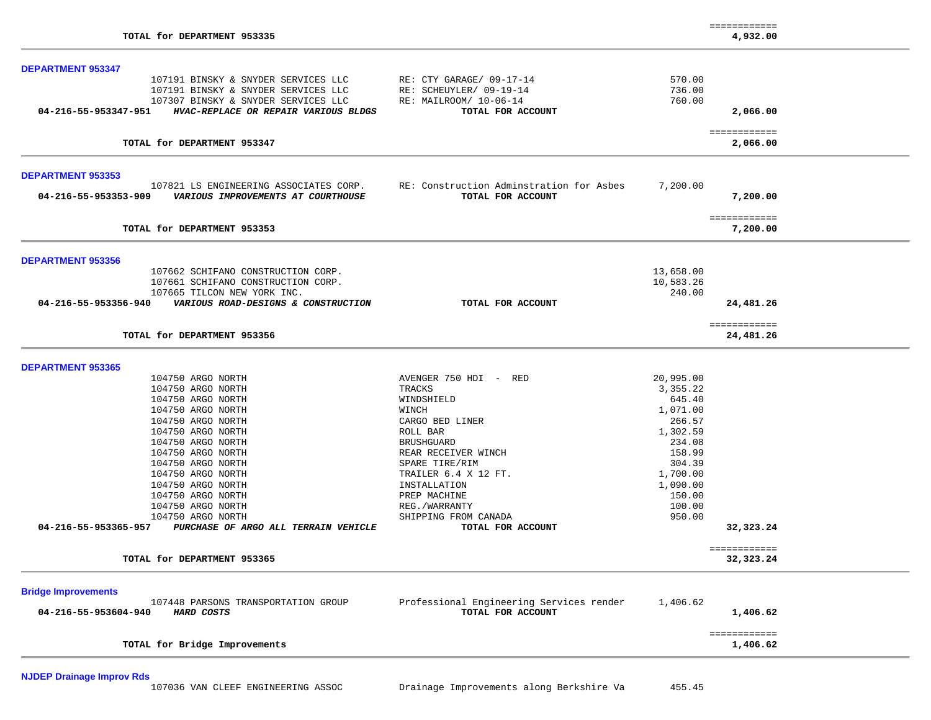|                                                                   |                                          |           | ============             |
|-------------------------------------------------------------------|------------------------------------------|-----------|--------------------------|
| TOTAL for DEPARTMENT 953335                                       |                                          |           | 4,932.00                 |
| <b>DEPARTMENT 953347</b>                                          |                                          |           |                          |
| 107191 BINSKY & SNYDER SERVICES LLC                               | RE: CTY GARAGE/ 09-17-14                 | 570.00    |                          |
| 107191 BINSKY & SNYDER SERVICES LLC                               | RE: SCHEUYLER/ 09-19-14                  | 736.00    |                          |
| 107307 BINSKY & SNYDER SERVICES LLC                               | RE: MAILROOM/ 10-06-14                   | 760.00    |                          |
| 04-216-55-953347-951<br>HVAC-REPLACE OR REPAIR VARIOUS BLDGS      | TOTAL FOR ACCOUNT                        |           | 2,066.00                 |
|                                                                   |                                          |           |                          |
| TOTAL for DEPARTMENT 953347                                       |                                          |           | ============<br>2,066.00 |
| <b>DEPARTMENT 953353</b>                                          |                                          |           |                          |
| 107821 LS ENGINEERING ASSOCIATES CORP.                            | RE: Construction Adminstration for Asbes | 7,200.00  |                          |
| VARIOUS IMPROVEMENTS AT COURTHOUSE<br>04-216-55-953353-909        | TOTAL FOR ACCOUNT                        |           | 7,200.00                 |
|                                                                   |                                          |           |                          |
| TOTAL for DEPARTMENT 953353                                       |                                          |           | ============<br>7,200.00 |
|                                                                   |                                          |           |                          |
| <b>DEPARTMENT 953356</b>                                          |                                          |           |                          |
| 107662 SCHIFANO CONSTRUCTION CORP.                                |                                          | 13,658.00 |                          |
| 107661 SCHIFANO CONSTRUCTION CORP.                                |                                          | 10,583.26 |                          |
| 107665 TILCON NEW YORK INC.                                       |                                          | 240.00    |                          |
| 04-216-55-953356-940<br>VARIOUS ROAD-DESIGNS & CONSTRUCTION       | TOTAL FOR ACCOUNT                        |           | 24,481.26                |
|                                                                   |                                          |           | ============             |
| TOTAL for DEPARTMENT 953356                                       |                                          |           | 24,481.26                |
| <b>DEPARTMENT 953365</b>                                          |                                          |           |                          |
| 104750 ARGO NORTH                                                 | AVENGER 750 HDI - RED                    | 20,995.00 |                          |
| 104750 ARGO NORTH                                                 | TRACKS                                   | 3,355.22  |                          |
| 104750 ARGO NORTH                                                 | WINDSHIELD                               | 645.40    |                          |
| 104750 ARGO NORTH                                                 | WINCH                                    | 1,071.00  |                          |
| 104750 ARGO NORTH                                                 | CARGO BED LINER                          | 266.57    |                          |
| 104750 ARGO NORTH                                                 | ROLL BAR                                 | 1,302.59  |                          |
| 104750 ARGO NORTH                                                 | <b>BRUSHGUARD</b>                        | 234.08    |                          |
| 104750 ARGO NORTH                                                 | REAR RECEIVER WINCH                      | 158.99    |                          |
| 104750 ARGO NORTH                                                 | SPARE TIRE/RIM                           | 304.39    |                          |
| 104750 ARGO NORTH                                                 | TRAILER 6.4 X 12 FT.                     | 1,700.00  |                          |
| 104750 ARGO NORTH                                                 | INSTALLATION                             | 1,090.00  |                          |
| 104750 ARGO NORTH                                                 | PREP MACHINE                             | 150.00    |                          |
| 104750 ARGO NORTH                                                 | REG./WARRANTY                            | 100.00    |                          |
| 104750 ARGO NORTH                                                 | SHIPPING FROM CANADA                     | 950.00    |                          |
| 04-216-55-953365-957<br>PURCHASE OF ARGO ALL TERRAIN VEHICLE      | TOTAL FOR ACCOUNT                        |           | 32,323.24                |
|                                                                   |                                          |           | ===========              |
| TOTAL for DEPARTMENT 953365                                       |                                          |           | 32,323.24                |
|                                                                   |                                          |           |                          |
| <b>Bridge Improvements</b><br>107448 PARSONS TRANSPORTATION GROUP | Professional Engineering Services render | 1,406.62  |                          |
| HARD COSTS<br>04-216-55-953604-940                                | TOTAL FOR ACCOUNT                        |           | 1,406.62                 |
|                                                                   |                                          |           | ============             |
| TOTAL for Bridge Improvements                                     |                                          |           | 1,406.62                 |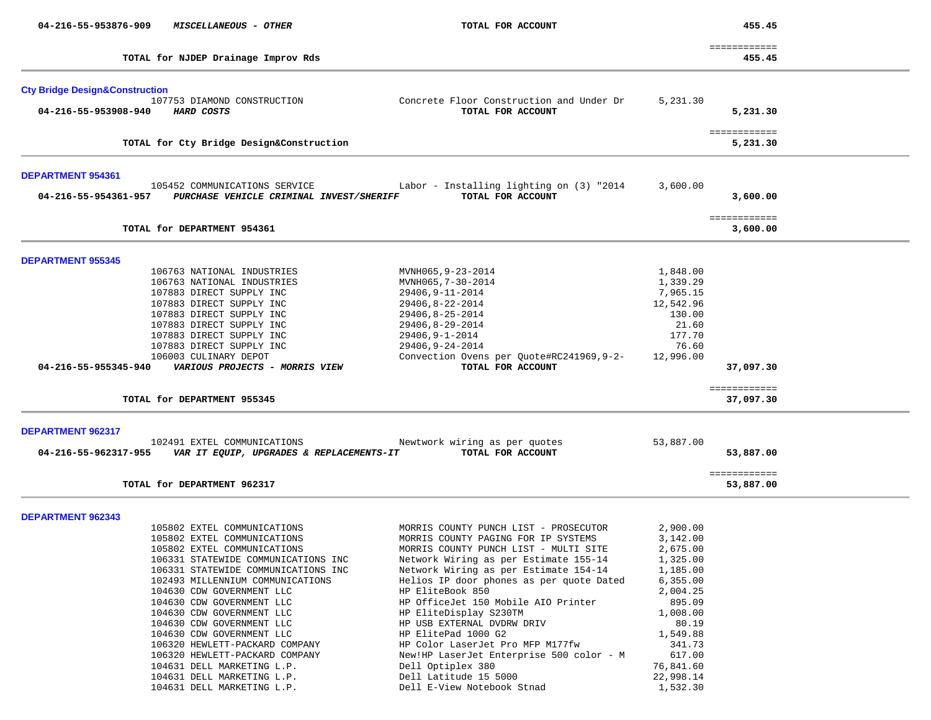| 04-216-55-953876-909                      | MISCELLANEOUS - OTHER                                   | TOTAL FOR ACCOUNT                                             |           | 455.45                    |
|-------------------------------------------|---------------------------------------------------------|---------------------------------------------------------------|-----------|---------------------------|
|                                           |                                                         |                                                               |           | ============              |
|                                           | TOTAL for NJDEP Drainage Improv Rds                     |                                                               |           | 455.45                    |
| <b>Cty Bridge Design&amp;Construction</b> |                                                         |                                                               |           |                           |
|                                           | 107753 DIAMOND CONSTRUCTION                             | Concrete Floor Construction and Under Dr                      | 5,231.30  |                           |
| 04-216-55-953908-940                      | <b>HARD COSTS</b>                                       | TOTAL FOR ACCOUNT                                             |           | 5,231.30                  |
|                                           | TOTAL for Cty Bridge Design&Construction                |                                                               |           | ============<br>5,231.30  |
|                                           |                                                         |                                                               |           |                           |
| DEPARTMENT 954361                         |                                                         |                                                               |           |                           |
|                                           | 105452 COMMUNICATIONS SERVICE                           | Labor - Installing lighting on (3) "2014                      | 3,600.00  |                           |
| 04-216-55-954361-957                      | PURCHASE VEHICLE CRIMINAL INVEST/SHERIFF                | TOTAL FOR ACCOUNT                                             |           | 3,600.00                  |
|                                           | TOTAL for DEPARTMENT 954361                             |                                                               |           | ============<br>3,600.00  |
|                                           |                                                         |                                                               |           |                           |
| <b>DEPARTMENT 955345</b>                  |                                                         |                                                               |           |                           |
|                                           | 106763 NATIONAL INDUSTRIES                              | MVNH065,9-23-2014                                             | 1,848.00  |                           |
|                                           | 106763 NATIONAL INDUSTRIES                              | MVNH065,7-30-2014                                             | 1,339.29  |                           |
|                                           | 107883 DIRECT SUPPLY INC                                | 29406, 9-11-2014                                              | 7,965.15  |                           |
|                                           | 107883 DIRECT SUPPLY INC                                | 29406,8-22-2014                                               | 12,542.96 |                           |
|                                           | 107883 DIRECT SUPPLY INC                                | 29406, 8-25-2014                                              | 130.00    |                           |
|                                           | 107883 DIRECT SUPPLY INC                                | 29406,8-29-2014                                               | 21.60     |                           |
|                                           | 107883 DIRECT SUPPLY INC                                | 29406, 9-1-2014                                               | 177.70    |                           |
|                                           | 107883 DIRECT SUPPLY INC                                | 29406, 9-24-2014                                              | 76.60     |                           |
| 04-216-55-955345-940                      | 106003 CULINARY DEPOT<br>VARIOUS PROJECTS - MORRIS VIEW | Convection Ovens per Quote#RC241969,9-2-<br>TOTAL FOR ACCOUNT | 12,996.00 | 37,097.30                 |
|                                           |                                                         |                                                               |           | ============              |
|                                           | TOTAL for DEPARTMENT 955345                             |                                                               |           | 37,097.30                 |
| DEPARTMENT 962317                         |                                                         |                                                               |           |                           |
|                                           | 102491 EXTEL COMMUNICATIONS                             | Newtwork wiring as per quotes                                 | 53,887.00 |                           |
| 04-216-55-962317-955                      | VAR IT EQUIP, UPGRADES & REPLACEMENTS-IT                | TOTAL FOR ACCOUNT                                             |           | 53,887.00                 |
|                                           | TOTAL for DEPARTMENT 962317                             |                                                               |           | ============<br>53,887.00 |
|                                           |                                                         |                                                               |           |                           |
| <b>DEPARTMENT 962343</b>                  |                                                         |                                                               |           |                           |
|                                           | 105802 EXTEL COMMUNICATIONS                             | MORRIS COUNTY PUNCH LIST - PROSECUTOR                         | 2,900.00  |                           |
|                                           | 105802 EXTEL COMMUNICATIONS                             | MORRIS COUNTY PAGING FOR IP SYSTEMS                           | 3,142.00  |                           |
|                                           | 105802 EXTEL COMMUNICATIONS                             | MORRIS COUNTY PUNCH LIST - MULTI SITE                         | 2,675.00  |                           |
|                                           | 106331 STATEWIDE COMMUNICATIONS INC                     | Network Wiring as per Estimate 155-14                         | 1,325.00  |                           |
|                                           | 106331 STATEWIDE COMMUNICATIONS INC                     | Network Wiring as per Estimate 154-14                         | 1,185.00  |                           |
|                                           | 102493 MILLENNIUM COMMUNICATIONS                        | Helios IP door phones as per quote Dated                      | 6,355.00  |                           |
|                                           | 104630 CDW GOVERNMENT LLC                               | HP EliteBook 850                                              | 2,004.25  |                           |
|                                           | 104630 CDW GOVERNMENT LLC                               | HP OfficeJet 150 Mobile AIO Printer                           | 895.09    |                           |
|                                           | 104630 CDW GOVERNMENT LLC                               | HP EliteDisplay S230TM                                        | 1,008.00  |                           |
|                                           | 104630 CDW GOVERNMENT LLC                               | HP USB EXTERNAL DVDRW DRIV                                    | 80.19     |                           |
|                                           | 104630 CDW GOVERNMENT LLC                               | HP ElitePad 1000 G2                                           | 1,549.88  |                           |
|                                           | 106320 HEWLETT-PACKARD COMPANY                          | HP Color LaserJet Pro MFP M177fw                              | 341.73    |                           |
|                                           | 106320 HEWLETT-PACKARD COMPANY                          | New!HP LaserJet Enterprise 500 color - M                      | 617.00    |                           |
|                                           | 104631 DELL MARKETING L.P.                              | Dell Optiplex 380                                             | 76,841.60 |                           |
|                                           | 104631 DELL MARKETING L.P.                              | Dell Latitude 15 5000                                         | 22,998.14 |                           |
|                                           | 104631 DELL MARKETING L.P.                              | Dell E-View Notebook Stnad                                    | 1,532.30  |                           |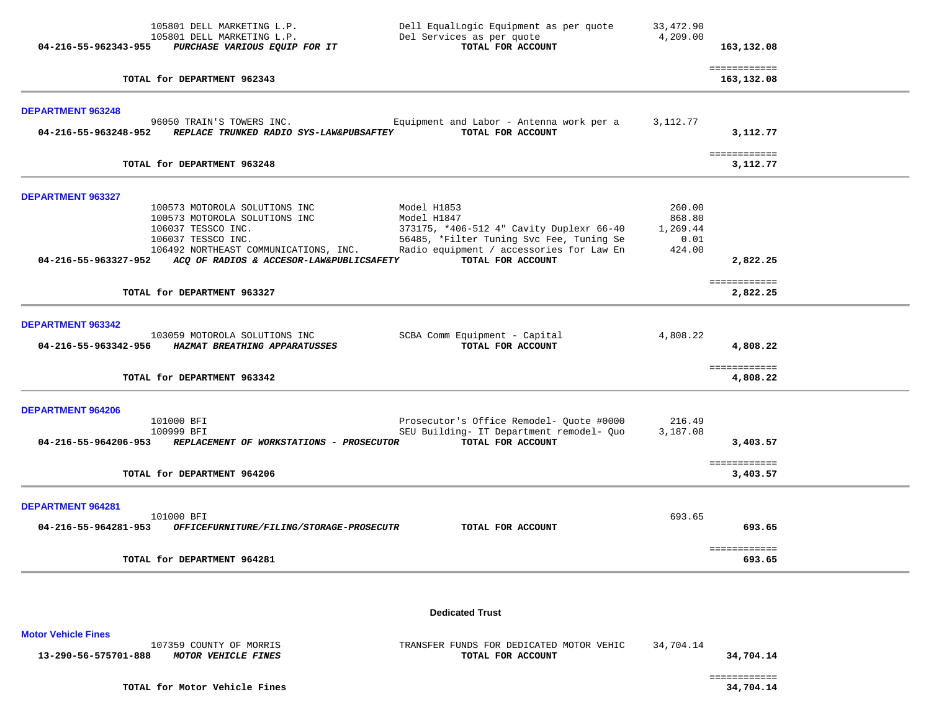|                                                     | 105801 DELL MARKETING L.P.<br>105801 DELL MARKETING L.P.<br>04-216-55-962343-955 PURCHASE VARIOUS EQUIP FOR IT                                                                                                       | Dell EqualLogic Equipment as per quote<br>Del Services as per quote<br>TOTAL FOR ACCOUNT                                                                                            | 33,472.90<br>4,209.00                          | 163,132.08                           |
|-----------------------------------------------------|----------------------------------------------------------------------------------------------------------------------------------------------------------------------------------------------------------------------|-------------------------------------------------------------------------------------------------------------------------------------------------------------------------------------|------------------------------------------------|--------------------------------------|
|                                                     | TOTAL for DEPARTMENT 962343                                                                                                                                                                                          |                                                                                                                                                                                     |                                                | ============<br>163,132.08           |
| DEPARTMENT 963248<br>04-216-55-963248-952           | 96050 TRAIN'S TOWERS INC.<br>REPLACE TRUNKED RADIO SYS-LAW&PUBSAFTEY                                                                                                                                                 | Equipment and Labor - Antenna work per a<br>TOTAL FOR ACCOUNT                                                                                                                       | 3,112.77                                       | 3,112.77                             |
|                                                     | TOTAL for DEPARTMENT 963248                                                                                                                                                                                          |                                                                                                                                                                                     |                                                | ============<br>3,112.77             |
| DEPARTMENT 963327                                   | 100573 MOTOROLA SOLUTIONS INC<br>100573 MOTOROLA SOLUTIONS INC<br>106037 TESSCO INC.<br>106037 TESSCO INC.<br>106492 NORTHEAST COMMUNICATIONS, INC.<br>04-216-55-963327-952 ACQ OF RADIOS & ACCESOR-LAW&PUBLICSAFETY | Model H1853<br>Model H1847<br>373175, *406-512 4" Cavity Duplexr 66-40<br>56485, *Filter Tuning Svc Fee, Tuning Se<br>Radio equipment / accessories for Law En<br>TOTAL FOR ACCOUNT | 260.00<br>868.80<br>1,269.44<br>0.01<br>424.00 | 2,822.25                             |
|                                                     | TOTAL for DEPARTMENT 963327                                                                                                                                                                                          |                                                                                                                                                                                     |                                                | ============<br>2,822.25             |
| DEPARTMENT 963342                                   | 103059 MOTOROLA SOLUTIONS INC<br>04-216-55-963342-956 HAZMAT BREATHING APPARATUSSES<br>TOTAL for DEPARTMENT 963342                                                                                                   | SCBA Comm Equipment - Capital<br>TOTAL FOR ACCOUNT                                                                                                                                  | 4,808.22                                       | 4,808.22<br>============<br>4,808.22 |
| DEPARTMENT 964206<br>04-216-55-964206-953           | 101000 BFI<br>100999 BFI<br>REPLACEMENT OF WORKSTATIONS - PROSECUTOR<br>TOTAL for DEPARTMENT 964206                                                                                                                  | Prosecutor's Office Remodel- Quote #0000<br>SEU Building- IT Department remodel- Quo<br>TOTAL FOR ACCOUNT                                                                           | 216.49<br>3,187.08                             | 3,403.57<br>============<br>3,403.57 |
| DEPARTMENT 964281<br>$04 - 216 - 55 - 964281 - 953$ | 101000 BFI<br>OFFICEFURNITURE/FILING/STORAGE-PROSECUTR<br>TOTAL for DEPARTMENT 964281                                                                                                                                | TOTAL FOR ACCOUNT                                                                                                                                                                   | 693.65                                         | 693.65<br>============<br>693.65     |
| <b>Motor Vehicle Fines</b>                          |                                                                                                                                                                                                                      | <b>Dedicated Trust</b>                                                                                                                                                              |                                                |                                      |

107359 COUNTY OF MORRIS TRANSFER FUNDS FOR DEDICATED MOTOR VEHIC 34,704.14<br>**B** MOTOR VEHICLE FINES  **13-290-56-575701-888** *MOTOR VEHICLE FINES* **TOTAL FOR ACCOUNT 34,704.14**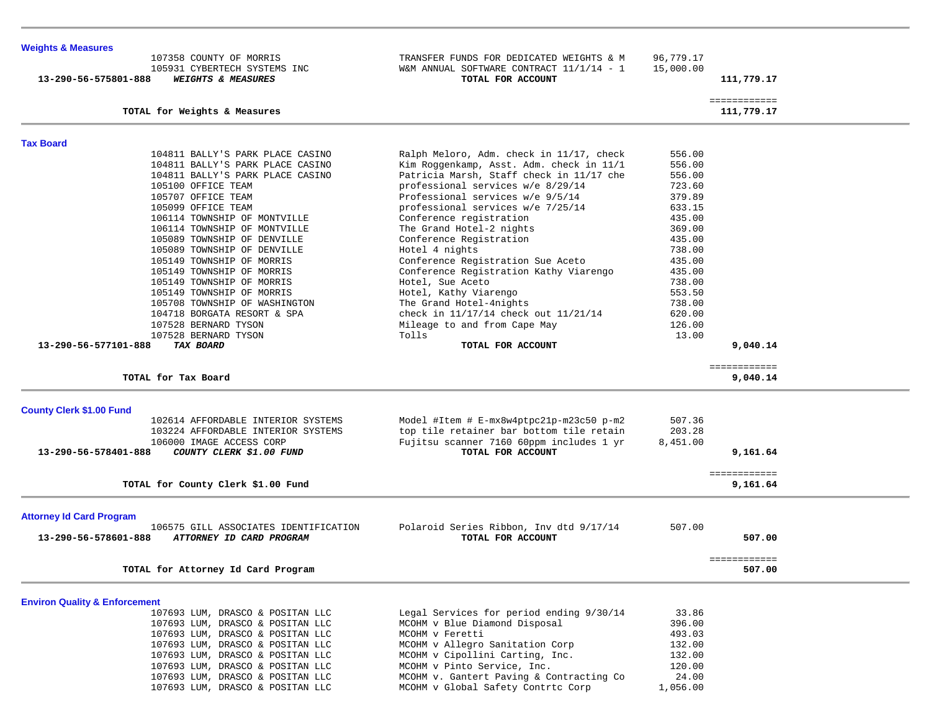| <b>Weights &amp; Measures</b>                                         |                                                                                      |           |                          |  |
|-----------------------------------------------------------------------|--------------------------------------------------------------------------------------|-----------|--------------------------|--|
| 107358 COUNTY OF MORRIS                                               | TRANSFER FUNDS FOR DEDICATED WEIGHTS & M                                             | 96,779.17 |                          |  |
| 105931 CYBERTECH SYSTEMS INC                                          | W&M ANNUAL SOFTWARE CONTRACT 11/1/14 - 1                                             | 15,000.00 |                          |  |
| 13-290-56-575801-888<br><b>WEIGHTS &amp; MEASURES</b>                 | TOTAL FOR ACCOUNT                                                                    |           | 111,779.17               |  |
|                                                                       |                                                                                      |           | ============             |  |
| TOTAL for Weights & Measures                                          |                                                                                      |           | 111,779.17               |  |
|                                                                       |                                                                                      |           |                          |  |
| <b>Tax Board</b><br>104811 BALLY'S PARK PLACE CASINO                  |                                                                                      | 556.00    |                          |  |
| 104811 BALLY'S PARK PLACE CASINO                                      | Ralph Meloro, Adm. check in 11/17, check<br>Kim Roggenkamp, Asst. Adm. check in 11/1 | 556.00    |                          |  |
| 104811 BALLY'S PARK PLACE CASINO                                      | Patricia Marsh, Staff check in 11/17 che                                             | 556.00    |                          |  |
| 105100 OFFICE TEAM                                                    | professional services w/e 8/29/14                                                    | 723.60    |                          |  |
| 105707 OFFICE TEAM                                                    | Professional services w/e 9/5/14                                                     | 379.89    |                          |  |
| 105099 OFFICE TEAM                                                    | professional services w/e 7/25/14                                                    | 633.15    |                          |  |
| 106114 TOWNSHIP OF MONTVILLE                                          | Conference registration                                                              | 435.00    |                          |  |
| 106114 TOWNSHIP OF MONTVILLE                                          | The Grand Hotel-2 nights                                                             | 369.00    |                          |  |
| 105089 TOWNSHIP OF DENVILLE                                           | Conference Registration                                                              | 435.00    |                          |  |
| 105089 TOWNSHIP OF DENVILLE                                           | Hotel 4 nights                                                                       | 738.00    |                          |  |
| 105149 TOWNSHIP OF MORRIS                                             | Conference Registration Sue Aceto                                                    | 435.00    |                          |  |
| 105149 TOWNSHIP OF MORRIS                                             | Conference Registration Kathy Viarengo                                               | 435.00    |                          |  |
| 105149 TOWNSHIP OF MORRIS                                             | Hotel, Sue Aceto                                                                     | 738.00    |                          |  |
| 105149 TOWNSHIP OF MORRIS                                             | Hotel, Kathy Viarengo                                                                | 553.50    |                          |  |
| 105708 TOWNSHIP OF WASHINGTON                                         | The Grand Hotel-4nights                                                              | 738.00    |                          |  |
| 104718 BORGATA RESORT & SPA                                           | check in 11/17/14 check out 11/21/14                                                 | 620.00    |                          |  |
| 107528 BERNARD TYSON                                                  | Mileage to and from Cape May                                                         | 126.00    |                          |  |
| 107528 BERNARD TYSON                                                  | Tolls                                                                                | 13.00     |                          |  |
| 13-290-56-577101-888<br>TAX BOARD                                     | TOTAL FOR ACCOUNT                                                                    |           | 9,040.14                 |  |
|                                                                       |                                                                                      |           | ============             |  |
| TOTAL for Tax Board                                                   |                                                                                      |           | 9,040.14                 |  |
|                                                                       |                                                                                      |           |                          |  |
| <b>County Clerk \$1.00 Fund</b><br>102614 AFFORDABLE INTERIOR SYSTEMS | Model #Item # E-mx8w4ptpc21p-m23c50 p-m2                                             | 507.36    |                          |  |
| 103224 AFFORDABLE INTERIOR SYSTEMS                                    | top tile retainer bar bottom tile retain                                             | 203.28    |                          |  |
| 106000 IMAGE ACCESS CORP                                              | Fujitsu scanner 7160 60ppm includes 1 yr                                             | 8,451.00  |                          |  |
| 13-290-56-578401-888<br>COUNTY CLERK \$1.00 FUND                      | TOTAL FOR ACCOUNT                                                                    |           | 9,161.64                 |  |
|                                                                       |                                                                                      |           |                          |  |
| TOTAL for County Clerk \$1.00 Fund                                    |                                                                                      |           | ============<br>9,161.64 |  |
|                                                                       |                                                                                      |           |                          |  |
| <b>Attorney Id Card Program</b>                                       |                                                                                      |           |                          |  |
| 106575 GILL ASSOCIATES IDENTIFICATION                                 | Polaroid Series Ribbon, Inv dtd 9/17/14                                              | 507.00    |                          |  |
| 13-290-56-578601-888<br>ATTORNEY ID CARD PROGRAM                      | TOTAL FOR ACCOUNT                                                                    |           | 507.00                   |  |
|                                                                       |                                                                                      |           | ============             |  |
| TOTAL for Attorney Id Card Program                                    |                                                                                      |           | 507.00                   |  |
|                                                                       |                                                                                      |           |                          |  |
| <b>Environ Quality &amp; Enforcement</b>                              |                                                                                      |           |                          |  |
| 107693 LUM, DRASCO & POSITAN LLC                                      | Legal Services for period ending 9/30/14                                             | 33.86     |                          |  |
| 107693 LUM, DRASCO & POSITAN LLC                                      | MCOHM v Blue Diamond Disposal                                                        | 396.00    |                          |  |
| 107693 LUM, DRASCO & POSITAN LLC                                      | MCOHM v Feretti                                                                      | 493.03    |                          |  |
| 107693 LUM, DRASCO & POSITAN LLC                                      | MCOHM v Allegro Sanitation Corp                                                      | 132.00    |                          |  |
| 107693 LUM, DRASCO & POSITAN LLC                                      | MCOHM v Cipollini Carting, Inc.                                                      | 132.00    |                          |  |
| 107693 LUM, DRASCO & POSITAN LLC                                      | MCOHM v Pinto Service, Inc.                                                          | 120.00    |                          |  |

 $\overline{\phantom{a}}$ 

107693 LUM, DRASCO & POSITAN LLC MCOHM v. Gantert Paving & Contracting Co 24.00

107693 LUM, DRASCO & POSITAN LLC MCOHM v Global Safety Contrtc Corp 1,056.00